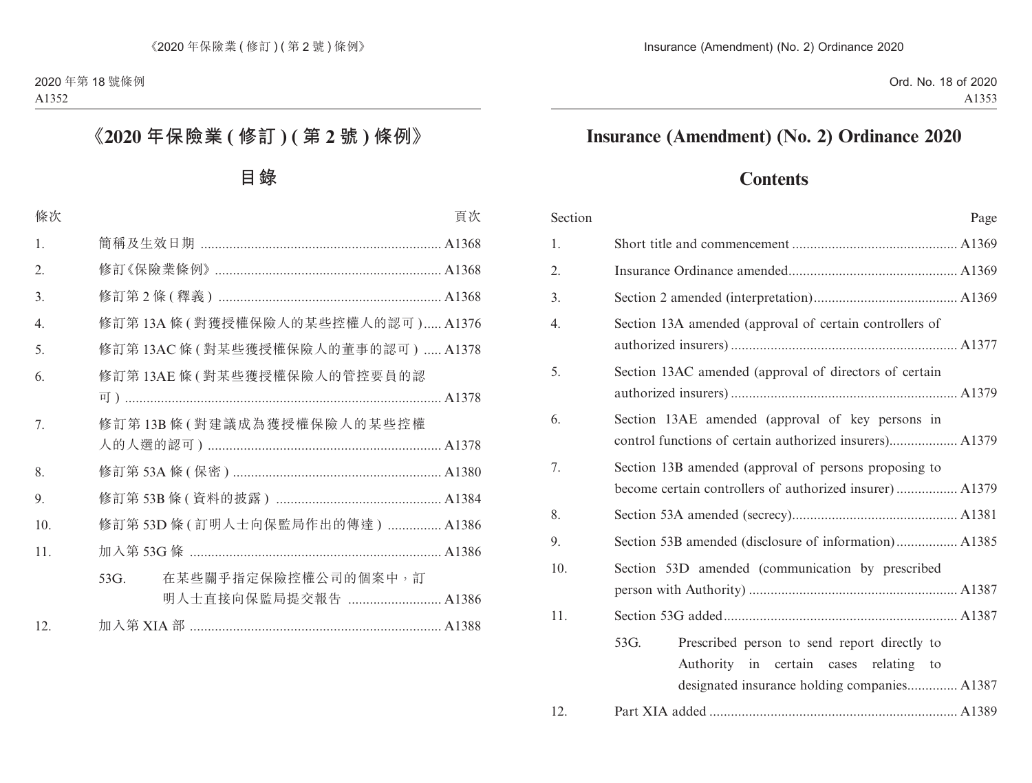# **Insurance (Amendment) (No. 2) Ordinance 2020**

# **Contents**

| Section | Page                                                                                              |  |  |  |
|---------|---------------------------------------------------------------------------------------------------|--|--|--|
| 1.      |                                                                                                   |  |  |  |
| 2.      |                                                                                                   |  |  |  |
| 3.      |                                                                                                   |  |  |  |
| 4.      | Section 13A amended (approval of certain controllers of                                           |  |  |  |
| 5.      | Section 13AC amended (approval of directors of certain                                            |  |  |  |
| 6.      | Section 13AE amended (approval of key persons in                                                  |  |  |  |
| 7.      | Section 13B amended (approval of persons proposing to                                             |  |  |  |
| 8.      |                                                                                                   |  |  |  |
| 9.      | Section 53B amended (disclosure of information) A1385                                             |  |  |  |
| 10.     | Section 53D amended (communication by prescribed                                                  |  |  |  |
| 11.     |                                                                                                   |  |  |  |
|         | 53G.<br>Prescribed person to send report directly to<br>Authority in certain cases relating<br>to |  |  |  |
| 12.     |                                                                                                   |  |  |  |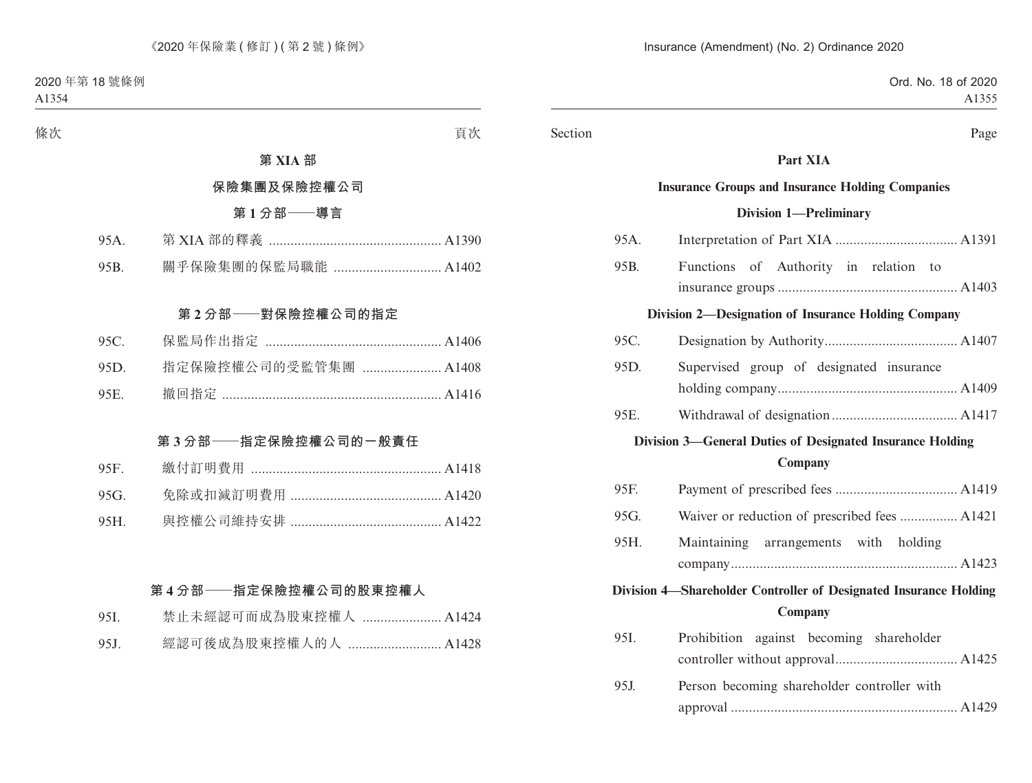#### Section Page

# **Part XIA**

#### **Insurance Groups and Insurance Holding Companies**

#### **Division 1—Preliminary**

| 95A.                                                      |                                                                   |  |  |  |
|-----------------------------------------------------------|-------------------------------------------------------------------|--|--|--|
| 95B.                                                      | Functions of Authority in relation to                             |  |  |  |
|                                                           |                                                                   |  |  |  |
|                                                           | Division 2-Designation of Insurance Holding Company               |  |  |  |
| 95C.                                                      |                                                                   |  |  |  |
| 95D.                                                      | Supervised group of designated insurance                          |  |  |  |
|                                                           |                                                                   |  |  |  |
| 95E.                                                      |                                                                   |  |  |  |
| Division 3-General Duties of Designated Insurance Holding |                                                                   |  |  |  |
| Company                                                   |                                                                   |  |  |  |
| 95F.                                                      |                                                                   |  |  |  |
| 95G.                                                      | Waiver or reduction of prescribed fees  A1421                     |  |  |  |
| 95H.                                                      | Maintaining arrangements with holding                             |  |  |  |
|                                                           |                                                                   |  |  |  |
|                                                           | Division 4-Shareholder Controller of Designated Insurance Holding |  |  |  |
| Company                                                   |                                                                   |  |  |  |
| 95I.                                                      | Prohibition against becoming shareholder                          |  |  |  |
|                                                           |                                                                   |  |  |  |
| 95J.                                                      | Person becoming shareholder controller with                       |  |  |  |
|                                                           |                                                                   |  |  |  |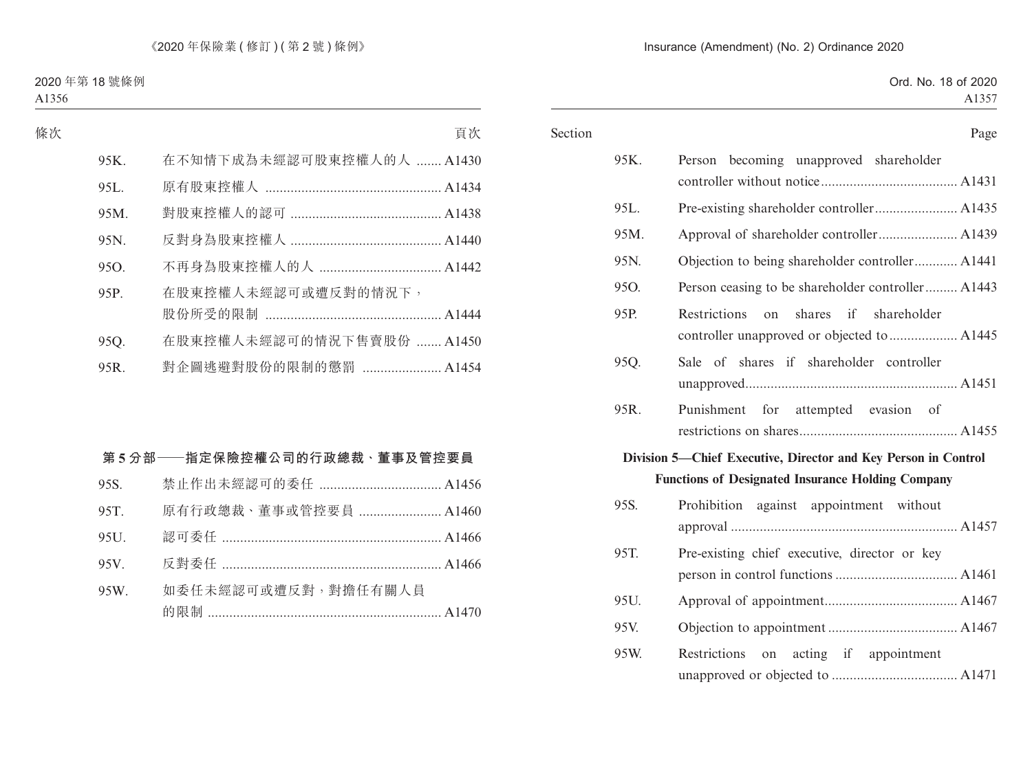| Section |      | Page                                                                                                                       |
|---------|------|----------------------------------------------------------------------------------------------------------------------------|
|         | 95K. | Person becoming unapproved shareholder                                                                                     |
|         | 95L. |                                                                                                                            |
|         | 95M. |                                                                                                                            |
|         | 95N. | Objection to being shareholder controller A1441                                                                            |
|         | 95O. | Person ceasing to be shareholder controller A1443                                                                          |
|         | 95P. | Restrictions on shares if shareholder                                                                                      |
|         | 95Q. | Sale of shares if shareholder controller                                                                                   |
|         | 95R. | Punishment for attempted evasion of                                                                                        |
|         |      | Division 5—Chief Executive, Director and Key Person in Control<br><b>Functions of Designated Insurance Holding Company</b> |
|         | 95S. | Prohibition against appointment without                                                                                    |
|         | 95T. | Pre-existing chief executive, director or key                                                                              |
|         | 95U. |                                                                                                                            |
|         |      |                                                                                                                            |
|         | 95V. |                                                                                                                            |
|         | 95W. | Restrictions on acting if appointment                                                                                      |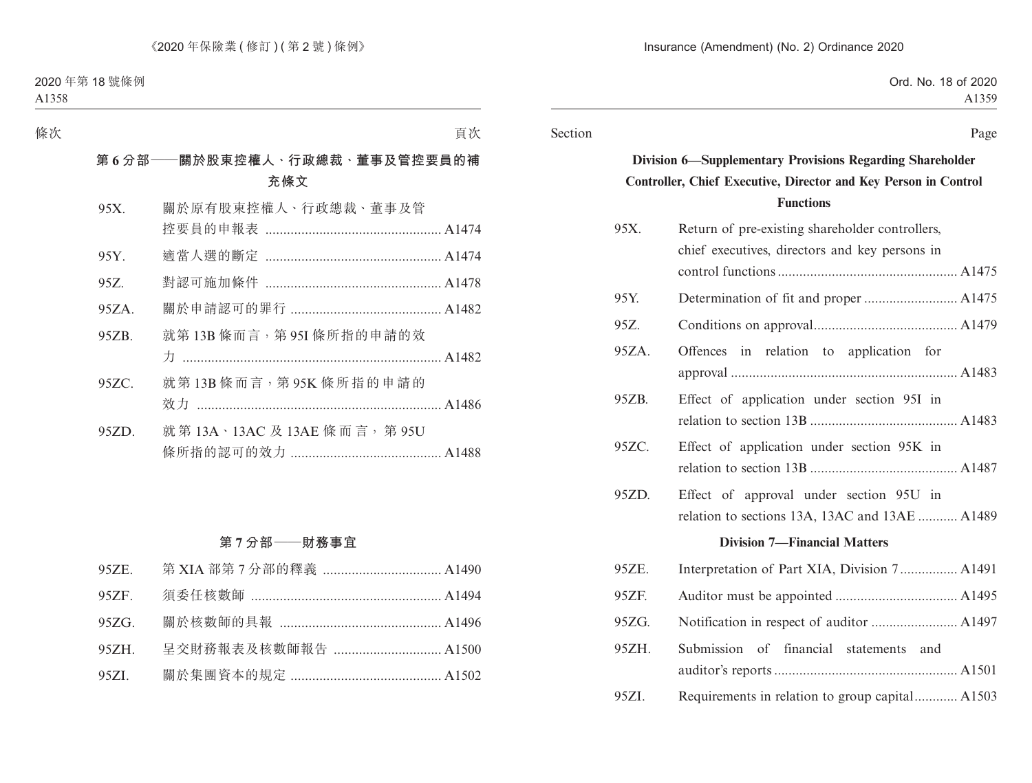#### Section Page

# **Division 6—Supplementary Provisions Regarding Shareholder Controller, Chief Executive, Director and Key Person in Control Functions**

| 95X.                                | Return of pre-existing shareholder controllers,<br>chief executives, directors and key persons in |  |  |  |  |
|-------------------------------------|---------------------------------------------------------------------------------------------------|--|--|--|--|
|                                     |                                                                                                   |  |  |  |  |
| 95Y.                                |                                                                                                   |  |  |  |  |
| 95Z.                                |                                                                                                   |  |  |  |  |
| 95ZA.                               | Offences in relation to application for                                                           |  |  |  |  |
| 95ZB.                               | Effect of application under section 95I in                                                        |  |  |  |  |
| 95ZC.                               | Effect of application under section 95K in                                                        |  |  |  |  |
| 95ZD.                               | Effect of approval under section 95U in<br>relation to sections 13A, 13AC and 13AE  A1489         |  |  |  |  |
| <b>Division 7-Financial Matters</b> |                                                                                                   |  |  |  |  |
| 95ZE.                               | Interpretation of Part XIA, Division 7 A1491                                                      |  |  |  |  |
| 95ZF.                               |                                                                                                   |  |  |  |  |
| 95ZG.                               |                                                                                                   |  |  |  |  |
| 95ZH.                               | Submission of<br>financial statements and                                                         |  |  |  |  |
| 95ZI.                               | Requirements in relation to group capital A1503                                                   |  |  |  |  |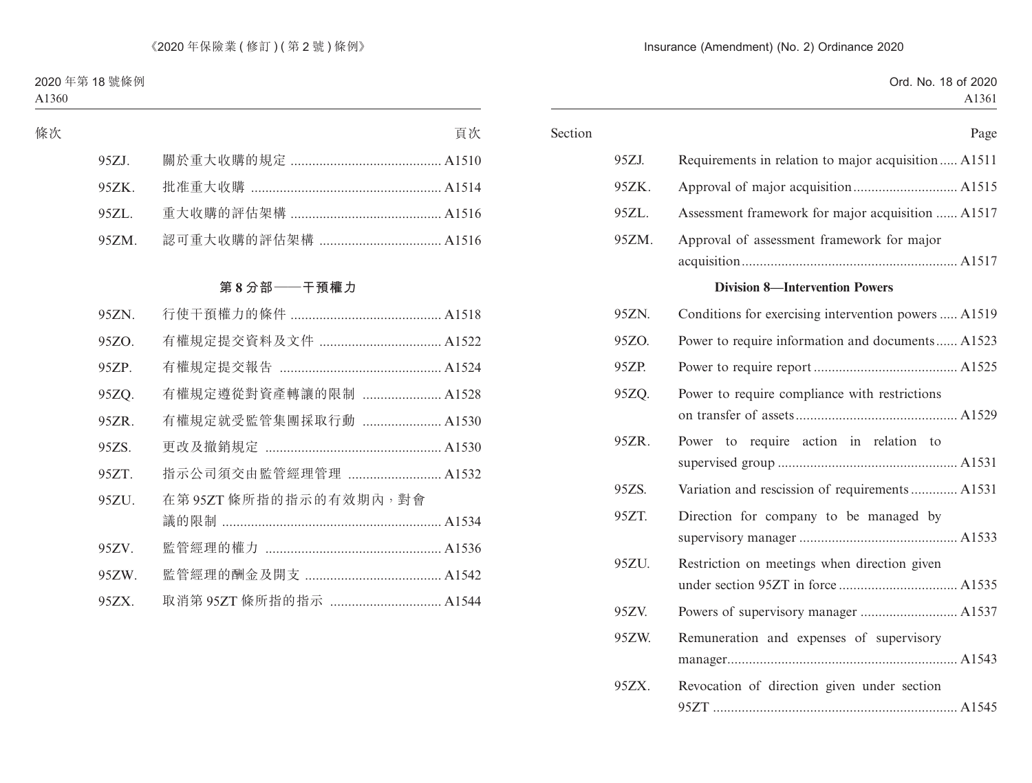| Page                                                 |       |
|------------------------------------------------------|-------|
| Requirements in relation to major acquisition A1511  | 95ZJ. |
|                                                      | 95ZK. |
| Assessment framework for major acquisition  A1517    | 95ZL. |
| Approval of assessment framework for major           | 95ZM. |
|                                                      |       |
| <b>Division 8-Intervention Powers</b>                |       |
| Conditions for exercising intervention powers  A1519 | 95ZN. |
| Power to require information and documents A1523     | 95ZO. |
|                                                      | 95ZP. |
| Power to require compliance with restrictions        | 95ZQ. |
|                                                      |       |
| Power to require action in relation to               | 95ZR. |
|                                                      |       |
| Variation and rescission of requirements  A1531      | 95ZS. |
| Direction for company to be managed by               | 95ZT. |
|                                                      |       |
| Restriction on meetings when direction given         | 95ZU. |
|                                                      |       |
|                                                      | 95ZV. |
| Remuneration and expenses of supervisory             | 95ZW. |
|                                                      |       |
| Revocation of direction given under section          | 95ZX. |
|                                                      |       |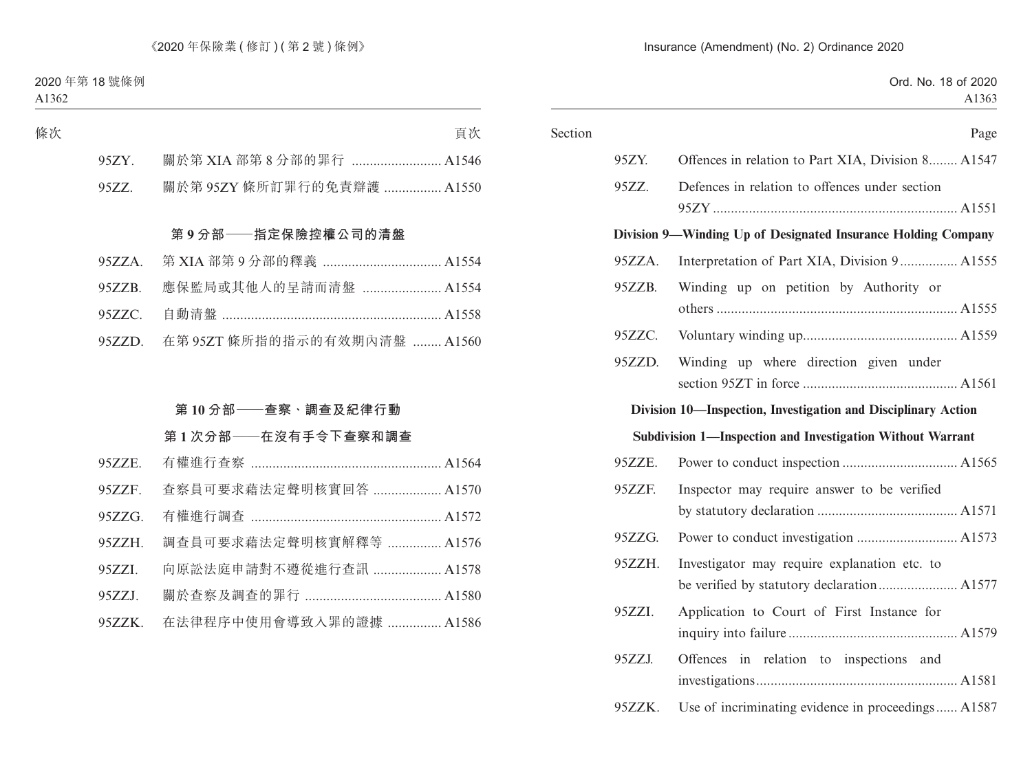| Section |        | Page                                                          |
|---------|--------|---------------------------------------------------------------|
|         | 95ZY.  | Offences in relation to Part XIA, Division 8 A1547            |
|         | 95ZZ.  | Defences in relation to offences under section                |
|         |        |                                                               |
|         |        | Division 9—Winding Up of Designated Insurance Holding Company |
|         | 95ZZA. | Interpretation of Part XIA, Division 9 A1555                  |
|         | 95ZZB. | Winding up on petition by Authority or                        |
|         |        |                                                               |
|         | 95ZZC. |                                                               |
|         | 95ZZD. | Winding up where direction given under                        |
|         |        |                                                               |
|         |        | Division 10—Inspection, Investigation and Disciplinary Action |
|         |        | Subdivision 1—Inspection and Investigation Without Warrant    |
|         | 95ZZE. |                                                               |
|         | 95ZZF. | Inspector may require answer to be verified                   |
|         |        |                                                               |
|         | 95ZZG. |                                                               |
|         | 95ZZH. | Investigator may require explanation etc. to                  |
|         |        |                                                               |
|         | 95ZZI. | Application to Court of First Instance for                    |
|         |        |                                                               |
|         | 95ZZJ. | Offences in relation to inspections and                       |
|         |        |                                                               |
|         | 95ZZK. | Use of incriminating evidence in proceedings A1587            |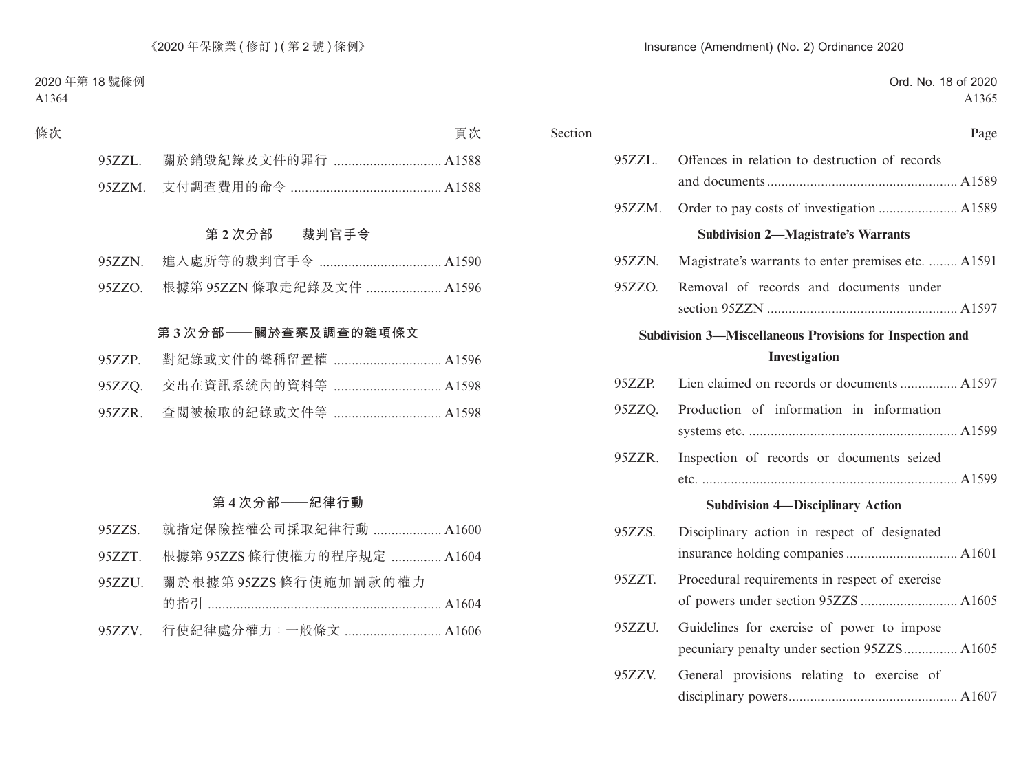|                                                                                           | Section   |  |
|-------------------------------------------------------------------------------------------|-----------|--|
| Offences in relation to destruction of records                                            | 95ZZL.    |  |
|                                                                                           |           |  |
|                                                                                           | $95ZZM$ . |  |
| <b>Subdivision 2-Magistrate's Warrants</b>                                                |           |  |
| Magistrate's warrants to enter premises etc.  A1591                                       | 95ZZN.    |  |
| Removal of records and documents under                                                    | 95ZZO.    |  |
| Subdivision 3-Miscellaneous Provisions for Inspection and<br>Investigation                |           |  |
| Lien claimed on records or documents  A1597                                               | 95ZZP.    |  |
| Production of information in information                                                  | 95ZZQ.    |  |
| Inspection of records or documents seized                                                 | 95ZZR.    |  |
| <b>Subdivision 4-Disciplinary Action</b>                                                  |           |  |
| Disciplinary action in respect of designated                                              | 95ZZS.    |  |
| Procedural requirements in respect of exercise                                            | 95ZZT.    |  |
| Guidelines for exercise of power to impose<br>pecuniary penalty under section 95ZZS A1605 | 95ZZU.    |  |
| General provisions relating to exercise of                                                | 95ZZV.    |  |
|                                                                                           |           |  |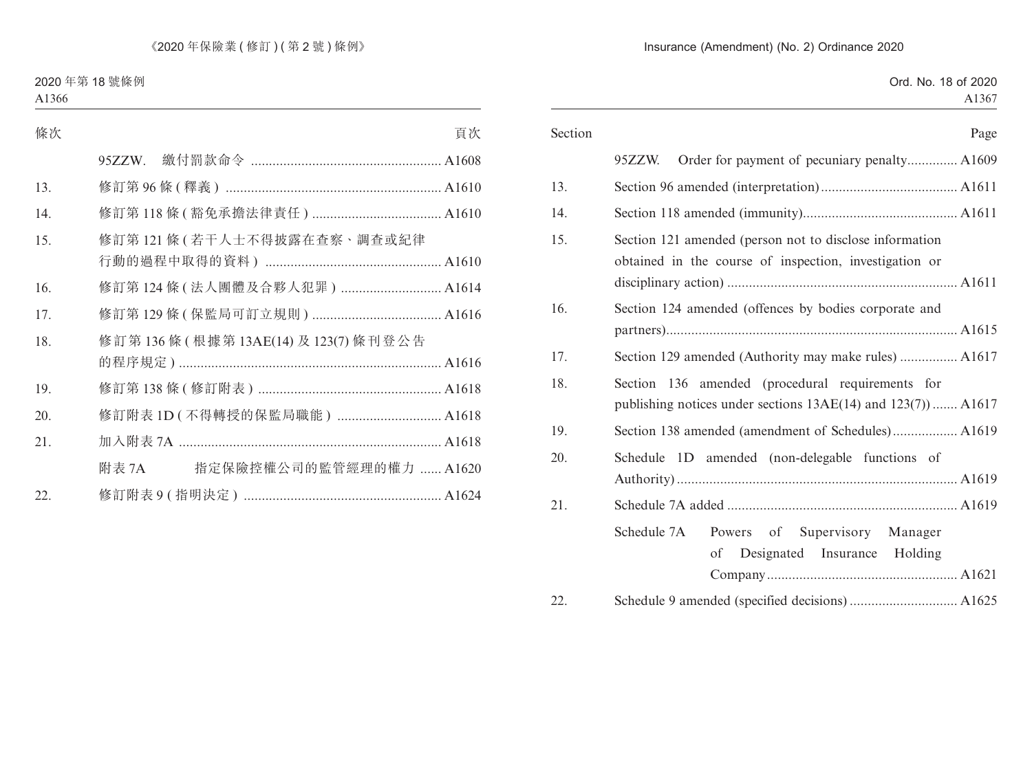#### Insurance (Amendment) (No. 2) Ordinance 2020

| Section | Page                                                                                                                   |
|---------|------------------------------------------------------------------------------------------------------------------------|
|         | Order for payment of pecuniary penalty A1609<br>$95ZZW$ .                                                              |
| 13.     |                                                                                                                        |
| 14.     |                                                                                                                        |
| 15.     | Section 121 amended (person not to disclose information<br>obtained in the course of inspection, investigation or      |
| 16.     | Section 124 amended (offences by bodies corporate and                                                                  |
| 17.     | Section 129 amended (Authority may make rules)  A1617                                                                  |
| 18.     | Section 136 amended (procedural requirements for<br>publishing notices under sections $13AE(14)$ and $123(7)$ )  A1617 |
| 19.     | Section 138 amended (amendment of Schedules) A1619                                                                     |
| 20.     | Schedule 1D amended (non-delegable functions of                                                                        |
| 21.     |                                                                                                                        |
|         | Schedule 7A<br>Powers of<br>Supervisory<br>Manager<br>Designated<br>Insurance<br>Holding<br>of                         |
| 22.     |                                                                                                                        |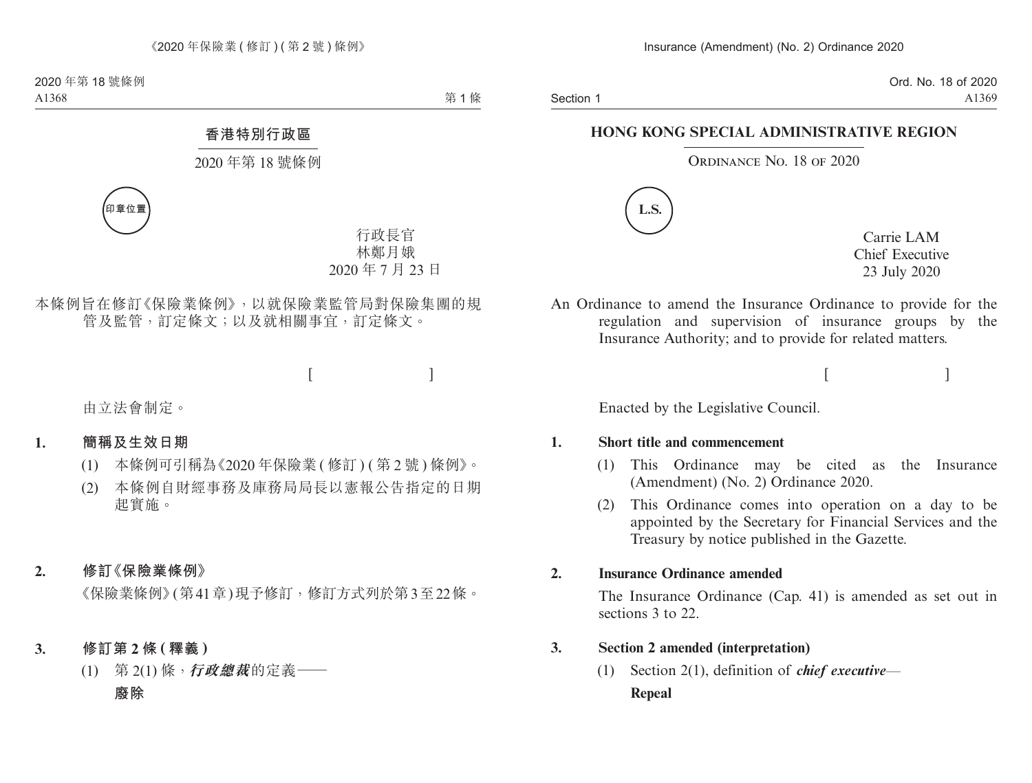Section 1

Ord. No. 18 of 2020 A1369

#### **HONG KONG SPECIAL ADMINISTRATIVE REGION**

#### ORDINANCE NO. 18 OF 2020



Carrie LAM Chief Executive 23 July 2020

 $[$   $]$ 

An Ordinance to amend the Insurance Ordinance to provide for the regulation and supervision of insurance groups by the Insurance Authority; and to provide for related matters.

Enacted by the Legislative Council.

#### **1. Short title and commencement**

- (1) This Ordinance may be cited as the Insurance (Amendment) (No. 2) Ordinance 2020.
- (2) This Ordinance comes into operation on a day to be appointed by the Secretary for Financial Services and the Treasury by notice published in the Gazette.

#### **2. Insurance Ordinance amended**

The Insurance Ordinance (Cap. 41) is amended as set out in sections 3 to 22.

#### **3. Section 2 amended (interpretation)**

(1) Section 2(1), definition of *chief executive*— **Repeal**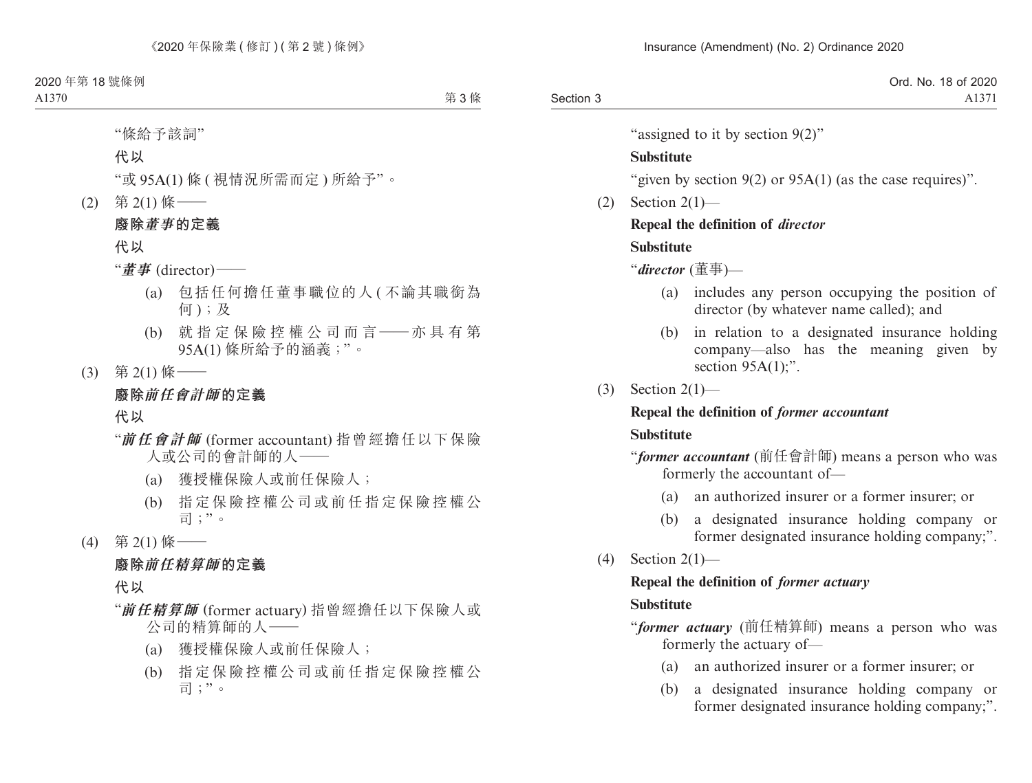"assigned to it by section 9(2)"

#### **Substitute**

"given by section 9(2) or 95A(1) (as the case requires)".

 $(2)$  Section  $2(1)$ —

# **Repeal the definition of** *director*

### **Substitute**

"*director* (董事)—

- (a) includes any person occupying the position of director (by whatever name called); and
- (b) in relation to a designated insurance holding company—also has the meaning given by section  $95A(1)$ ;".
- (3) Section 2(1)—

#### **Repeal the definition of** *former accountant*

# **Substitute**

"*former accountant* (前任會計師) means a person who was formerly the accountant of—

- (a) an authorized insurer or a former insurer; or
- (b) a designated insurance holding company or former designated insurance holding company;".
- (4) Section 2(1)—

# **Repeal the definition of** *former actuary*

# **Substitute**

"*former actuary* (前任精算師) means a person who was formerly the actuary of—

- (a) an authorized insurer or a former insurer; or
- (b) a designated insurance holding company or former designated insurance holding company;".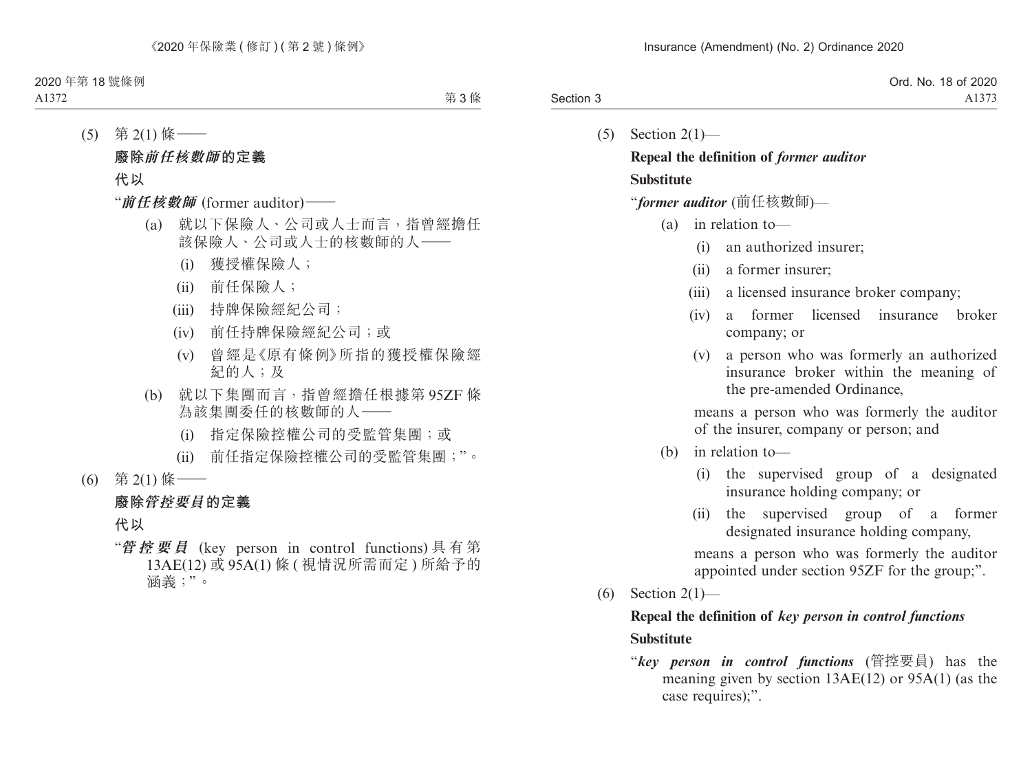|           | Ord. No. 18 of 2020 |
|-----------|---------------------|
| Section 3 | A1373               |

 $(5)$  Section  $2(1)$ —

# **Repeal the definition of** *former auditor* **Substitute**

"*former auditor* (前任核數師)—

- (a) in relation to—
	- (i) an authorized insurer;
	- (ii) a former insurer;
	- (iii) a licensed insurance broker company;
	- (iv) a former licensed insurance broker company; or
	- (v) a person who was formerly an authorized insurance broker within the meaning of the pre-amended Ordinance,

means a person who was formerly the auditor of the insurer, company or person; and

- (b) in relation to—
	- (i) the supervised group of a designated insurance holding company; or
	- (ii) the supervised group of a former designated insurance holding company,

means a person who was formerly the auditor appointed under section 95ZF for the group;".

(6) Section 2(1)—

# **Repeal the definition of** *key person in control functions* **Substitute**

"*key person in control functions* (管控要員) has the meaning given by section 13AE(12) or 95A(1) (as the case requires);".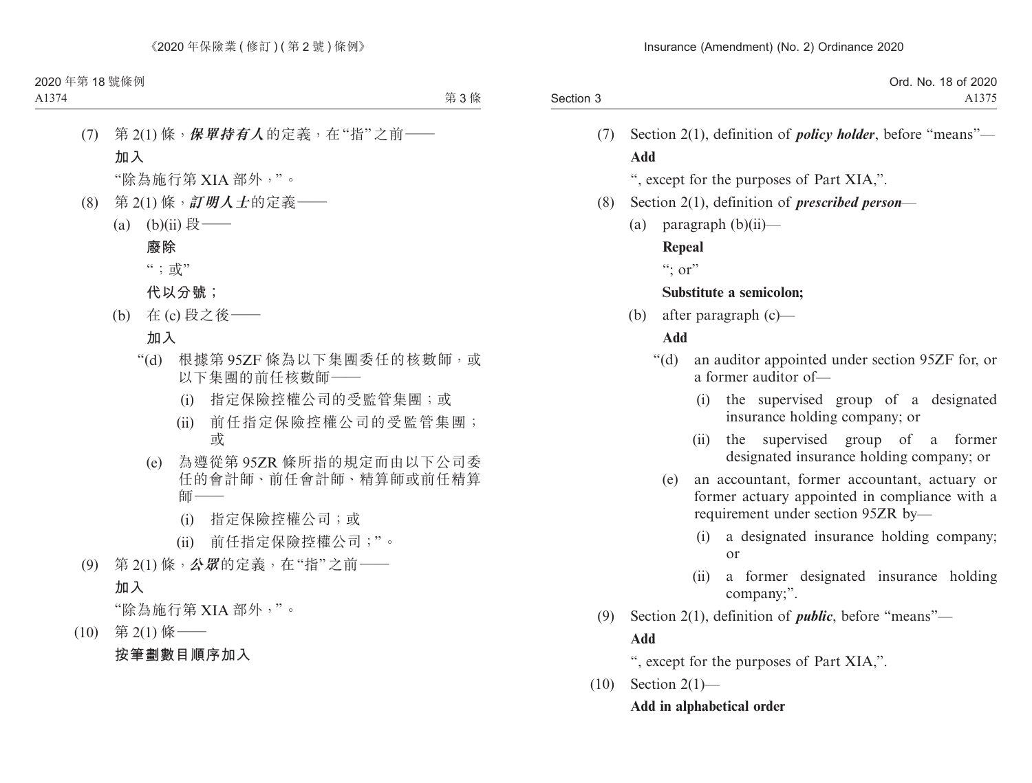|           | Ord. No. 18 of 2020 |
|-----------|---------------------|
| Section 3 | A1375               |

(7) Section 2(1), definition of *policy holder*, before "means"— **Add**

", except for the purposes of Part XIA,".

- (8) Section 2(1), definition of *prescribed person*
	- (a) paragraph  $(b)(ii)$ —

**Repeal**

 $\lq\lq$ ; or"

#### **Substitute a semicolon;**

(b) after paragraph (c)—

# **Add**

- "(d) an auditor appointed under section 95ZF for, or a former auditor of—
	- (i) the supervised group of a designated insurance holding company; or
	- (ii) the supervised group of a former designated insurance holding company; or
	- (e) an accountant, former accountant, actuary or former actuary appointed in compliance with a requirement under section 95ZR by—
		- (i) a designated insurance holding company; or
		- (ii) a former designated insurance holding company;".
- (9) Section 2(1), definition of *public*, before "means"— **Add**

", except for the purposes of Part XIA,".

 $(10)$  Section 2(1)— **Add in alphabetical order**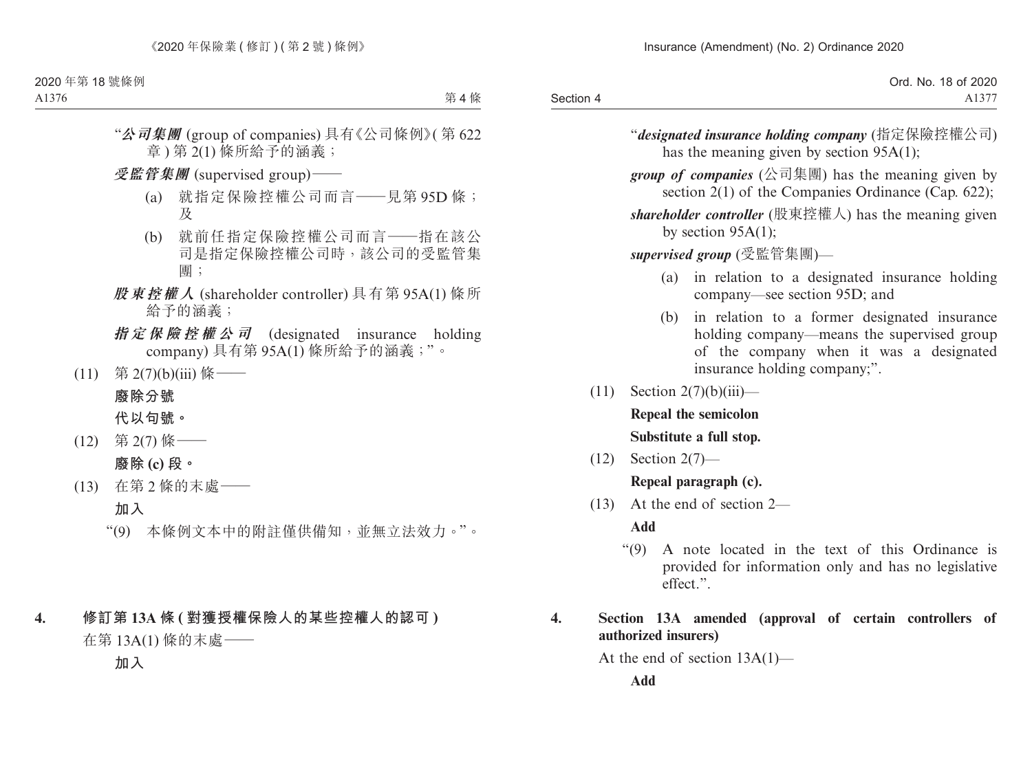|           | Ord. No. 18 of 2020 |
|-----------|---------------------|
| Section 4 | A1377               |

"*designated insurance holding company* (指定保險控權公司) has the meaning given by section 95A(1);

*group of companies* (公司集團) has the meaning given by section 2(1) of the Companies Ordinance (Cap. 622);

*shareholder controller* (股東控權人) has the meaning given by section 95A(1);

*supervised group* (受監管集團)—

- (a) in relation to a designated insurance holding company—see section 95D; and
- (b) in relation to a former designated insurance holding company—means the supervised group of the company when it was a designated insurance holding company;".
- $(11)$  Section  $2(7)(b)(iii)$  **Repeal the semicolon**

**Substitute a full stop.**

(12) Section 2(7)—

**Repeal paragraph (c).**

(13) At the end of section 2—

**Add**

"(9) A note located in the text of this Ordinance is provided for information only and has no legislative effect.".

# **4. Section 13A amended (approval of certain controllers of authorized insurers)**

At the end of section 13A(1)—

**Add**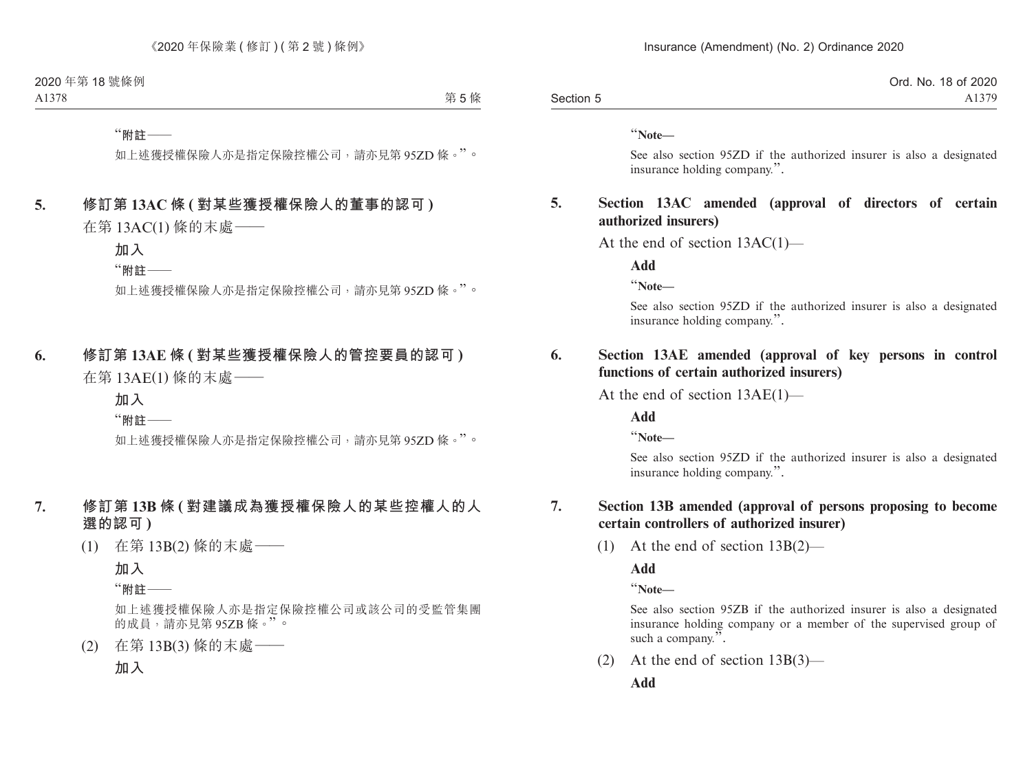|           | Ord. No. 18 of 2020 |
|-----------|---------------------|
| Section 5 | A1379               |

"**Note—**

See also section 95ZD if the authorized insurer is also a designated insurance holding company.".

#### **5. Section 13AC amended (approval of directors of certain authorized insurers)**

At the end of section 13AC(1)—

**Add**

"**Note—**

See also section 95ZD if the authorized insurer is also a designated insurance holding company.".

#### **6. Section 13AE amended (approval of key persons in control functions of certain authorized insurers)**

At the end of section 13AE(1)—

**Add**

"**Note—**

See also section 95ZD if the authorized insurer is also a designated insurance holding company.".

#### **7. Section 13B amended (approval of persons proposing to become certain controllers of authorized insurer)**

(1) At the end of section 13B(2)—

**Add**

"**Note—**

See also section 95ZB if the authorized insurer is also a designated insurance holding company or a member of the supervised group of such a company.".

(2) At the end of section 13B(3)—

**Add**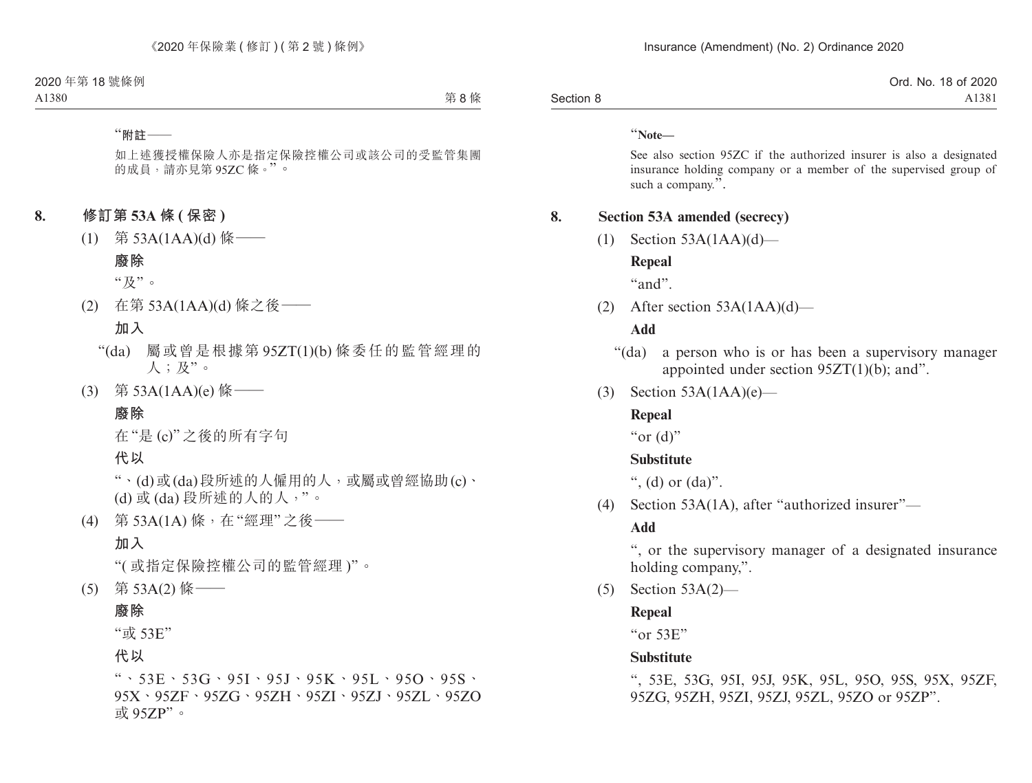|           | Ord. No. 18 of 2020 |
|-----------|---------------------|
| Section 8 | A1381               |

"**Note—**

See also section 95ZC if the authorized insurer is also a designated insurance holding company or a member of the supervised group of such a company.".

#### **8. Section 53A amended (secrecy)**

 $(1)$  Section 53A(1AA)(d)—

#### **Repeal**

"and".

(2) After section 53A(1AA)(d)—

#### **Add**

- "(da) a person who is or has been a supervisory manager appointed under section 95ZT(1)(b); and".
- (3) Section  $53A(1AA)(e)$ —

#### **Repeal**

" $or$  (d)"

#### **Substitute**

", (d) or  $(da)$ ".

(4) Section 53A(1A), after "authorized insurer"—

#### **Add**

", or the supervisory manager of a designated insurance holding company,".

(5) Section 53A(2)—

#### **Repeal**

"or 53E"

#### **Substitute**

", 53E, 53G, 95I, 95J, 95K, 95L, 95O, 95S, 95X, 95ZF, 95ZG, 95ZH, 95ZI, 95ZJ, 95ZL, 95ZO or 95ZP".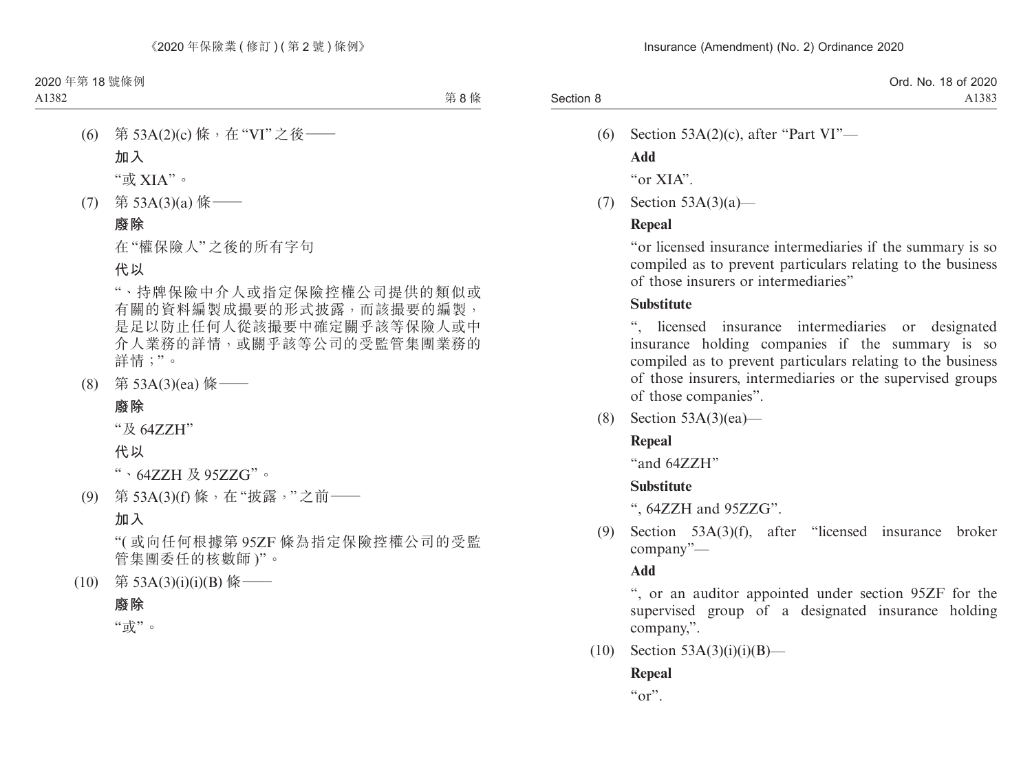(6) Section  $53A(2)(c)$ , after "Part VI"—

**Add**

"or XIA".

(7) Section 53A(3)(a)—

# **Repeal**

"or licensed insurance intermediaries if the summary is so compiled as to prevent particulars relating to the business of those insurers or intermediaries"

# **Substitute**

licensed insurance intermediaries or designated insurance holding companies if the summary is so compiled as to prevent particulars relating to the business of those insurers, intermediaries or the supervised groups of those companies".

(8) Section 53A(3)(ea)—

# **Repeal**

"and 64ZZH"

# **Substitute**

", 64ZZH and 95ZZG".

(9) Section 53A(3)(f), after "licensed insurance broker company"—

# **Add**

", or an auditor appointed under section 95ZF for the supervised group of a designated insurance holding company,".

 $(10)$  Section 53A(3)(i)(i)(B)—

# **Repeal**

" $or$ ".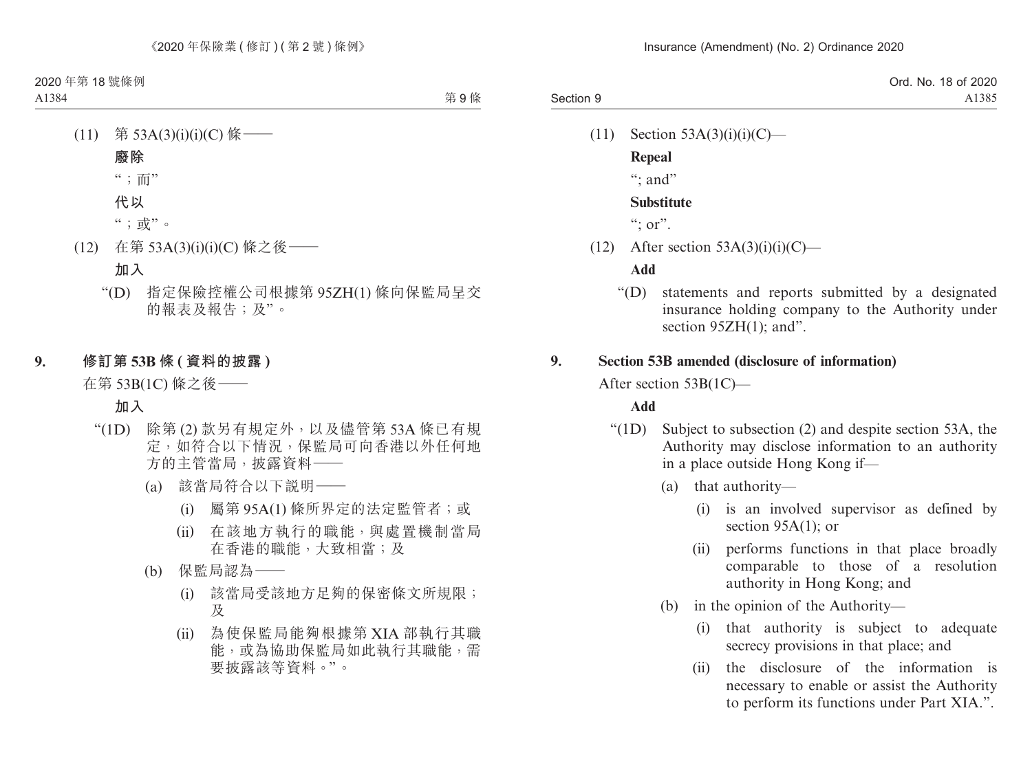|           | Ord. No. 18 of 2020 |
|-----------|---------------------|
| Section 9 | A1385               |

- $(11)$  Section 53A(3)(i)(i)(C)—
	- **Repeal**

 $\cdots$  and"

#### **Substitute**

 $\lq\lq$  : or".

 $(12)$  After section 53A(3)(i)(i)(C)—

#### **Add**

"(D) statements and reports submitted by a designated insurance holding company to the Authority under section  $95ZH(1)$ ; and".

#### **9. Section 53B amended (disclosure of information)**

After section 53B(1C)—

#### **Add**

- "(1D) Subject to subsection (2) and despite section 53A, the Authority may disclose information to an authority in a place outside Hong Kong if—
	- (a) that authority—
		- (i) is an involved supervisor as defined by section 95A(1); or
		- (ii) performs functions in that place broadly comparable to those of a resolution authority in Hong Kong; and
	- (b) in the opinion of the Authority—
		- (i) that authority is subject to adequate secrecy provisions in that place; and
		- (ii) the disclosure of the information is necessary to enable or assist the Authority to perform its functions under Part XIA.".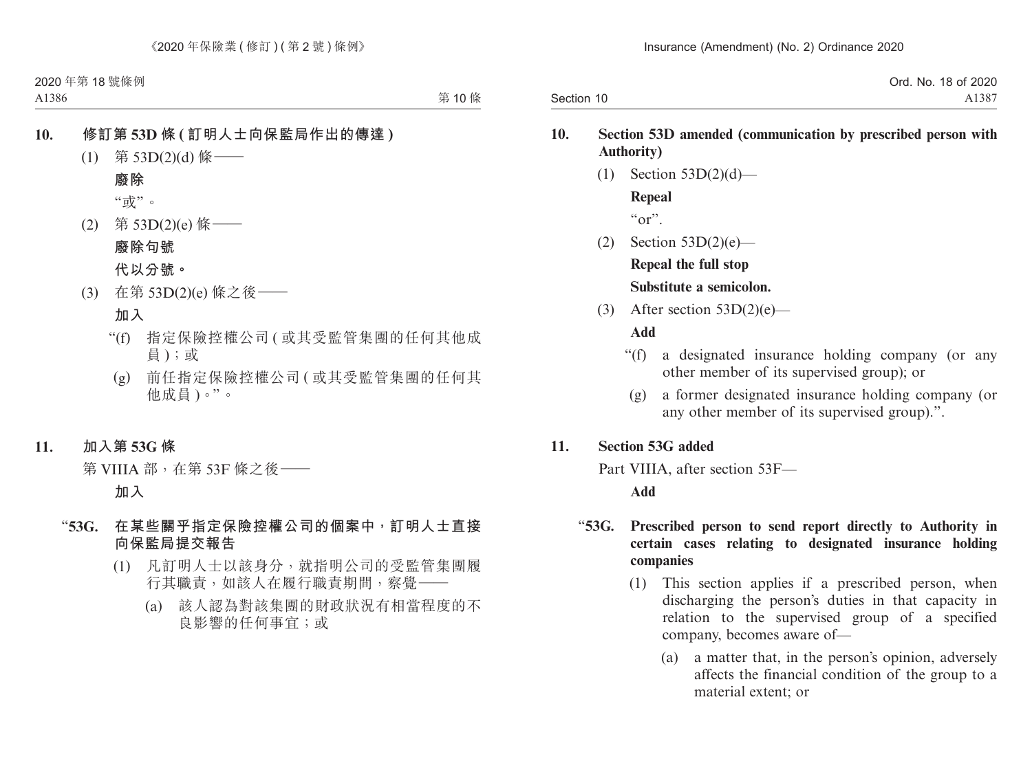|            | Ord. No. 18 of 2020 |
|------------|---------------------|
| Section 10 | A1387               |

#### **10. Section 53D amended (communication by prescribed person with Authority)**

- $(1)$  Section 53D $(2)(d)$  **Repeal**  $\alpha_{\Omega}$ ".
- (2) Section 53D(2)(e)— **Repeal the full stop Substitute a semicolon.**
- (3) After section  $53D(2)(e)$ —

#### **Add**

- "(f) a designated insurance holding company (or any other member of its supervised group); or
	- (g) a former designated insurance holding company (or any other member of its supervised group).".

#### **11. Section 53G added**

Part VIIIA, after section 53F—

**Add**

### "**53G. Prescribed person to send report directly to Authority in certain cases relating to designated insurance holding companies**

- (1) This section applies if a prescribed person, when discharging the person's duties in that capacity in relation to the supervised group of a specified company, becomes aware of—
	- (a) a matter that, in the person's opinion, adversely affects the financial condition of the group to a material extent; or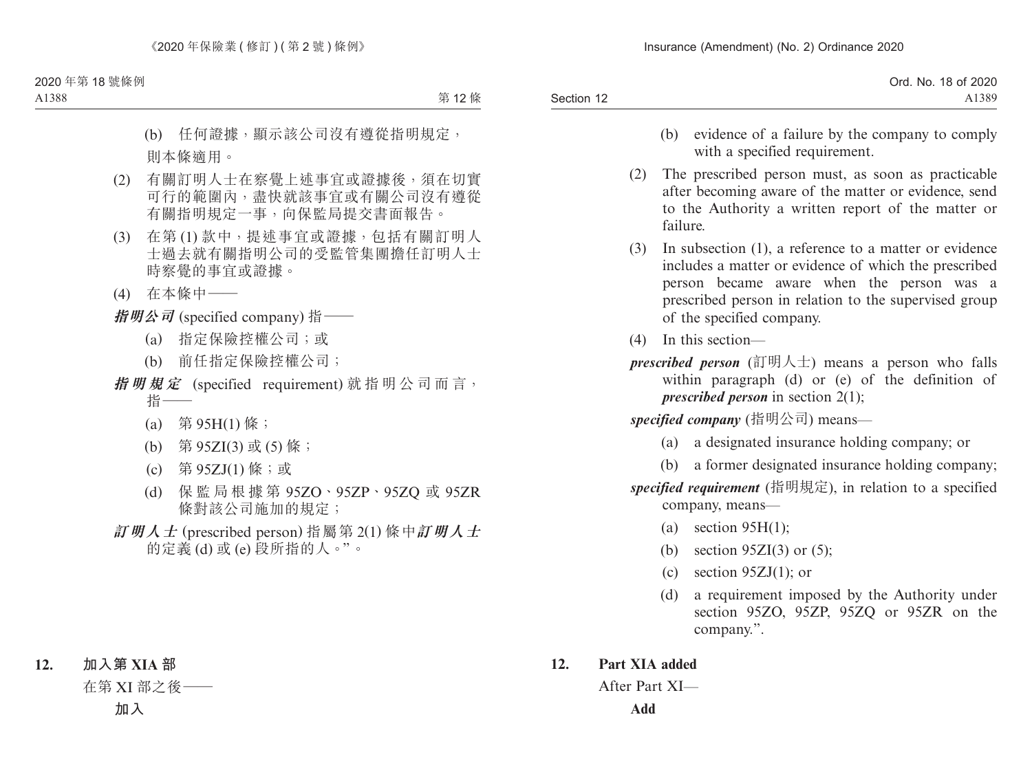| Ord. No. 18 of 2020 |
|---------------------|
| A1389               |
|                     |

- (b) evidence of a failure by the company to comply with a specified requirement.
- (2) The prescribed person must, as soon as practicable after becoming aware of the matter or evidence, send to the Authority a written report of the matter or failure.
- (3) In subsection (1), a reference to a matter or evidence includes a matter or evidence of which the prescribed person became aware when the person was a prescribed person in relation to the supervised group of the specified company.
- (4) In this section—
- *prescribed person* (訂明人士) means a person who falls within paragraph (d) or (e) of the definition of *prescribed person* in section 2(1);

*specified company* (指明公司) means—

- (a) a designated insurance holding company; or
- (b) a former designated insurance holding company;

*specified requirement* (指明規定), in relation to a specified company, means—

- (a) section  $95H(1)$ ;
- (b) section  $95ZI(3)$  or (5);
- (c) section  $95ZJ(1)$ ; or
- (d) a requirement imposed by the Authority under section 95ZO, 95ZP, 95ZQ or 95ZR on the company.".

# **12. Part XIA added**

After Part XI—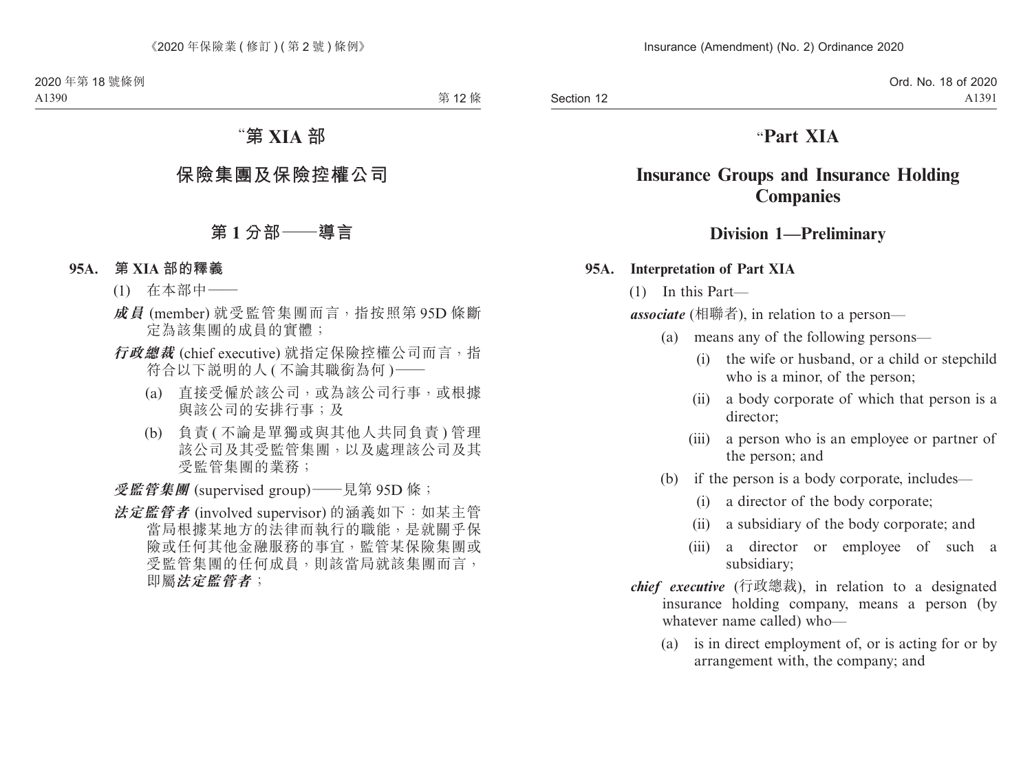Section 12

# "**Part XIA**

# **Insurance Groups and Insurance Holding Companies**

# **Division 1—Preliminary**

#### **95A. Interpretation of Part XIA**

(1) In this Part—

*associate* (相聯者), in relation to a person—

- (a) means any of the following persons—
	- (i) the wife or husband, or a child or stepchild who is a minor, of the person;
	- (ii) a body corporate of which that person is a director;
	- (iii) a person who is an employee or partner of the person; and
- (b) if the person is a body corporate, includes—
	- (i) a director of the body corporate;
	- (ii) a subsidiary of the body corporate; and
	- (iii) a director or employee of such a subsidiary;
- *chief executive* (行政總裁), in relation to a designated insurance holding company, means a person (by whatever name called) who—
	- (a) is in direct employment of, or is acting for or by arrangement with, the company; and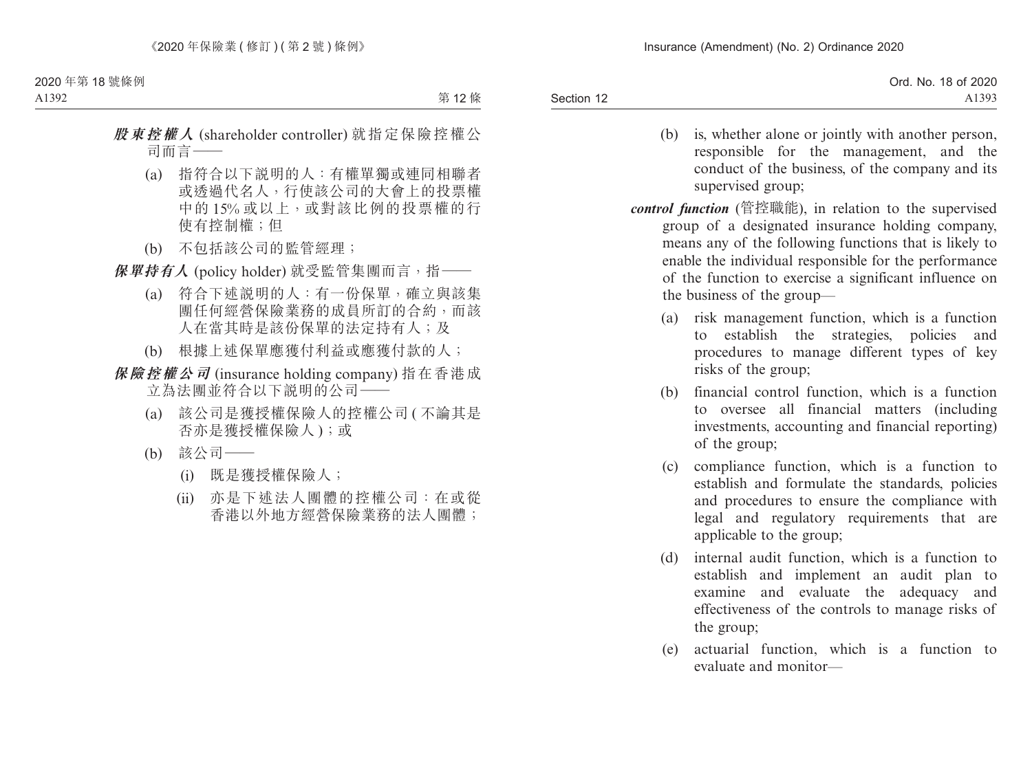| A1393 |
|-------|
|       |

- (b) is, whether alone or jointly with another person, responsible for the management, and the conduct of the business, of the company and its supervised group;
- *control function* (管控職能), in relation to the supervised group of a designated insurance holding company, means any of the following functions that is likely to enable the individual responsible for the performance of the function to exercise a significant influence on the business of the group—
	- (a) risk management function, which is a function to establish the strategies, policies and procedures to manage different types of key risks of the group;
	- (b) financial control function, which is a function to oversee all financial matters (including investments, accounting and financial reporting) of the group;
	- (c) compliance function, which is a function to establish and formulate the standards, policies and procedures to ensure the compliance with legal and regulatory requirements that are applicable to the group;
	- (d) internal audit function, which is a function to establish and implement an audit plan to examine and evaluate the adequacy and effectiveness of the controls to manage risks of the group;
	- (e) actuarial function, which is a function to evaluate and monitor—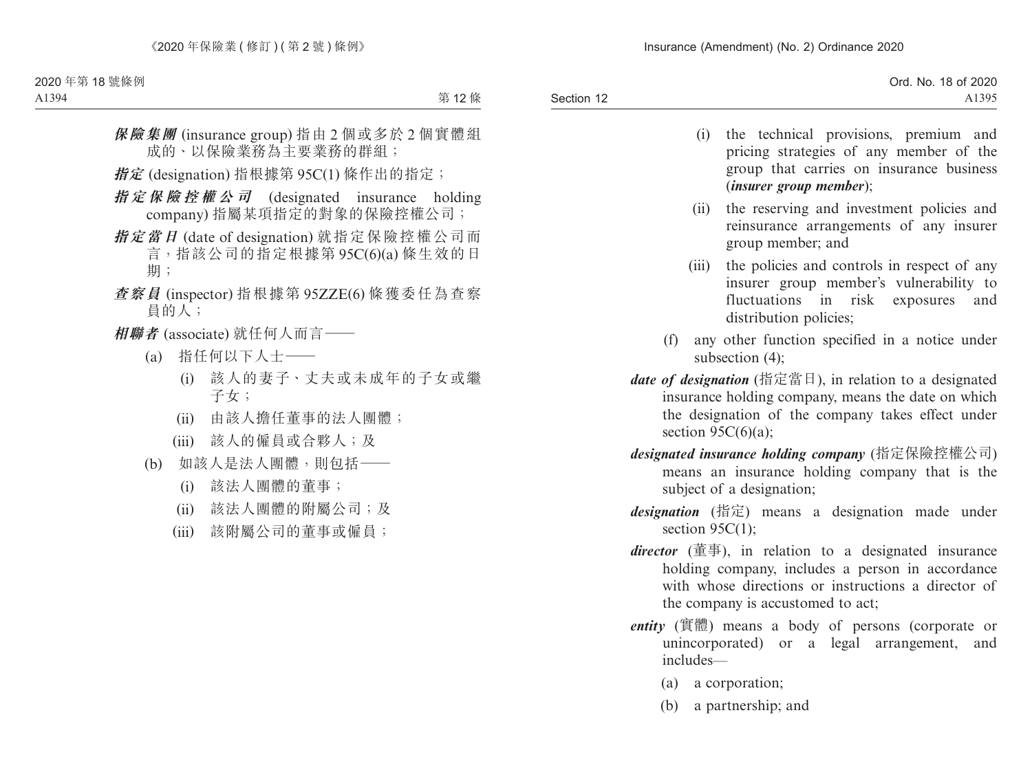|            | Ord. No. 18 of 2020 |
|------------|---------------------|
| Section 12 | A1395               |

- (i) the technical provisions, premium and pricing strategies of any member of the group that carries on insurance business (*insurer group member*);
- (ii) the reserving and investment policies and reinsurance arrangements of any insurer group member; and
- (iii) the policies and controls in respect of any insurer group member's vulnerability to fluctuations in risk exposures and distribution policies;
- (f) any other function specified in a notice under subsection (4);
- *date of designation* (指定當日), in relation to a designated insurance holding company, means the date on which the designation of the company takes effect under section  $95C(6)(a)$ ;
- *designated insurance holding company* (指定保險控權公司) means an insurance holding company that is the subject of a designation;
- *designation* (指定) means a designation made under section 95C(1):
- *director* (董事), in relation to a designated insurance holding company, includes a person in accordance with whose directions or instructions a director of the company is accustomed to act;
- *entity* (實體) means a body of persons (corporate or unincorporated) or a legal arrangement, and includes—
	- (a) a corporation;
	- (b) a partnership; and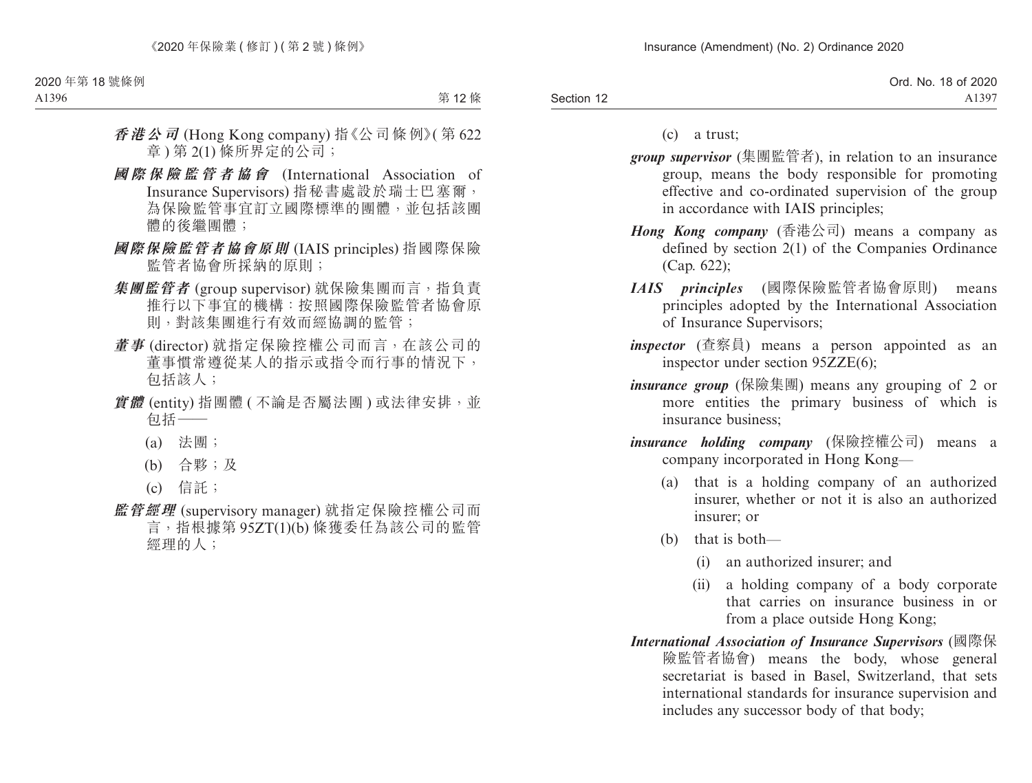|            | Ord. No. 18 of 2020 |
|------------|---------------------|
| Section 12 | A1397               |

(c) a trust;

- *group supervisor* (集團監管者), in relation to an insurance group, means the body responsible for promoting effective and co-ordinated supervision of the group in accordance with IAIS principles;
- *Hong Kong company* (香港公司) means a company as defined by section 2(1) of the Companies Ordinance (Cap. 622);
- *IAIS principles* (國際保險監管者協會原則) means principles adopted by the International Association of Insurance Supervisors;
- *inspector* (查察員) means a person appointed as an inspector under section 95ZZE(6);
- *insurance group* (保險集團) means any grouping of 2 or more entities the primary business of which is insurance business;
- *insurance holding company* (保險控權公司) means a company incorporated in Hong Kong—
	- (a) that is a holding company of an authorized insurer, whether or not it is also an authorized insurer; or
	- (b) that is both—
		- (i) an authorized insurer; and
		- (ii) a holding company of a body corporate that carries on insurance business in or from a place outside Hong Kong;
- *International Association of Insurance Supervisors* (國際保 險監管者協會) means the body, whose general secretariat is based in Basel, Switzerland, that sets international standards for insurance supervision and includes any successor body of that body;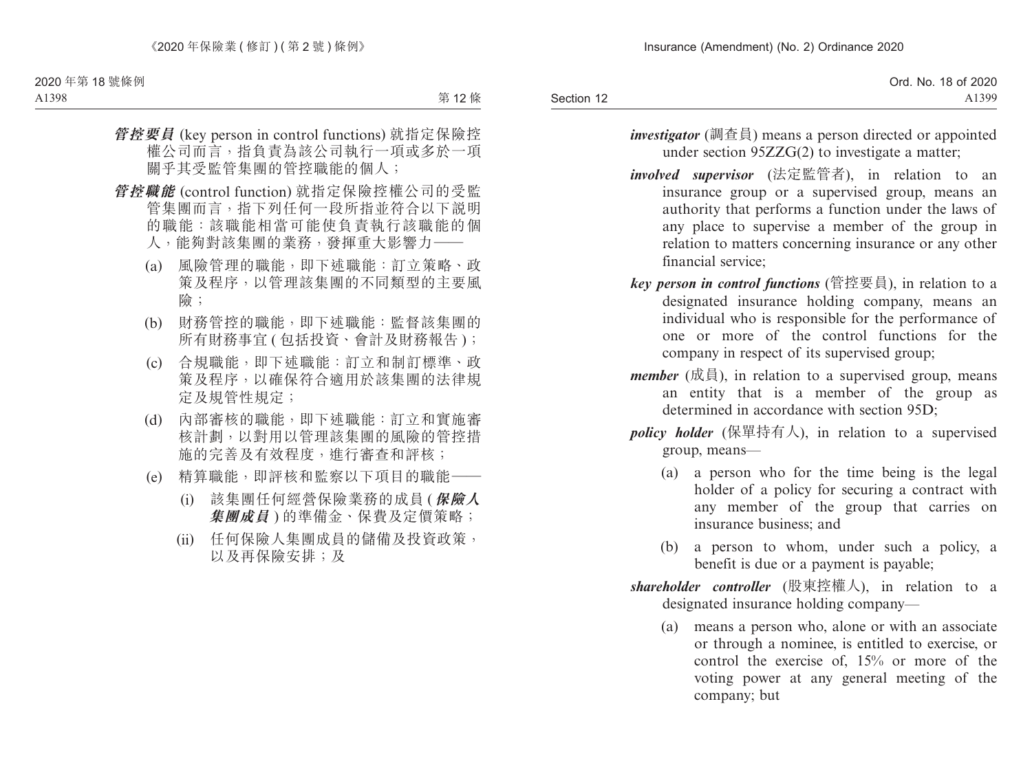|            | Ord. No. 18 of 2020 |
|------------|---------------------|
| Section 12 | A1399               |

- *investigator* (調查員) means a person directed or appointed under section 95ZZG(2) to investigate a matter;
- *involved supervisor* (法定監管者), in relation to an insurance group or a supervised group, means an authority that performs a function under the laws of any place to supervise a member of the group in relation to matters concerning insurance or any other financial service;
- *key person in control functions* (管控要員), in relation to a designated insurance holding company, means an individual who is responsible for the performance of one or more of the control functions for the company in respect of its supervised group;
- *member* (成員), in relation to a supervised group, means an entity that is a member of the group as determined in accordance with section 95D:
- *policy holder* (保單持有人), in relation to a supervised group, means—
	- (a) a person who for the time being is the legal holder of a policy for securing a contract with any member of the group that carries on insurance business; and
	- (b) a person to whom, under such a policy, a benefit is due or a payment is payable;
- *shareholder controller* (股東控權人), in relation to a designated insurance holding company—
	- (a) means a person who, alone or with an associate or through a nominee, is entitled to exercise, or control the exercise of, 15% or more of the voting power at any general meeting of the company; but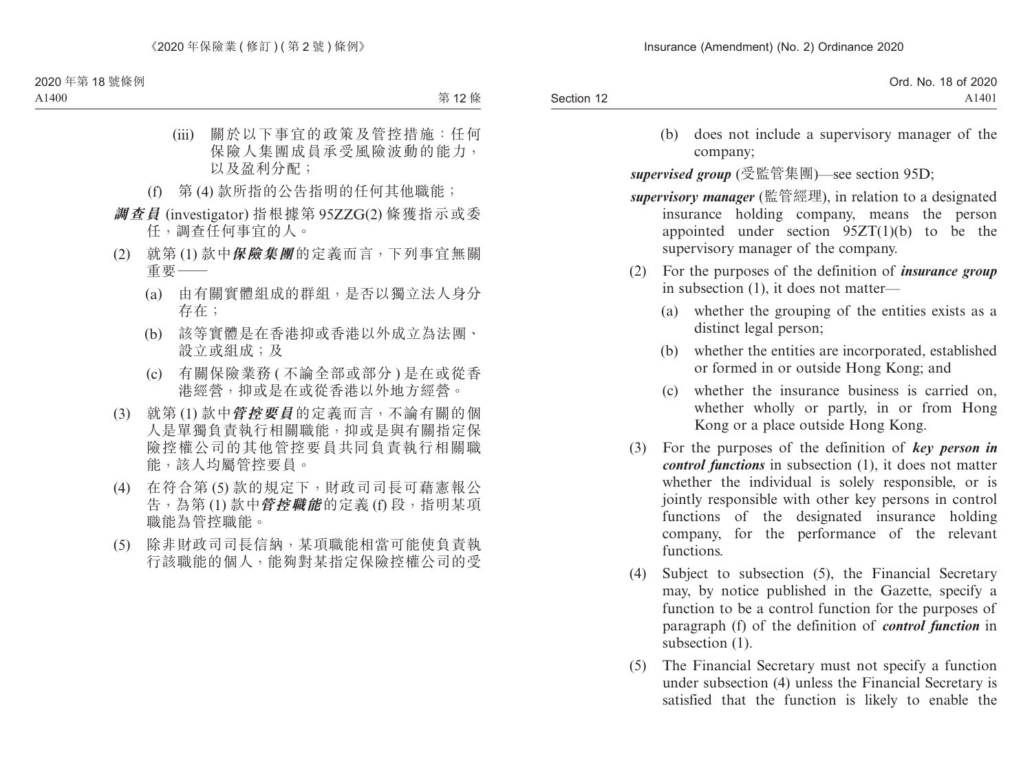|            | Ord. No. 18 of 2020 |
|------------|---------------------|
| Section 12 | A <sub>1401</sub>   |

(b) does not include a supervisory manager of the company;

*supervised group* (受監管集團)—see section 95D;

- *supervisory manager* (監管經理), in relation to a designated insurance holding company, means the person appointed under section 95ZT(1)(b) to be the supervisory manager of the company.
- (2) For the purposes of the definition of *insurance group*  in subsection (1), it does not matter—
	- (a) whether the grouping of the entities exists as a distinct legal person;
	- (b) whether the entities are incorporated, established or formed in or outside Hong Kong; and
	- (c) whether the insurance business is carried on, whether wholly or partly, in or from Hong Kong or a place outside Hong Kong.
- (3) For the purposes of the definition of *key person in control functions* in subsection (1), it does not matter whether the individual is solely responsible, or is jointly responsible with other key persons in control functions of the designated insurance holding company, for the performance of the relevant functions.
- (4) Subject to subsection (5), the Financial Secretary may, by notice published in the Gazette, specify a function to be a control function for the purposes of paragraph (f) of the definition of *control function* in subsection  $(1)$ .
- (5) The Financial Secretary must not specify a function under subsection (4) unless the Financial Secretary is satisfied that the function is likely to enable the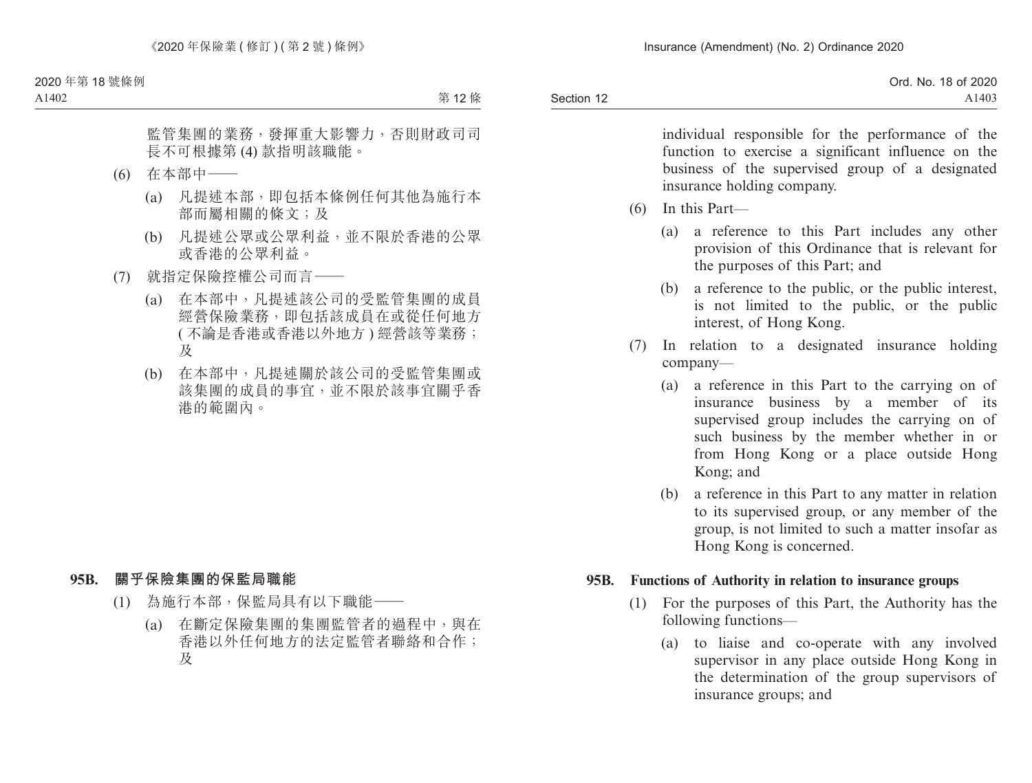|            | 18 of 2020<br>Ord. No. |
|------------|------------------------|
| Section 12 | A <sub>1403</sub>      |

individual responsible for the performance of the function to exercise a significant influence on the business of the supervised group of a designated insurance holding company.

- (6) In this Part—
	- (a) a reference to this Part includes any other provision of this Ordinance that is relevant for the purposes of this Part; and
	- (b) a reference to the public, or the public interest, is not limited to the public, or the public interest, of Hong Kong.
- (7) In relation to a designated insurance holding company—
	- (a) a reference in this Part to the carrying on of insurance business by a member of its supervised group includes the carrying on of such business by the member whether in or from Hong Kong or a place outside Hong Kong; and
	- (b) a reference in this Part to any matter in relation to its supervised group, or any member of the group, is not limited to such a matter insofar as Hong Kong is concerned.

#### **95B. Functions of Authority in relation to insurance groups**

- (1) For the purposes of this Part, the Authority has the following functions—
	- (a) to liaise and co-operate with any involved supervisor in any place outside Hong Kong in the determination of the group supervisors of insurance groups; and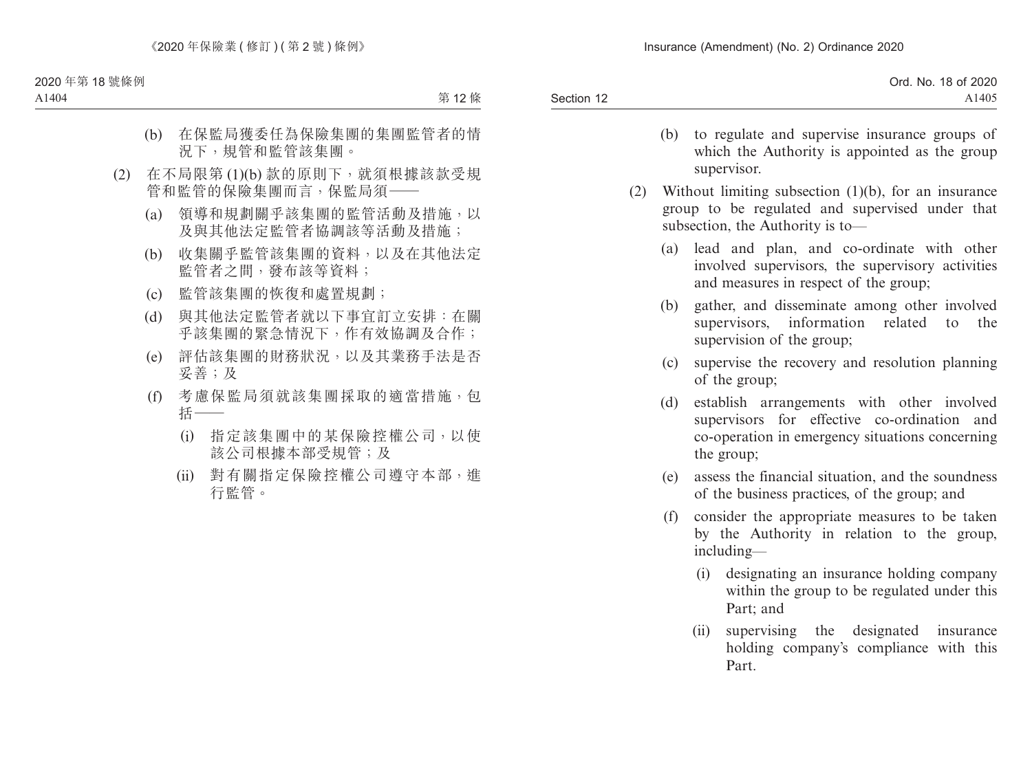|            | Ord. No. 18 of 2020 |
|------------|---------------------|
| Section 12 | A1405               |

- (b) to regulate and supervise insurance groups of which the Authority is appointed as the group supervisor.
- (2) Without limiting subsection (1)(b), for an insurance group to be regulated and supervised under that subsection, the Authority is to—
	- (a) lead and plan, and co-ordinate with other involved supervisors, the supervisory activities and measures in respect of the group;
	- (b) gather, and disseminate among other involved supervisors, information related to the supervision of the group;
	- (c) supervise the recovery and resolution planning of the group;
	- (d) establish arrangements with other involved supervisors for effective co-ordination and co-operation in emergency situations concerning the group;
	- (e) assess the financial situation, and the soundness of the business practices, of the group; and
	- (f) consider the appropriate measures to be taken by the Authority in relation to the group, including—
		- (i) designating an insurance holding company within the group to be regulated under this Part; and
		- (ii) supervising the designated insurance holding company's compliance with this Part.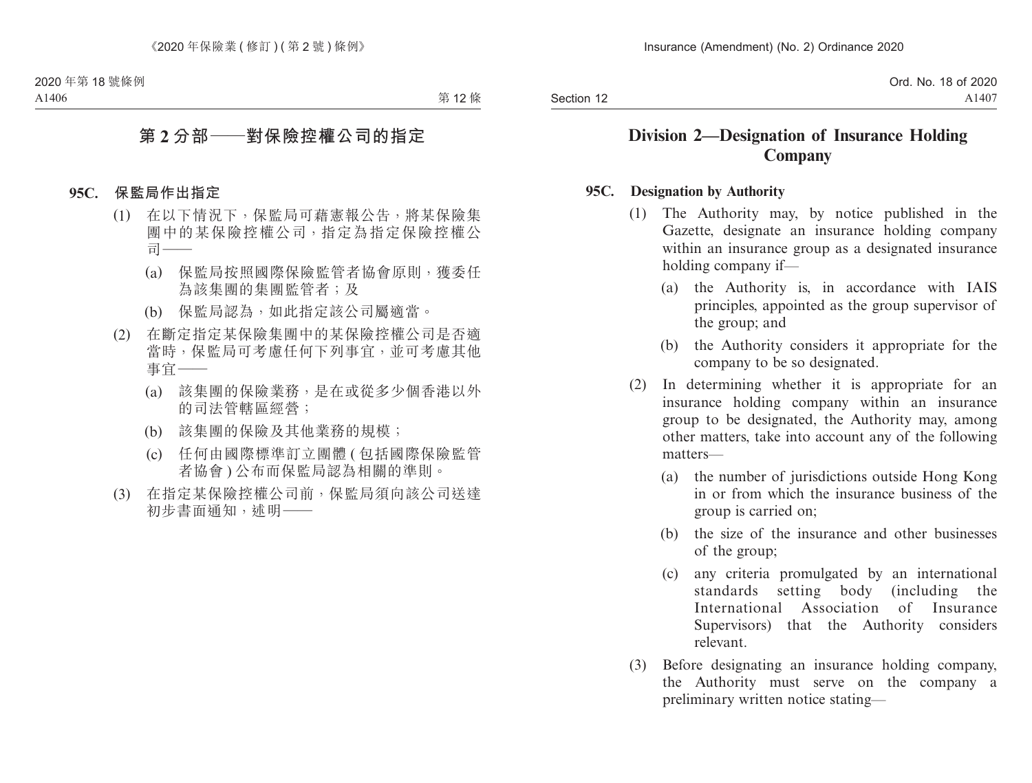Section 12

# **Division 2—Designation of Insurance Holding Company**

#### **95C. Designation by Authority**

- (1) The Authority may, by notice published in the Gazette, designate an insurance holding company within an insurance group as a designated insurance holding company if—
	- (a) the Authority is, in accordance with IAIS principles, appointed as the group supervisor of the group; and
	- (b) the Authority considers it appropriate for the company to be so designated.
- (2) In determining whether it is appropriate for an insurance holding company within an insurance group to be designated, the Authority may, among other matters, take into account any of the following matters—
	- (a) the number of jurisdictions outside Hong Kong in or from which the insurance business of the group is carried on;
	- (b) the size of the insurance and other businesses of the group;
	- (c) any criteria promulgated by an international standards setting body (including the International Association of Insurance Supervisors) that the Authority considers relevant.
- (3) Before designating an insurance holding company, the Authority must serve on the company a preliminary written notice stating—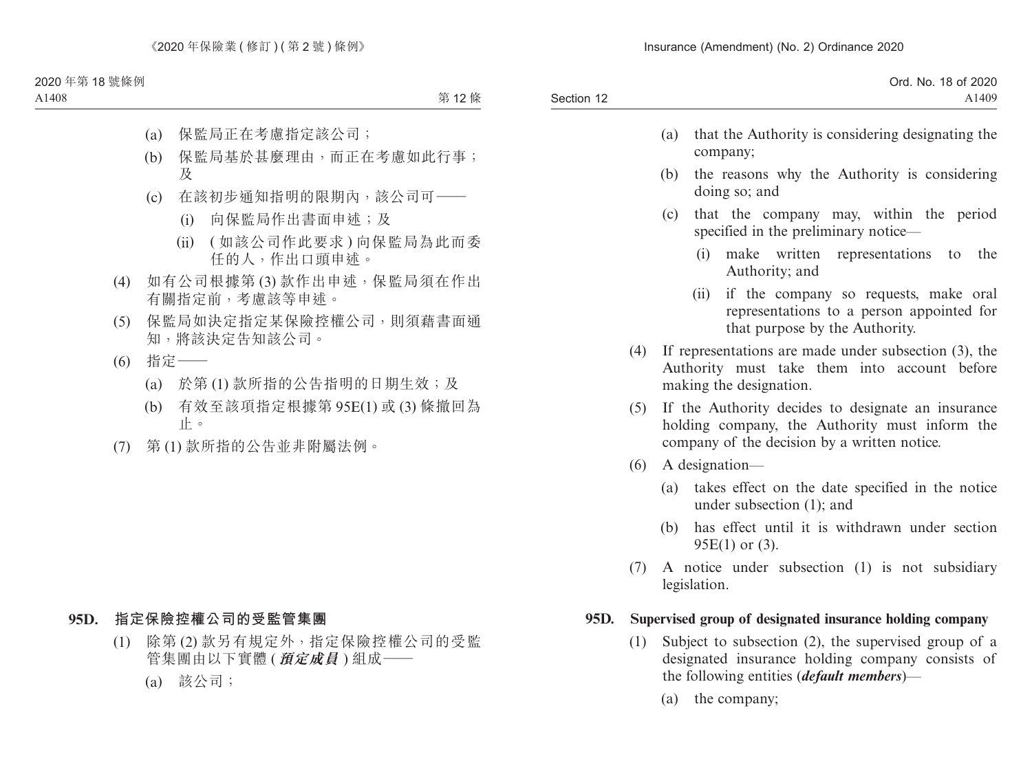| Ord. No. 18 of 2020 |
|---------------------|
| A1409               |
|                     |

- (a) that the Authority is considering designating the company;
- (b) the reasons why the Authority is considering doing so; and
- (c) that the company may, within the period specified in the preliminary notice—
	- (i) make written representations to the Authority; and
	- (ii) if the company so requests, make oral representations to a person appointed for that purpose by the Authority.
- (4) If representations are made under subsection (3), the Authority must take them into account before making the designation.
- (5) If the Authority decides to designate an insurance holding company, the Authority must inform the company of the decision by a written notice.
- (6) A designation—
	- (a) takes effect on the date specified in the notice under subsection (1); and
	- (b) has effect until it is withdrawn under section 95E(1) or (3).
- (7) A notice under subsection (1) is not subsidiary legislation.

#### **95D. Supervised group of designated insurance holding company**

- (1) Subject to subsection (2), the supervised group of a designated insurance holding company consists of the following entities (*default members*)—
	- (a) the company;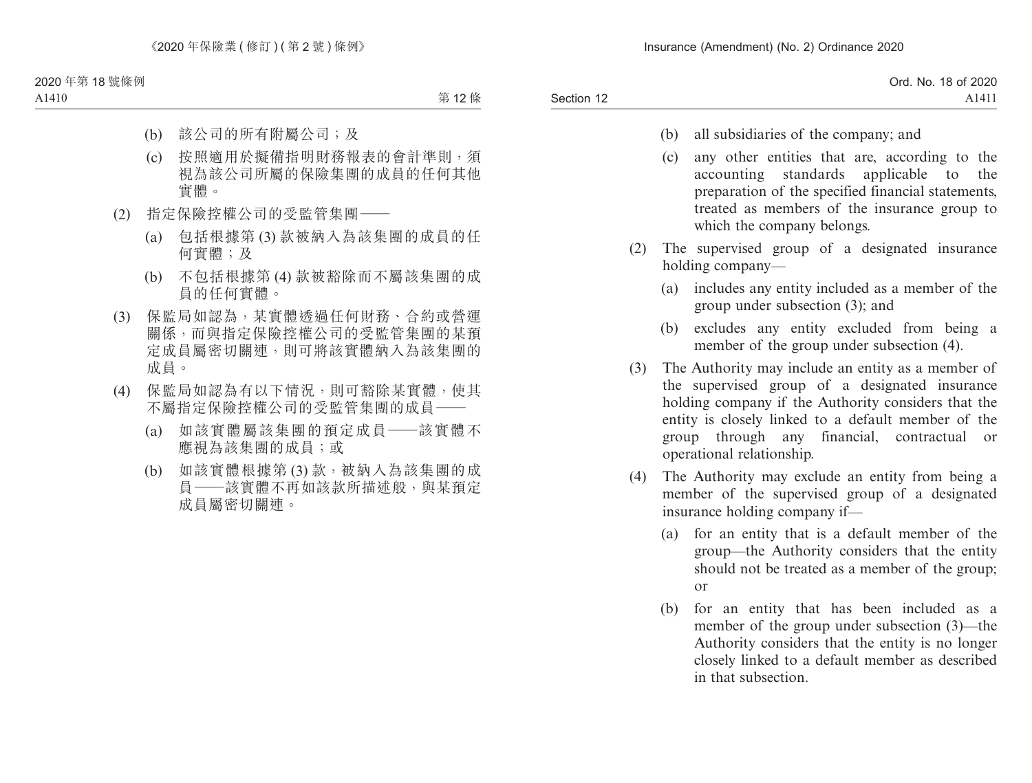- (b) all subsidiaries of the company; and
- (c) any other entities that are, according to the accounting standards applicable to the preparation of the specified financial statements, treated as members of the insurance group to which the company belongs.
- (2) The supervised group of a designated insurance holding company—
	- (a) includes any entity included as a member of the group under subsection (3); and
	- (b) excludes any entity excluded from being a member of the group under subsection (4).
- (3) The Authority may include an entity as a member of the supervised group of a designated insurance holding company if the Authority considers that the entity is closely linked to a default member of the group through any financial, contractual or operational relationship.
- (4) The Authority may exclude an entity from being a member of the supervised group of a designated insurance holding company if—
	- (a) for an entity that is a default member of the group—the Authority considers that the entity should not be treated as a member of the group; or
	- (b) for an entity that has been included as a member of the group under subsection (3)—the Authority considers that the entity is no longer closely linked to a default member as described in that subsection.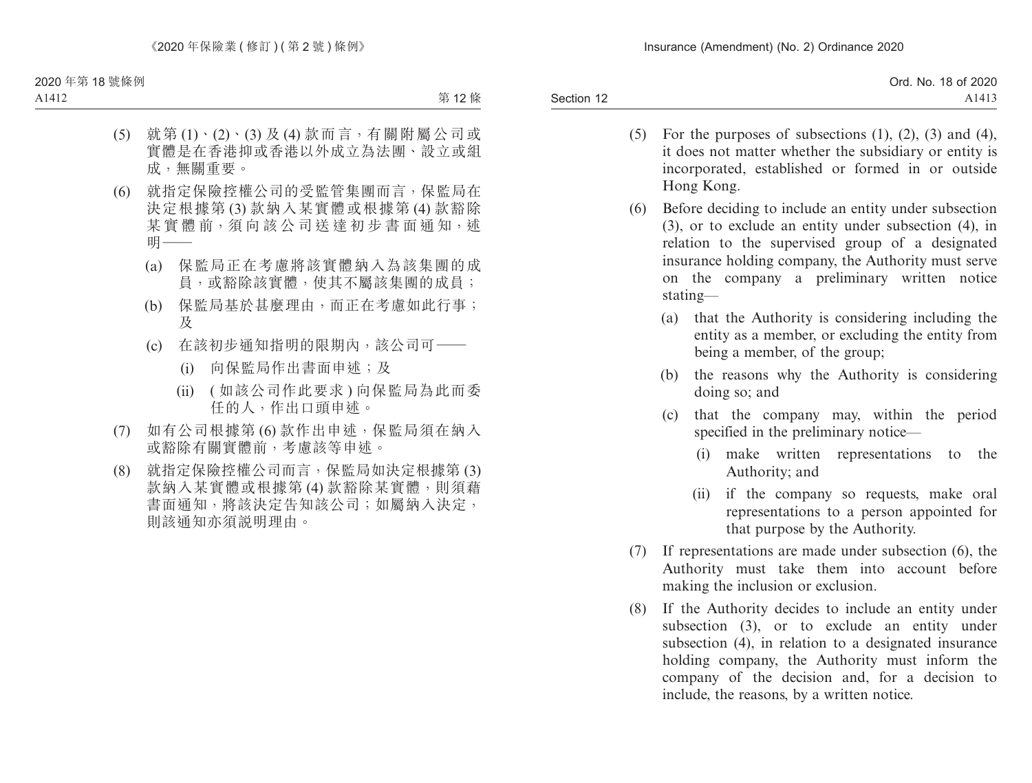|            | Ord. No. 18 of 2020 |
|------------|---------------------|
| Section 12 | A1413               |

- (5) For the purposes of subsections  $(1)$ ,  $(2)$ ,  $(3)$  and  $(4)$ , it does not matter whether the subsidiary or entity is incorporated, established or formed in or outside Hong Kong.
- (6) Before deciding to include an entity under subsection (3), or to exclude an entity under subsection (4), in relation to the supervised group of a designated insurance holding company, the Authority must serve on the company a preliminary written notice stating—
	- (a) that the Authority is considering including the entity as a member, or excluding the entity from being a member, of the group;
	- (b) the reasons why the Authority is considering doing so; and
	- (c) that the company may, within the period specified in the preliminary notice—
		- (i) make written representations to the Authority; and
		- (ii) if the company so requests, make oral representations to a person appointed for that purpose by the Authority.
- (7) If representations are made under subsection (6), the Authority must take them into account before making the inclusion or exclusion.
- (8) If the Authority decides to include an entity under subsection (3), or to exclude an entity under subsection (4), in relation to a designated insurance holding company, the Authority must inform the company of the decision and, for a decision to include, the reasons, by a written notice.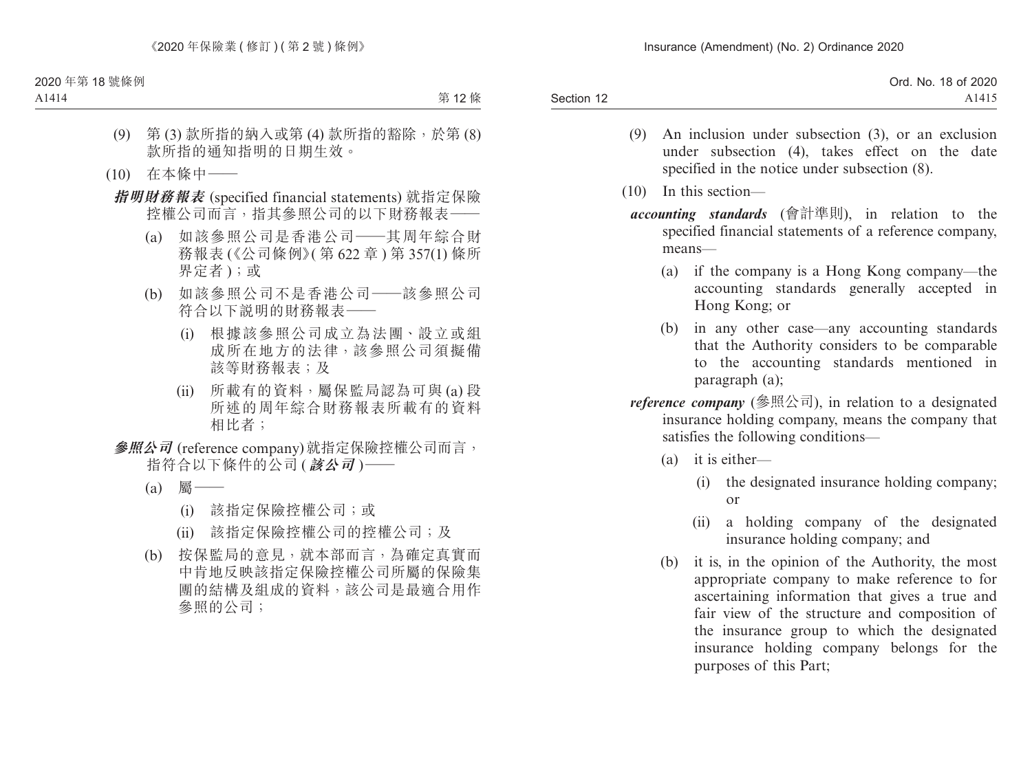| Ord. No. 18 of 2020 |
|---------------------|
| A1415               |
|                     |

- (9) An inclusion under subsection (3), or an exclusion under subsection (4), takes effect on the date specified in the notice under subsection (8).
- (10) In this section
	- *accounting standards* (會計準則), in relation to the specified financial statements of a reference company, means—
		- (a) if the company is a Hong Kong company—the accounting standards generally accepted in Hong Kong; or
		- (b) in any other case—any accounting standards that the Authority considers to be comparable to the accounting standards mentioned in paragraph (a);
	- *reference company* (參照公司), in relation to a designated insurance holding company, means the company that satisfies the following conditions—
		- (a) it is either—
			- (i) the designated insurance holding company; or
			- (ii) a holding company of the designated insurance holding company; and
		- (b) it is, in the opinion of the Authority, the most appropriate company to make reference to for ascertaining information that gives a true and fair view of the structure and composition of the insurance group to which the designated insurance holding company belongs for the purposes of this Part;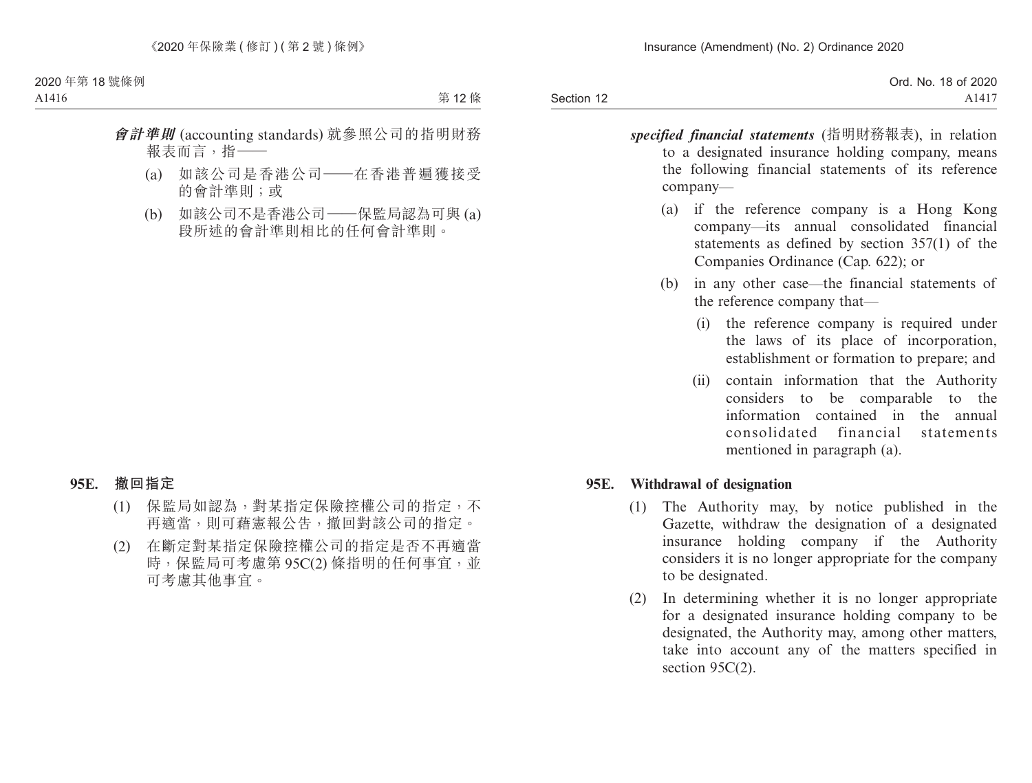|            | Ord. No. 18 of 2020 |
|------------|---------------------|
| Section 12 | A1417               |

- *specified financial statements* (指明財務報表), in relation to a designated insurance holding company, means the following financial statements of its reference company—
	- (a) if the reference company is a Hong Kong company—its annual consolidated financial statements as defined by section 357(1) of the Companies Ordinance (Cap. 622); or
	- (b) in any other case—the financial statements of the reference company that—
		- (i) the reference company is required under the laws of its place of incorporation, establishment or formation to prepare; and
		- (ii) contain information that the Authority considers to be comparable to the information contained in the annual consolidated financial statements mentioned in paragraph (a).

#### **95E. Withdrawal of designation**

- (1) The Authority may, by notice published in the Gazette, withdraw the designation of a designated insurance holding company if the Authority considers it is no longer appropriate for the company to be designated.
- (2) In determining whether it is no longer appropriate for a designated insurance holding company to be designated, the Authority may, among other matters, take into account any of the matters specified in section 95C(2).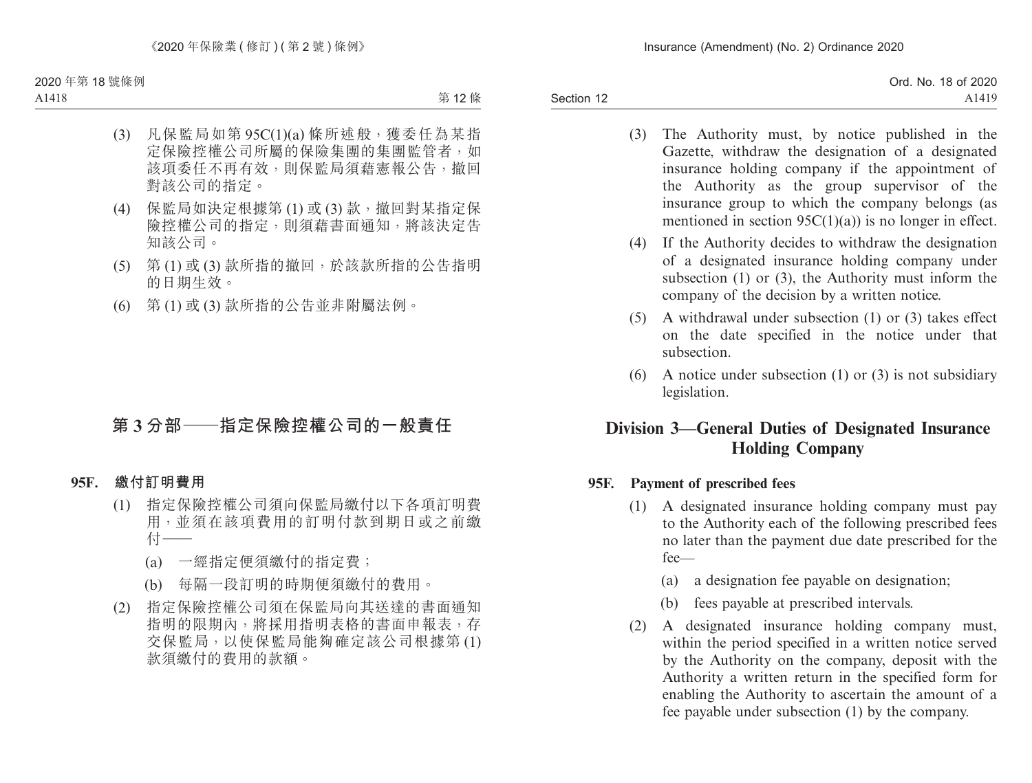Section 12

- (3) The Authority must, by notice published in the Gazette, withdraw the designation of a designated insurance holding company if the appointment of the Authority as the group supervisor of the insurance group to which the company belongs (as mentioned in section  $95C(1)(a)$  is no longer in effect.
- (4) If the Authority decides to withdraw the designation of a designated insurance holding company under subsection (1) or (3), the Authority must inform the company of the decision by a written notice.
- (5) A withdrawal under subsection (1) or (3) takes effect on the date specified in the notice under that subsection.
- (6) A notice under subsection (1) or (3) is not subsidiary legislation.

# **Division 3—General Duties of Designated Insurance Holding Company**

#### **95F. Payment of prescribed fees**

- (1) A designated insurance holding company must pay to the Authority each of the following prescribed fees no later than the payment due date prescribed for the fee—
	- (a) a designation fee payable on designation;
	- (b) fees payable at prescribed intervals.
- (2) A designated insurance holding company must, within the period specified in a written notice served by the Authority on the company, deposit with the Authority a written return in the specified form for enabling the Authority to ascertain the amount of a fee payable under subsection (1) by the company.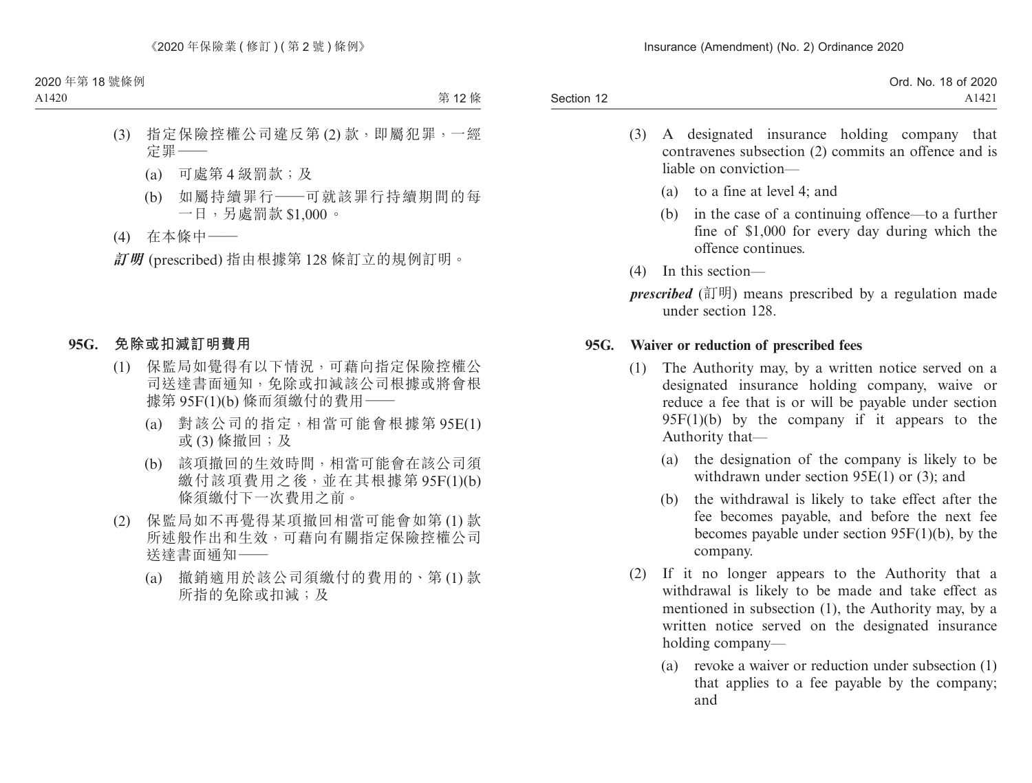Section 12 Ord. No. 18 of 2020 A1421

- (3) A designated insurance holding company that contravenes subsection (2) commits an offence and is liable on conviction—
	- (a) to a fine at level 4; and
	- (b) in the case of a continuing offence—to a further fine of \$1,000 for every day during which the offence continues.
- (4) In this section—

*prescribed* (訂明) means prescribed by a regulation made under section 128.

#### **95G. Waiver or reduction of prescribed fees**

- (1) The Authority may, by a written notice served on a designated insurance holding company, waive or reduce a fee that is or will be payable under section  $95F(1)(b)$  by the company if it appears to the Authority that—
	- (a) the designation of the company is likely to be withdrawn under section 95E(1) or (3); and
	- (b) the withdrawal is likely to take effect after the fee becomes payable, and before the next fee becomes payable under section 95F(1)(b), by the company.
- (2) If it no longer appears to the Authority that a withdrawal is likely to be made and take effect as mentioned in subsection (1), the Authority may, by a written notice served on the designated insurance holding company—
	- (a) revoke a waiver or reduction under subsection (1) that applies to a fee payable by the company; and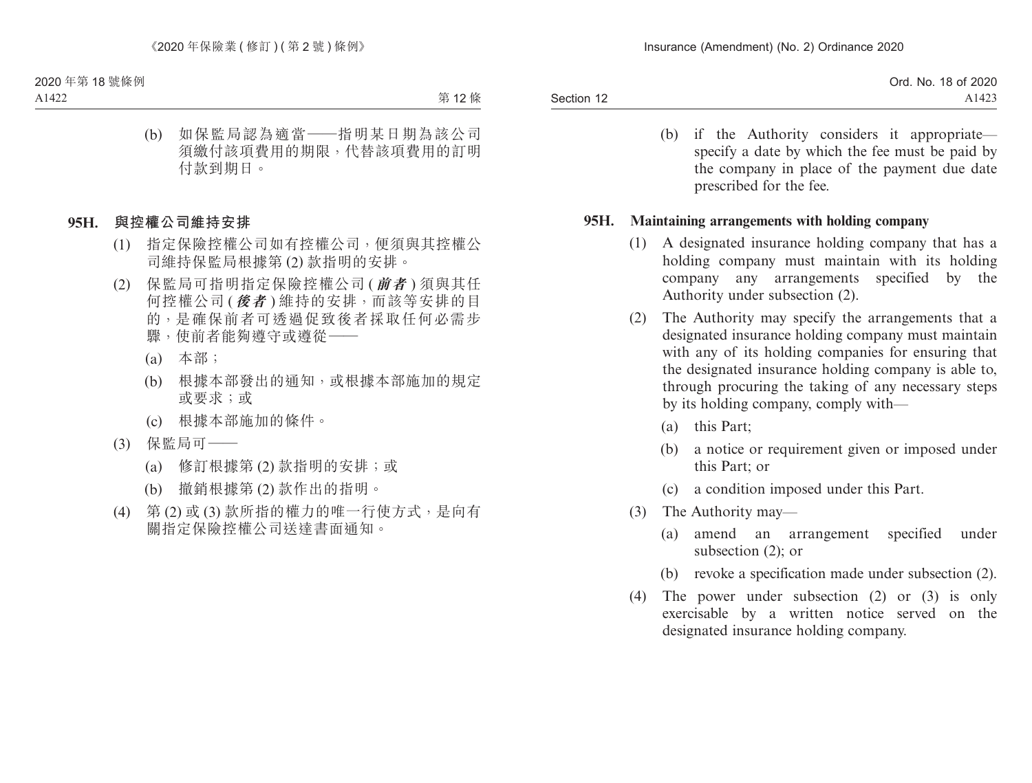|            | Ord. No. 18 of 2020 |
|------------|---------------------|
| Section 12 | A1423               |

(b) if the Authority considers it appropriate specify a date by which the fee must be paid by the company in place of the payment due date prescribed for the fee.

#### **95H. Maintaining arrangements with holding company**

- (1) A designated insurance holding company that has a holding company must maintain with its holding company any arrangements specified by the Authority under subsection (2).
- (2) The Authority may specify the arrangements that a designated insurance holding company must maintain with any of its holding companies for ensuring that the designated insurance holding company is able to, through procuring the taking of any necessary steps by its holding company, comply with—
	- (a) this Part;
	- (b) a notice or requirement given or imposed under this Part; or
	- (c) a condition imposed under this Part.
- (3) The Authority may—
	- (a) amend an arrangement specified under subsection (2); or
	- (b) revoke a specification made under subsection (2).
- (4) The power under subsection (2) or (3) is only exercisable by a written notice served on the designated insurance holding company.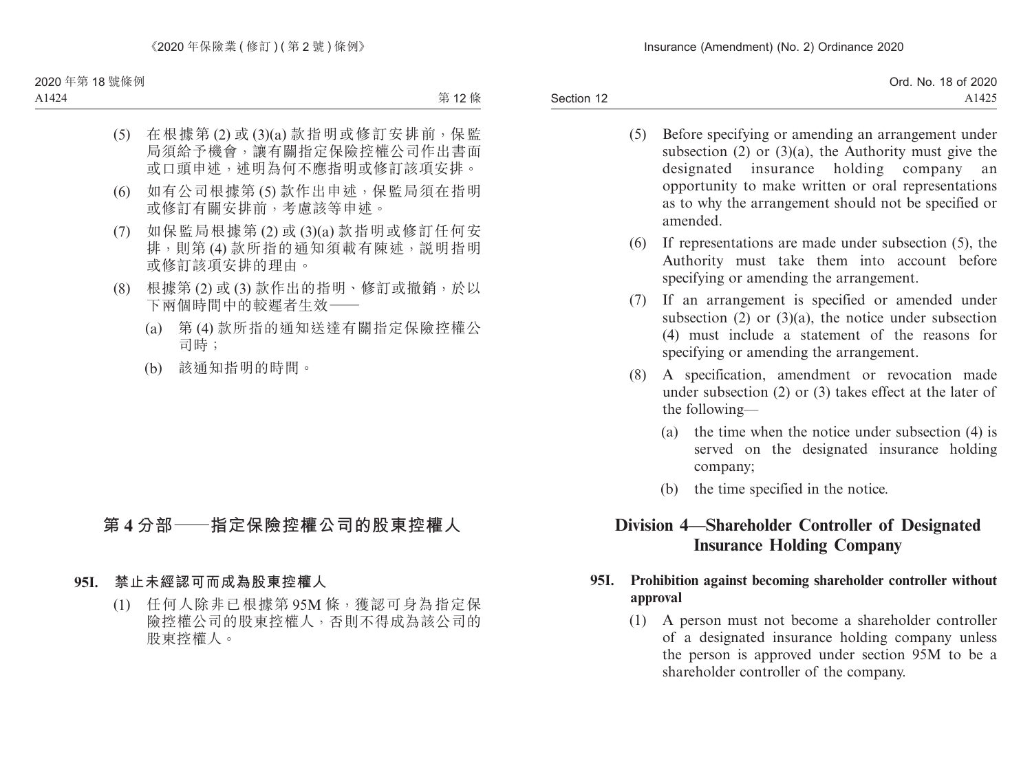|            | Ord. No. 18 of 2020 |
|------------|---------------------|
| Section 12 | A1425               |

- (5) Before specifying or amending an arrangement under subsection  $(2)$  or  $(3)(a)$ , the Authority must give the designated insurance holding company an opportunity to make written or oral representations as to why the arrangement should not be specified or amended.
- (6) If representations are made under subsection (5), the Authority must take them into account before specifying or amending the arrangement.
- (7) If an arrangement is specified or amended under subsection  $(2)$  or  $(3)(a)$ , the notice under subsection (4) must include a statement of the reasons for specifying or amending the arrangement.
- (8) A specification, amendment or revocation made under subsection (2) or (3) takes effect at the later of the following—
	- (a) the time when the notice under subsection (4) is served on the designated insurance holding company;
	- (b) the time specified in the notice.

# **Division 4—Shareholder Controller of Designated Insurance Holding Company**

## **95I. Prohibition against becoming shareholder controller without approval**

(1) A person must not become a shareholder controller of a designated insurance holding company unless the person is approved under section 95M to be a shareholder controller of the company.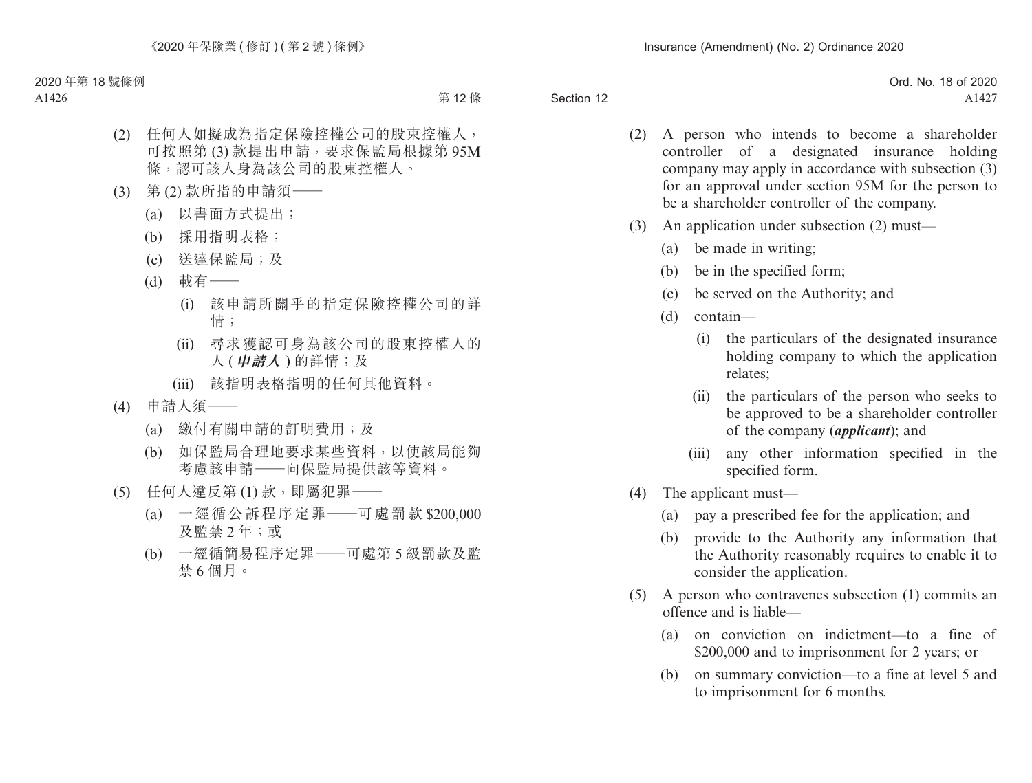- (2) A person who intends to become a shareholder controller of a designated insurance holding company may apply in accordance with subsection (3) for an approval under section 95M for the person to be a shareholder controller of the company.
- (3) An application under subsection (2) must—
	- (a) be made in writing;
	- (b) be in the specified form;
	- (c) be served on the Authority; and
	- (d) contain—
		- (i) the particulars of the designated insurance holding company to which the application relates;
		- (ii) the particulars of the person who seeks to be approved to be a shareholder controller of the company (*applicant*); and
		- (iii) any other information specified in the specified form.
- (4) The applicant must—
	- (a) pay a prescribed fee for the application; and
	- (b) provide to the Authority any information that the Authority reasonably requires to enable it to consider the application.
- (5) A person who contravenes subsection (1) commits an offence and is liable—
	- (a) on conviction on indictment—to a fine of \$200,000 and to imprisonment for 2 years; or
	- (b) on summary conviction—to a fine at level 5 and to imprisonment for 6 months.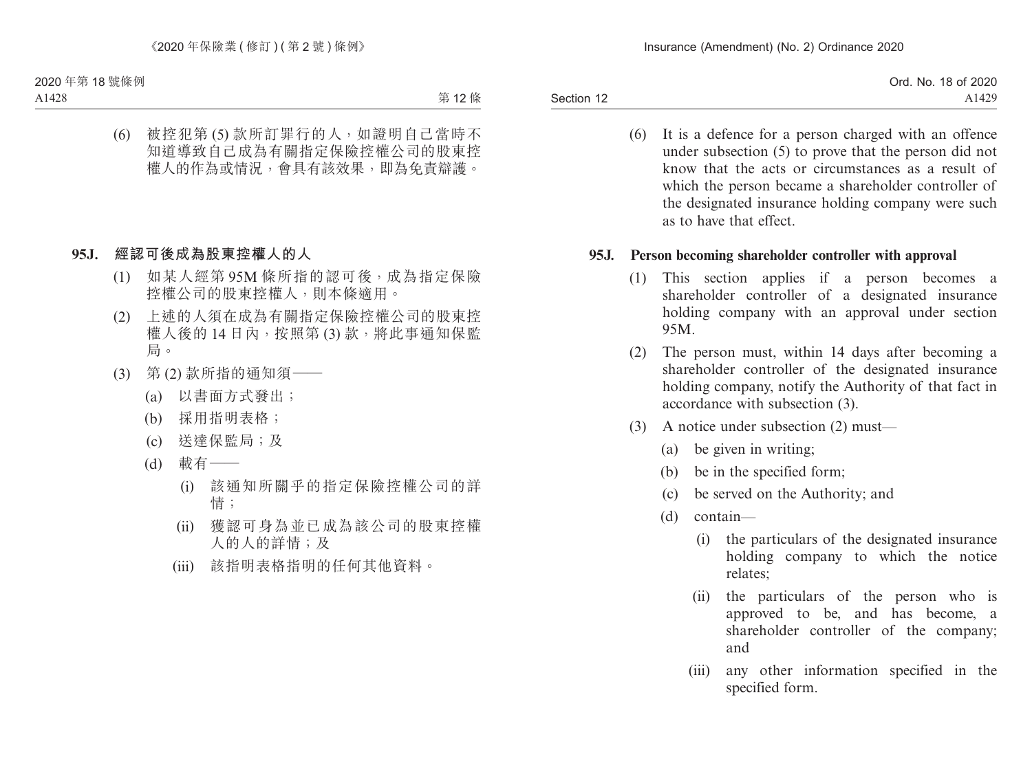|            | Ord. No. 18 of 2020 |
|------------|---------------------|
| Section 12 | A1429               |

(6) It is a defence for a person charged with an offence under subsection (5) to prove that the person did not know that the acts or circumstances as a result of which the person became a shareholder controller of the designated insurance holding company were such as to have that effect.

### **95J. Person becoming shareholder controller with approval**

- (1) This section applies if a person becomes a shareholder controller of a designated insurance holding company with an approval under section 95M.
- (2) The person must, within 14 days after becoming a shareholder controller of the designated insurance holding company, notify the Authority of that fact in accordance with subsection (3).
- (3) A notice under subsection (2) must—
	- (a) be given in writing;
	- (b) be in the specified form;
	- (c) be served on the Authority; and
	- (d) contain—
		- (i) the particulars of the designated insurance holding company to which the notice relates;
		- (ii) the particulars of the person who is approved to be, and has become, a shareholder controller of the company; and
		- (iii) any other information specified in the specified form.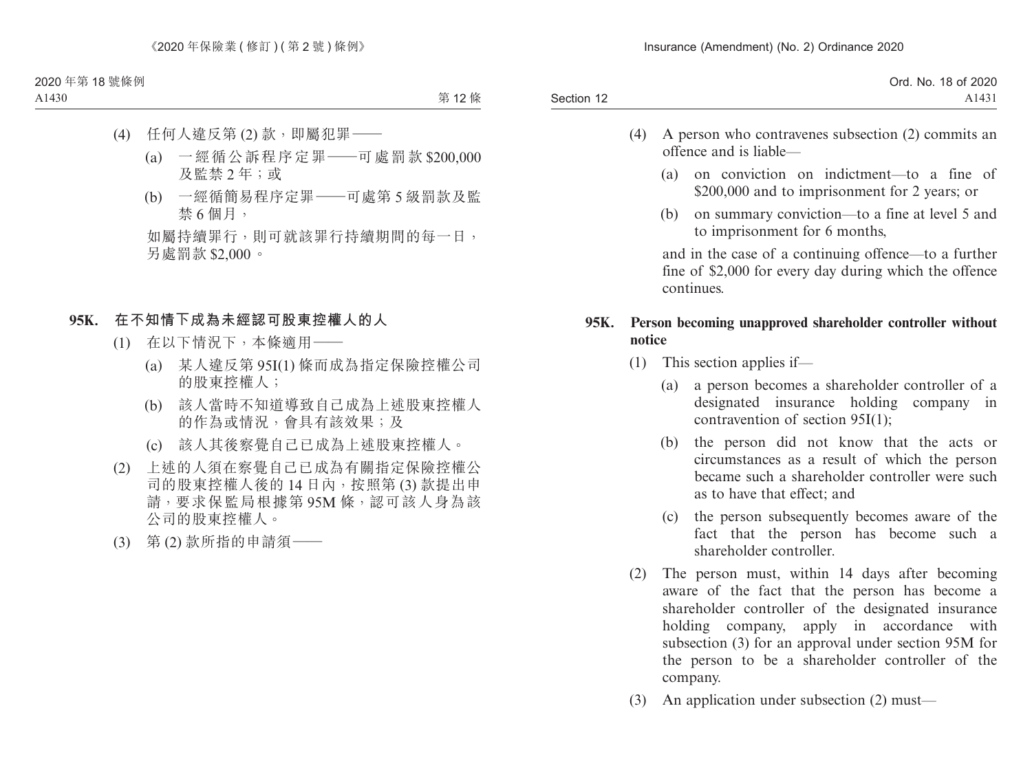|            | Ord. No. 18 of 2020 |
|------------|---------------------|
| Section 12 | A1431               |

- (4) A person who contravenes subsection (2) commits an offence and is liable—
	- (a) on conviction on indictment—to a fine of \$200,000 and to imprisonment for 2 years; or
	- (b) on summary conviction—to a fine at level 5 and to imprisonment for 6 months,

and in the case of a continuing offence—to a further fine of \$2,000 for every day during which the offence continues.

## **95K. Person becoming unapproved shareholder controller without notice**

- (1) This section applies if—
	- (a) a person becomes a shareholder controller of a designated insurance holding company in contravention of section 95I(1);
	- (b) the person did not know that the acts or circumstances as a result of which the person became such a shareholder controller were such as to have that effect; and
	- (c) the person subsequently becomes aware of the fact that the person has become such a shareholder controller.
- (2) The person must, within 14 days after becoming aware of the fact that the person has become a shareholder controller of the designated insurance holding company, apply in accordance with subsection (3) for an approval under section 95M for the person to be a shareholder controller of the company.
- (3) An application under subsection (2) must—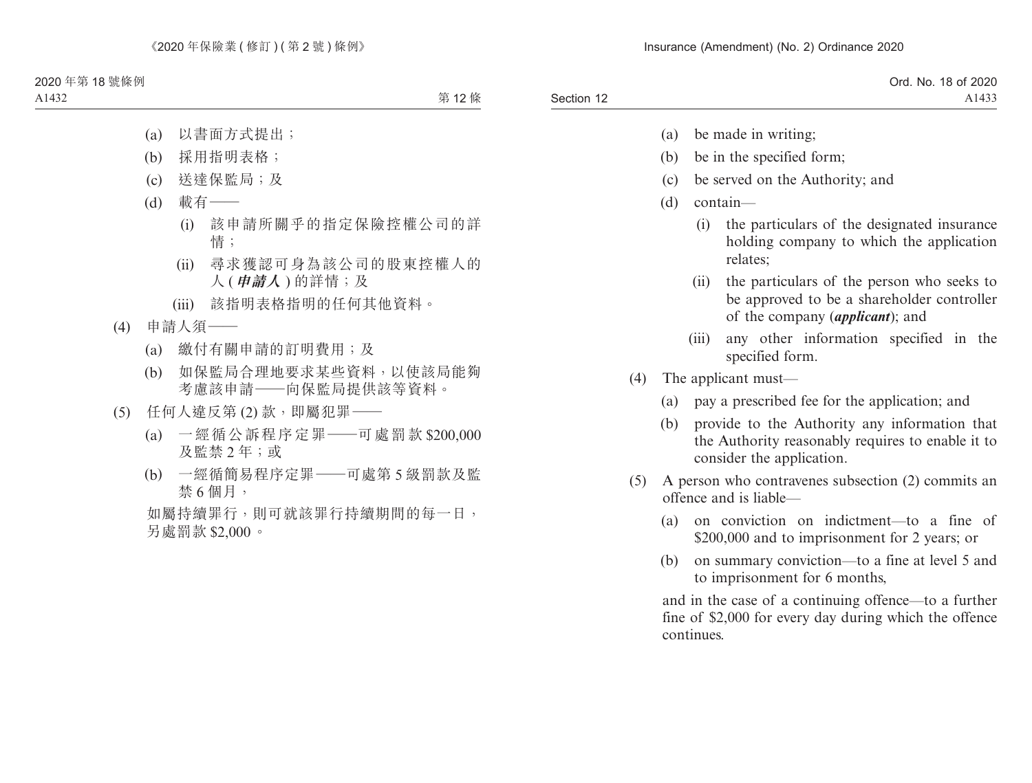|            | Ord. No. 18 of 2020 |
|------------|---------------------|
| Section 12 | A1433               |

- (a) be made in writing;
- (b) be in the specified form;
- (c) be served on the Authority; and
- (d) contain—
	- (i) the particulars of the designated insurance holding company to which the application relates;
	- (ii) the particulars of the person who seeks to be approved to be a shareholder controller of the company (*applicant*); and
	- (iii) any other information specified in the specified form.
- (4) The applicant must—
	- (a) pay a prescribed fee for the application; and
	- (b) provide to the Authority any information that the Authority reasonably requires to enable it to consider the application.
- (5) A person who contravenes subsection (2) commits an offence and is liable—
	- (a) on conviction on indictment—to a fine of \$200,000 and to imprisonment for 2 years; or
	- (b) on summary conviction—to a fine at level 5 and to imprisonment for 6 months,

and in the case of a continuing offence—to a further fine of \$2,000 for every day during which the offence continues.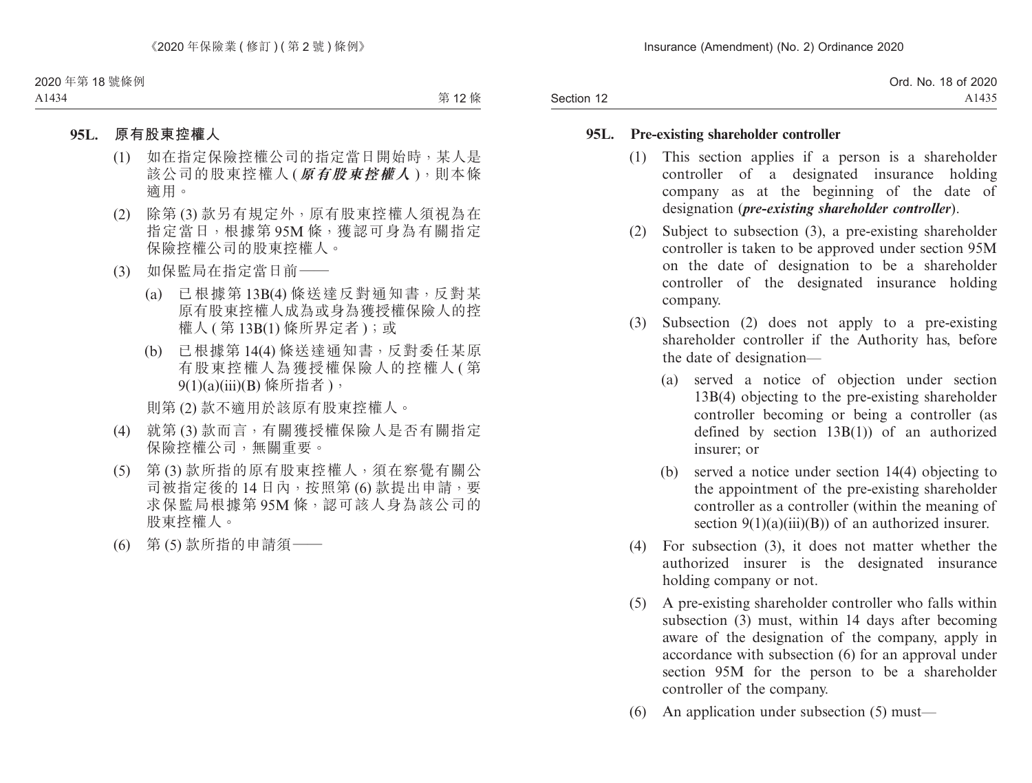|            | Ord. No. 18 of 2020 |
|------------|---------------------|
| Section 12 | A1435               |

#### **95L. Pre-existing shareholder controller**

- (1) This section applies if a person is a shareholder controller of a designated insurance holding company as at the beginning of the date of designation (*pre-existing shareholder controller*).
- (2) Subject to subsection (3), a pre-existing shareholder controller is taken to be approved under section 95M on the date of designation to be a shareholder controller of the designated insurance holding company.
- (3) Subsection (2) does not apply to a pre-existing shareholder controller if the Authority has, before the date of designation—
	- (a) served a notice of objection under section 13B(4) objecting to the pre-existing shareholder controller becoming or being a controller (as defined by section 13B(1)) of an authorized insurer; or
	- (b) served a notice under section 14(4) objecting to the appointment of the pre-existing shareholder controller as a controller (within the meaning of section  $9(1)(a)(iii)(B)$  of an authorized insurer.
- (4) For subsection (3), it does not matter whether the authorized insurer is the designated insurance holding company or not.
- (5) A pre-existing shareholder controller who falls within subsection (3) must, within 14 days after becoming aware of the designation of the company, apply in accordance with subsection (6) for an approval under section 95M for the person to be a shareholder controller of the company.
- (6) An application under subsection (5) must—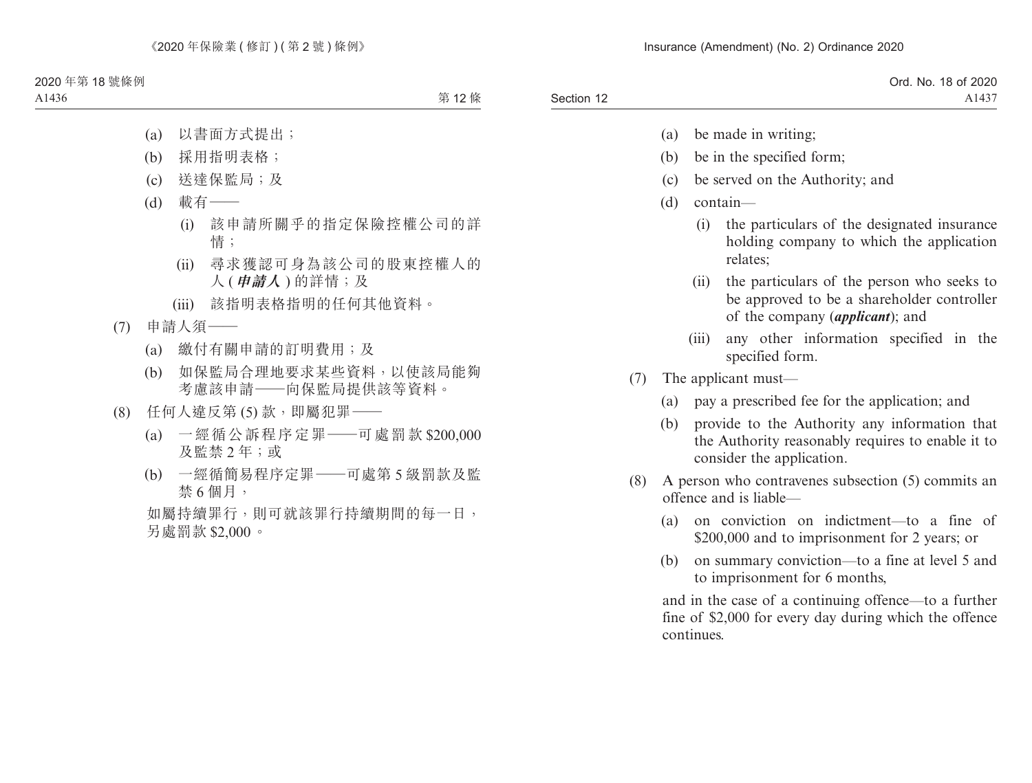|            | Ord. No. 18 of 2020 |
|------------|---------------------|
| Section 12 | $A143$ <sup>-</sup> |

- (a) be made in writing;
- (b) be in the specified form;
- (c) be served on the Authority; and
- (d) contain—
	- (i) the particulars of the designated insurance holding company to which the application relates;
	- (ii) the particulars of the person who seeks to be approved to be a shareholder controller of the company (*applicant*); and
	- (iii) any other information specified in the specified form.
- (7) The applicant must—
	- (a) pay a prescribed fee for the application; and
	- (b) provide to the Authority any information that the Authority reasonably requires to enable it to consider the application.
- (8) A person who contravenes subsection (5) commits an offence and is liable—
	- (a) on conviction on indictment—to a fine of \$200,000 and to imprisonment for 2 years; or
	- (b) on summary conviction—to a fine at level 5 and to imprisonment for 6 months,

and in the case of a continuing offence—to a further fine of \$2,000 for every day during which the offence continues.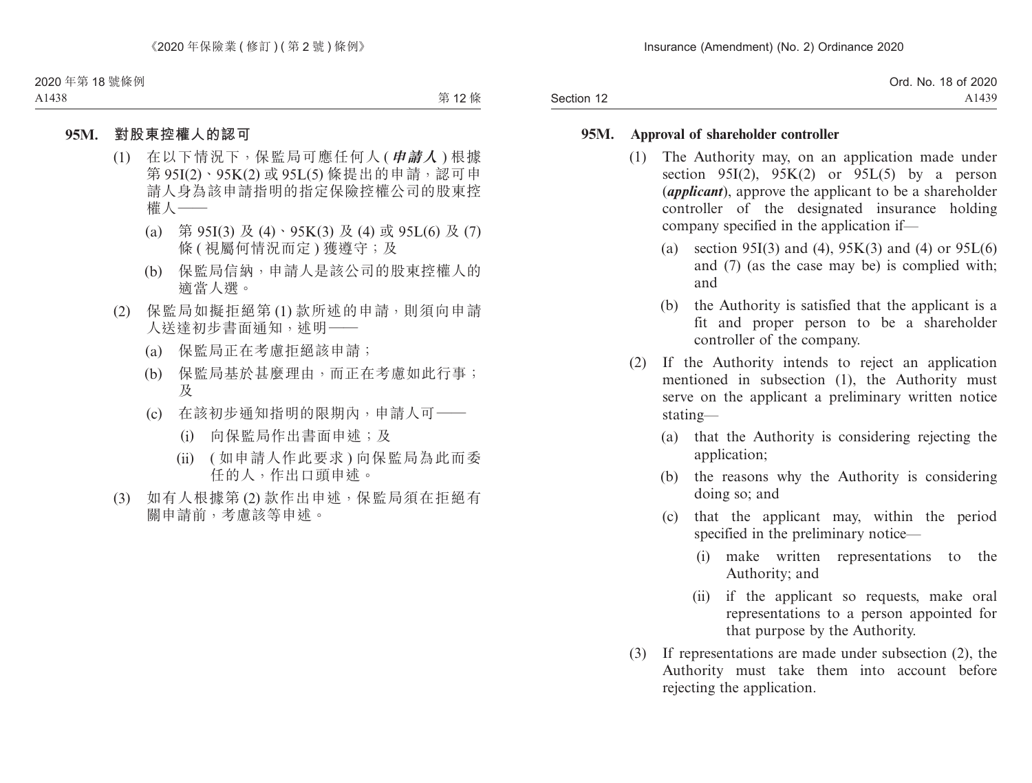|            | Ord. No. 18 of 2020 |
|------------|---------------------|
| Section 12 | A1439               |

#### **95M. Approval of shareholder controller**

- (1) The Authority may, on an application made under section 95I(2),  $95K(2)$  or 95L(5) by a person (*applicant*), approve the applicant to be a shareholder controller of the designated insurance holding company specified in the application if—
	- (a) section 95I(3) and (4), 95K(3) and (4) or  $95L(6)$ and (7) (as the case may be) is complied with; and
	- (b) the Authority is satisfied that the applicant is a fit and proper person to be a shareholder controller of the company.
- (2) If the Authority intends to reject an application mentioned in subsection (1), the Authority must serve on the applicant a preliminary written notice stating—
	- (a) that the Authority is considering rejecting the application;
	- (b) the reasons why the Authority is considering doing so; and
	- (c) that the applicant may, within the period specified in the preliminary notice—
		- (i) make written representations to the Authority; and
		- (ii) if the applicant so requests, make oral representations to a person appointed for that purpose by the Authority.
- (3) If representations are made under subsection (2), the Authority must take them into account before rejecting the application.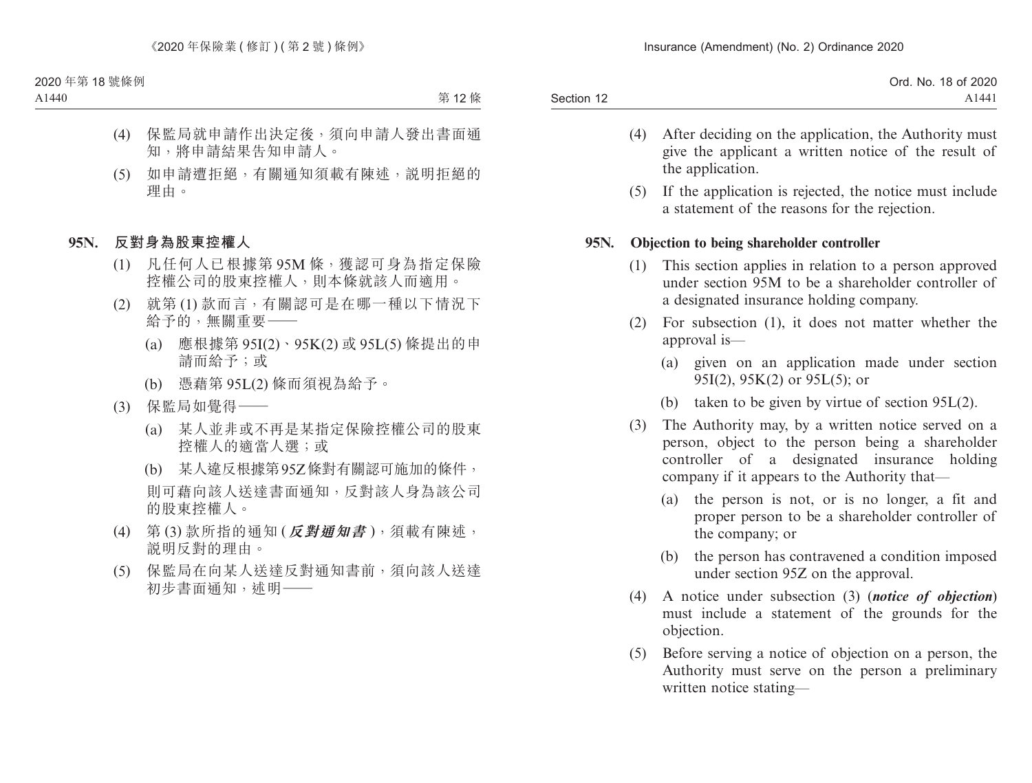|            | . 18 of 2020<br>Ord. No. |
|------------|--------------------------|
| Section 12 | A1441                    |

- (4) After deciding on the application, the Authority must give the applicant a written notice of the result of the application.
- (5) If the application is rejected, the notice must include a statement of the reasons for the rejection.

### **95N. Objection to being shareholder controller**

- (1) This section applies in relation to a person approved under section 95M to be a shareholder controller of a designated insurance holding company.
- (2) For subsection (1), it does not matter whether the approval is—
	- (a) given on an application made under section 95I(2), 95K(2) or 95L(5); or
	- (b) taken to be given by virtue of section 95L(2).
- (3) The Authority may, by a written notice served on a person, object to the person being a shareholder controller of a designated insurance holding company if it appears to the Authority that—
	- (a) the person is not, or is no longer, a fit and proper person to be a shareholder controller of the company; or
	- (b) the person has contravened a condition imposed under section 95Z on the approval.
- (4) A notice under subsection (3) (*notice of objection*) must include a statement of the grounds for the objection.
- (5) Before serving a notice of objection on a person, the Authority must serve on the person a preliminary written notice stating—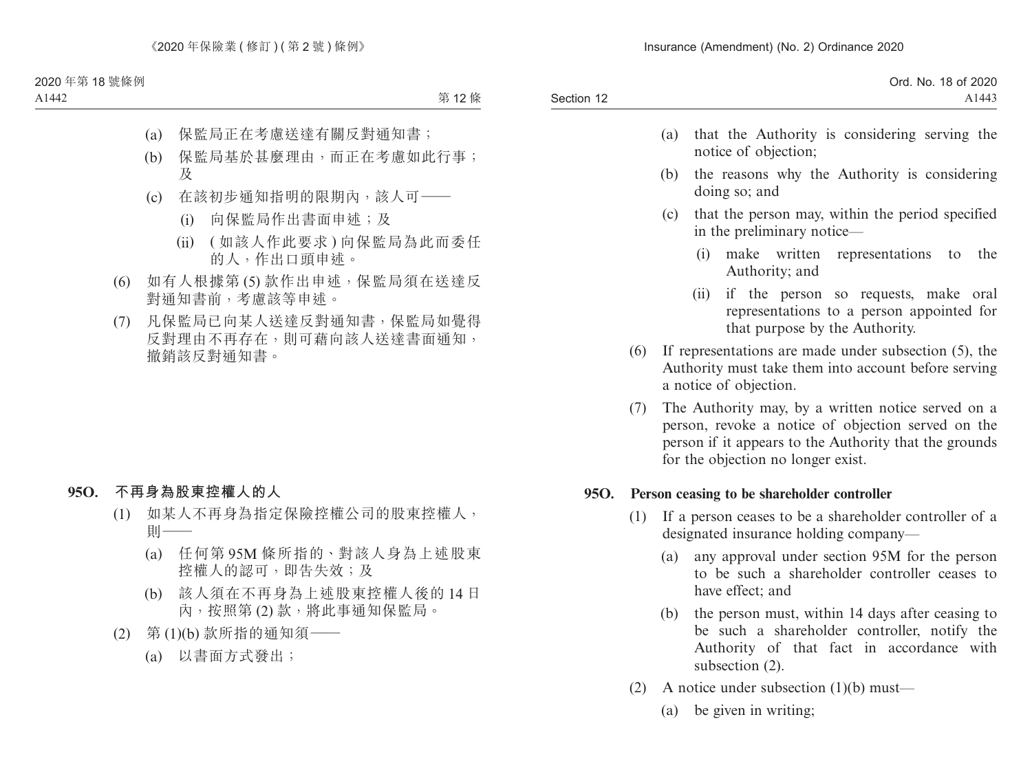| Ord. No. 18 of 2020 |
|---------------------|
| A1443               |
|                     |

- (a) that the Authority is considering serving the notice of objection;
- (b) the reasons why the Authority is considering doing so; and
- (c) that the person may, within the period specified in the preliminary notice—
	- (i) make written representations to the Authority; and
	- (ii) if the person so requests, make oral representations to a person appointed for that purpose by the Authority.
- (6) If representations are made under subsection (5), the Authority must take them into account before serving a notice of objection.
- (7) The Authority may, by a written notice served on a person, revoke a notice of objection served on the person if it appears to the Authority that the grounds for the objection no longer exist.

### **95O. Person ceasing to be shareholder controller**

- (1) If a person ceases to be a shareholder controller of a designated insurance holding company—
	- (a) any approval under section 95M for the person to be such a shareholder controller ceases to have effect; and
	- (b) the person must, within 14 days after ceasing to be such a shareholder controller, notify the Authority of that fact in accordance with subsection (2).
- (2) A notice under subsection (1)(b) must—
	- (a) be given in writing;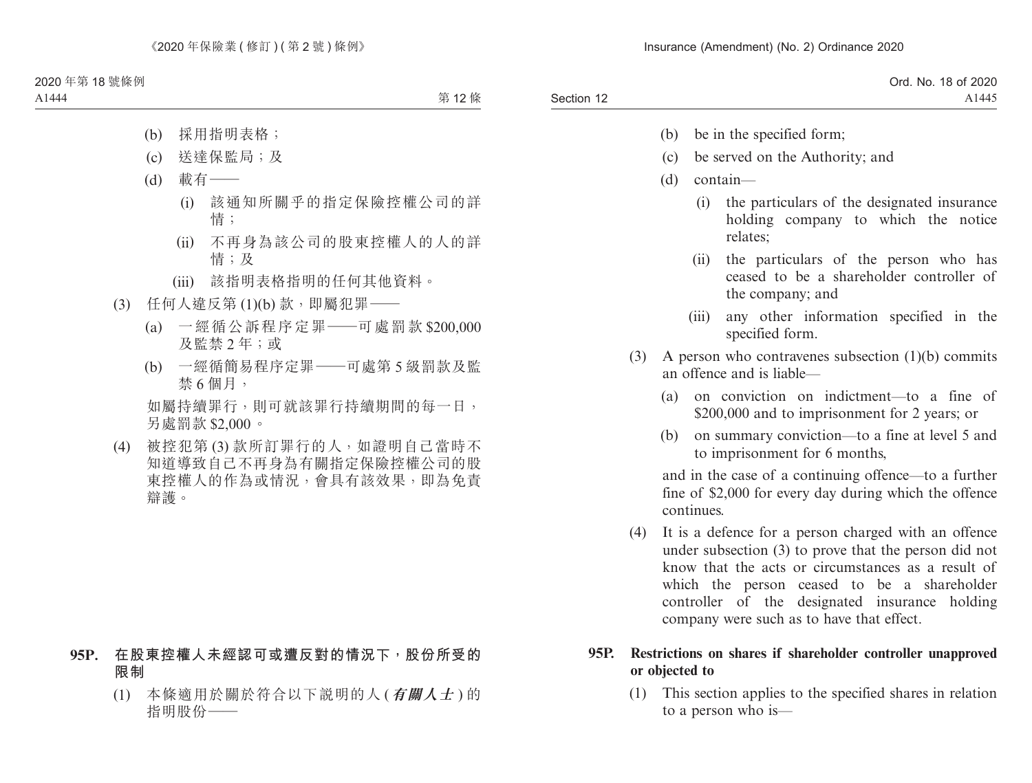|            | Ord. No. 18 of 2020 |
|------------|---------------------|
| Section 12 | A1445               |

- (b) be in the specified form;
- (c) be served on the Authority; and
- (d) contain—
	- (i) the particulars of the designated insurance holding company to which the notice relates;
	- (ii) the particulars of the person who has ceased to be a shareholder controller of the company; and
	- (iii) any other information specified in the specified form.
- (3) A person who contravenes subsection (1)(b) commits an offence and is liable—
	- (a) on conviction on indictment—to a fine of \$200,000 and to imprisonment for 2 years; or
	- (b) on summary conviction—to a fine at level 5 and to imprisonment for 6 months,

and in the case of a continuing offence—to a further fine of \$2,000 for every day during which the offence continues.

(4) It is a defence for a person charged with an offence under subsection (3) to prove that the person did not know that the acts or circumstances as a result of which the person ceased to be a shareholder controller of the designated insurance holding company were such as to have that effect.

### **95P. Restrictions on shares if shareholder controller unapproved or objected to**

(1) This section applies to the specified shares in relation to a person who is—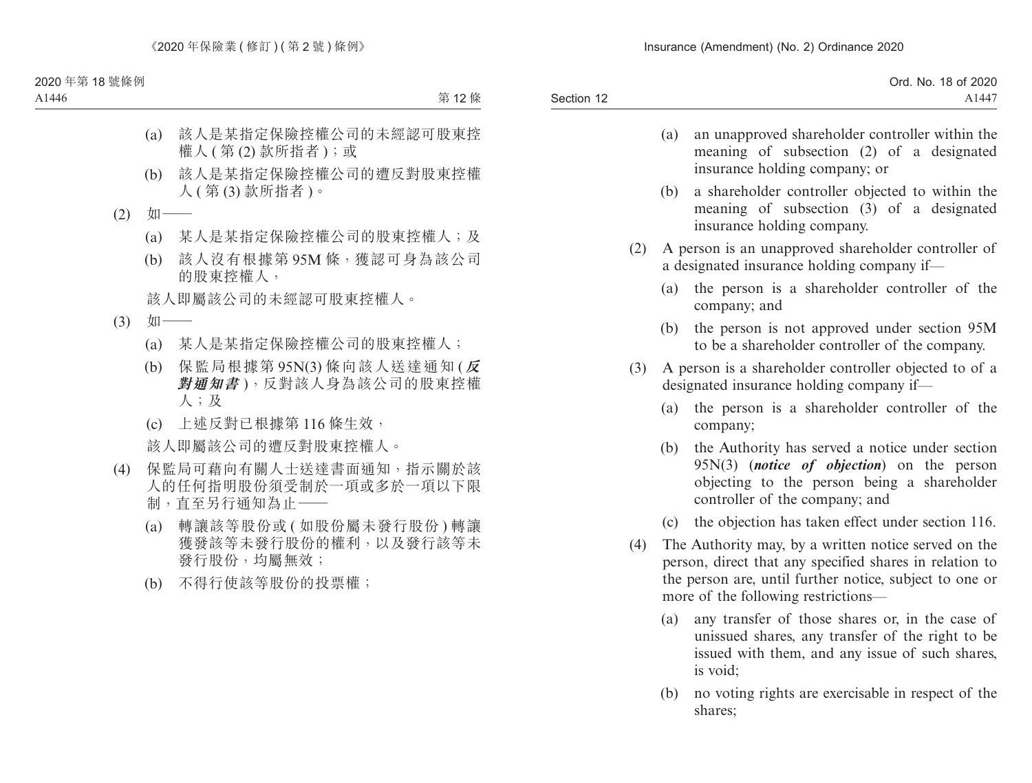|            | Ord. No. 18 of 2020 |
|------------|---------------------|
| Section 12 | A1447               |
|            |                     |

- (a) an unapproved shareholder controller within the meaning of subsection (2) of a designated insurance holding company; or
- (b) a shareholder controller objected to within the meaning of subsection (3) of a designated insurance holding company.
- (2) A person is an unapproved shareholder controller of a designated insurance holding company if—
	- (a) the person is a shareholder controller of the company; and
	- (b) the person is not approved under section 95M to be a shareholder controller of the company.
- (3) A person is a shareholder controller objected to of a designated insurance holding company if—
	- (a) the person is a shareholder controller of the company;
	- (b) the Authority has served a notice under section 95N(3) (*notice of objection*) on the person objecting to the person being a shareholder controller of the company; and
	- (c) the objection has taken effect under section 116.
- (4) The Authority may, by a written notice served on the person, direct that any specified shares in relation to the person are, until further notice, subject to one or more of the following restrictions—
	- (a) any transfer of those shares or, in the case of unissued shares, any transfer of the right to be issued with them, and any issue of such shares, is void;
	- (b) no voting rights are exercisable in respect of the shares;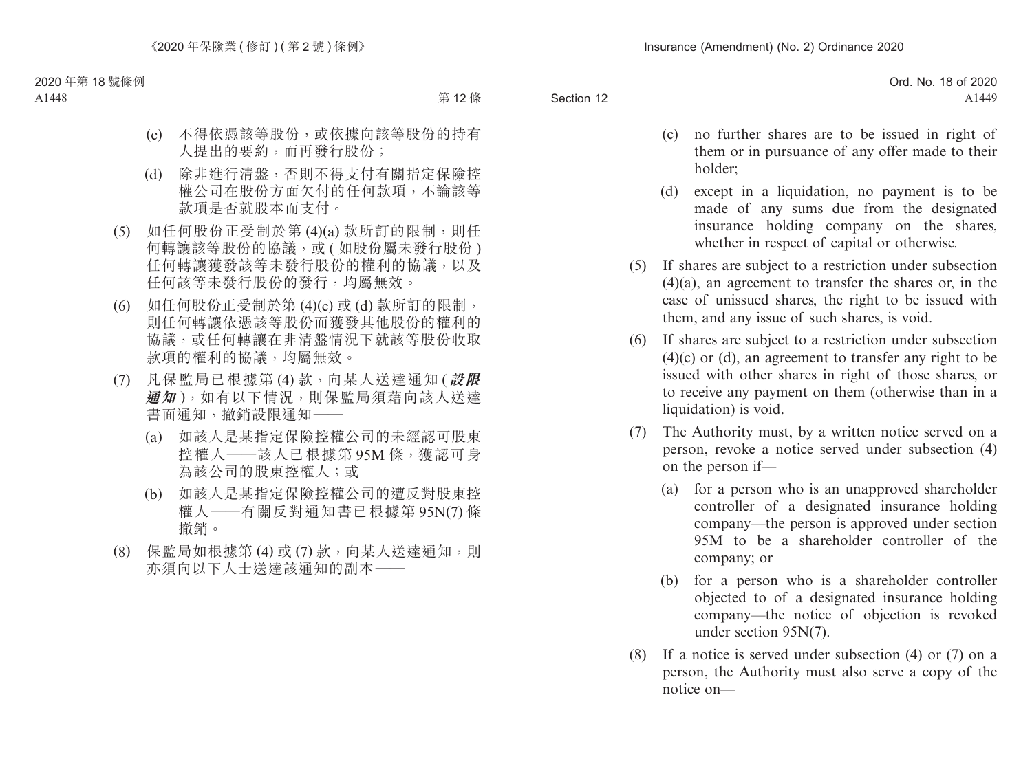| Ord. No. 18 of 2020 |
|---------------------|
| A <sub>1449</sub>   |
|                     |

- (c) no further shares are to be issued in right of them or in pursuance of any offer made to their holder;
- (d) except in a liquidation, no payment is to be made of any sums due from the designated insurance holding company on the shares, whether in respect of capital or otherwise.
- (5) If shares are subject to a restriction under subsection (4)(a), an agreement to transfer the shares or, in the case of unissued shares, the right to be issued with them, and any issue of such shares, is void.
- (6) If shares are subject to a restriction under subsection  $(4)(c)$  or  $(d)$ , an agreement to transfer any right to be issued with other shares in right of those shares, or to receive any payment on them (otherwise than in a liquidation) is void.
- (7) The Authority must, by a written notice served on a person, revoke a notice served under subsection (4) on the person if—
	- (a) for a person who is an unapproved shareholder controller of a designated insurance holding company—the person is approved under section 95M to be a shareholder controller of the company; or
	- (b) for a person who is a shareholder controller objected to of a designated insurance holding company—the notice of objection is revoked under section 95N(7).
- (8) If a notice is served under subsection (4) or (7) on a person, the Authority must also serve a copy of the notice on—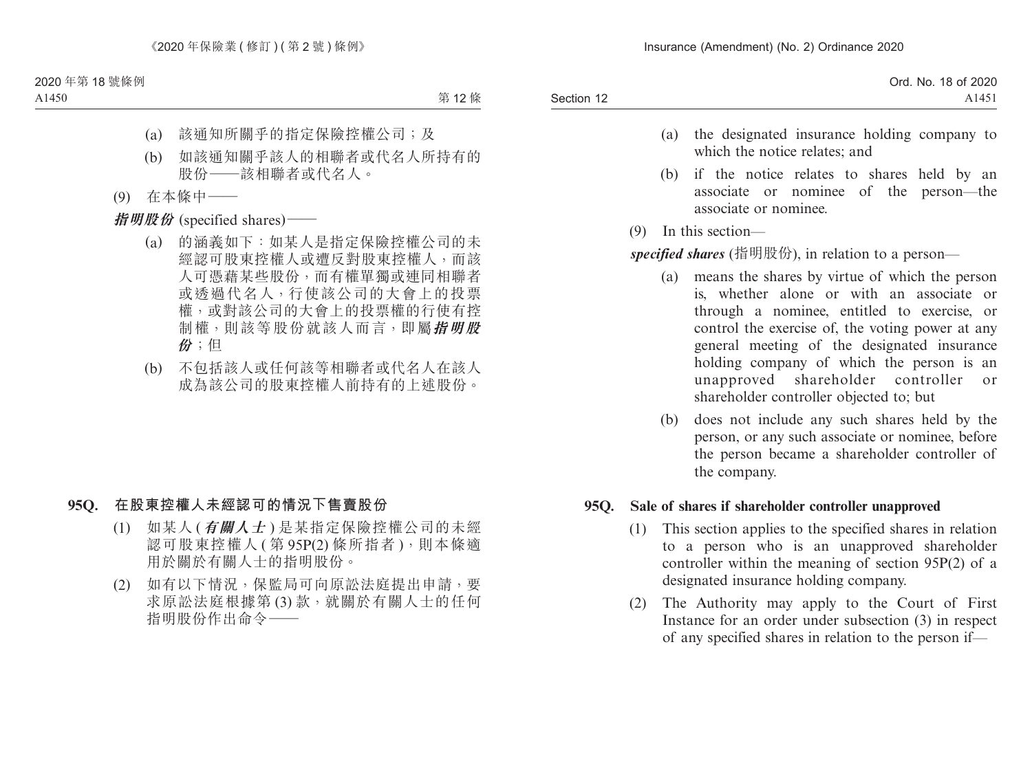| Ord. No. 18 of 2020 |
|---------------------|
| A1451               |
|                     |

- (a) the designated insurance holding company to which the notice relates; and
- (b) if the notice relates to shares held by an associate or nominee of the person—the associate or nominee.
- (9) In this section—

*specified shares* (指明股份), in relation to a person—

- (a) means the shares by virtue of which the person is, whether alone or with an associate or through a nominee, entitled to exercise, or control the exercise of, the voting power at any general meeting of the designated insurance holding company of which the person is an unapproved shareholder controller or shareholder controller objected to; but
- (b) does not include any such shares held by the person, or any such associate or nominee, before the person became a shareholder controller of the company.

### **95Q. Sale of shares if shareholder controller unapproved**

- (1) This section applies to the specified shares in relation to a person who is an unapproved shareholder controller within the meaning of section 95P(2) of a designated insurance holding company.
- (2) The Authority may apply to the Court of First Instance for an order under subsection (3) in respect of any specified shares in relation to the person if—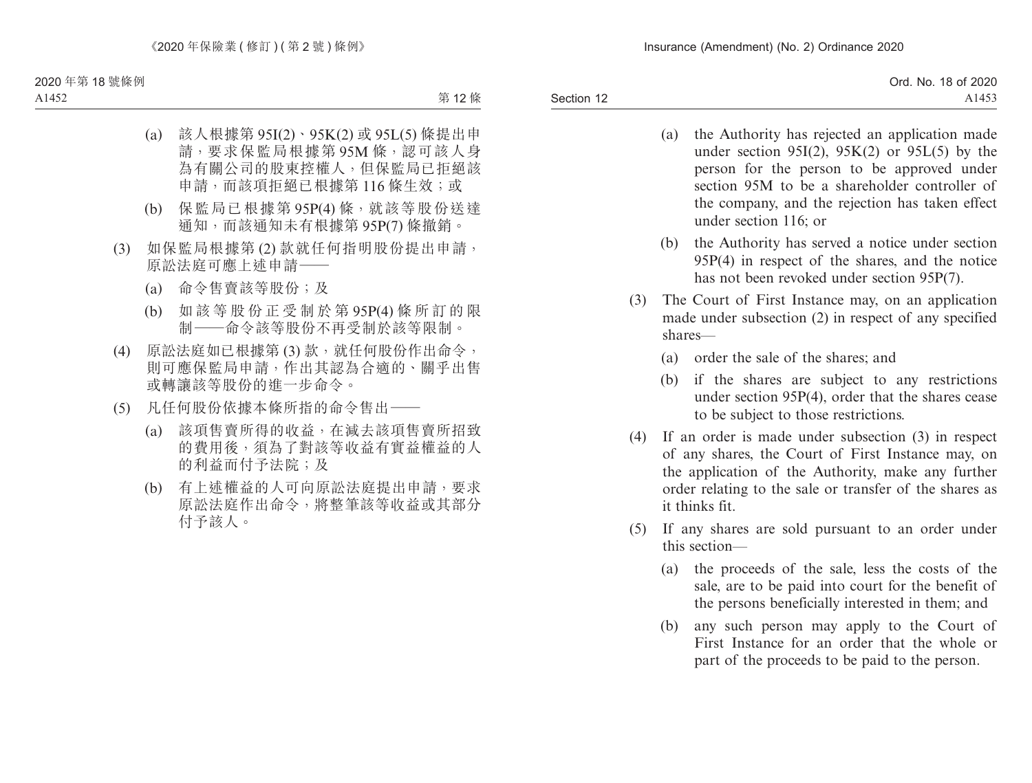- (a) the Authority has rejected an application made under section 95I(2),  $95K(2)$  or 95L(5) by the person for the person to be approved under section 95M to be a shareholder controller of the company, and the rejection has taken effect under section 116; or
- (b) the Authority has served a notice under section 95P(4) in respect of the shares, and the notice has not been revoked under section 95P(7).
- (3) The Court of First Instance may, on an application made under subsection (2) in respect of any specified shares—
	- (a) order the sale of the shares; and
	- (b) if the shares are subject to any restrictions under section 95P(4), order that the shares cease to be subject to those restrictions.
- (4) If an order is made under subsection (3) in respect of any shares, the Court of First Instance may, on the application of the Authority, make any further order relating to the sale or transfer of the shares as it thinks fit.
- (5) If any shares are sold pursuant to an order under this section—
	- (a) the proceeds of the sale, less the costs of the sale, are to be paid into court for the benefit of the persons beneficially interested in them; and
	- (b) any such person may apply to the Court of First Instance for an order that the whole or part of the proceeds to be paid to the person.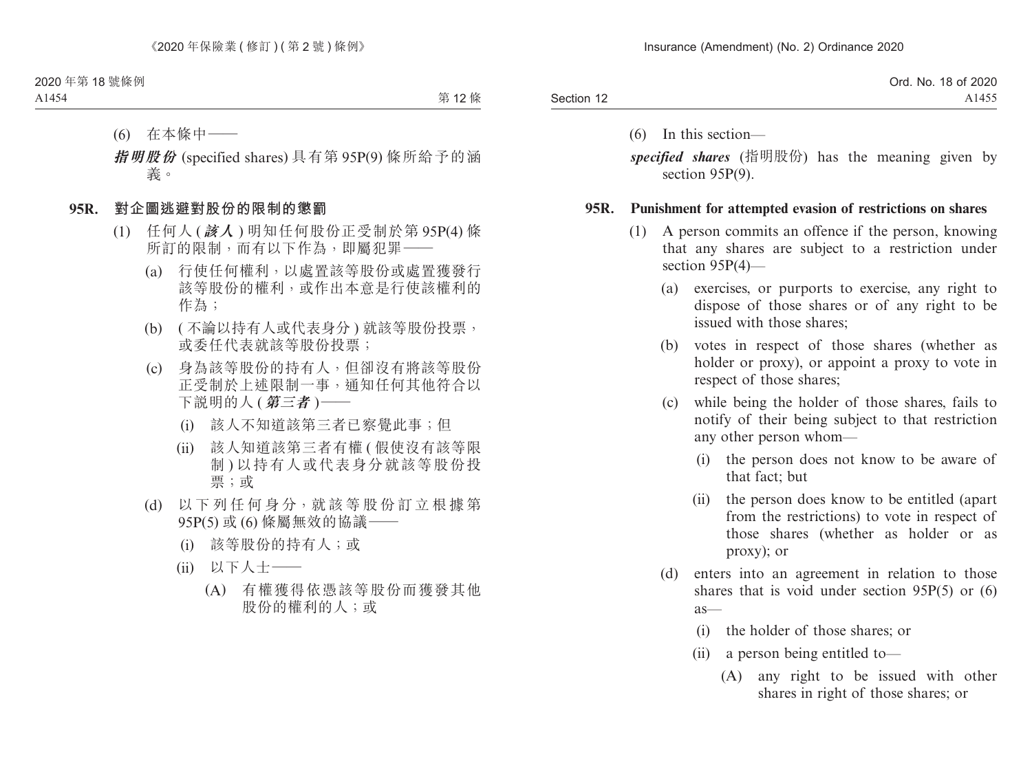|            | Ord. No. 18 of 2020 |
|------------|---------------------|
| Section 12 | A1455               |

(6) In this section—

*specified shares* (指明股份) has the meaning given by section 95P(9).

### **95R. Punishment for attempted evasion of restrictions on shares**

- (1) A person commits an offence if the person, knowing that any shares are subject to a restriction under section 95P(4)—
	- (a) exercises, or purports to exercise, any right to dispose of those shares or of any right to be issued with those shares;
	- (b) votes in respect of those shares (whether as holder or proxy), or appoint a proxy to vote in respect of those shares;
	- (c) while being the holder of those shares, fails to notify of their being subject to that restriction any other person whom—
		- (i) the person does not know to be aware of that fact; but
		- (ii) the person does know to be entitled (apart from the restrictions) to vote in respect of those shares (whether as holder or as proxy); or
	- (d) enters into an agreement in relation to those shares that is void under section 95P(5) or (6) as—
		- (i) the holder of those shares; or
		- (ii) a person being entitled to—
			- (A) any right to be issued with other shares in right of those shares; or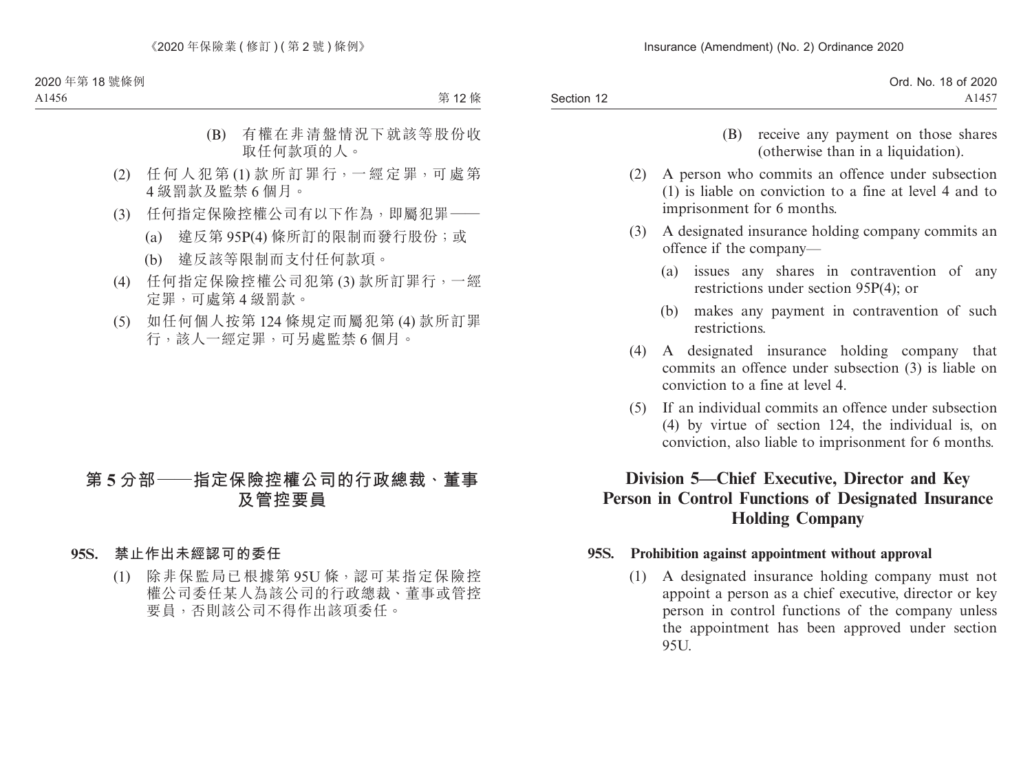|            | Ord. No. 18 of 2020           |
|------------|-------------------------------|
| Section 12 | A <sub>145</sub> <sup>-</sup> |

- (B) receive any payment on those shares (otherwise than in a liquidation).
- (2) A person who commits an offence under subsection (1) is liable on conviction to a fine at level 4 and to imprisonment for 6 months.
- (3) A designated insurance holding company commits an offence if the company—
	- (a) issues any shares in contravention of any restrictions under section 95P(4); or
	- (b) makes any payment in contravention of such restrictions.
- (4) A designated insurance holding company that commits an offence under subsection (3) is liable on conviction to a fine at level 4.
- (5) If an individual commits an offence under subsection (4) by virtue of section 124, the individual is, on conviction, also liable to imprisonment for 6 months.

# **Division 5—Chief Executive, Director and Key Person in Control Functions of Designated Insurance Holding Company**

### **95S. Prohibition against appointment without approval**

(1) A designated insurance holding company must not appoint a person as a chief executive, director or key person in control functions of the company unless the appointment has been approved under section 95U.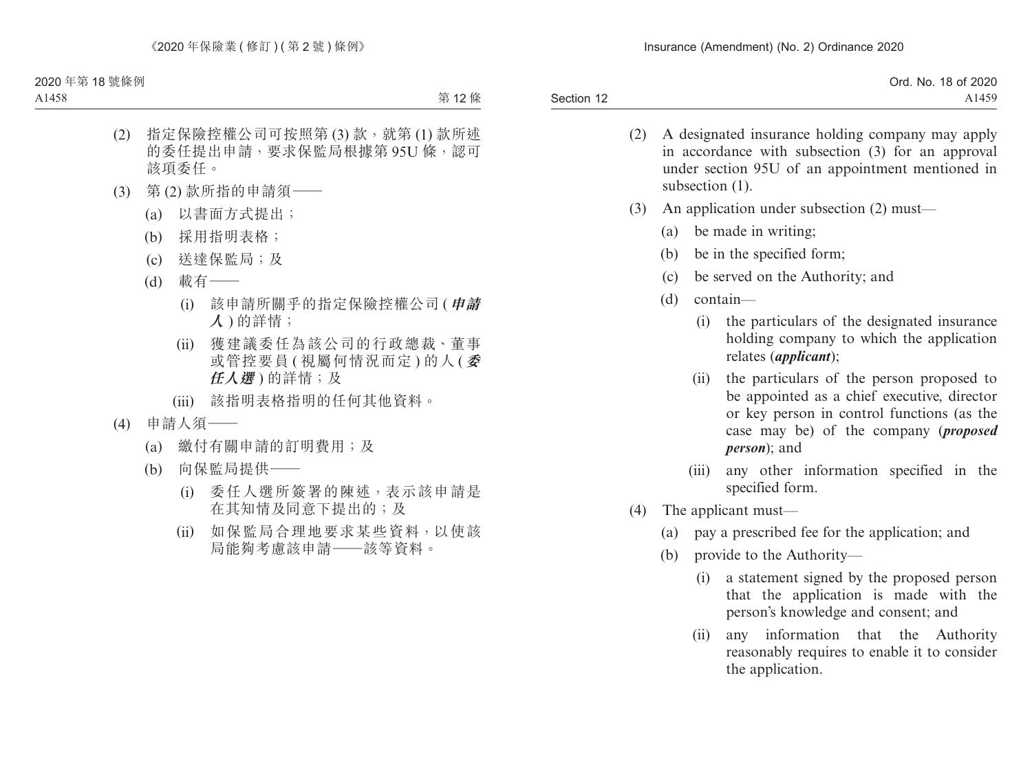|            | Ord. No. 18 of 2020 |
|------------|---------------------|
| Section 12 | A1459               |

- (2) A designated insurance holding company may apply in accordance with subsection (3) for an approval under section 95U of an appointment mentioned in subsection  $(1)$ .
- (3) An application under subsection (2) must—
	- (a) be made in writing;
	- (b) be in the specified form;
	- (c) be served on the Authority; and
	- (d) contain—
		- (i) the particulars of the designated insurance holding company to which the application relates (*applicant*);
		- (ii) the particulars of the person proposed to be appointed as a chief executive, director or key person in control functions (as the case may be) of the company (*proposed person*); and
		- (iii) any other information specified in the specified form.
- (4) The applicant must—
	- (a) pay a prescribed fee for the application; and
	- (b) provide to the Authority—
		- (i) a statement signed by the proposed person that the application is made with the person's knowledge and consent; and
		- (ii) any information that the Authority reasonably requires to enable it to consider the application.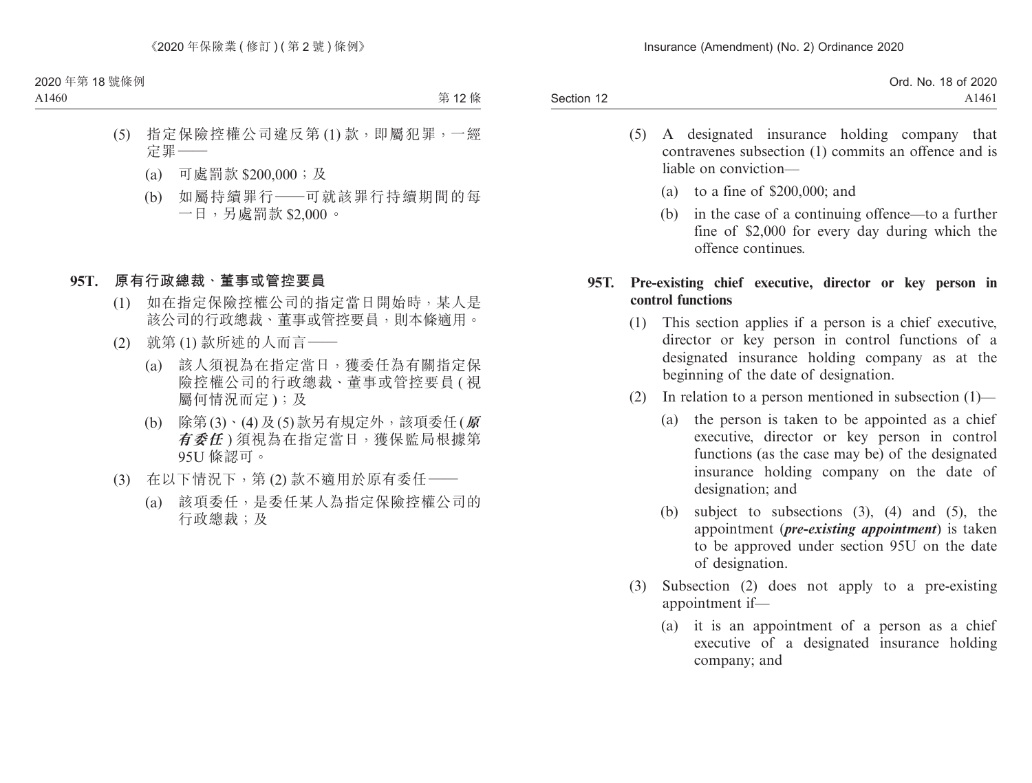|            | Ord. No. 18 of 2020 |
|------------|---------------------|
| Section 12 | A1461               |

- (5) A designated insurance holding company that contravenes subsection (1) commits an offence and is liable on conviction—
	- (a) to a fine of \$200,000; and
	- (b) in the case of a continuing offence—to a further fine of \$2,000 for every day during which the offence continues.

## **95T. Pre-existing chief executive, director or key person in control functions**

- (1) This section applies if a person is a chief executive, director or key person in control functions of a designated insurance holding company as at the beginning of the date of designation.
- (2) In relation to a person mentioned in subsection  $(1)$ 
	- (a) the person is taken to be appointed as a chief executive, director or key person in control functions (as the case may be) of the designated insurance holding company on the date of designation; and
	- (b) subject to subsections (3), (4) and (5), the appointment (*pre-existing appointment*) is taken to be approved under section 95U on the date of designation.
- (3) Subsection (2) does not apply to a pre-existing appointment if—
	- (a) it is an appointment of a person as a chief executive of a designated insurance holding company; and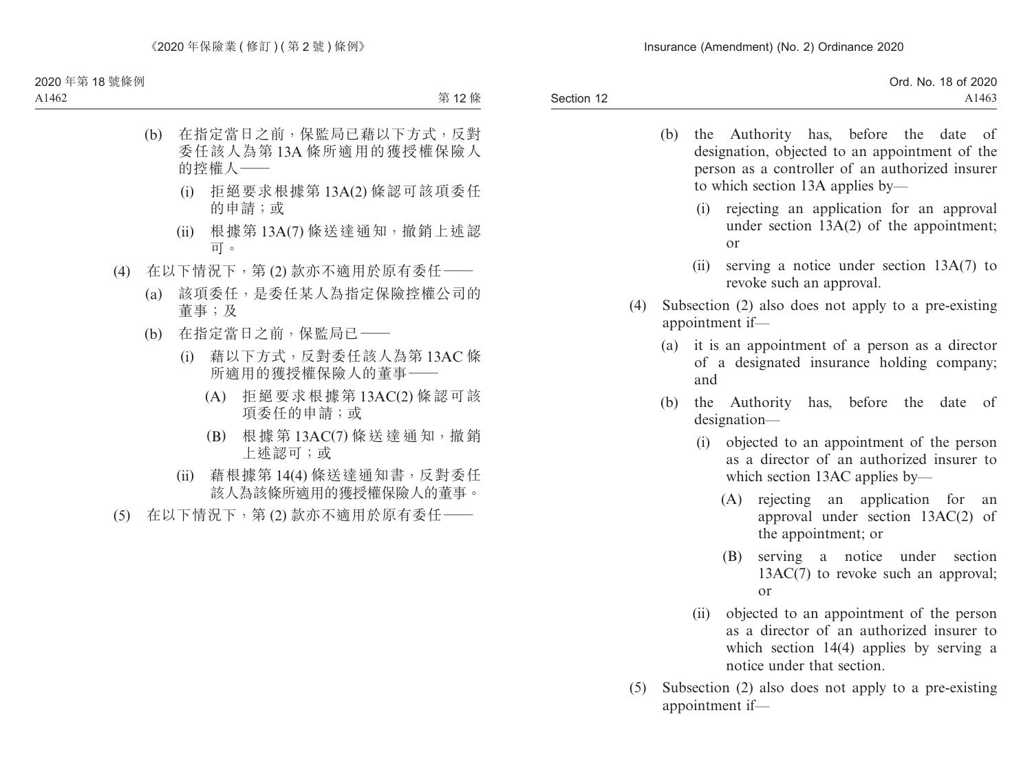- (b) the Authority has, before the date of designation, objected to an appointment of the person as a controller of an authorized insurer to which section 13A applies by—
	- (i) rejecting an application for an approval under section 13A(2) of the appointment; or
	- (ii) serving a notice under section 13A(7) to revoke such an approval.
- (4) Subsection (2) also does not apply to a pre-existing appointment if—
	- (a) it is an appointment of a person as a director of a designated insurance holding company; and
	- (b) the Authority has, before the date of designation—
		- (i) objected to an appointment of the person as a director of an authorized insurer to which section 13AC applies by—
			- (A) rejecting an application for an approval under section 13AC(2) of the appointment; or
			- (B) serving a notice under section 13AC(7) to revoke such an approval; or
		- (ii) objected to an appointment of the person as a director of an authorized insurer to which section 14(4) applies by serving a notice under that section.
- (5) Subsection (2) also does not apply to a pre-existing appointment if—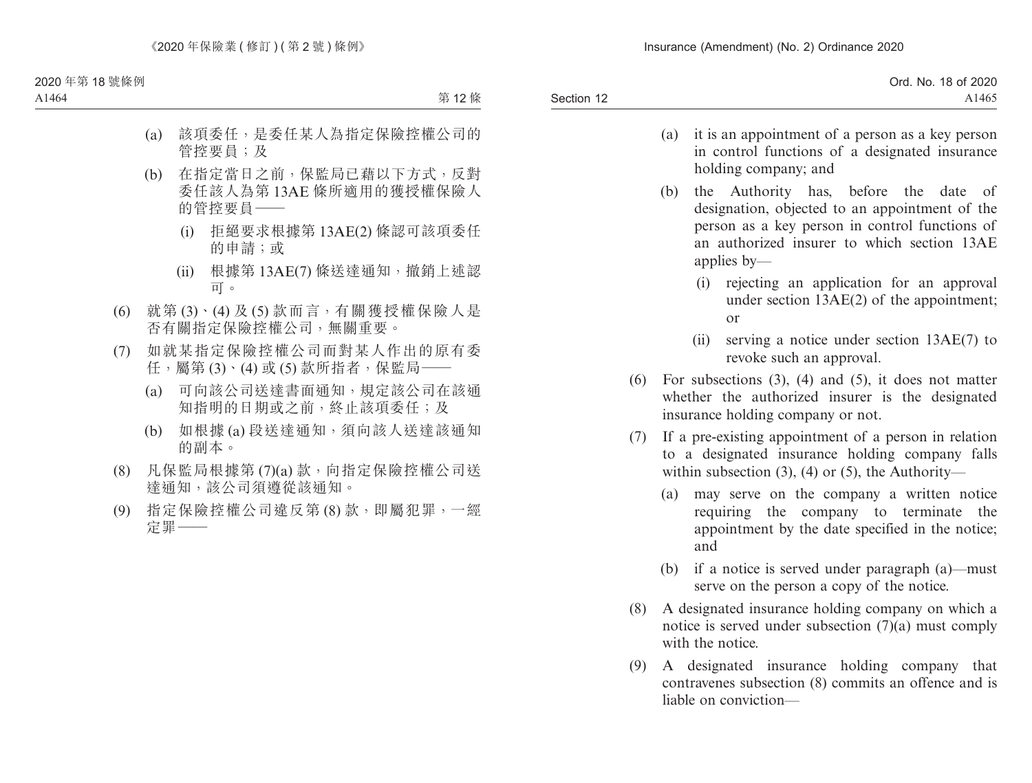| Ord. No. 18 of 2020 |
|---------------------|
| A1465               |
|                     |

- (a) it is an appointment of a person as a key person in control functions of a designated insurance holding company; and
- (b) the Authority has, before the date of designation, objected to an appointment of the person as a key person in control functions of an authorized insurer to which section 13AE applies by—
	- (i) rejecting an application for an approval under section 13AE(2) of the appointment; or
	- (ii) serving a notice under section 13AE(7) to revoke such an approval.
- (6) For subsections (3), (4) and (5), it does not matter whether the authorized insurer is the designated insurance holding company or not.
- (7) If a pre-existing appointment of a person in relation to a designated insurance holding company falls within subsection  $(3)$ ,  $(4)$  or  $(5)$ , the Authority—
	- (a) may serve on the company a written notice requiring the company to terminate the appointment by the date specified in the notice; and
	- (b) if a notice is served under paragraph (a)—must serve on the person a copy of the notice.
- (8) A designated insurance holding company on which a notice is served under subsection  $(7)(a)$  must comply with the notice.
- (9) A designated insurance holding company that contravenes subsection (8) commits an offence and is liable on conviction—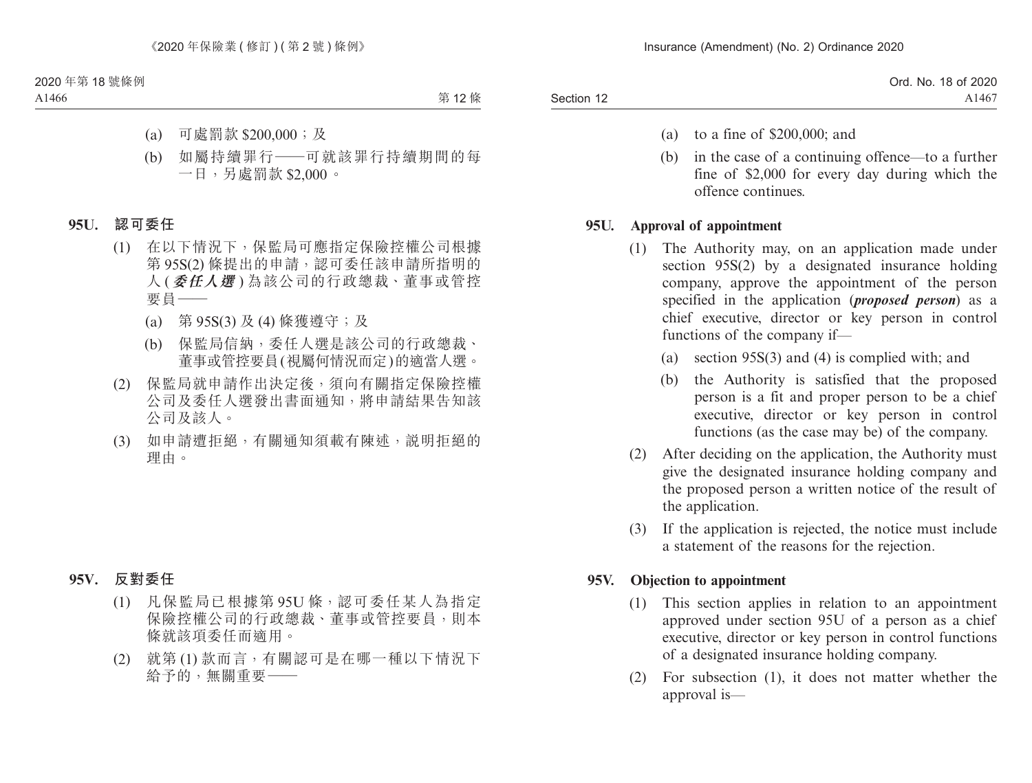Ord. No. 18 of 2020 A1467

- (a) to a fine of \$200,000; and
- (b) in the case of a continuing offence—to a further fine of \$2,000 for every day during which the offence continues.

# **95U. Approval of appointment**

- (1) The Authority may, on an application made under section 95S(2) by a designated insurance holding company, approve the appointment of the person specified in the application (*proposed person*) as a chief executive, director or key person in control functions of the company if—
	- (a) section 95S(3) and (4) is complied with; and
	- (b) the Authority is satisfied that the proposed person is a fit and proper person to be a chief executive, director or key person in control functions (as the case may be) of the company.
- (2) After deciding on the application, the Authority must give the designated insurance holding company and the proposed person a written notice of the result of the application.
- (3) If the application is rejected, the notice must include a statement of the reasons for the rejection.

# **95V. Objection to appointment**

- (1) This section applies in relation to an appointment approved under section 95U of a person as a chief executive, director or key person in control functions of a designated insurance holding company.
- (2) For subsection (1), it does not matter whether the approval is—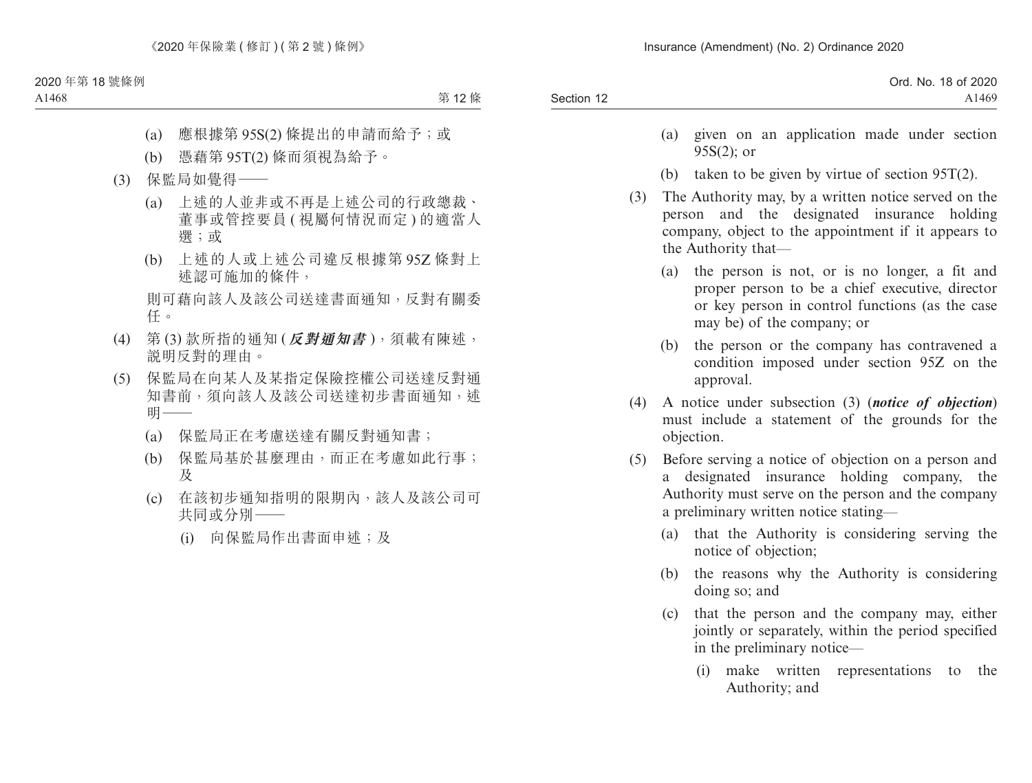| A <sub>1469</sub> |
|-------------------|
|                   |

- (a) given on an application made under section 95S(2); or
- (b) taken to be given by virtue of section 95T(2).
- (3) The Authority may, by a written notice served on the person and the designated insurance holding company, object to the appointment if it appears to the Authority that—
	- (a) the person is not, or is no longer, a fit and proper person to be a chief executive, director or key person in control functions (as the case may be) of the company; or
	- (b) the person or the company has contravened a condition imposed under section 95Z on the approval.
- (4) A notice under subsection (3) (*notice of objection*) must include a statement of the grounds for the objection.
- (5) Before serving a notice of objection on a person and a designated insurance holding company, the Authority must serve on the person and the company a preliminary written notice stating—
	- (a) that the Authority is considering serving the notice of objection;
	- (b) the reasons why the Authority is considering doing so; and
	- (c) that the person and the company may, either jointly or separately, within the period specified in the preliminary notice—
		- (i) make written representations to the Authority; and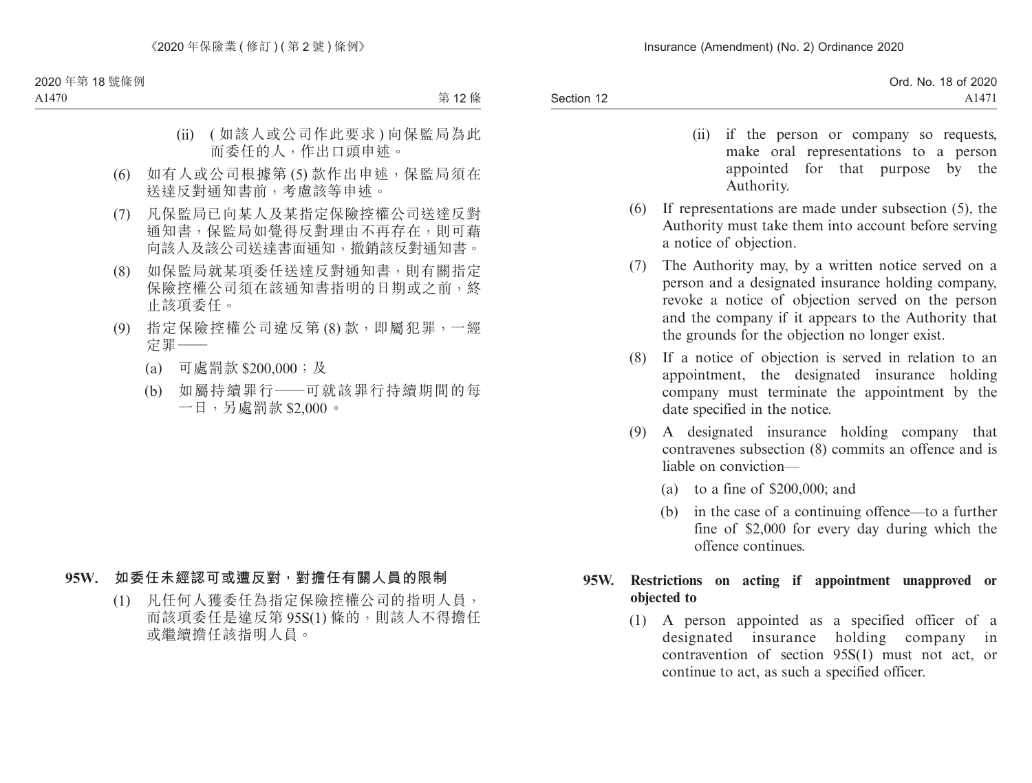- (ii) if the person or company so requests, make oral representations to a person appointed for that purpose by the Authority.
- (6) If representations are made under subsection (5), the Authority must take them into account before serving a notice of objection.
- (7) The Authority may, by a written notice served on a person and a designated insurance holding company, revoke a notice of objection served on the person and the company if it appears to the Authority that the grounds for the objection no longer exist.
- (8) If a notice of objection is served in relation to an appointment, the designated insurance holding company must terminate the appointment by the date specified in the notice.
- (9) A designated insurance holding company that contravenes subsection (8) commits an offence and is liable on conviction—
	- (a) to a fine of \$200,000; and
	- (b) in the case of a continuing offence—to a further fine of \$2,000 for every day during which the offence continues.

# **95W. Restrictions on acting if appointment unapproved or objected to**

(1) A person appointed as a specified officer of a designated insurance holding company in contravention of section 95S(1) must not act, or continue to act, as such a specified officer.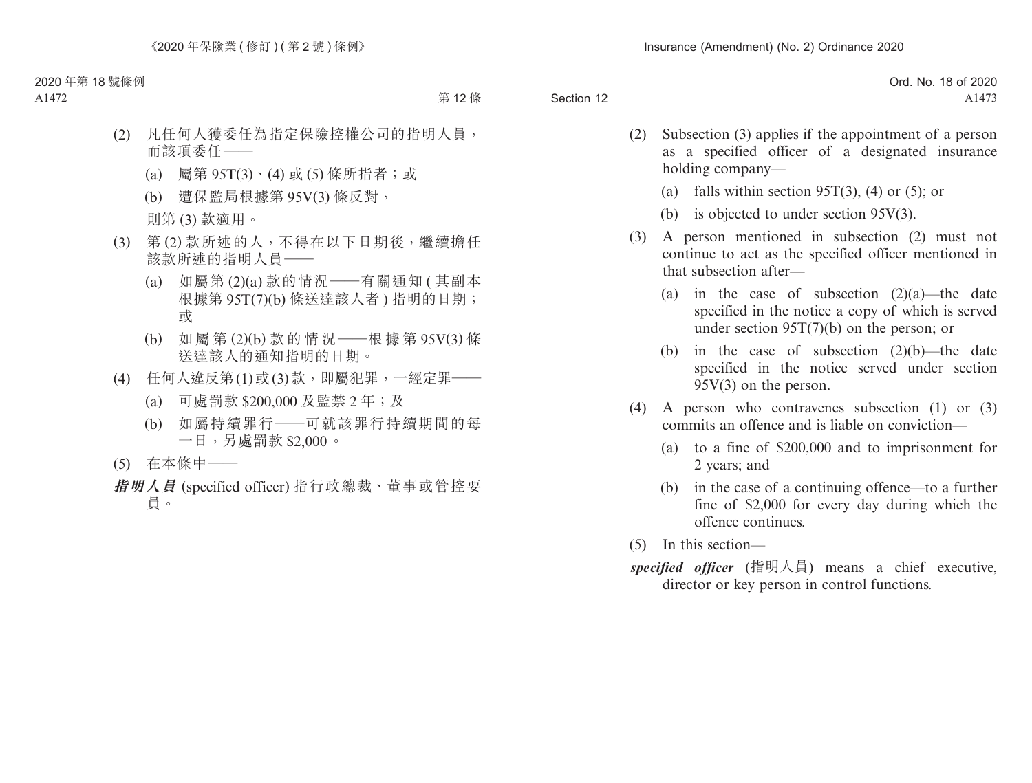|            | Ord. No. 18 of 2020 |
|------------|---------------------|
| Section 12 | A <sub>1473</sub>   |

- (2) Subsection (3) applies if the appointment of a person as a specified officer of a designated insurance holding company—
	- (a) falls within section 95T(3), (4) or (5); or
	- (b) is objected to under section 95V(3).
- (3) A person mentioned in subsection (2) must not continue to act as the specified officer mentioned in that subsection after—
	- (a) in the case of subsection  $(2)(a)$ —the date specified in the notice a copy of which is served under section 95T(7)(b) on the person; or
	- (b) in the case of subsection  $(2)(b)$ —the date specified in the notice served under section 95V(3) on the person.
- (4) A person who contravenes subsection (1) or (3) commits an offence and is liable on conviction—
	- (a) to a fine of \$200,000 and to imprisonment for 2 years; and
	- (b) in the case of a continuing offence—to a further fine of \$2,000 for every day during which the offence continues.
- (5) In this section—
- *specified officer* (指明人員) means a chief executive, director or key person in control functions.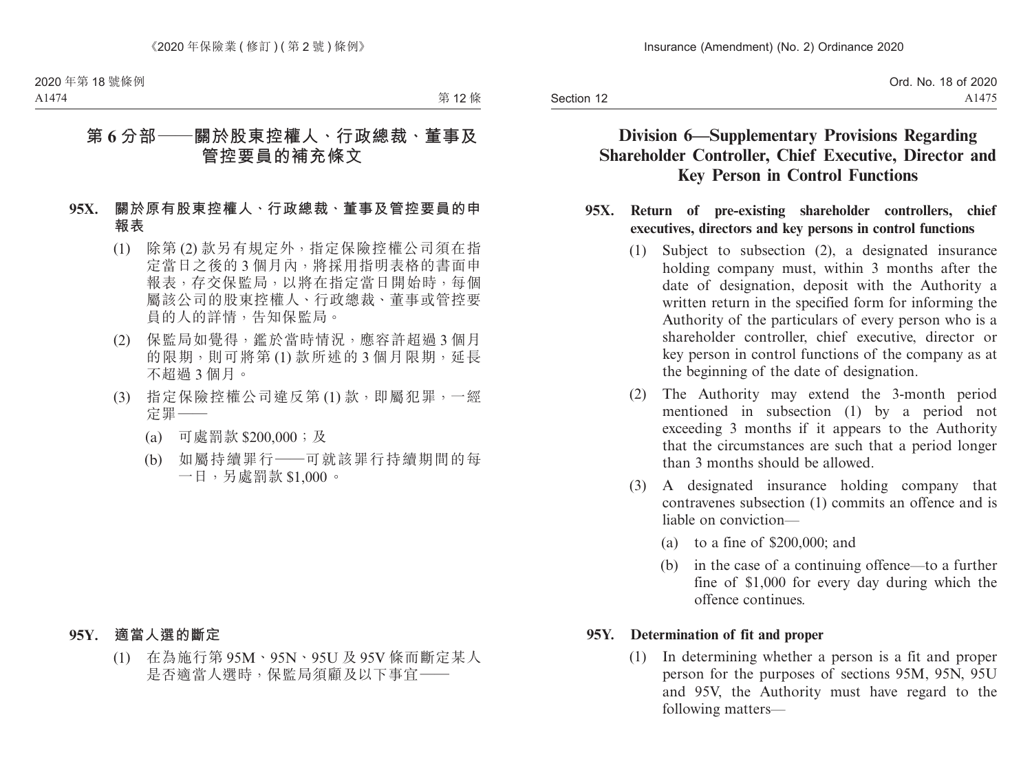# **Division 6—Supplementary Provisions Regarding Shareholder Controller, Chief Executive, Director and Key Person in Control Functions**

### **95X. Return of pre-existing shareholder controllers, chief executives, directors and key persons in control functions**

- (1) Subject to subsection (2), a designated insurance holding company must, within 3 months after the date of designation, deposit with the Authority a written return in the specified form for informing the Authority of the particulars of every person who is a shareholder controller, chief executive, director or key person in control functions of the company as at the beginning of the date of designation.
- (2) The Authority may extend the 3-month period mentioned in subsection (1) by a period not exceeding 3 months if it appears to the Authority that the circumstances are such that a period longer than 3 months should be allowed.
- (3) A designated insurance holding company that contravenes subsection (1) commits an offence and is liable on conviction—
	- (a) to a fine of \$200,000; and
	- (b) in the case of a continuing offence—to a further fine of \$1,000 for every day during which the offence continues.

## **95Y. Determination of fit and proper**

(1) In determining whether a person is a fit and proper person for the purposes of sections 95M, 95N, 95U and 95V, the Authority must have regard to the following matters—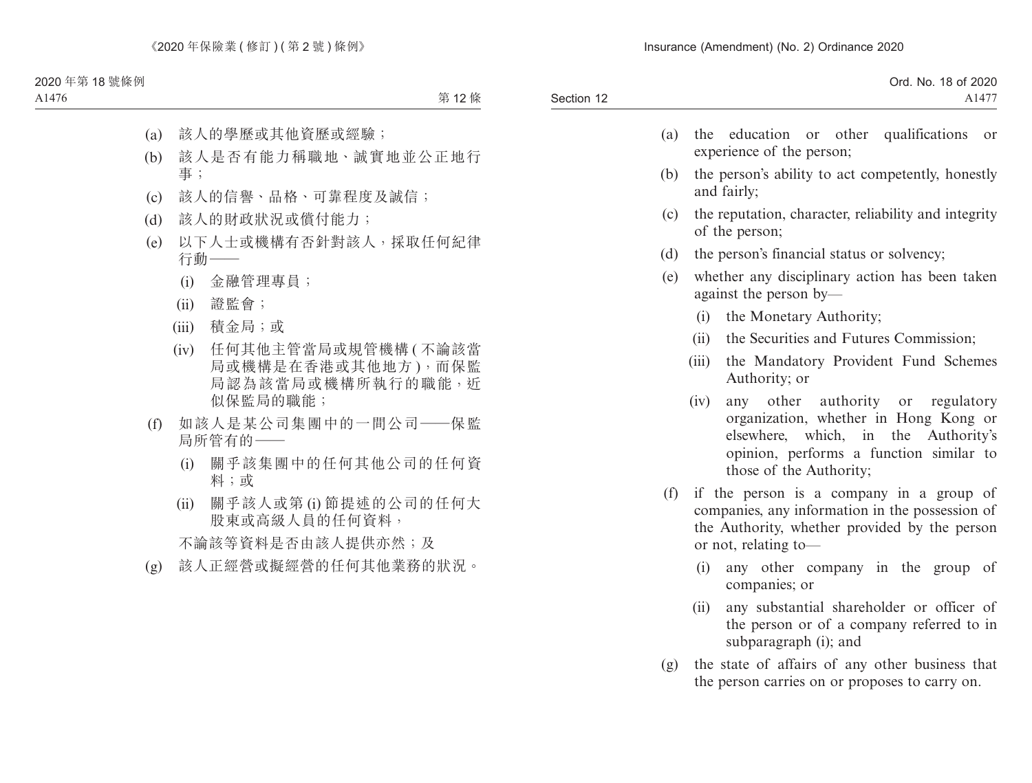| Ord. No. 18 of 2020 |
|---------------------|
| $A147$ <sup>-</sup> |
|                     |

- (a) the education or other qualifications or experience of the person;
- (b) the person's ability to act competently, honestly and fairly;
- (c) the reputation, character, reliability and integrity of the person;
- (d) the person's financial status or solvency;
- (e) whether any disciplinary action has been taken against the person by—
	- (i) the Monetary Authority;
	- (ii) the Securities and Futures Commission;
	- (iii) the Mandatory Provident Fund Schemes Authority; or
	- (iv) any other authority or regulatory organization, whether in Hong Kong or elsewhere, which, in the Authority's opinion, performs a function similar to those of the Authority;
- (f) if the person is a company in a group of companies, any information in the possession of the Authority, whether provided by the person or not, relating to—
	- (i) any other company in the group of companies; or
	- (ii) any substantial shareholder or officer of the person or of a company referred to in subparagraph (i); and
- (g) the state of affairs of any other business that the person carries on or proposes to carry on.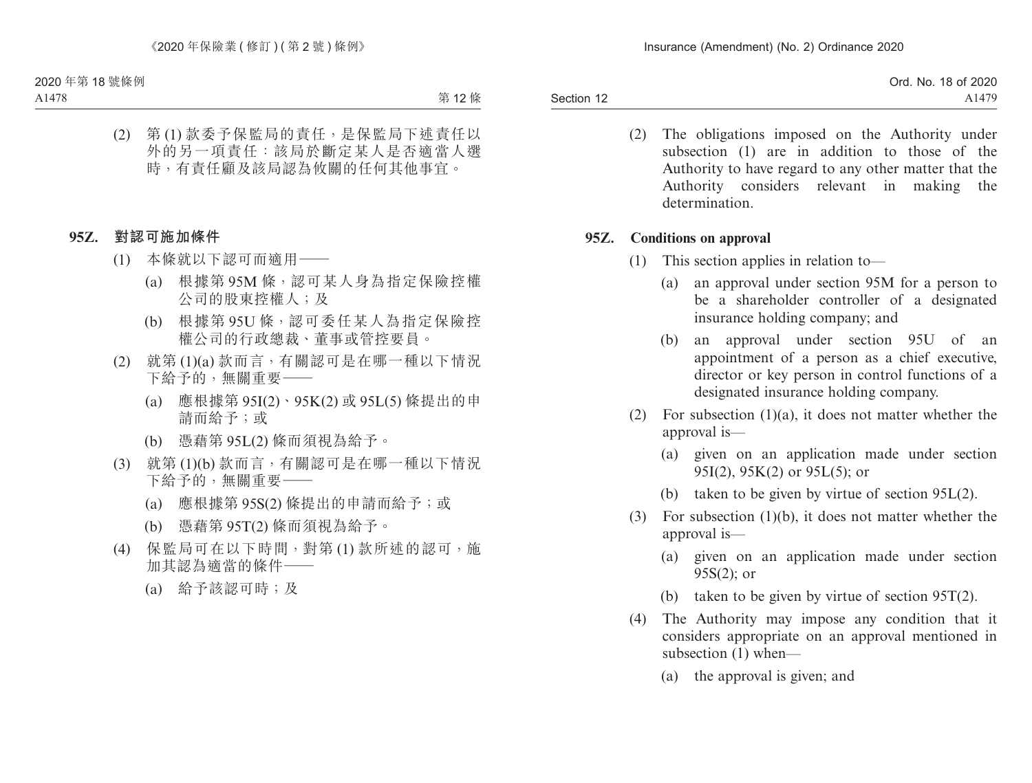> (2) The obligations imposed on the Authority under subsection (1) are in addition to those of the Authority to have regard to any other matter that the Authority considers relevant in making the determination.

### **95Z. Conditions on approval**

- (1) This section applies in relation to—
	- (a) an approval under section 95M for a person to be a shareholder controller of a designated insurance holding company; and
	- (b) an approval under section 95U of an appointment of a person as a chief executive, director or key person in control functions of a designated insurance holding company.
- (2) For subsection  $(1)(a)$ , it does not matter whether the approval is—
	- (a) given on an application made under section 95I(2), 95K(2) or 95L(5); or
	- (b) taken to be given by virtue of section 95L(2).
- (3) For subsection (1)(b), it does not matter whether the approval is—
	- (a) given on an application made under section 95S(2); or
	- (b) taken to be given by virtue of section 95T(2).
- (4) The Authority may impose any condition that it considers appropriate on an approval mentioned in subsection (1) when—
	- (a) the approval is given; and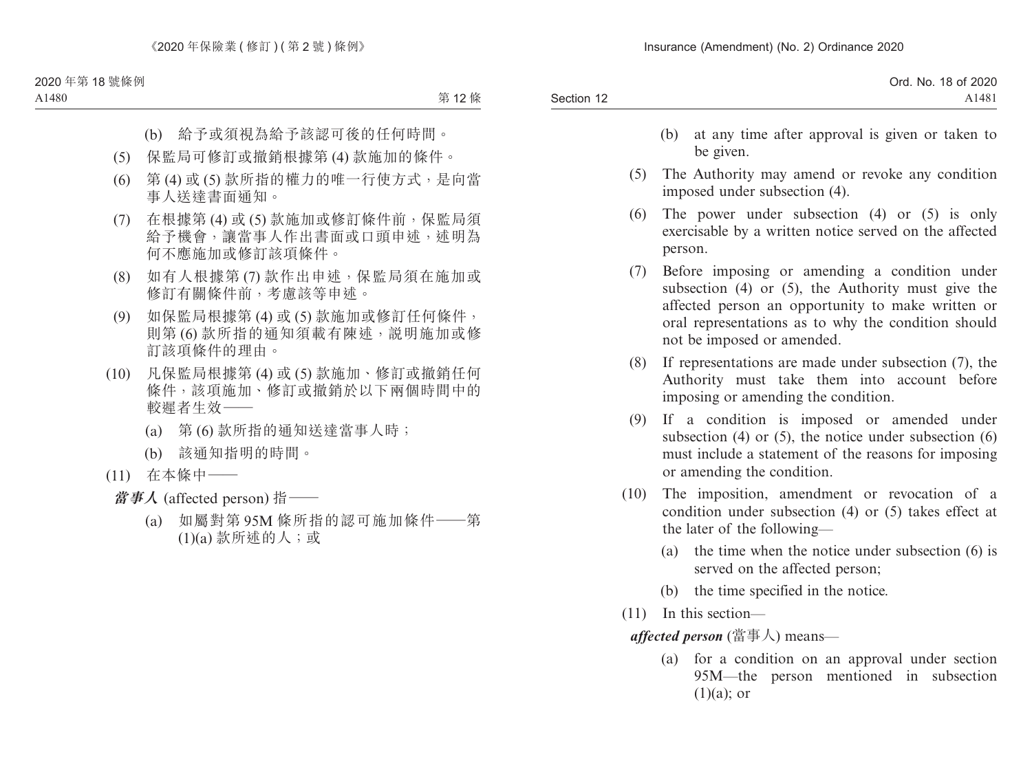|            | Ord. No. 18 of 2020 |
|------------|---------------------|
| Section 12 | A1481               |

- (b) at any time after approval is given or taken to be given.
- (5) The Authority may amend or revoke any condition imposed under subsection (4).
- (6) The power under subsection (4) or (5) is only exercisable by a written notice served on the affected person.
- (7) Before imposing or amending a condition under subsection (4) or (5), the Authority must give the affected person an opportunity to make written or oral representations as to why the condition should not be imposed or amended.
- (8) If representations are made under subsection (7), the Authority must take them into account before imposing or amending the condition.
- (9) If a condition is imposed or amended under subsection (4) or (5), the notice under subsection  $(6)$ must include a statement of the reasons for imposing or amending the condition.
- (10) The imposition, amendment or revocation of a condition under subsection (4) or (5) takes effect at the later of the following—
	- (a) the time when the notice under subsection (6) is served on the affected person;
	- (b) the time specified in the notice.
- (11) In this section—

*affected person* (當事人) means—

(a) for a condition on an approval under section 95M—the person mentioned in subsection  $(1)(a)$ ; or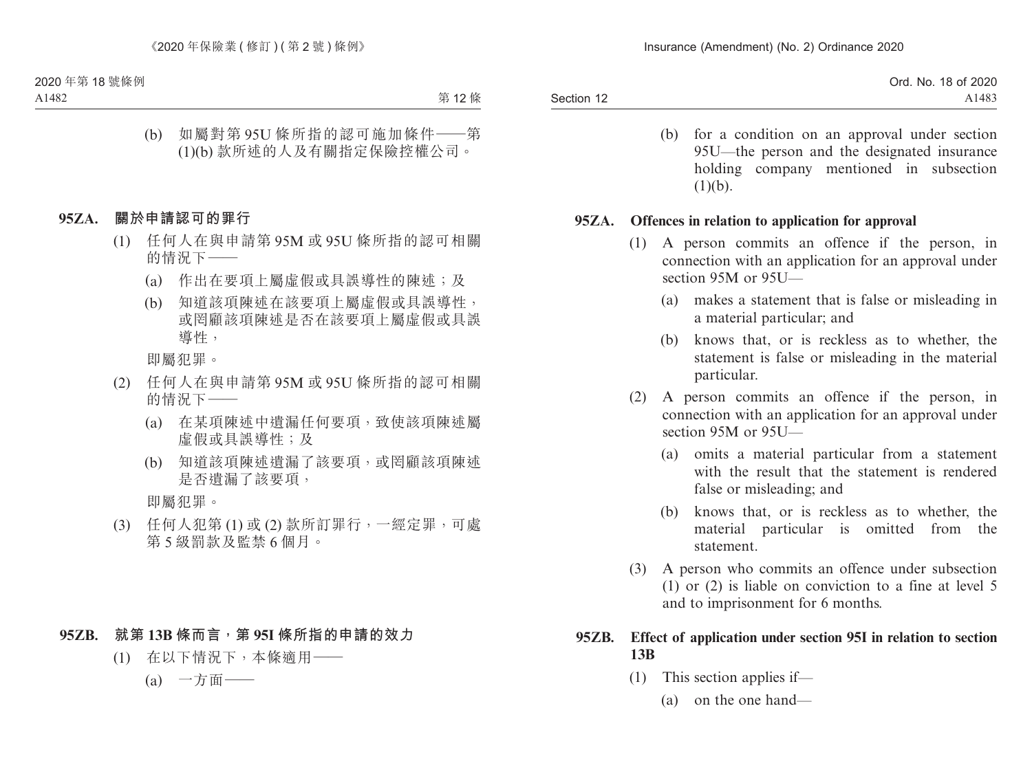|            | Ord. No. 18 of 2020 |
|------------|---------------------|
| Section 12 | A1483               |

(b) for a condition on an approval under section 95U—the person and the designated insurance holding company mentioned in subsection  $(1)(b)$ .

### **95ZA. Offences in relation to application for approval**

- (1) A person commits an offence if the person, in connection with an application for an approval under section 95M or 95U—
	- (a) makes a statement that is false or misleading in a material particular; and
	- (b) knows that, or is reckless as to whether, the statement is false or misleading in the material particular.
- (2) A person commits an offence if the person, in connection with an application for an approval under section 95M or 95U—
	- (a) omits a material particular from a statement with the result that the statement is rendered false or misleading; and
	- (b) knows that, or is reckless as to whether, the material particular is omitted from the statement.
- (3) A person who commits an offence under subsection (1) or (2) is liable on conviction to a fine at level 5 and to imprisonment for 6 months.

## **95ZB. Effect of application under section 95I in relation to section 13B**

- (1) This section applies if—
	- (a) on the one hand—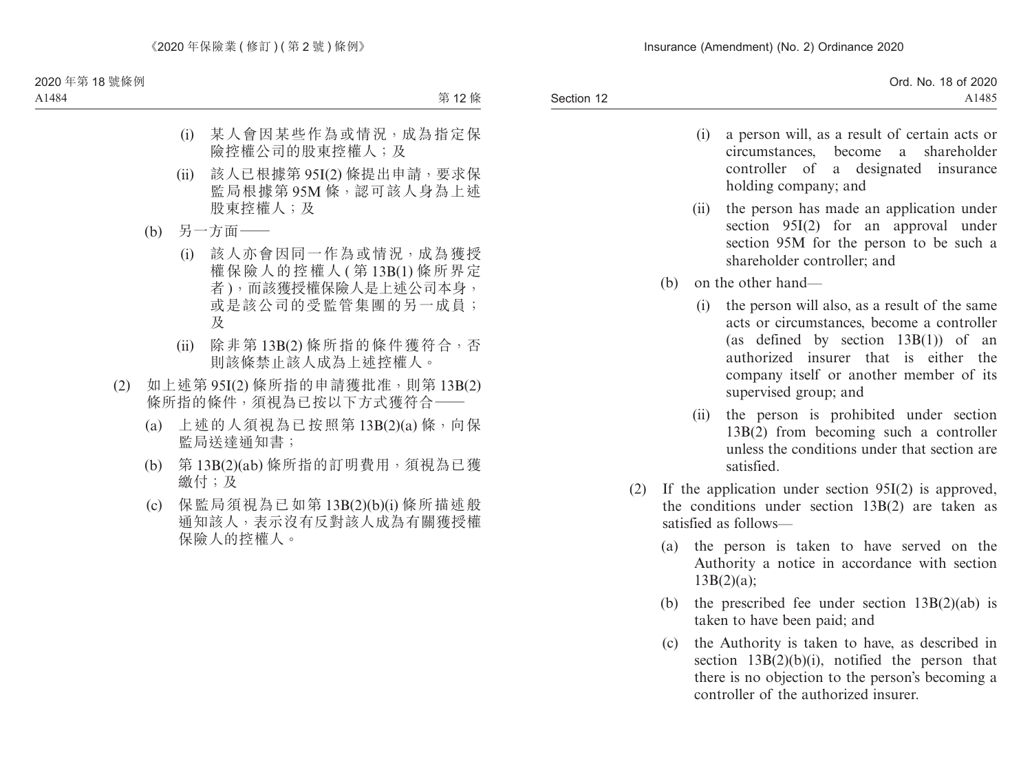- (i) a person will, as a result of certain acts or circumstances, become a shareholder controller of a designated insurance holding company; and
- (ii) the person has made an application under section 95I(2) for an approval under section 95M for the person to be such a shareholder controller; and
- (b) on the other hand—
	- (i) the person will also, as a result of the same acts or circumstances, become a controller (as defined by section 13B(1)) of an authorized insurer that is either the company itself or another member of its supervised group; and
	- (ii) the person is prohibited under section 13B(2) from becoming such a controller unless the conditions under that section are satisfied.
- (2) If the application under section 95I(2) is approved, the conditions under section 13B(2) are taken as satisfied as follows—
	- (a) the person is taken to have served on the Authority a notice in accordance with section 13B(2)(a);
	- (b) the prescribed fee under section  $13B(2)(ab)$  is taken to have been paid; and
	- (c) the Authority is taken to have, as described in section  $13B(2)(b)(i)$ , notified the person that there is no objection to the person's becoming a controller of the authorized insurer.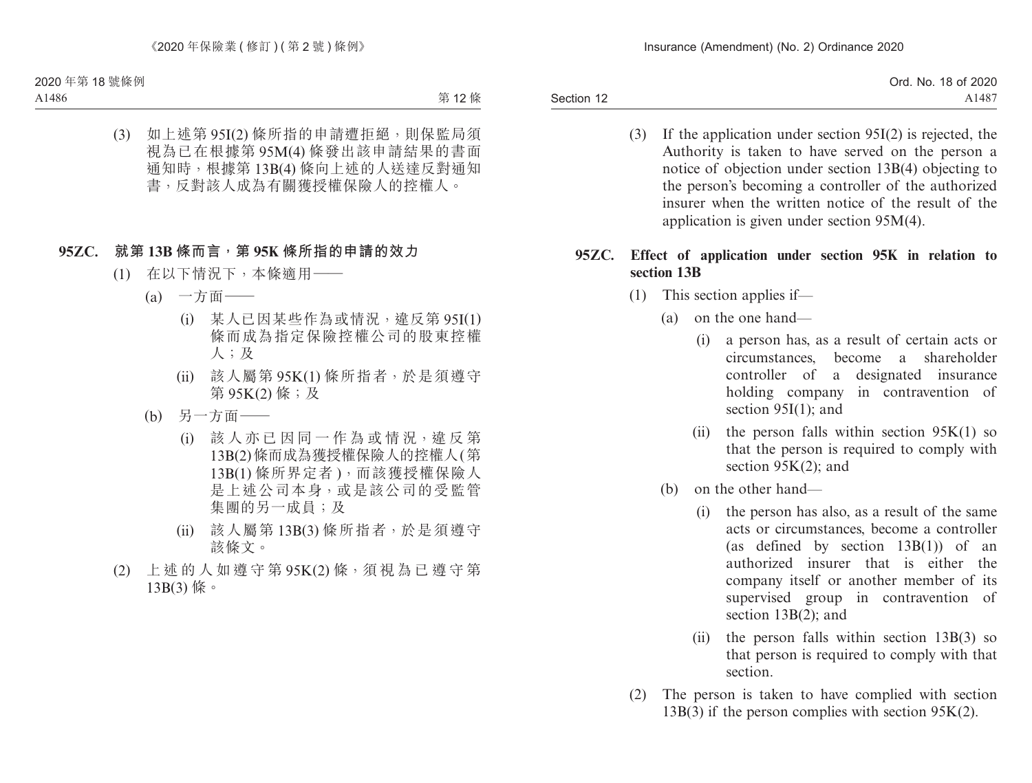> (3) If the application under section 95I(2) is rejected, the Authority is taken to have served on the person a notice of objection under section 13B(4) objecting to the person's becoming a controller of the authorized insurer when the written notice of the result of the application is given under section 95M(4).

# **95ZC. Effect of application under section 95K in relation to section 13B**

- (1) This section applies if—
	- (a) on the one hand—
		- (i) a person has, as a result of certain acts or circumstances, become a shareholder controller of a designated insurance holding company in contravention of section 95I(1); and
		- (ii) the person falls within section  $95K(1)$  so that the person is required to comply with section 95K(2); and
	- (b) on the other hand—
		- (i) the person has also, as a result of the same acts or circumstances, become a controller (as defined by section 13B(1)) of an authorized insurer that is either the company itself or another member of its supervised group in contravention of section 13B(2); and
		- (ii) the person falls within section 13B(3) so that person is required to comply with that section.
- (2) The person is taken to have complied with section  $13B(3)$  if the person complies with section 95K(2).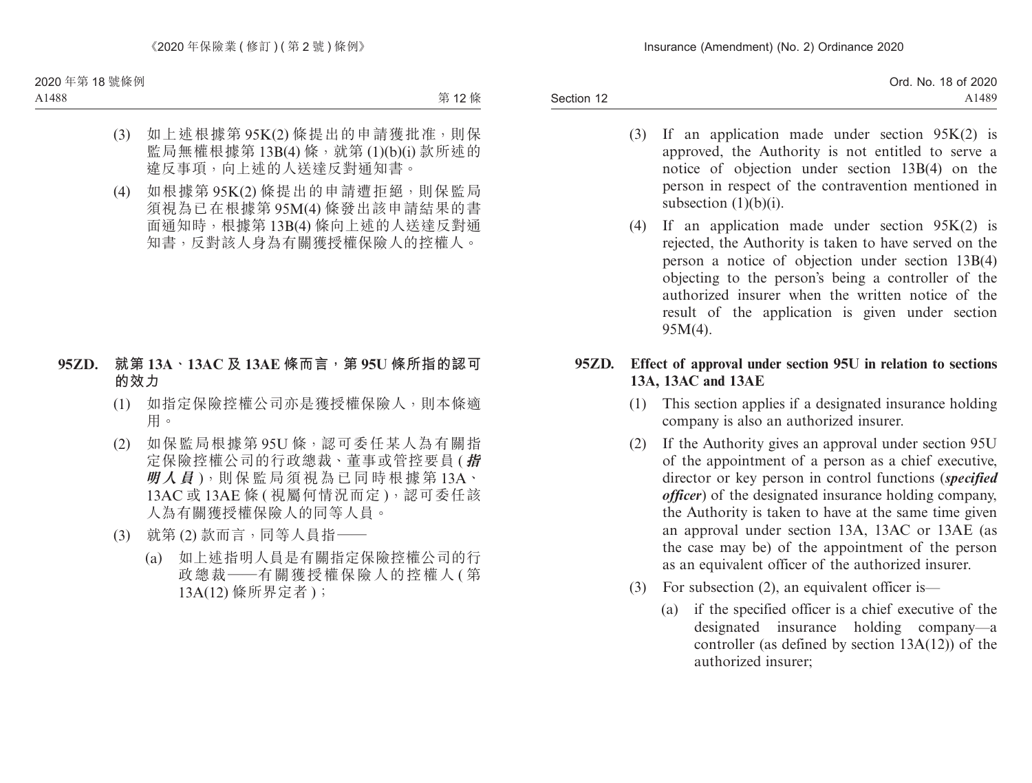- (3) If an application made under section  $95K(2)$  is approved, the Authority is not entitled to serve a notice of objection under section 13B(4) on the person in respect of the contravention mentioned in subsection (1)(b)(i).
- (4) If an application made under section  $95K(2)$  is rejected, the Authority is taken to have served on the person a notice of objection under section 13B(4) objecting to the person's being a controller of the authorized insurer when the written notice of the result of the application is given under section 95M(4).

## **95ZD. Effect of approval under section 95U in relation to sections 13A, 13AC and 13AE**

- (1) This section applies if a designated insurance holding company is also an authorized insurer.
- (2) If the Authority gives an approval under section 95U of the appointment of a person as a chief executive, director or key person in control functions (*specified officer*) of the designated insurance holding company, the Authority is taken to have at the same time given an approval under section 13A, 13AC or 13AE (as the case may be) of the appointment of the person as an equivalent officer of the authorized insurer.
- (3) For subsection (2), an equivalent officer is—
	- (a) if the specified officer is a chief executive of the designated insurance holding company—a controller (as defined by section 13A(12)) of the authorized insurer;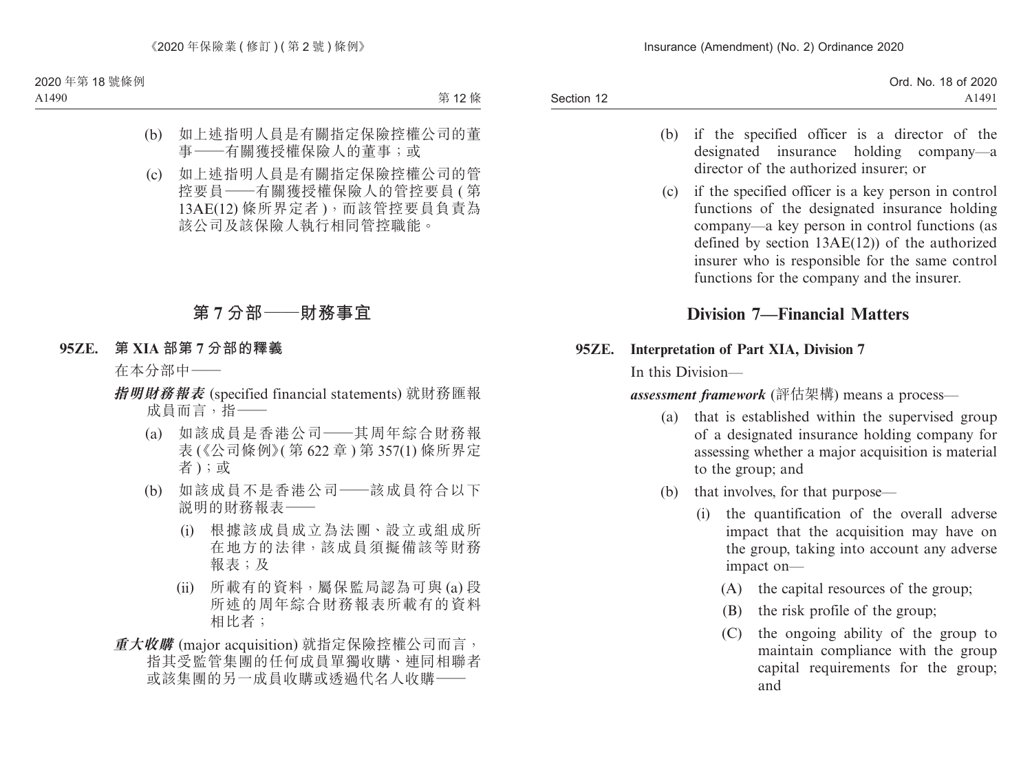- (b) if the specified officer is a director of the designated insurance holding company—a director of the authorized insurer; or
- (c) if the specified officer is a key person in control functions of the designated insurance holding company—a key person in control functions (as defined by section 13AE(12)) of the authorized insurer who is responsible for the same control functions for the company and the insurer.

# **Division 7—Financial Matters**

## **95ZE. Interpretation of Part XIA, Division 7**

In this Division—

*assessment framework* (評估架構) means a process—

- (a) that is established within the supervised group of a designated insurance holding company for assessing whether a major acquisition is material to the group; and
- (b) that involves, for that purpose—
	- (i) the quantification of the overall adverse impact that the acquisition may have on the group, taking into account any adverse impact on—
		- (A) the capital resources of the group;
		- (B) the risk profile of the group;
		- (C) the ongoing ability of the group to maintain compliance with the group capital requirements for the group; and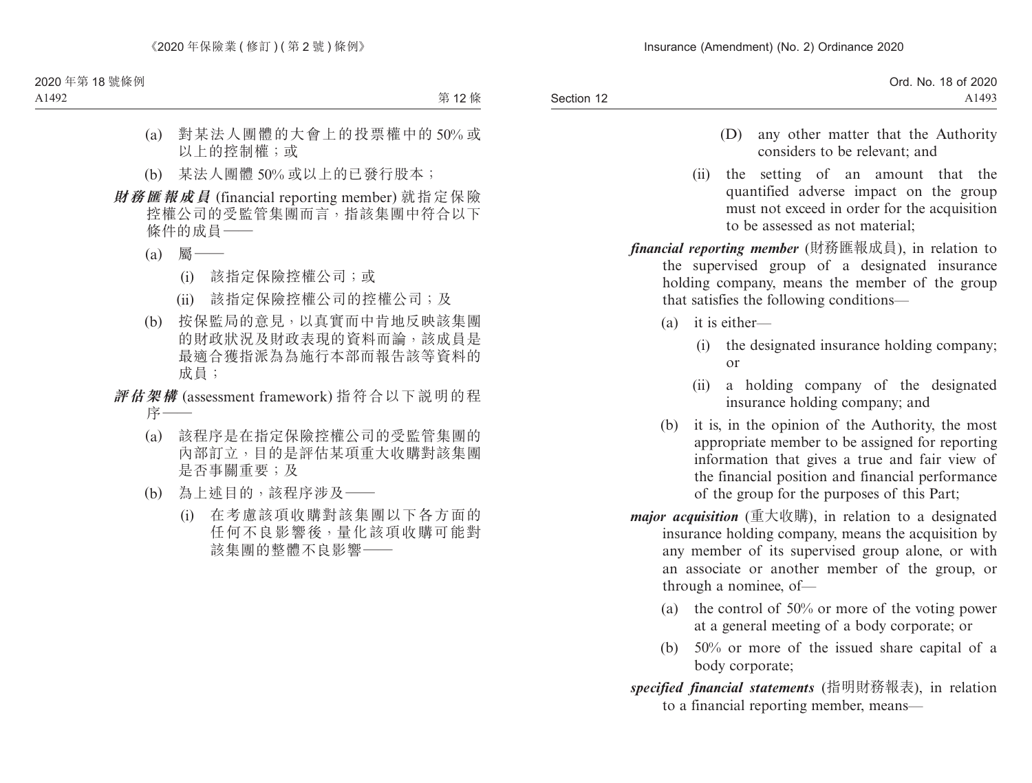|            | Ord. No. 18 of 2020 |
|------------|---------------------|
| Section 12 | A1493               |

- (D) any other matter that the Authority considers to be relevant; and
- (ii) the setting of an amount that the quantified adverse impact on the group must not exceed in order for the acquisition to be assessed as not material;
- *financial reporting member* (財務匯報成員), in relation to the supervised group of a designated insurance holding company, means the member of the group that satisfies the following conditions—
	- (a) it is either—
		- (i) the designated insurance holding company; or
		- (ii) a holding company of the designated insurance holding company; and
	- (b) it is, in the opinion of the Authority, the most appropriate member to be assigned for reporting information that gives a true and fair view of the financial position and financial performance of the group for the purposes of this Part;
- *major acquisition* (重大收購), in relation to a designated insurance holding company, means the acquisition by any member of its supervised group alone, or with an associate or another member of the group, or through a nominee, of—
	- (a) the control of 50% or more of the voting power at a general meeting of a body corporate; or
	- (b) 50% or more of the issued share capital of a body corporate;
- *specified financial statements* (指明財務報表), in relation to a financial reporting member, means—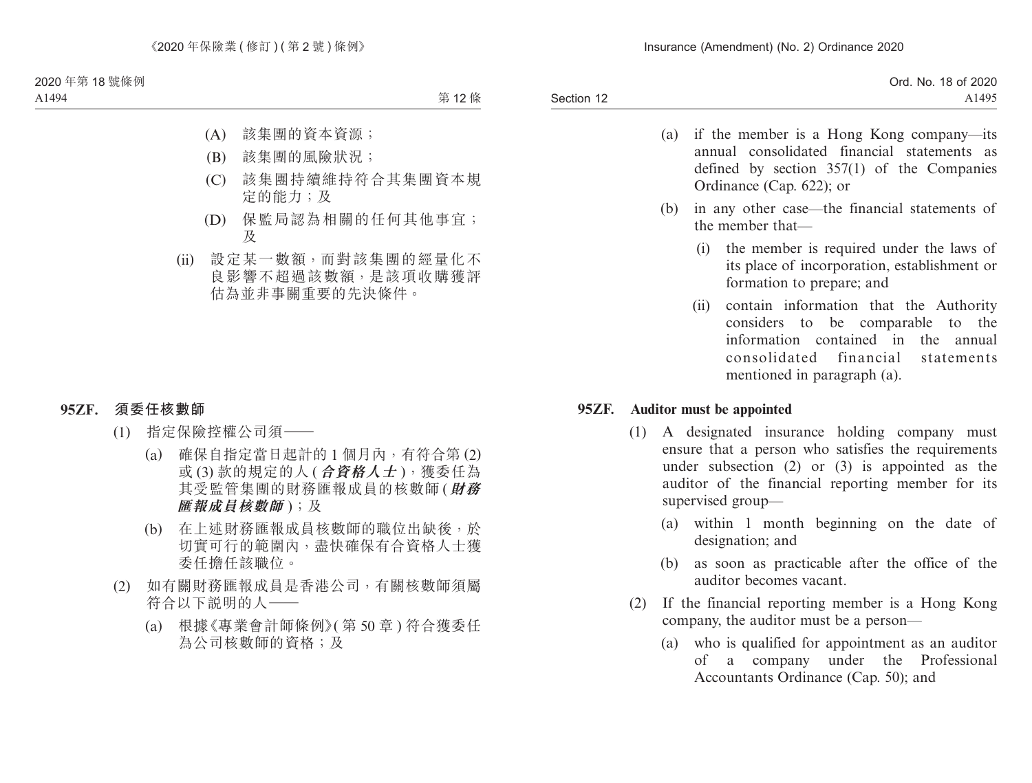| Ord. No. 18 of 2020 |
|---------------------|
| A1495               |
|                     |

- (a) if the member is a Hong Kong company—its annual consolidated financial statements as defined by section 357(1) of the Companies Ordinance (Cap. 622); or
- (b) in any other case—the financial statements of the member that—
	- (i) the member is required under the laws of its place of incorporation, establishment or formation to prepare; and
	- (ii) contain information that the Authority considers to be comparable to the information contained in the annual consolidated financial statements mentioned in paragraph (a).

### **95ZF. Auditor must be appointed**

- (1) A designated insurance holding company must ensure that a person who satisfies the requirements under subsection (2) or (3) is appointed as the auditor of the financial reporting member for its supervised group—
	- (a) within 1 month beginning on the date of designation; and
	- (b) as soon as practicable after the office of the auditor becomes vacant.
- (2) If the financial reporting member is a Hong Kong company, the auditor must be a person—
	- (a) who is qualified for appointment as an auditor of a company under the Professional Accountants Ordinance (Cap. 50); and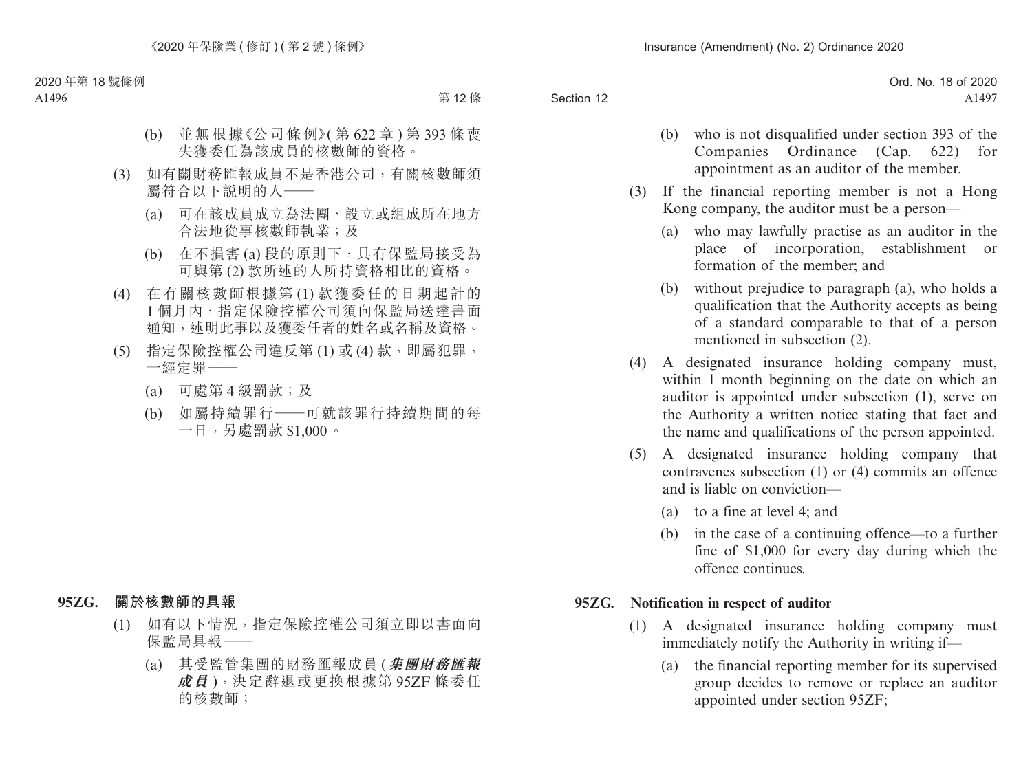|            | Ord. No. 18 of 2020 |
|------------|---------------------|
| Section 12 | A1497               |
|            |                     |

- (b) who is not disqualified under section 393 of the Companies Ordinance (Cap. 622) for appointment as an auditor of the member.
- (3) If the financial reporting member is not a Hong Kong company, the auditor must be a person—
	- (a) who may lawfully practise as an auditor in the place of incorporation, establishment or formation of the member; and
	- (b) without prejudice to paragraph (a), who holds a qualification that the Authority accepts as being of a standard comparable to that of a person mentioned in subsection (2).
- (4) A designated insurance holding company must, within 1 month beginning on the date on which an auditor is appointed under subsection (1), serve on the Authority a written notice stating that fact and the name and qualifications of the person appointed.
- (5) A designated insurance holding company that contravenes subsection (1) or (4) commits an offence and is liable on conviction—
	- (a) to a fine at level 4; and
	- (b) in the case of a continuing offence—to a further fine of \$1,000 for every day during which the offence continues.

### **95ZG. Notification in respect of auditor**

- (1) A designated insurance holding company must immediately notify the Authority in writing if—
	- (a) the financial reporting member for its supervised group decides to remove or replace an auditor appointed under section 95ZF;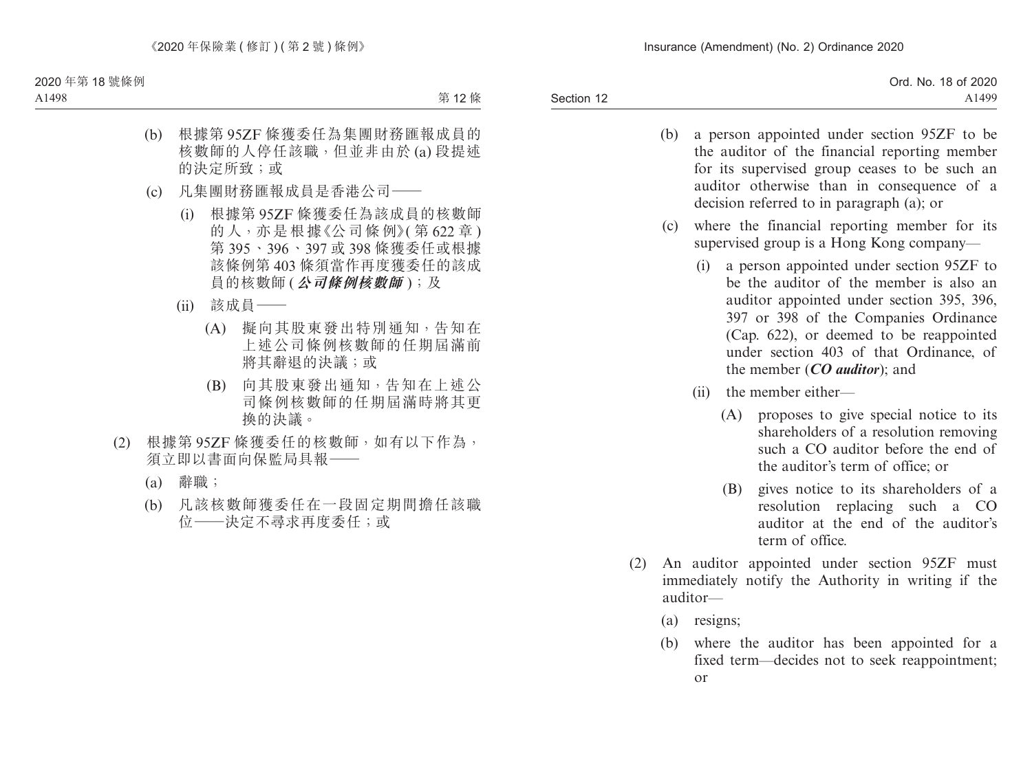|            | Ord. No. 18 of 2020 |
|------------|---------------------|
| Section 12 | A1499               |

- (b) a person appointed under section 95ZF to be the auditor of the financial reporting member for its supervised group ceases to be such an auditor otherwise than in consequence of a decision referred to in paragraph (a); or
- (c) where the financial reporting member for its supervised group is a Hong Kong company—
	- (i) a person appointed under section 95ZF to be the auditor of the member is also an auditor appointed under section 395, 396, 397 or 398 of the Companies Ordinance (Cap. 622), or deemed to be reappointed under section 403 of that Ordinance, of the member (*CO auditor*); and
	- (ii) the member either—
		- (A) proposes to give special notice to its shareholders of a resolution removing such a CO auditor before the end of the auditor's term of office; or
		- (B) gives notice to its shareholders of a resolution replacing such a CO auditor at the end of the auditor's term of office.
- (2) An auditor appointed under section 95ZF must immediately notify the Authority in writing if the auditor—
	- (a) resigns;
	- (b) where the auditor has been appointed for a fixed term—decides not to seek reappointment; or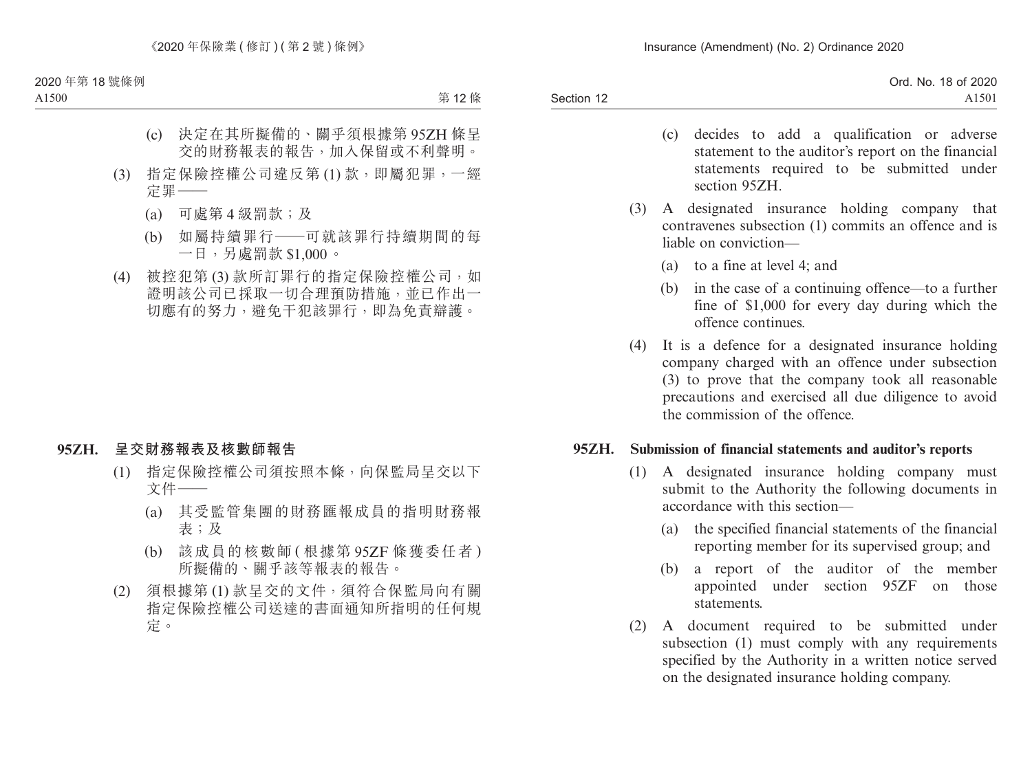| Ord. No. 18 of 2020 |
|---------------------|
| A1501               |
|                     |

- (c) decides to add a qualification or adverse statement to the auditor's report on the financial statements required to be submitted under section 95ZH.
- (3) A designated insurance holding company that contravenes subsection (1) commits an offence and is liable on conviction—
	- (a) to a fine at level 4; and
	- (b) in the case of a continuing offence—to a further fine of \$1,000 for every day during which the offence continues.
- (4) It is a defence for a designated insurance holding company charged with an offence under subsection (3) to prove that the company took all reasonable precautions and exercised all due diligence to avoid the commission of the offence.

### **95ZH. Submission of financial statements and auditor's reports**

- (1) A designated insurance holding company must submit to the Authority the following documents in accordance with this section—
	- (a) the specified financial statements of the financial reporting member for its supervised group; and
	- (b) a report of the auditor of the member appointed under section 95ZF on those statements.
- (2) A document required to be submitted under subsection (1) must comply with any requirements specified by the Authority in a written notice served on the designated insurance holding company.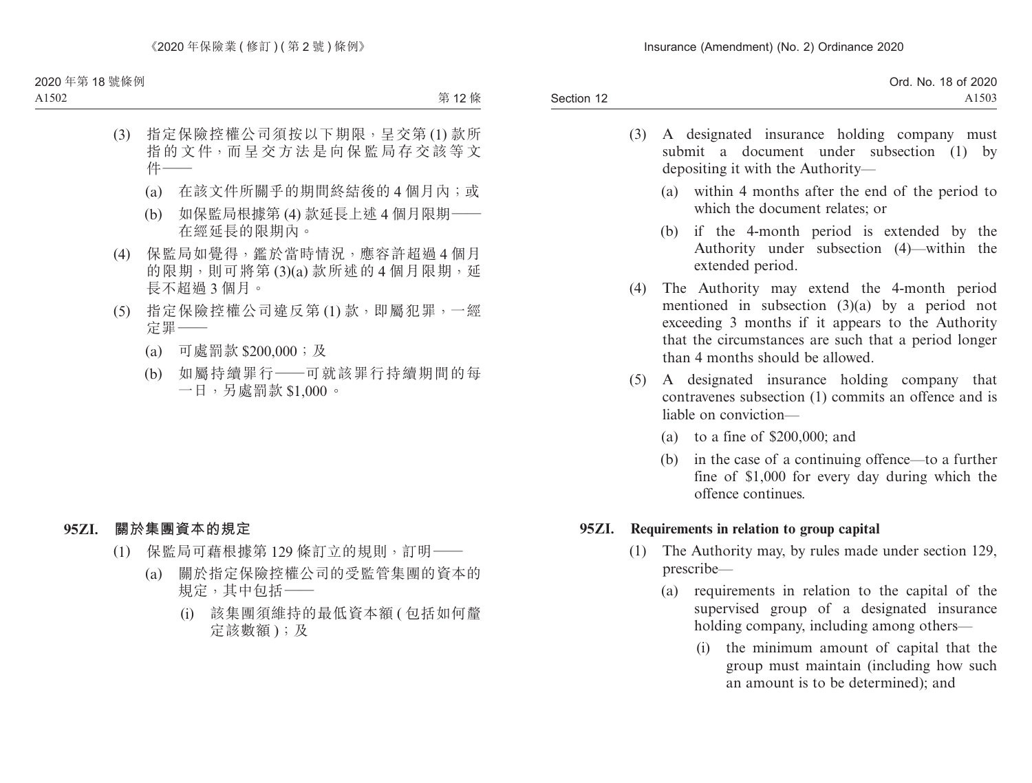|            | Ord. No. 18 of 2020 |
|------------|---------------------|
| Section 12 | A1503               |
|            |                     |

- (3) A designated insurance holding company must submit a document under subsection (1) by depositing it with the Authority—
	- (a) within 4 months after the end of the period to which the document relates; or
	- (b) if the 4-month period is extended by the Authority under subsection (4)—within the extended period.
- (4) The Authority may extend the 4-month period mentioned in subsection (3)(a) by a period not exceeding 3 months if it appears to the Authority that the circumstances are such that a period longer than 4 months should be allowed.
- (5) A designated insurance holding company that contravenes subsection (1) commits an offence and is liable on conviction—
	- (a) to a fine of \$200,000; and
	- (b) in the case of a continuing offence—to a further fine of \$1,000 for every day during which the offence continues.

### **95ZI. Requirements in relation to group capital**

- (1) The Authority may, by rules made under section 129, prescribe—
	- (a) requirements in relation to the capital of the supervised group of a designated insurance holding company, including among others—
		- (i) the minimum amount of capital that the group must maintain (including how such an amount is to be determined); and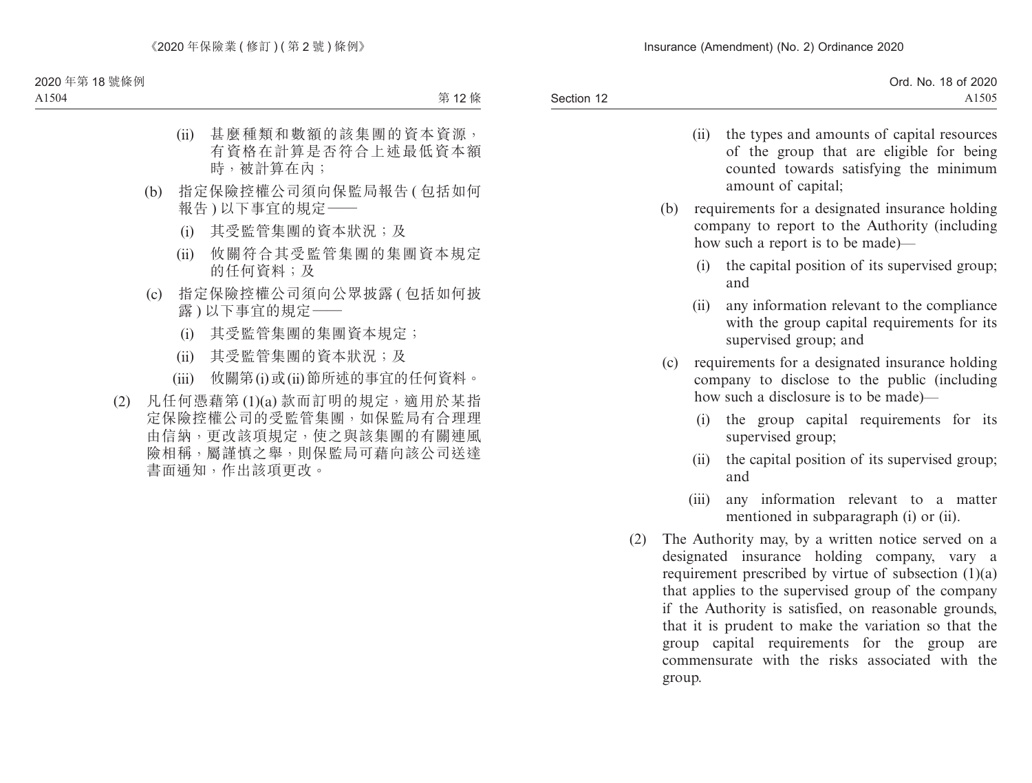|            | Ord. No. 18 of 2020 |
|------------|---------------------|
| Section 12 | A1505               |

- (ii) the types and amounts of capital resources of the group that are eligible for being counted towards satisfying the minimum amount of capital;
- (b) requirements for a designated insurance holding company to report to the Authority (including how such a report is to be made)—
	- (i) the capital position of its supervised group; and
	- (ii) any information relevant to the compliance with the group capital requirements for its supervised group; and
- (c) requirements for a designated insurance holding company to disclose to the public (including how such a disclosure is to be made)—
	- (i) the group capital requirements for its supervised group;
	- (ii) the capital position of its supervised group; and
	- (iii) any information relevant to a matter mentioned in subparagraph (i) or (ii).
- (2) The Authority may, by a written notice served on a designated insurance holding company, vary a requirement prescribed by virtue of subsection (1)(a) that applies to the supervised group of the company if the Authority is satisfied, on reasonable grounds, that it is prudent to make the variation so that the group capital requirements for the group are commensurate with the risks associated with the group.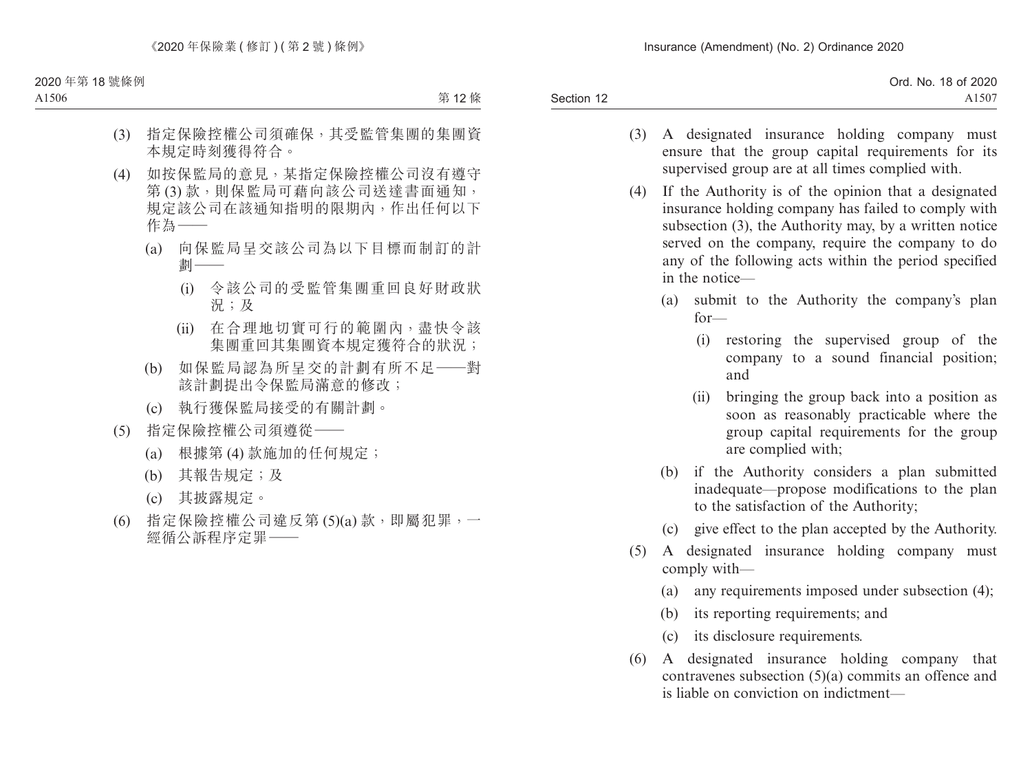|            | Ord. No. 18 of 2020 |
|------------|---------------------|
| Section 12 | $A150^{\circ}$      |

- (3) A designated insurance holding company must ensure that the group capital requirements for its supervised group are at all times complied with.
- (4) If the Authority is of the opinion that a designated insurance holding company has failed to comply with subsection (3), the Authority may, by a written notice served on the company, require the company to do any of the following acts within the period specified in the notice—
	- (a) submit to the Authority the company's plan for—
		- (i) restoring the supervised group of the company to a sound financial position; and
		- (ii) bringing the group back into a position as soon as reasonably practicable where the group capital requirements for the group are complied with;
	- (b) if the Authority considers a plan submitted inadequate—propose modifications to the plan to the satisfaction of the Authority;
	- (c) give effect to the plan accepted by the Authority.
- (5) A designated insurance holding company must comply with—
	- (a) any requirements imposed under subsection (4);
	- (b) its reporting requirements; and
	- (c) its disclosure requirements.
- (6) A designated insurance holding company that contravenes subsection (5)(a) commits an offence and is liable on conviction on indictment—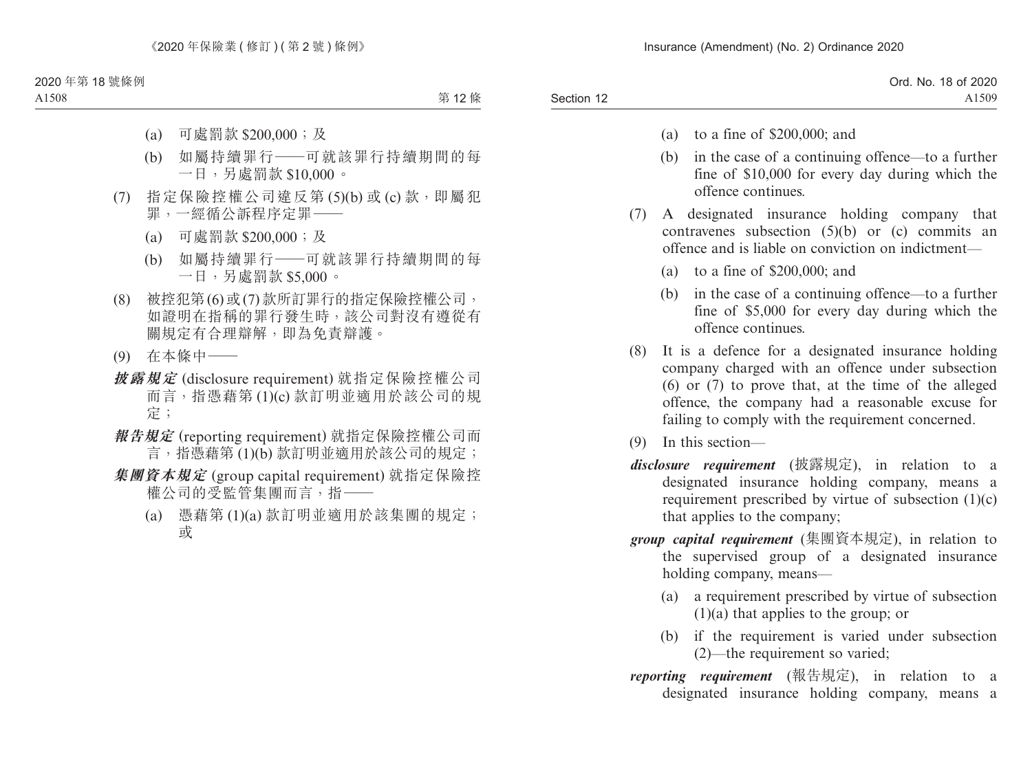- (a) to a fine of \$200,000; and
- (b) in the case of a continuing offence—to a further fine of \$10,000 for every day during which the offence continues.
- (7) A designated insurance holding company that contravenes subsection (5)(b) or (c) commits an offence and is liable on conviction on indictment—
	- (a) to a fine of \$200,000; and
	- (b) in the case of a continuing offence—to a further fine of \$5,000 for every day during which the offence continues.
- (8) It is a defence for a designated insurance holding company charged with an offence under subsection (6) or (7) to prove that, at the time of the alleged offence, the company had a reasonable excuse for failing to comply with the requirement concerned.
- (9) In this section—
- *disclosure requirement* (披露規定), in relation to a designated insurance holding company, means a requirement prescribed by virtue of subsection (1)(c) that applies to the company;
- *group capital requirement* (集團資本規定), in relation to the supervised group of a designated insurance holding company, means—
	- (a) a requirement prescribed by virtue of subsection (1)(a) that applies to the group; or
	- (b) if the requirement is varied under subsection (2)—the requirement so varied;
- *reporting requirement* (報告規定), in relation to a designated insurance holding company, means a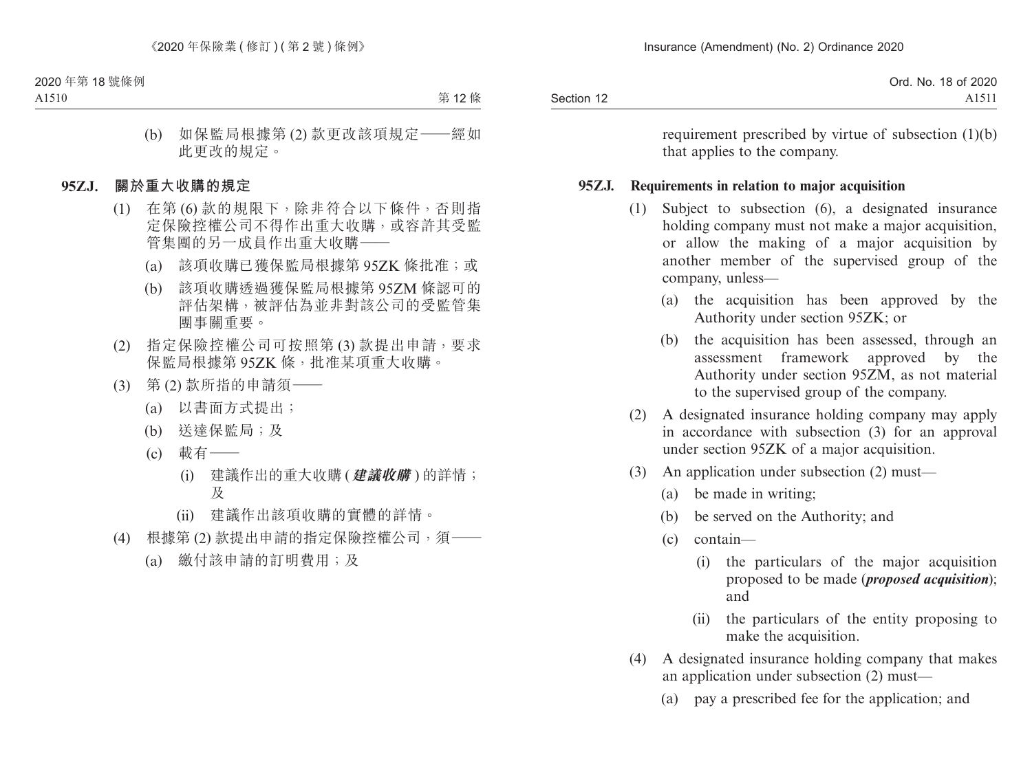|            | 18 of 2020<br>Ord. No. |
|------------|------------------------|
| Section 12 | 71711                  |

requirement prescribed by virtue of subsection (1)(b) that applies to the company.

### **95ZJ. Requirements in relation to major acquisition**

- (1) Subject to subsection (6), a designated insurance holding company must not make a major acquisition, or allow the making of a major acquisition by another member of the supervised group of the company, unless—
	- (a) the acquisition has been approved by the Authority under section 95ZK; or
	- (b) the acquisition has been assessed, through an assessment framework approved by the Authority under section 95ZM, as not material to the supervised group of the company.
- (2) A designated insurance holding company may apply in accordance with subsection (3) for an approval under section 95ZK of a major acquisition.
- (3) An application under subsection (2) must—
	- (a) be made in writing;
	- (b) be served on the Authority; and
	- (c) contain—
		- (i) the particulars of the major acquisition proposed to be made (*proposed acquisition*); and
		- (ii) the particulars of the entity proposing to make the acquisition.
- (4) A designated insurance holding company that makes an application under subsection (2) must—
	- (a) pay a prescribed fee for the application; and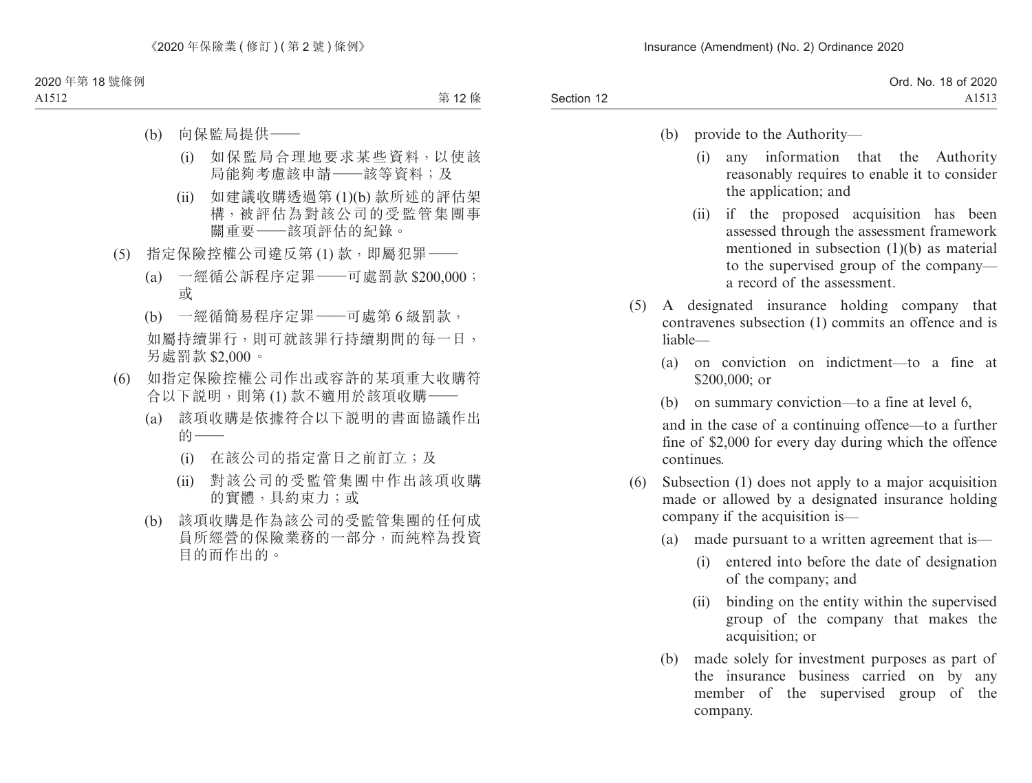- (b) provide to the Authority—
	- (i) any information that the Authority reasonably requires to enable it to consider the application; and
	- (ii) if the proposed acquisition has been assessed through the assessment framework mentioned in subsection (1)(b) as material to the supervised group of the company a record of the assessment.
- (5) A designated insurance holding company that contravenes subsection (1) commits an offence and is liable—
	- (a) on conviction on indictment—to a fine at \$200,000; or
	- (b) on summary conviction—to a fine at level 6,

and in the case of a continuing offence—to a further fine of \$2,000 for every day during which the offence continues.

- (6) Subsection (1) does not apply to a major acquisition made or allowed by a designated insurance holding company if the acquisition is—
	- (a) made pursuant to a written agreement that is—
		- (i) entered into before the date of designation of the company; and
		- (ii) binding on the entity within the supervised group of the company that makes the acquisition; or
	- (b) made solely for investment purposes as part of the insurance business carried on by any member of the supervised group of the company.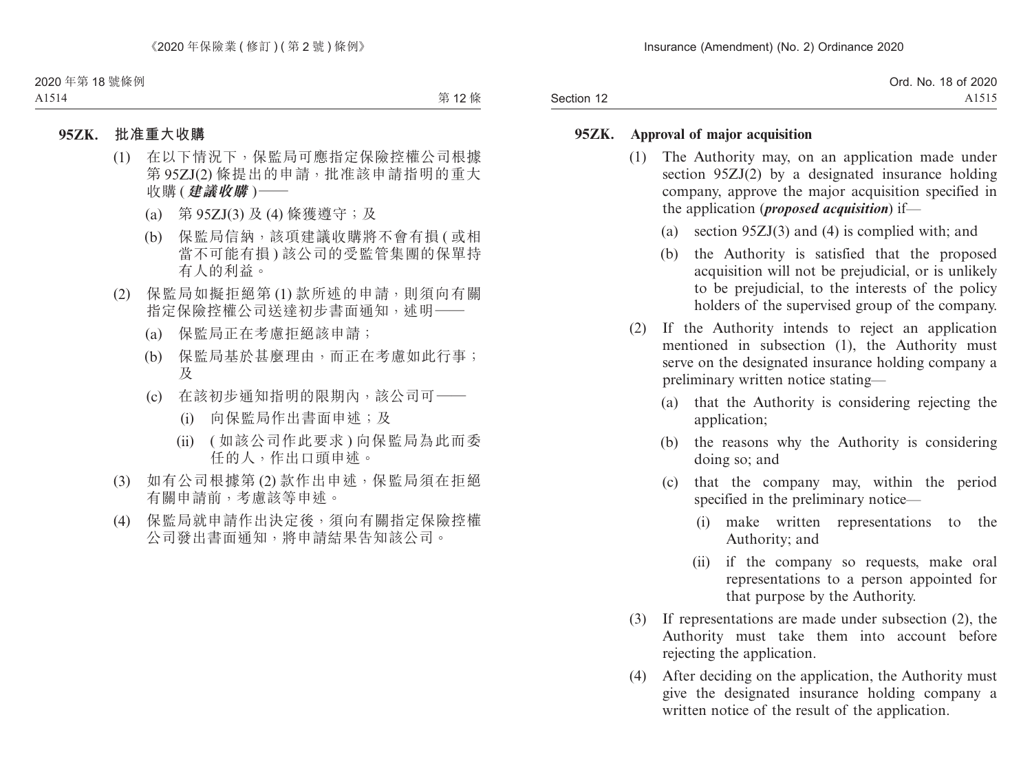|            | Ord. No. 18 of 2020 |
|------------|---------------------|
| Section 12 | A1515               |

### **95ZK. Approval of major acquisition**

- (1) The Authority may, on an application made under section 95ZJ(2) by a designated insurance holding company, approve the major acquisition specified in the application (*proposed acquisition*) if—
	- (a) section 95ZJ(3) and (4) is complied with; and
	- (b) the Authority is satisfied that the proposed acquisition will not be prejudicial, or is unlikely to be prejudicial, to the interests of the policy holders of the supervised group of the company.
- (2) If the Authority intends to reject an application mentioned in subsection (1), the Authority must serve on the designated insurance holding company a preliminary written notice stating—
	- (a) that the Authority is considering rejecting the application;
	- (b) the reasons why the Authority is considering doing so; and
	- (c) that the company may, within the period specified in the preliminary notice—
		- (i) make written representations to the Authority; and
		- (ii) if the company so requests, make oral representations to a person appointed for that purpose by the Authority.
- (3) If representations are made under subsection (2), the Authority must take them into account before rejecting the application.
- (4) After deciding on the application, the Authority must give the designated insurance holding company a written notice of the result of the application.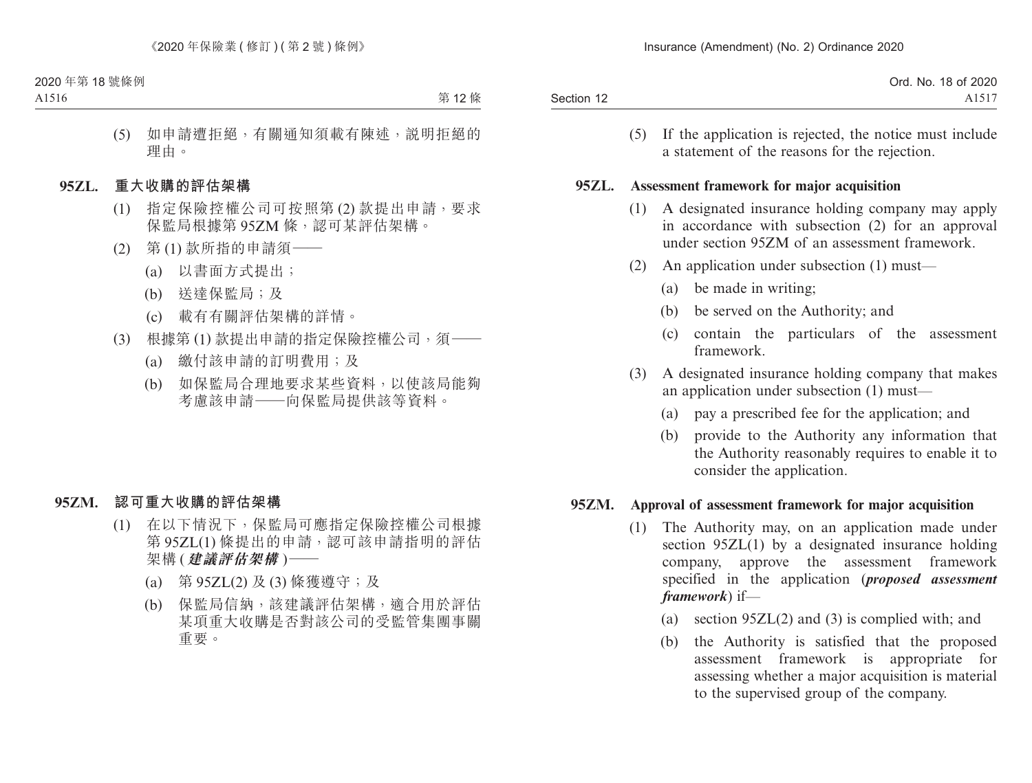|            | Ord. No. 18 of 2020 |
|------------|---------------------|
| Section 12 | A1517               |

(5) If the application is rejected, the notice must include a statement of the reasons for the rejection.

#### **95ZL. Assessment framework for major acquisition**

- (1) A designated insurance holding company may apply in accordance with subsection (2) for an approval under section 95ZM of an assessment framework.
- (2) An application under subsection (1) must—
	- (a) be made in writing;
	- (b) be served on the Authority; and
	- (c) contain the particulars of the assessment framework.
- (3) A designated insurance holding company that makes an application under subsection (1) must—
	- (a) pay a prescribed fee for the application; and
	- (b) provide to the Authority any information that the Authority reasonably requires to enable it to consider the application.

### **95ZM. Approval of assessment framework for major acquisition**

- (1) The Authority may, on an application made under section 95ZL(1) by a designated insurance holding company, approve the assessment framework specified in the application (*proposed assessment framework*) if—
	- (a) section 95ZL(2) and (3) is complied with; and
	- (b) the Authority is satisfied that the proposed assessment framework is appropriate for assessing whether a major acquisition is material to the supervised group of the company.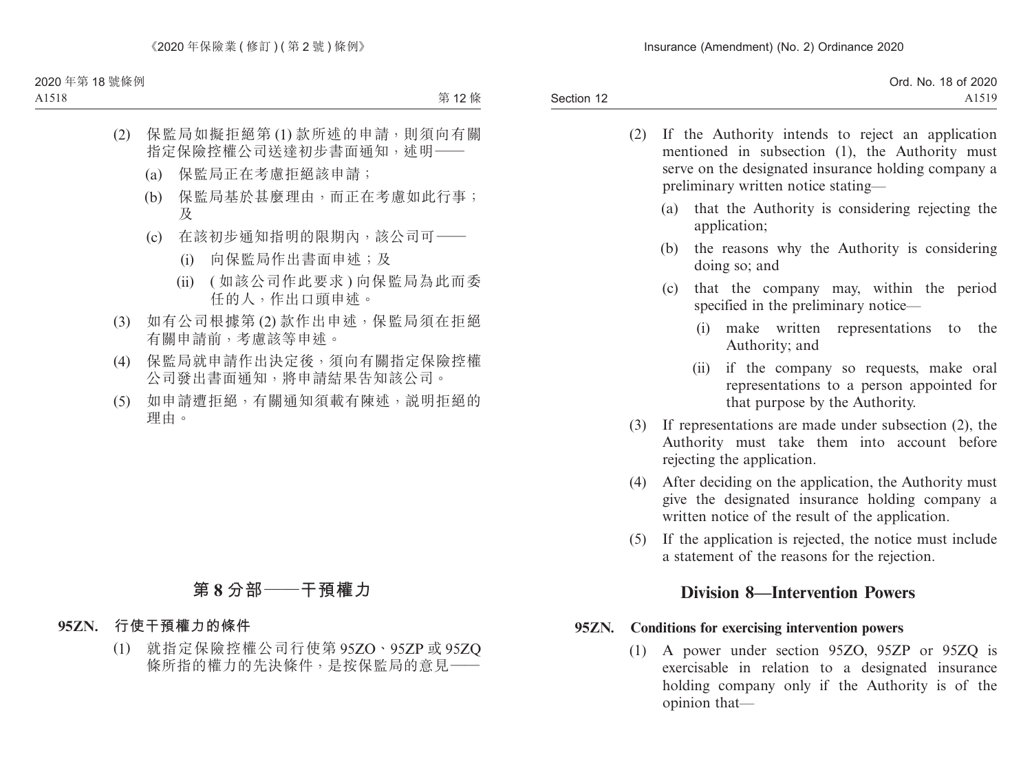| Ord. No. 18 of 2020 |  |
|---------------------|--|
|                     |  |
|                     |  |

- (2) If the Authority intends to reject an application mentioned in subsection (1), the Authority must serve on the designated insurance holding company a preliminary written notice stating—
	- (a) that the Authority is considering rejecting the application;
	- (b) the reasons why the Authority is considering doing so; and
	- (c) that the company may, within the period specified in the preliminary notice—
		- (i) make written representations to the Authority; and
		- (ii) if the company so requests, make oral representations to a person appointed for that purpose by the Authority.
- (3) If representations are made under subsection (2), the Authority must take them into account before rejecting the application.
- (4) After deciding on the application, the Authority must give the designated insurance holding company a written notice of the result of the application.
- (5) If the application is rejected, the notice must include a statement of the reasons for the rejection.

# **Division 8—Intervention Powers**

### **95ZN. Conditions for exercising intervention powers**

(1) A power under section 95ZO, 95ZP or 95ZQ is exercisable in relation to a designated insurance holding company only if the Authority is of the opinion that—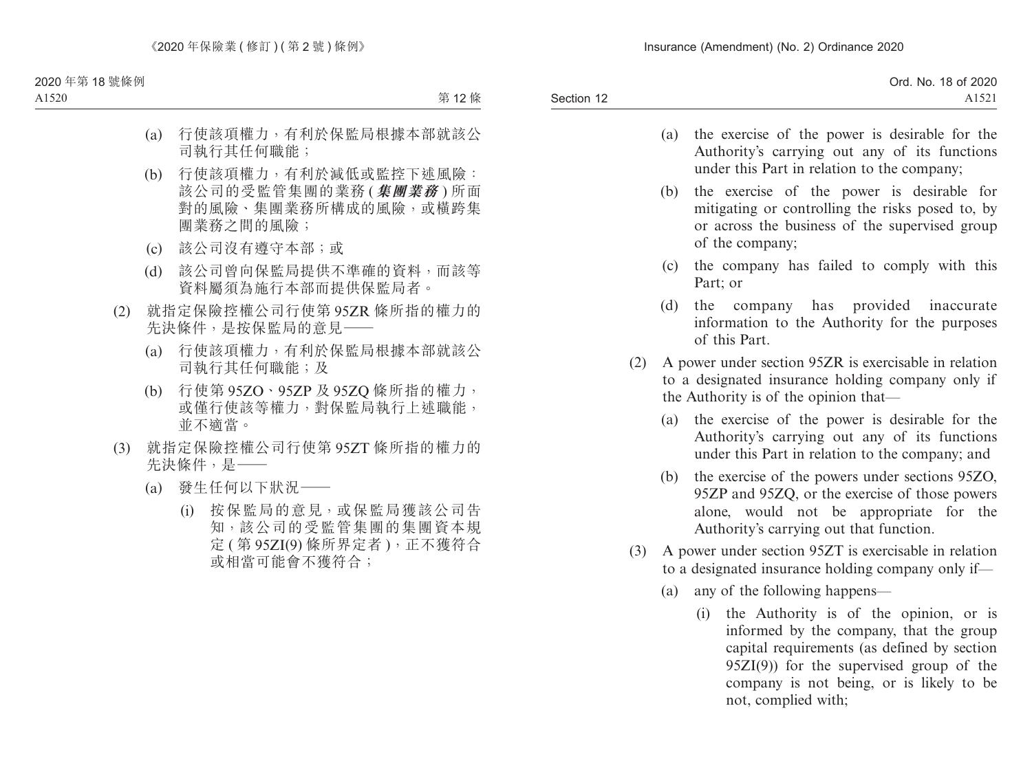|            | Ord. No. 18 of 2020 |
|------------|---------------------|
| Section 12 | A1521               |
|            |                     |

- (a) the exercise of the power is desirable for the Authority's carrying out any of its functions under this Part in relation to the company;
- (b) the exercise of the power is desirable for mitigating or controlling the risks posed to, by or across the business of the supervised group of the company;
- (c) the company has failed to comply with this Part; or
- (d) the company has provided inaccurate information to the Authority for the purposes of this Part.
- (2) A power under section 95ZR is exercisable in relation to a designated insurance holding company only if the Authority is of the opinion that—
	- (a) the exercise of the power is desirable for the Authority's carrying out any of its functions under this Part in relation to the company; and
	- (b) the exercise of the powers under sections 95ZO, 95ZP and 95ZQ, or the exercise of those powers alone, would not be appropriate for the Authority's carrying out that function.
- (3) A power under section 95ZT is exercisable in relation to a designated insurance holding company only if—
	- (a) any of the following happens—
		- (i) the Authority is of the opinion, or is informed by the company, that the group capital requirements (as defined by section 95ZI(9)) for the supervised group of the company is not being, or is likely to be not, complied with;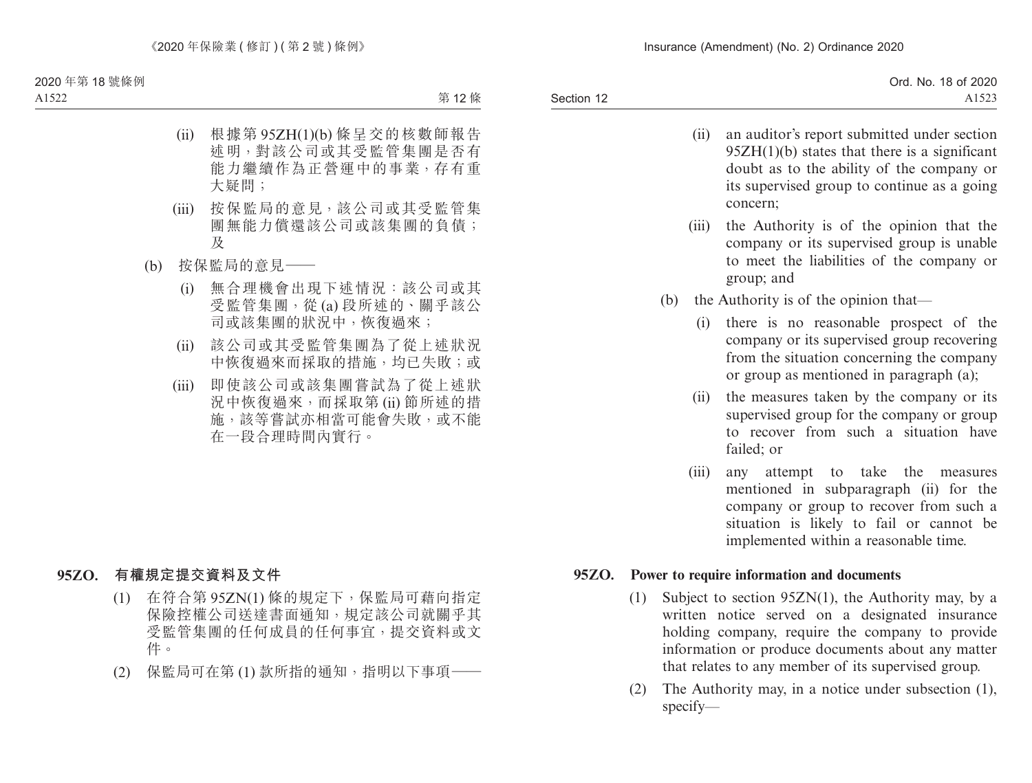|            | Ord. No. 18 of 2020 |
|------------|---------------------|
| Section 12 | A152                |

- (ii) an auditor's report submitted under section 95ZH(1)(b) states that there is a significant doubt as to the ability of the company or its supervised group to continue as a going concern;
- (iii) the Authority is of the opinion that the company or its supervised group is unable to meet the liabilities of the company or group; and
- (b) the Authority is of the opinion that—
	- (i) there is no reasonable prospect of the company or its supervised group recovering from the situation concerning the company or group as mentioned in paragraph (a);
	- (ii) the measures taken by the company or its supervised group for the company or group to recover from such a situation have failed; or
	- (iii) any attempt to take the measures mentioned in subparagraph (ii) for the company or group to recover from such a situation is likely to fail or cannot be implemented within a reasonable time.

### **95ZO. Power to require information and documents**

- (1) Subject to section 95ZN(1), the Authority may, by a written notice served on a designated insurance holding company, require the company to provide information or produce documents about any matter that relates to any member of its supervised group.
- (2) The Authority may, in a notice under subsection (1), specify—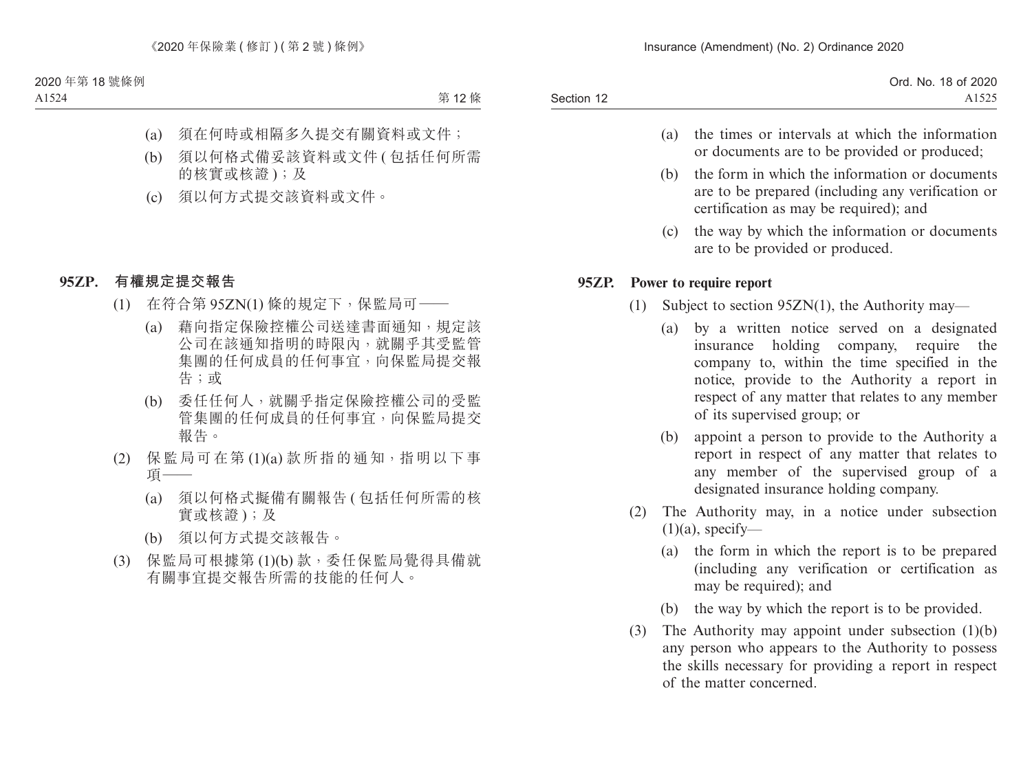|            | Ord. No. 18 of 2020 |
|------------|---------------------|
| Section 12 | A1525               |

- (a) the times or intervals at which the information or documents are to be provided or produced;
- (b) the form in which the information or documents are to be prepared (including any verification or certification as may be required); and
- (c) the way by which the information or documents are to be provided or produced.

### **95ZP. Power to require report**

- (1) Subject to section 95ZN(1), the Authority may—
	- (a) by a written notice served on a designated insurance holding company, require the company to, within the time specified in the notice, provide to the Authority a report in respect of any matter that relates to any member of its supervised group; or
	- (b) appoint a person to provide to the Authority a report in respect of any matter that relates to any member of the supervised group of a designated insurance holding company.
- (2) The Authority may, in a notice under subsection  $(1)(a)$ , specify—
	- (a) the form in which the report is to be prepared (including any verification or certification as may be required); and
	- (b) the way by which the report is to be provided.
- (3) The Authority may appoint under subsection  $(1)(b)$ any person who appears to the Authority to possess the skills necessary for providing a report in respect of the matter concerned.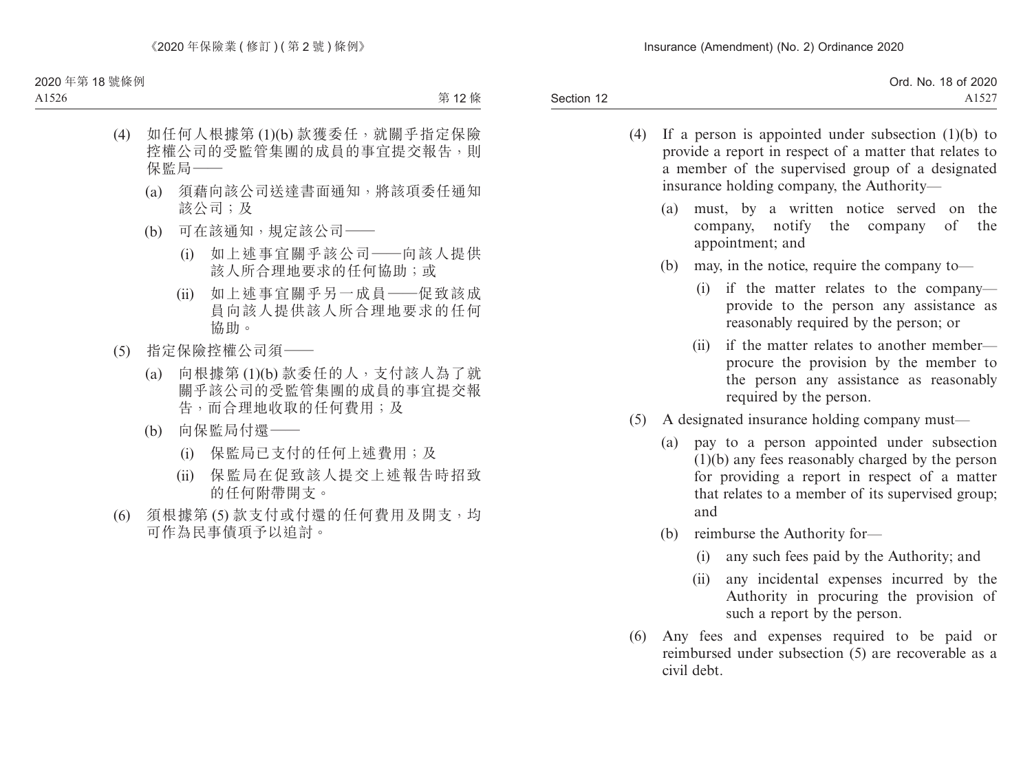|            | Ord. No. 18 of 2020 |
|------------|---------------------|
| Section 12 | $A152^-$            |

- (4) If a person is appointed under subsection (1)(b) to provide a report in respect of a matter that relates to a member of the supervised group of a designated insurance holding company, the Authority—
	- (a) must, by a written notice served on the company, notify the company of the appointment; and
	- (b) may, in the notice, require the company to—
		- (i) if the matter relates to the company provide to the person any assistance as reasonably required by the person; or
		- (ii) if the matter relates to another member procure the provision by the member to the person any assistance as reasonably required by the person.
- (5) A designated insurance holding company must—
	- (a) pay to a person appointed under subsection (1)(b) any fees reasonably charged by the person for providing a report in respect of a matter that relates to a member of its supervised group; and
	- (b) reimburse the Authority for—
		- (i) any such fees paid by the Authority; and
		- (ii) any incidental expenses incurred by the Authority in procuring the provision of such a report by the person.
- (6) Any fees and expenses required to be paid or reimbursed under subsection (5) are recoverable as a civil debt.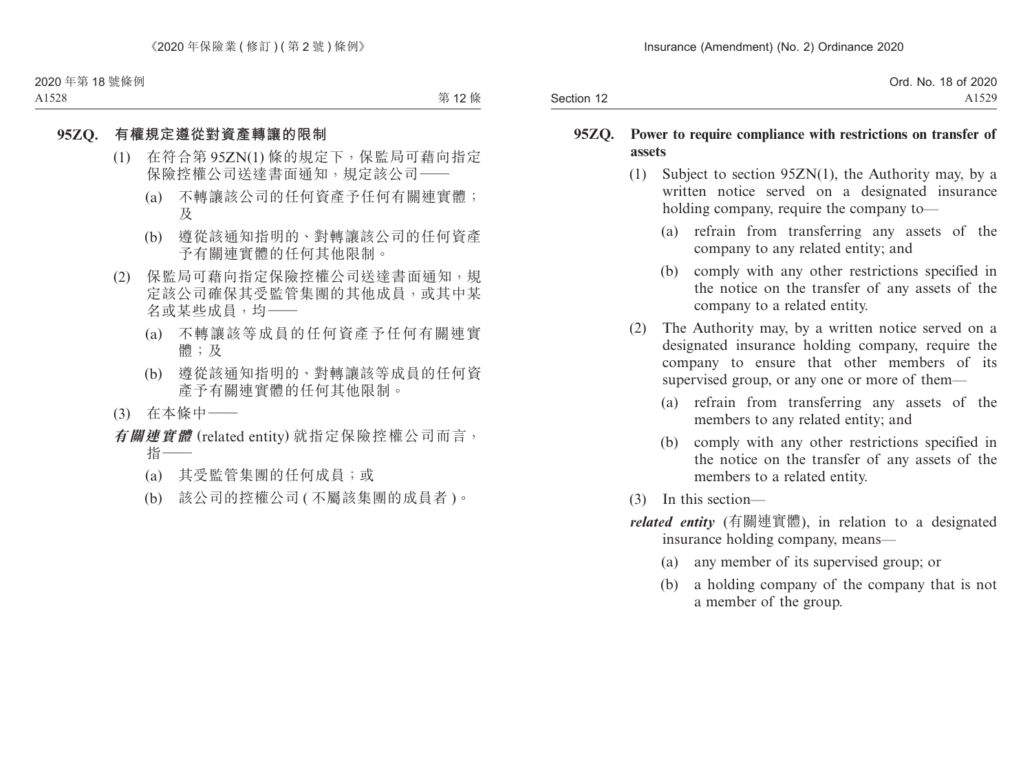|            | Ord. No. 18 of 2020 |
|------------|---------------------|
| Section 12 | A1529               |

### **95ZQ. Power to require compliance with restrictions on transfer of assets**

- (1) Subject to section 95ZN(1), the Authority may, by a written notice served on a designated insurance holding company, require the company to—
	- (a) refrain from transferring any assets of the company to any related entity; and
	- (b) comply with any other restrictions specified in the notice on the transfer of any assets of the company to a related entity.
- (2) The Authority may, by a written notice served on a designated insurance holding company, require the company to ensure that other members of its supervised group, or any one or more of them—
	- (a) refrain from transferring any assets of the members to any related entity; and
	- (b) comply with any other restrictions specified in the notice on the transfer of any assets of the members to a related entity.
- (3) In this section—
- *related entity* (有關連實體), in relation to a designated insurance holding company, means—
	- (a) any member of its supervised group; or
	- (b) a holding company of the company that is not a member of the group.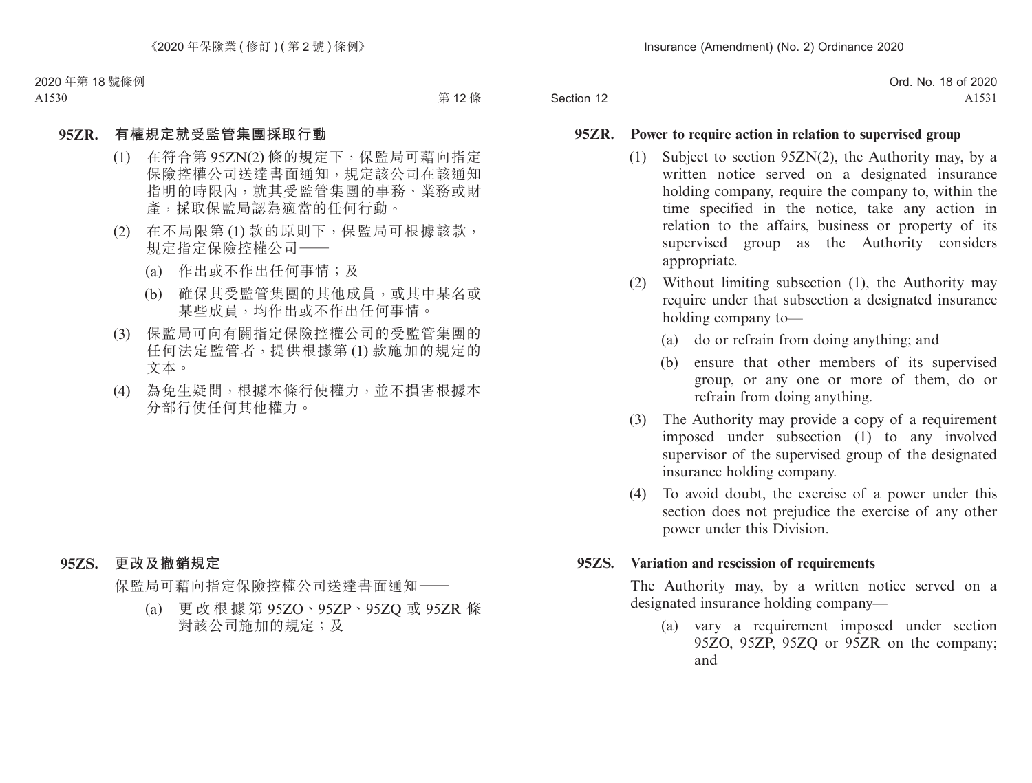|            | Ord. No. 18 of 2020 |
|------------|---------------------|
| Section 12 | A1531               |

#### **95ZR. Power to require action in relation to supervised group**

- (1) Subject to section 95ZN(2), the Authority may, by a written notice served on a designated insurance holding company, require the company to, within the time specified in the notice, take any action in relation to the affairs, business or property of its supervised group as the Authority considers appropriate.
- (2) Without limiting subsection (1), the Authority may require under that subsection a designated insurance holding company to—
	- (a) do or refrain from doing anything; and
	- (b) ensure that other members of its supervised group, or any one or more of them, do or refrain from doing anything.
- (3) The Authority may provide a copy of a requirement imposed under subsection (1) to any involved supervisor of the supervised group of the designated insurance holding company.
- (4) To avoid doubt, the exercise of a power under this section does not prejudice the exercise of any other power under this Division.

#### **95ZS. Variation and rescission of requirements**

The Authority may, by a written notice served on a designated insurance holding company—

(a) vary a requirement imposed under section 95ZO, 95ZP, 95ZQ or 95ZR on the company; and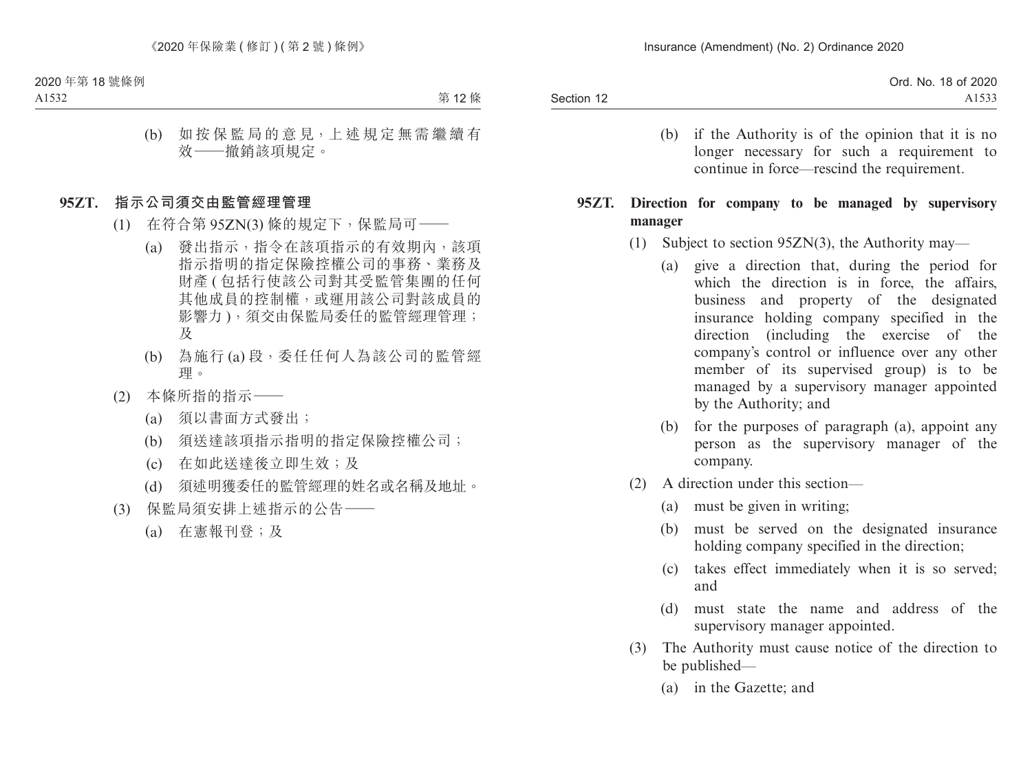|            | Ord. No. 18 of 2020 |
|------------|---------------------|
| Section 12 |                     |

(b) if the Authority is of the opinion that it is no longer necessary for such a requirement to continue in force—rescind the requirement.

### **95ZT. Direction for company to be managed by supervisory manager**

- (1) Subject to section 95ZN(3), the Authority may—
	- (a) give a direction that, during the period for which the direction is in force, the affairs, business and property of the designated insurance holding company specified in the direction (including the exercise of the company's control or influence over any other member of its supervised group) is to be managed by a supervisory manager appointed by the Authority; and
	- (b) for the purposes of paragraph (a), appoint any person as the supervisory manager of the company.
- (2) A direction under this section—
	- (a) must be given in writing;
	- (b) must be served on the designated insurance holding company specified in the direction;
	- (c) takes effect immediately when it is so served; and
	- (d) must state the name and address of the supervisory manager appointed.
- (3) The Authority must cause notice of the direction to be published—
	- (a) in the Gazette; and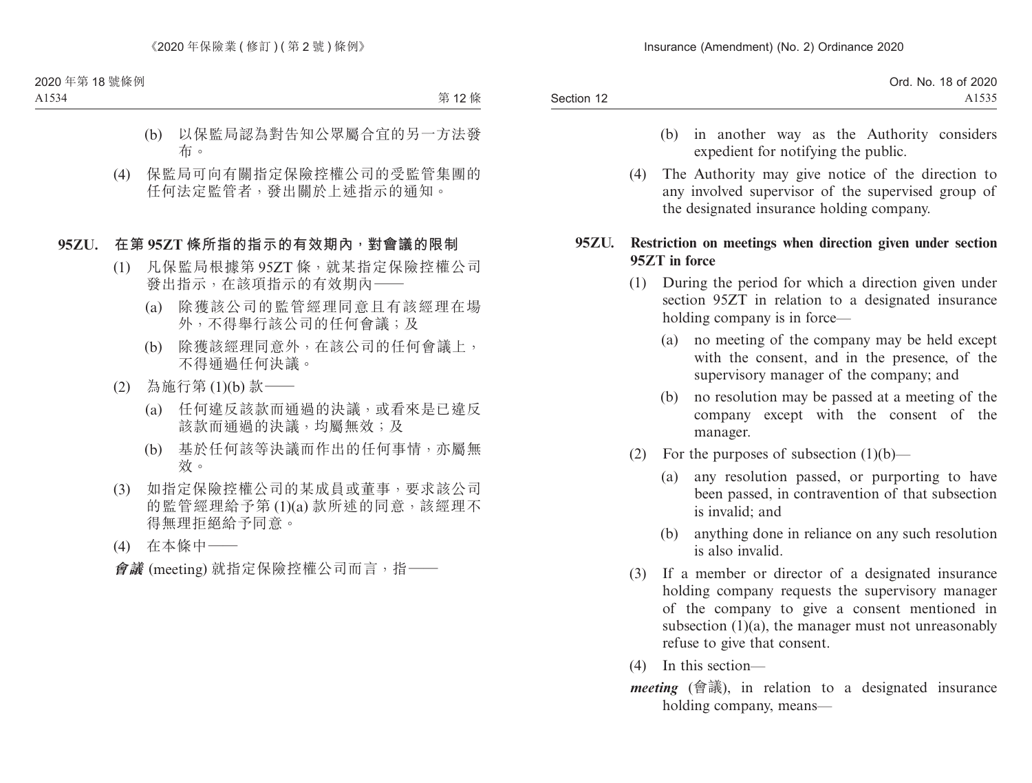|            | Ord. No. 18 of 2020 |
|------------|---------------------|
| Section 12 |                     |

- (b) in another way as the Authority considers expedient for notifying the public.
- (4) The Authority may give notice of the direction to any involved supervisor of the supervised group of the designated insurance holding company.

### **95ZU. Restriction on meetings when direction given under section 95ZT in force**

- (1) During the period for which a direction given under section 95ZT in relation to a designated insurance holding company is in force—
	- (a) no meeting of the company may be held except with the consent, and in the presence, of the supervisory manager of the company; and
	- (b) no resolution may be passed at a meeting of the company except with the consent of the manager.
- (2) For the purposes of subsection  $(1)(b)$ 
	- (a) any resolution passed, or purporting to have been passed, in contravention of that subsection is invalid; and
	- (b) anything done in reliance on any such resolution is also invalid.
- (3) If a member or director of a designated insurance holding company requests the supervisory manager of the company to give a consent mentioned in subsection  $(1)(a)$ , the manager must not unreasonably refuse to give that consent.
- (4) In this section—
- *meeting* (會議), in relation to a designated insurance holding company, means—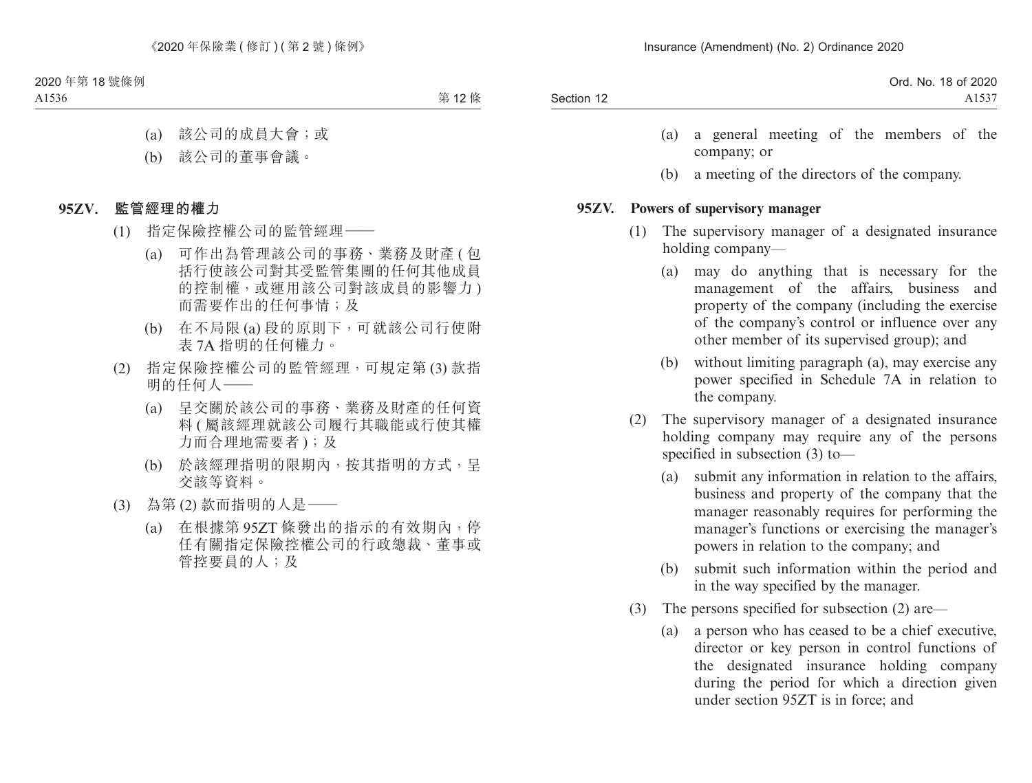| Ord. No. 18 of 2020           |
|-------------------------------|
| A <sub>153</sub> <sup>7</sup> |
|                               |

- (a) a general meeting of the members of the company; or
- (b) a meeting of the directors of the company.

### **95ZV. Powers of supervisory manager**

- (1) The supervisory manager of a designated insurance holding company—
	- (a) may do anything that is necessary for the management of the affairs, business and property of the company (including the exercise of the company's control or influence over any other member of its supervised group); and
	- (b) without limiting paragraph (a), may exercise any power specified in Schedule 7A in relation to the company.
- (2) The supervisory manager of a designated insurance holding company may require any of the persons specified in subsection (3) to—
	- (a) submit any information in relation to the affairs, business and property of the company that the manager reasonably requires for performing the manager's functions or exercising the manager's powers in relation to the company; and
	- (b) submit such information within the period and in the way specified by the manager.
- (3) The persons specified for subsection (2) are—
	- (a) a person who has ceased to be a chief executive, director or key person in control functions of the designated insurance holding company during the period for which a direction given under section 95ZT is in force; and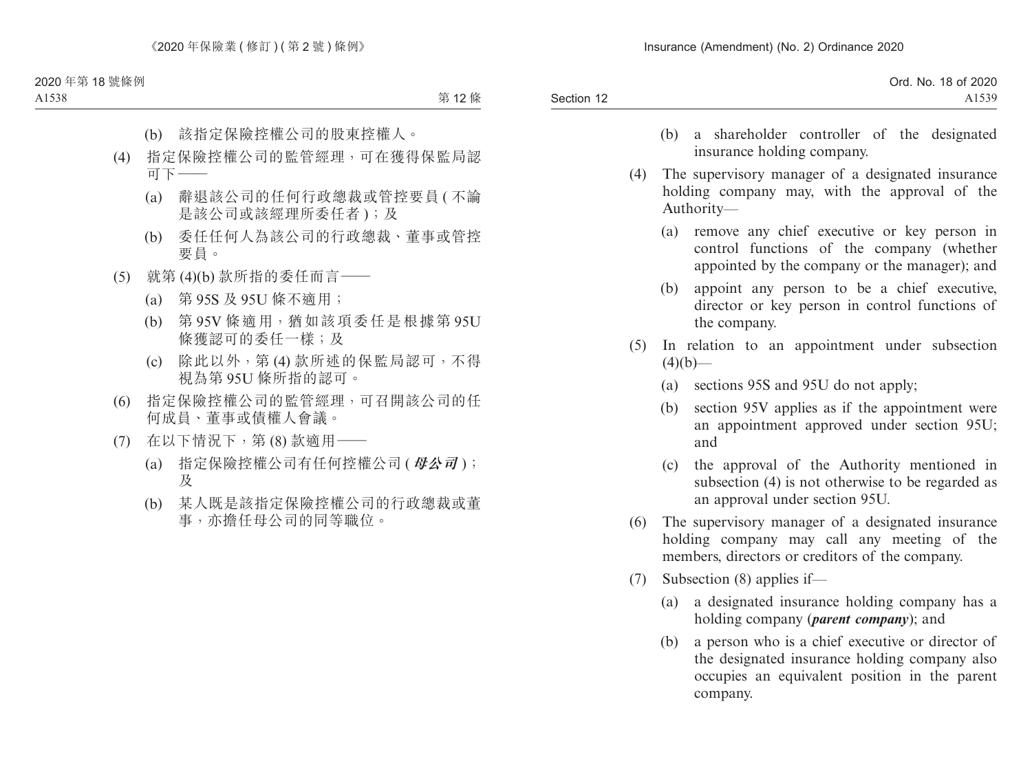|            | Ord. No. 18 of 2020 |
|------------|---------------------|
| Section 12 | A <sub>1539</sub>   |

- (b) a shareholder controller of the designated insurance holding company.
- (4) The supervisory manager of a designated insurance holding company may, with the approval of the Authority—
	- (a) remove any chief executive or key person in control functions of the company (whether appointed by the company or the manager); and
	- (b) appoint any person to be a chief executive, director or key person in control functions of the company.
- (5) In relation to an appointment under subsection  $(4)(b)$ —
	- (a) sections 95S and 95U do not apply;
	- (b) section 95V applies as if the appointment were an appointment approved under section 95U; and
	- (c) the approval of the Authority mentioned in subsection (4) is not otherwise to be regarded as an approval under section 95U.
- (6) The supervisory manager of a designated insurance holding company may call any meeting of the members, directors or creditors of the company.
- (7) Subsection (8) applies if—
	- (a) a designated insurance holding company has a holding company (*parent company*); and
	- (b) a person who is a chief executive or director of the designated insurance holding company also occupies an equivalent position in the parent company.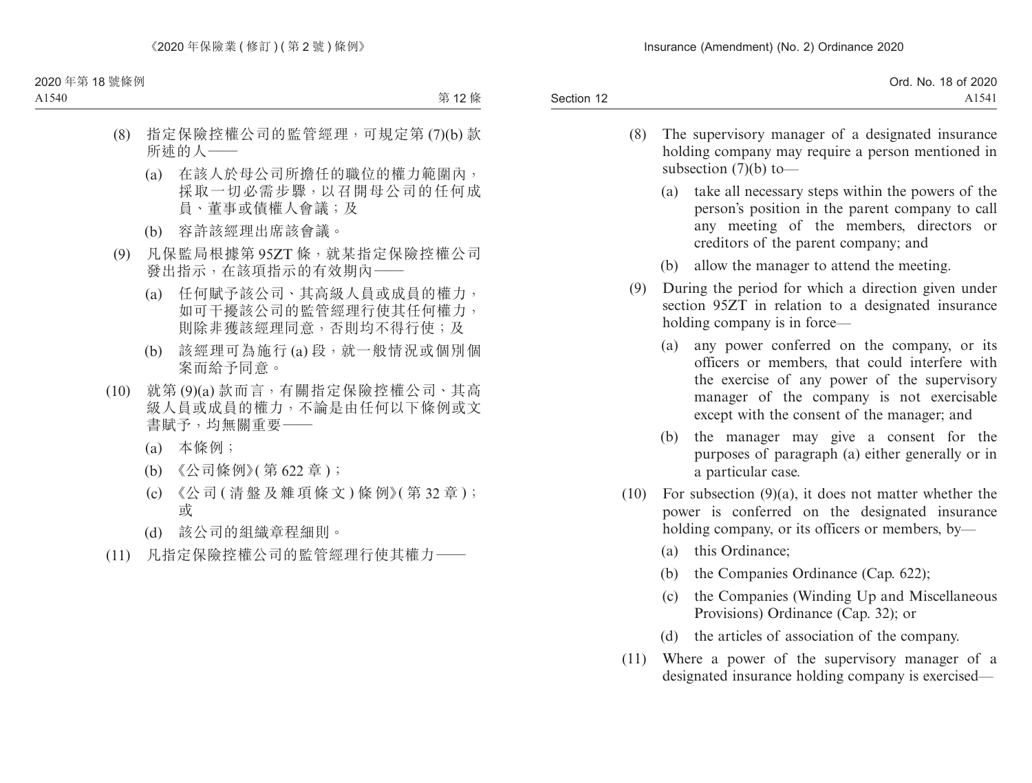| Ord. No. 18 of 2020           |            |
|-------------------------------|------------|
| A <sub>154</sub> <sup>1</sup> | Section 12 |
|                               |            |

- (8) The supervisory manager of a designated insurance holding company may require a person mentioned in subsection  $(7)(b)$  to —
	- (a) take all necessary steps within the powers of the person's position in the parent company to call any meeting of the members, directors or creditors of the parent company; and
	- (b) allow the manager to attend the meeting.
- (9) During the period for which a direction given under section 95ZT in relation to a designated insurance holding company is in force—
	- (a) any power conferred on the company, or its officers or members, that could interfere with the exercise of any power of the supervisory manager of the company is not exercisable except with the consent of the manager; and
	- (b) the manager may give a consent for the purposes of paragraph (a) either generally or in a particular case.
- (10) For subsection  $(9)(a)$ , it does not matter whether the power is conferred on the designated insurance holding company, or its officers or members, by—
	- (a) this Ordinance;
	- (b) the Companies Ordinance (Cap. 622);
	- (c) the Companies (Winding Up and Miscellaneous Provisions) Ordinance (Cap. 32); or
	- (d) the articles of association of the company.
- (11) Where a power of the supervisory manager of a designated insurance holding company is exercised—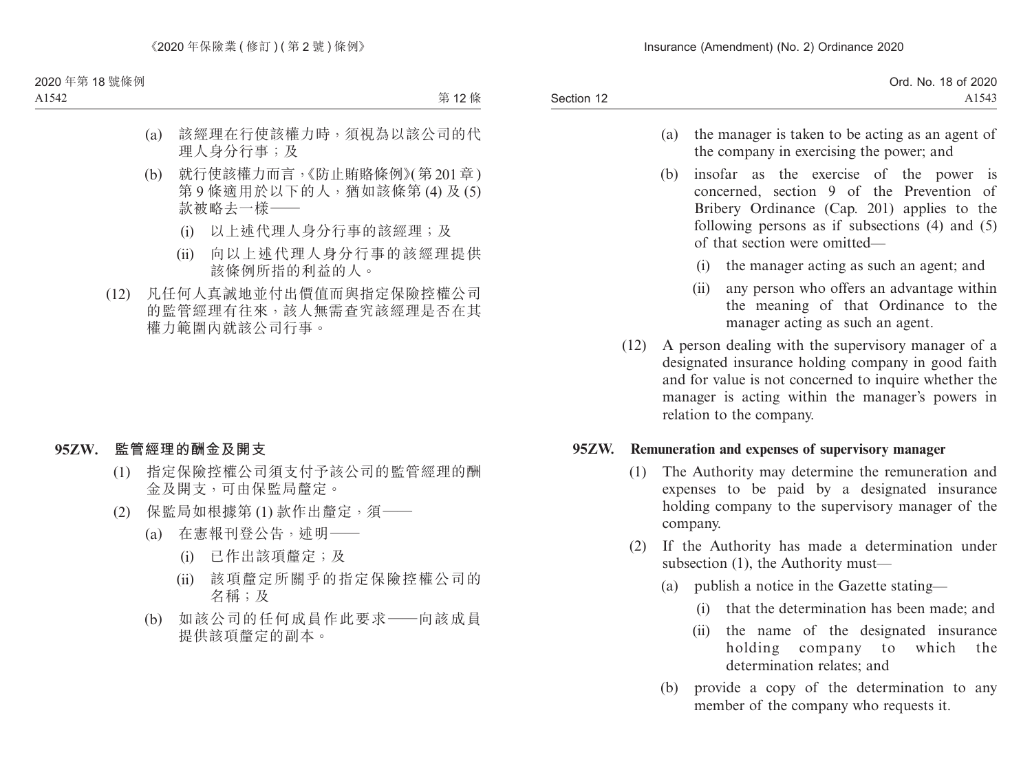|            | Ord. No. 18 of 2020 |
|------------|---------------------|
| Section 12 | A1543               |

- (a) the manager is taken to be acting as an agent of the company in exercising the power; and
- (b) insofar as the exercise of the power is concerned, section 9 of the Prevention of Bribery Ordinance (Cap. 201) applies to the following persons as if subsections (4) and (5) of that section were omitted—
	- (i) the manager acting as such an agent; and
	- (ii) any person who offers an advantage within the meaning of that Ordinance to the manager acting as such an agent.
- (12) A person dealing with the supervisory manager of a designated insurance holding company in good faith and for value is not concerned to inquire whether the manager is acting within the manager's powers in relation to the company.

### **95ZW. Remuneration and expenses of supervisory manager**

- (1) The Authority may determine the remuneration and expenses to be paid by a designated insurance holding company to the supervisory manager of the company.
- (2) If the Authority has made a determination under subsection (1), the Authority must—
	- (a) publish a notice in the Gazette stating—
		- (i) that the determination has been made; and
		- (ii) the name of the designated insurance holding company to which the determination relates; and
	- (b) provide a copy of the determination to any member of the company who requests it.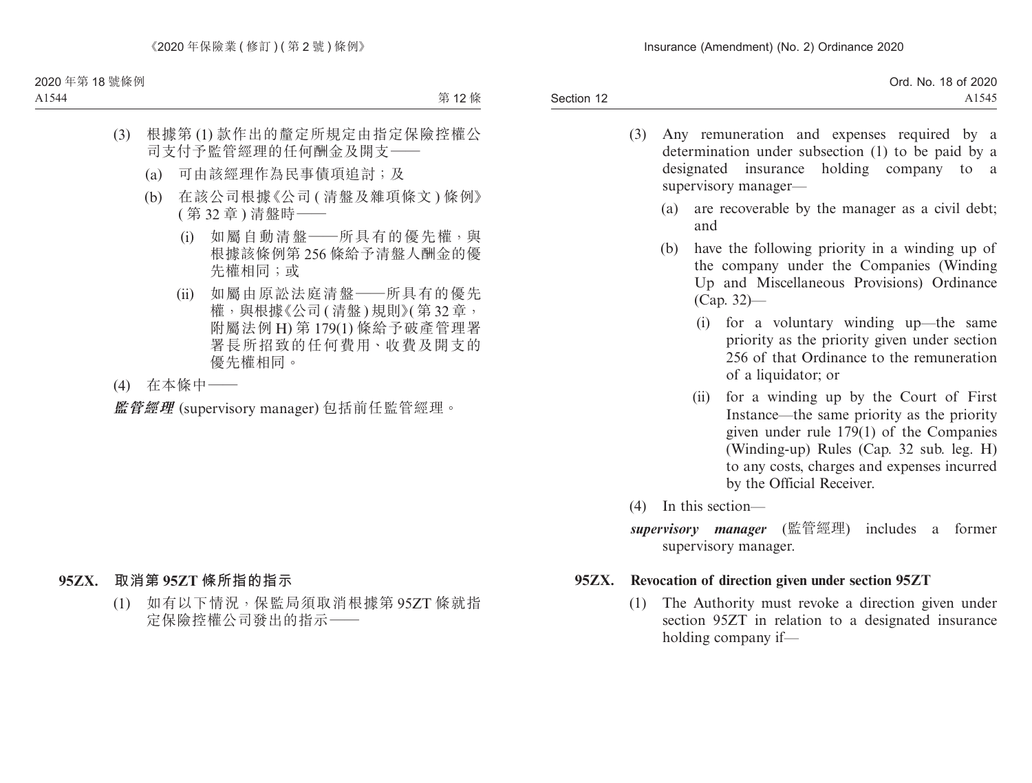Section 12 Ord. No. 18 of 2020 A1545

- (3) Any remuneration and expenses required by a determination under subsection (1) to be paid by a designated insurance holding company to a supervisory manager—
	- (a) are recoverable by the manager as a civil debt; and
	- (b) have the following priority in a winding up of the company under the Companies (Winding Up and Miscellaneous Provisions) Ordinance (Cap. 32)—
		- (i) for a voluntary winding up—the same priority as the priority given under section 256 of that Ordinance to the remuneration of a liquidator; or
		- (ii) for a winding up by the Court of First Instance—the same priority as the priority given under rule 179(1) of the Companies (Winding-up) Rules (Cap. 32 sub. leg. H) to any costs, charges and expenses incurred by the Official Receiver.
- (4) In this section—
- *supervisory manager* (監管經理) includes a former supervisory manager.

### **95ZX. Revocation of direction given under section 95ZT**

(1) The Authority must revoke a direction given under section 95ZT in relation to a designated insurance holding company if—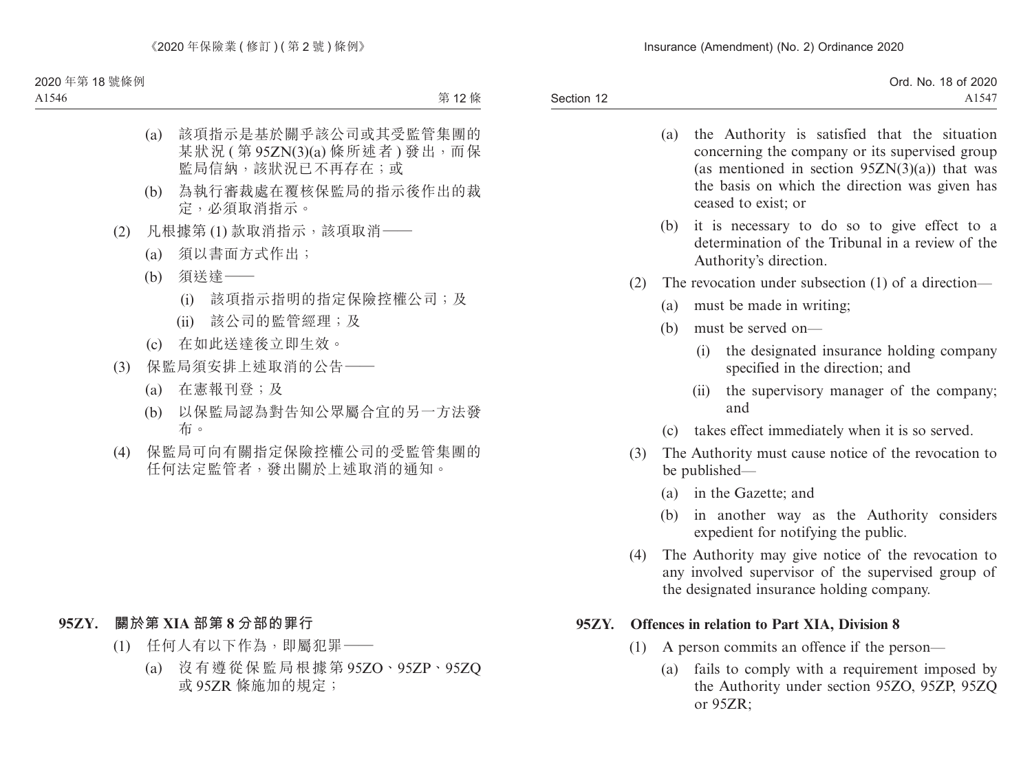|            | Ord. No. 18 of 2020 |
|------------|---------------------|
| Section 12 | A1547               |

- (a) the Authority is satisfied that the situation concerning the company or its supervised group (as mentioned in section  $95ZN(3)(a)$ ) that was the basis on which the direction was given has ceased to exist; or
- (b) it is necessary to do so to give effect to a determination of the Tribunal in a review of the Authority's direction.
- (2) The revocation under subsection (1) of a direction—
	- (a) must be made in writing;
	- (b) must be served on—
		- (i) the designated insurance holding company specified in the direction; and
		- (ii) the supervisory manager of the company; and
	- (c) takes effect immediately when it is so served.
- (3) The Authority must cause notice of the revocation to be published—
	- (a) in the Gazette; and
	- (b) in another way as the Authority considers expedient for notifying the public.
- (4) The Authority may give notice of the revocation to any involved supervisor of the supervised group of the designated insurance holding company.

## **95ZY. Offences in relation to Part XIA, Division 8**

- (1) A person commits an offence if the person—
	- (a) fails to comply with a requirement imposed by the Authority under section 95ZO, 95ZP, 95ZQ or 95ZR;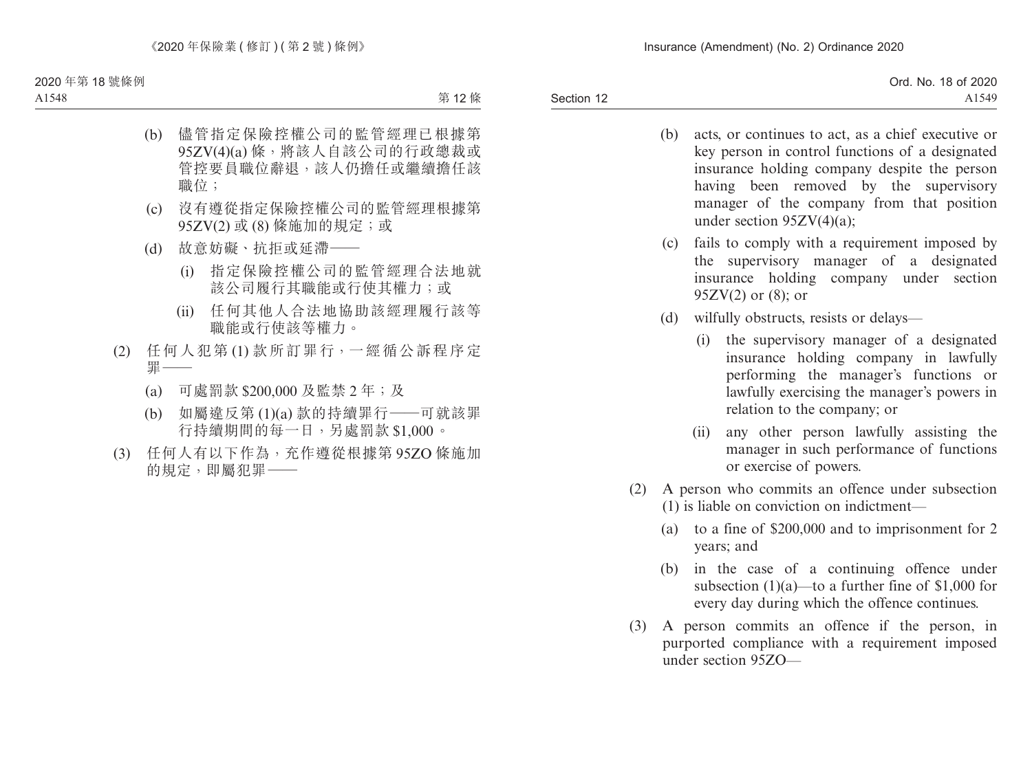Section 12 Ord. No. 18 of 2020 A1549

- (b) acts, or continues to act, as a chief executive or key person in control functions of a designated insurance holding company despite the person having been removed by the supervisory manager of the company from that position under section 95ZV(4)(a);
- (c) fails to comply with a requirement imposed by the supervisory manager of a designated insurance holding company under section  $95ZV(2)$  or  $(8)$ ; or
- (d) wilfully obstructs, resists or delays—
	- (i) the supervisory manager of a designated insurance holding company in lawfully performing the manager's functions or lawfully exercising the manager's powers in relation to the company; or
	- (ii) any other person lawfully assisting the manager in such performance of functions or exercise of powers.
- (2) A person who commits an offence under subsection (1) is liable on conviction on indictment—
	- (a) to a fine of \$200,000 and to imprisonment for 2 years; and
	- (b) in the case of a continuing offence under subsection  $(1)(a)$ —to a further fine of \$1,000 for every day during which the offence continues.
- (3) A person commits an offence if the person, in purported compliance with a requirement imposed under section 95ZO—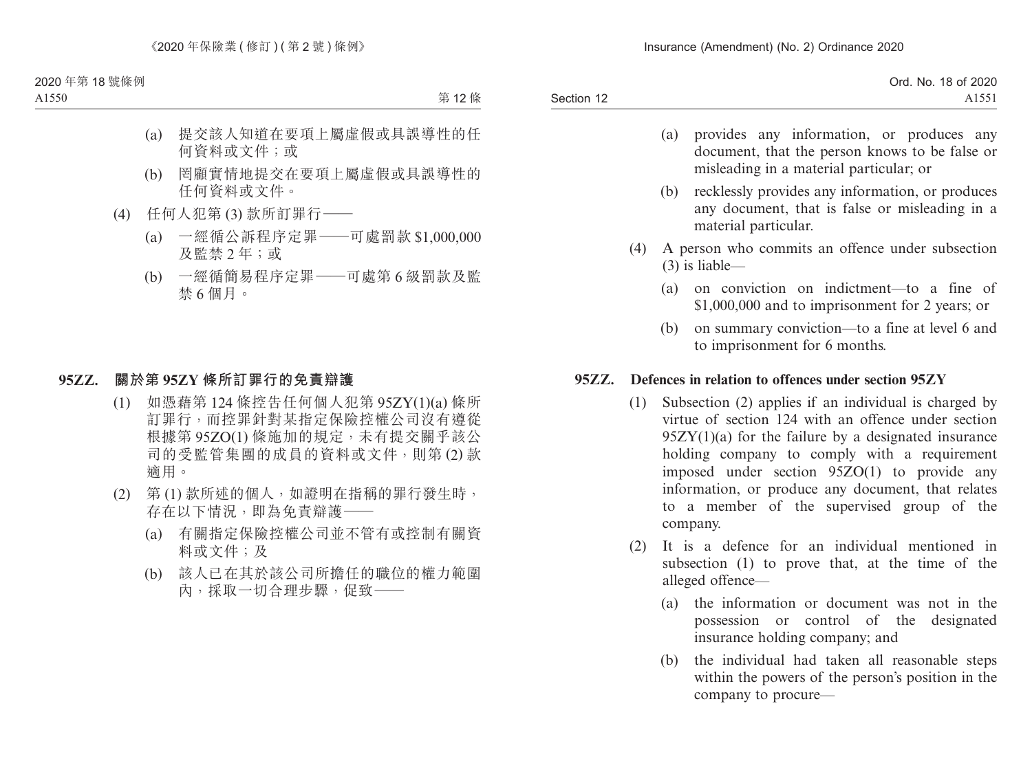|            | Ord. No. 18 of 2020 |
|------------|---------------------|
| Section 12 | AI <sub>2</sub>     |

- (a) provides any information, or produces any document, that the person knows to be false or misleading in a material particular; or
- (b) recklessly provides any information, or produces any document, that is false or misleading in a material particular.
- (4) A person who commits an offence under subsection (3) is liable—
	- (a) on conviction on indictment—to a fine of \$1,000,000 and to imprisonment for 2 years; or
	- (b) on summary conviction—to a fine at level 6 and to imprisonment for 6 months.

### **95ZZ. Defences in relation to offences under section 95ZY**

- (1) Subsection (2) applies if an individual is charged by virtue of section 124 with an offence under section  $95ZY(1)(a)$  for the failure by a designated insurance holding company to comply with a requirement imposed under section 95ZO(1) to provide any information, or produce any document, that relates to a member of the supervised group of the company.
- (2) It is a defence for an individual mentioned in subsection (1) to prove that, at the time of the alleged offence—
	- (a) the information or document was not in the possession or control of the designated insurance holding company; and
	- (b) the individual had taken all reasonable steps within the powers of the person's position in the company to procure—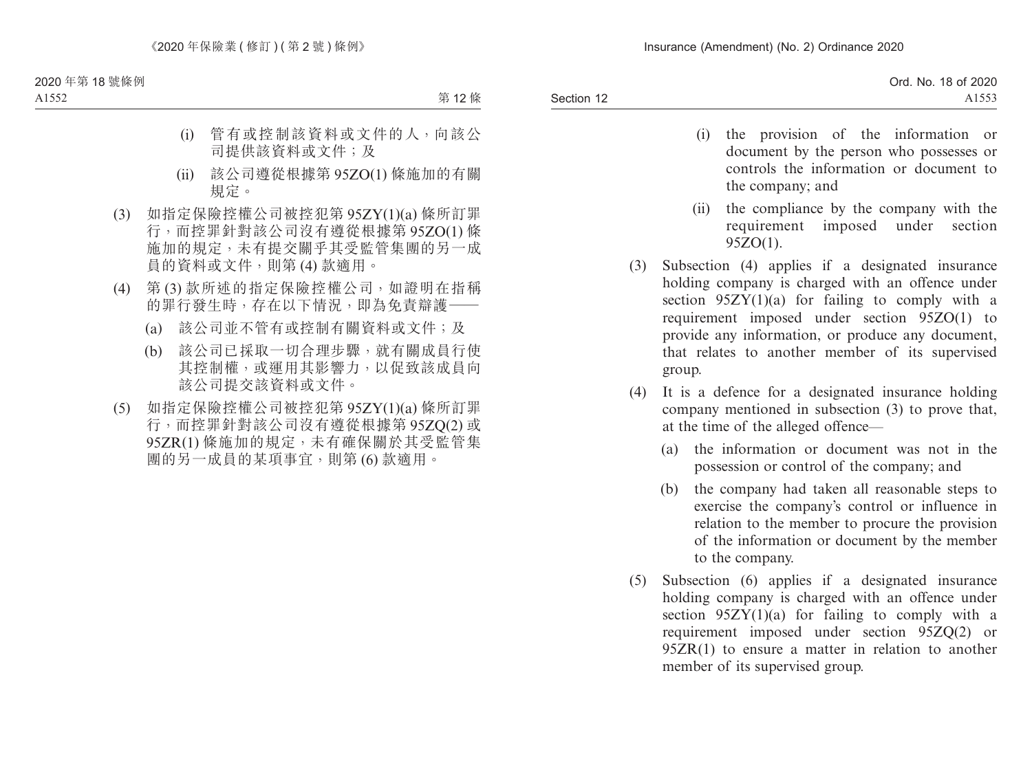Ord. No. 18 of 2020 A1553

- (i) the provision of the information or document by the person who possesses or controls the information or document to the company; and
- (ii) the compliance by the company with the requirement imposed under section  $95ZO(1)$ .
- (3) Subsection (4) applies if a designated insurance holding company is charged with an offence under section  $95Z\overline{Y}(1)(a)$  for failing to comply with a requirement imposed under section 95ZO(1) to provide any information, or produce any document, that relates to another member of its supervised group.
- (4) It is a defence for a designated insurance holding company mentioned in subsection (3) to prove that, at the time of the alleged offence—
	- (a) the information or document was not in the possession or control of the company; and
	- (b) the company had taken all reasonable steps to exercise the company's control or influence in relation to the member to procure the provision of the information or document by the member to the company.
- (5) Subsection (6) applies if a designated insurance holding company is charged with an offence under section  $95ZY(1)(a)$  for failing to comply with a requirement imposed under section 95ZQ(2) or 95ZR(1) to ensure a matter in relation to another member of its supervised group.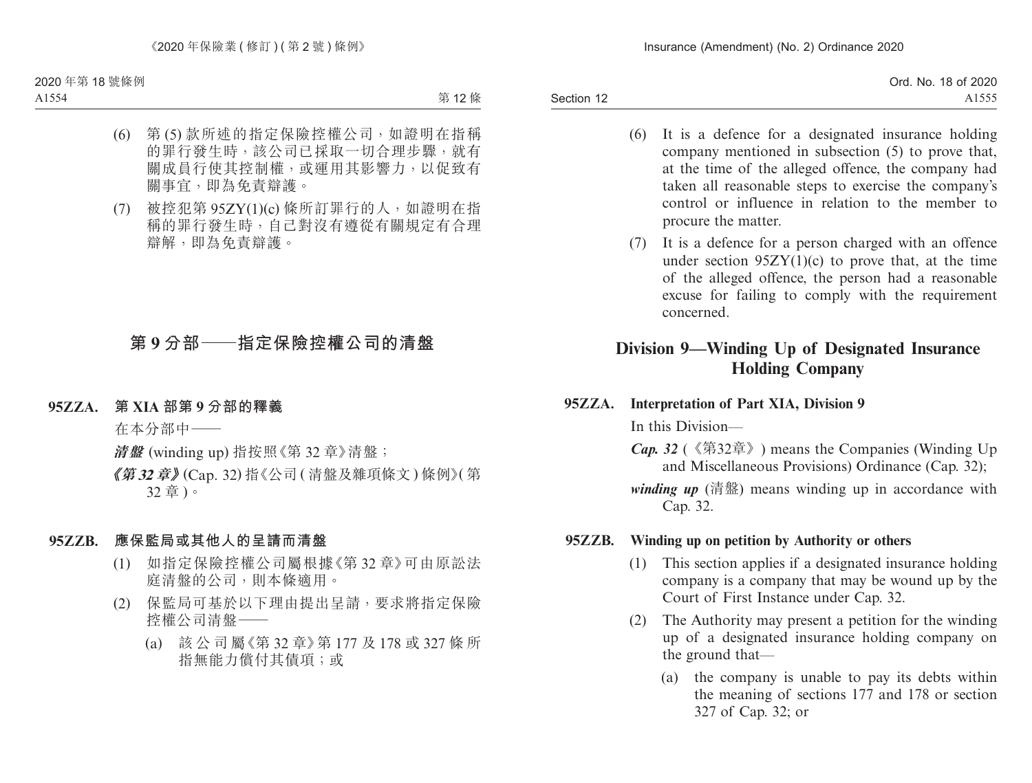Section 12 Ord. No. 18 of 2020 A1555

- (6) It is a defence for a designated insurance holding company mentioned in subsection (5) to prove that, at the time of the alleged offence, the company had taken all reasonable steps to exercise the company's control or influence in relation to the member to procure the matter.
- (7) It is a defence for a person charged with an offence under section  $95ZY(1)(c)$  to prove that, at the time of the alleged offence, the person had a reasonable excuse for failing to comply with the requirement concerned.

# **Division 9—Winding Up of Designated Insurance Holding Company**

**95ZZA. Interpretation of Part XIA, Division 9**

In this Division—

- *Cap. 32* (《第32章》) means the Companies (Winding Up and Miscellaneous Provisions) Ordinance (Cap. 32);
- *winding up* (清盤) means winding up in accordance with Cap. 32.

### **95ZZB. Winding up on petition by Authority or others**

- (1) This section applies if a designated insurance holding company is a company that may be wound up by the Court of First Instance under Cap. 32.
- (2) The Authority may present a petition for the winding up of a designated insurance holding company on the ground that—
	- (a) the company is unable to pay its debts within the meaning of sections 177 and 178 or section 327 of Cap. 32; or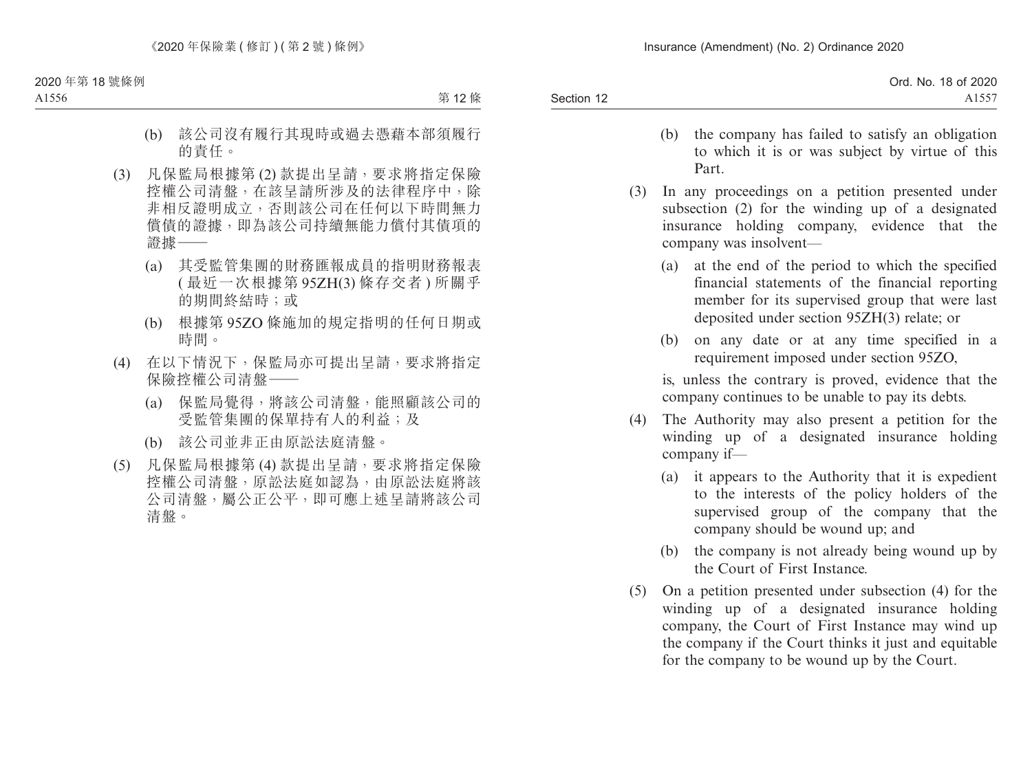|            | Ord. No. 18 of 2020 |
|------------|---------------------|
| Section 12 | $  -$               |

- (b) the company has failed to satisfy an obligation to which it is or was subject by virtue of this Part.
- (3) In any proceedings on a petition presented under subsection (2) for the winding up of a designated insurance holding company, evidence that the company was insolvent—
	- (a) at the end of the period to which the specified financial statements of the financial reporting member for its supervised group that were last deposited under section 95ZH(3) relate; or
	- (b) on any date or at any time specified in a requirement imposed under section 95ZO,

is, unless the contrary is proved, evidence that the company continues to be unable to pay its debts.

- (4) The Authority may also present a petition for the winding up of a designated insurance holding company if—
	- (a) it appears to the Authority that it is expedient to the interests of the policy holders of the supervised group of the company that the company should be wound up; and
	- (b) the company is not already being wound up by the Court of First Instance.
- (5) On a petition presented under subsection (4) for the winding up of a designated insurance holding company, the Court of First Instance may wind up the company if the Court thinks it just and equitable for the company to be wound up by the Court.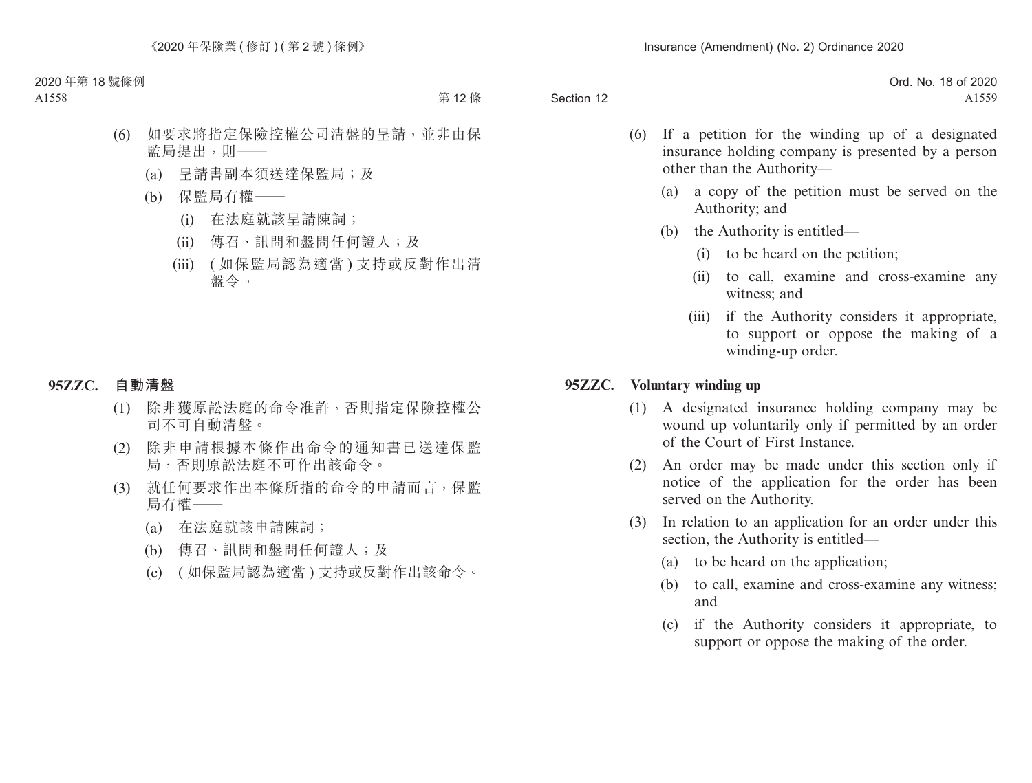|            | Ord. No. 18 of 2020 |
|------------|---------------------|
| Section 12 | 1550                |

- (6) If a petition for the winding up of a designated insurance holding company is presented by a person other than the Authority—
	- (a) a copy of the petition must be served on the Authority; and
	- (b) the Authority is entitled—
		- (i) to be heard on the petition;
		- (ii) to call, examine and cross-examine any witness; and
		- (iii) if the Authority considers it appropriate, to support or oppose the making of a winding-up order.

### **95ZZC. Voluntary winding up**

- (1) A designated insurance holding company may be wound up voluntarily only if permitted by an order of the Court of First Instance.
- (2) An order may be made under this section only if notice of the application for the order has been served on the Authority.
- (3) In relation to an application for an order under this section, the Authority is entitled—
	- (a) to be heard on the application;
	- (b) to call, examine and cross-examine any witness; and
	- (c) if the Authority considers it appropriate, to support or oppose the making of the order.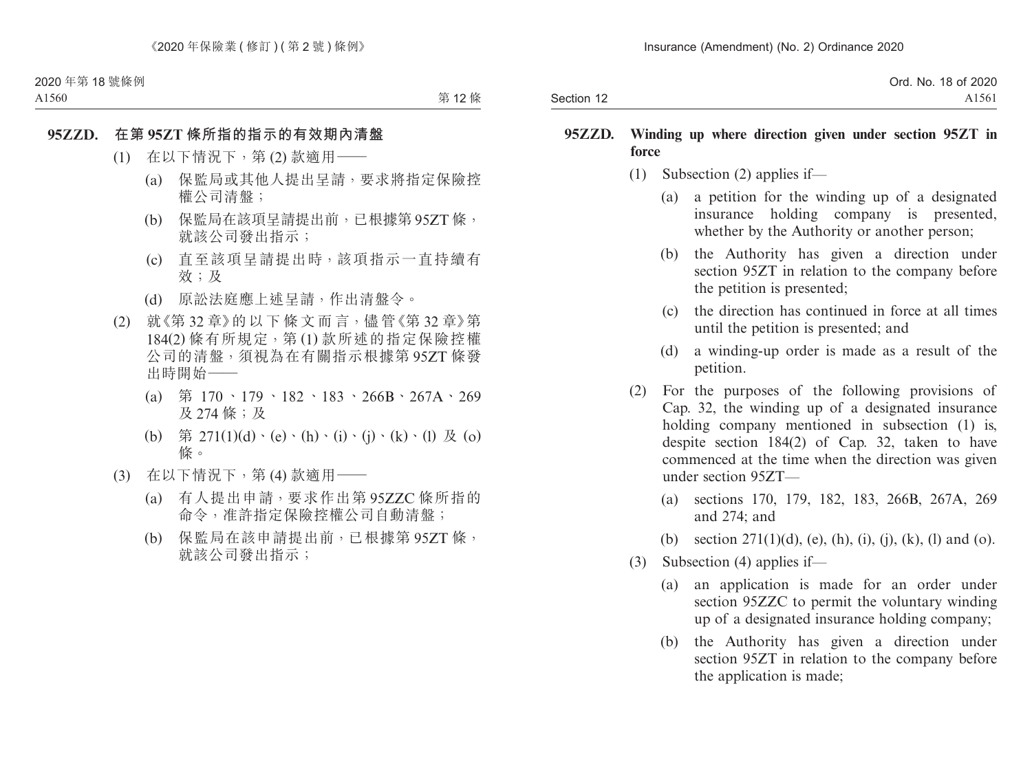|            | Ord. No. 18 of 2020 |
|------------|---------------------|
| Section 12 | A <sub>1561</sub>   |

#### **95ZZD. Winding up where direction given under section 95ZT in force**

- (1) Subsection (2) applies if—
	- (a) a petition for the winding up of a designated insurance holding company is presented, whether by the Authority or another person:
	- (b) the Authority has given a direction under section 95ZT in relation to the company before the petition is presented;
	- (c) the direction has continued in force at all times until the petition is presented; and
	- (d) a winding-up order is made as a result of the petition.
- (2) For the purposes of the following provisions of Cap. 32, the winding up of a designated insurance holding company mentioned in subsection (1) is, despite section 184(2) of Cap. 32, taken to have commenced at the time when the direction was given under section 95ZT—
	- (a) sections 170, 179, 182, 183, 266B, 267A, 269 and 274; and
	- (b) section  $271(1)(d)$ , (e), (h), (i), (j), (k), (l) and (o).
- (3) Subsection (4) applies if—
	- (a) an application is made for an order under section 95ZZC to permit the voluntary winding up of a designated insurance holding company;
	- (b) the Authority has given a direction under section 95ZT in relation to the company before the application is made;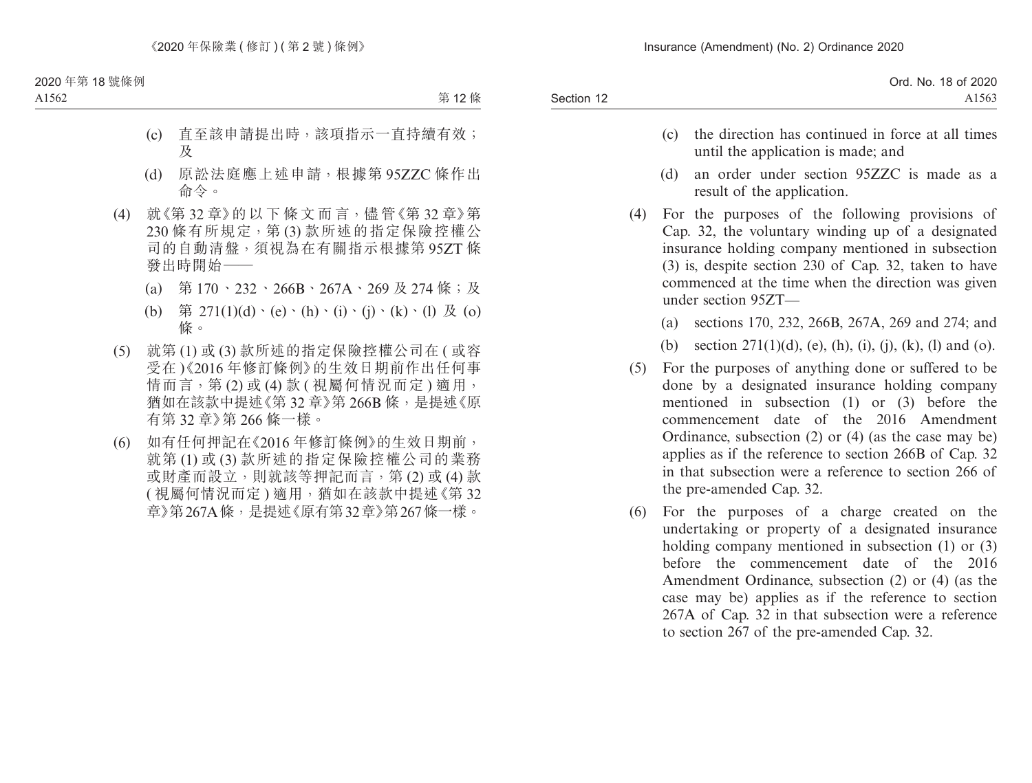|            | Ord. No. 18 of 2020 |
|------------|---------------------|
| Section 12 | A1563               |
|            |                     |

- (c) the direction has continued in force at all times until the application is made; and
- (d) an order under section 95ZZC is made as a result of the application.
- (4) For the purposes of the following provisions of Cap. 32, the voluntary winding up of a designated insurance holding company mentioned in subsection (3) is, despite section 230 of Cap. 32, taken to have commenced at the time when the direction was given under section 95ZT—
	- (a) sections 170, 232, 266B, 267A, 269 and 274; and
	- (b) section  $271(1)(d)$ , (e), (h), (i), (j), (k), (l) and (o).
- (5) For the purposes of anything done or suffered to be done by a designated insurance holding company mentioned in subsection (1) or (3) before the commencement date of the 2016 Amendment Ordinance, subsection (2) or (4) (as the case may be) applies as if the reference to section 266B of Cap. 32 in that subsection were a reference to section 266 of the pre-amended Cap. 32.
- (6) For the purposes of a charge created on the undertaking or property of a designated insurance holding company mentioned in subsection (1) or (3) before the commencement date of the 2016 Amendment Ordinance, subsection (2) or (4) (as the case may be) applies as if the reference to section 267A of Cap. 32 in that subsection were a reference to section 267 of the pre-amended Cap. 32.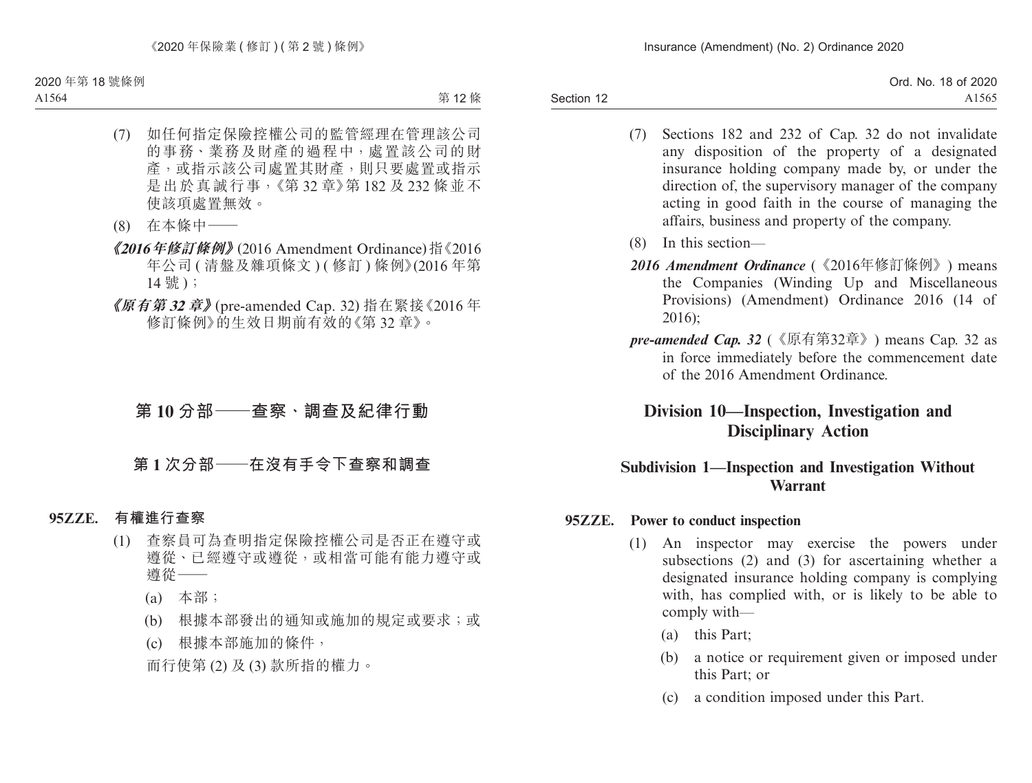Ord. No. 18 of 2020 A1565

- (7) Sections 182 and 232 of Cap. 32 do not invalidate any disposition of the property of a designated insurance holding company made by, or under the direction of, the supervisory manager of the company acting in good faith in the course of managing the affairs, business and property of the company.
- (8) In this section—
- *2016 Amendment Ordinance* (《2016年修訂條例》) means the Companies (Winding Up and Miscellaneous Provisions) (Amendment) Ordinance 2016 (14 of 2016);
- *pre-amended Cap. 32* (《原有第32章》) means Cap. 32 as in force immediately before the commencement date of the 2016 Amendment Ordinance.

# **Division 10—Inspection, Investigation and Disciplinary Action**

## **Subdivision 1—Inspection and Investigation Without Warrant**

### **95ZZE. Power to conduct inspection**

- (1) An inspector may exercise the powers under subsections (2) and (3) for ascertaining whether a designated insurance holding company is complying with, has complied with, or is likely to be able to comply with—
	- (a) this Part;
	- (b) a notice or requirement given or imposed under this Part; or
	- (c) a condition imposed under this Part.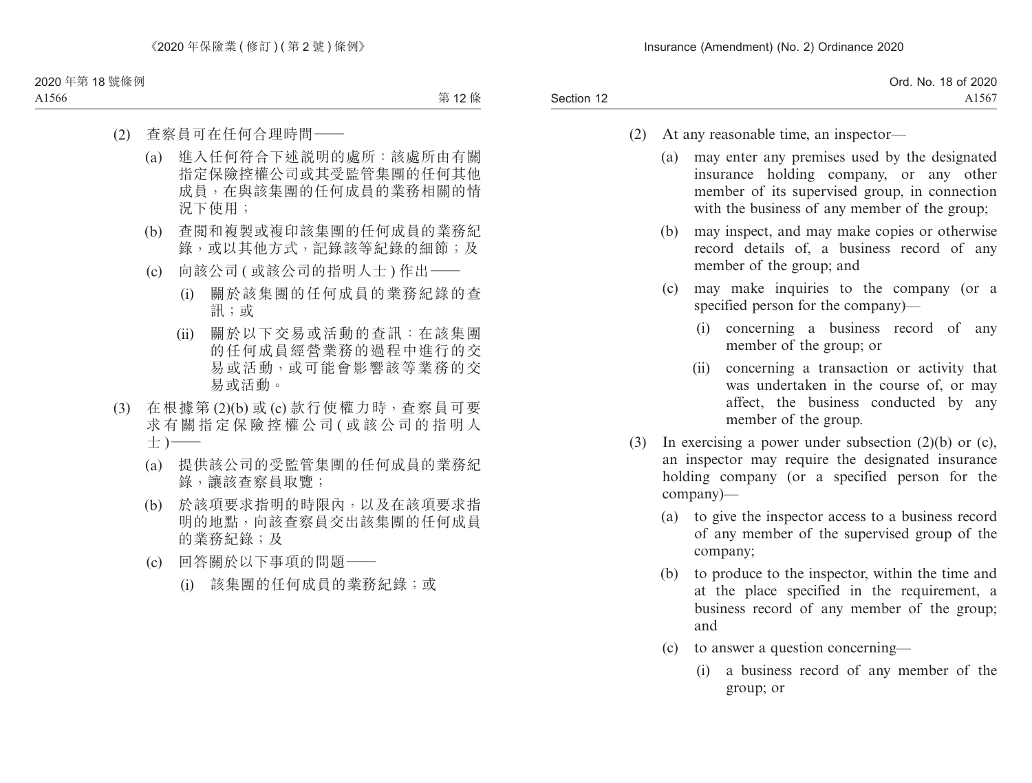Section 12 Ord. No. 18 of 2020 A1567

- (2) At any reasonable time, an inspector—
	- (a) may enter any premises used by the designated insurance holding company, or any other member of its supervised group, in connection with the business of any member of the group;
	- (b) may inspect, and may make copies or otherwise record details of, a business record of any member of the group; and
	- (c) may make inquiries to the company (or a specified person for the company)—
		- (i) concerning a business record of any member of the group; or
		- (ii) concerning a transaction or activity that was undertaken in the course of, or may affect, the business conducted by any member of the group.
- (3) In exercising a power under subsection (2)(b) or (c), an inspector may require the designated insurance holding company (or a specified person for the company)—
	- (a) to give the inspector access to a business record of any member of the supervised group of the company;
	- (b) to produce to the inspector, within the time and at the place specified in the requirement, a business record of any member of the group; and
	- (c) to answer a question concerning—
		- (i) a business record of any member of the group; or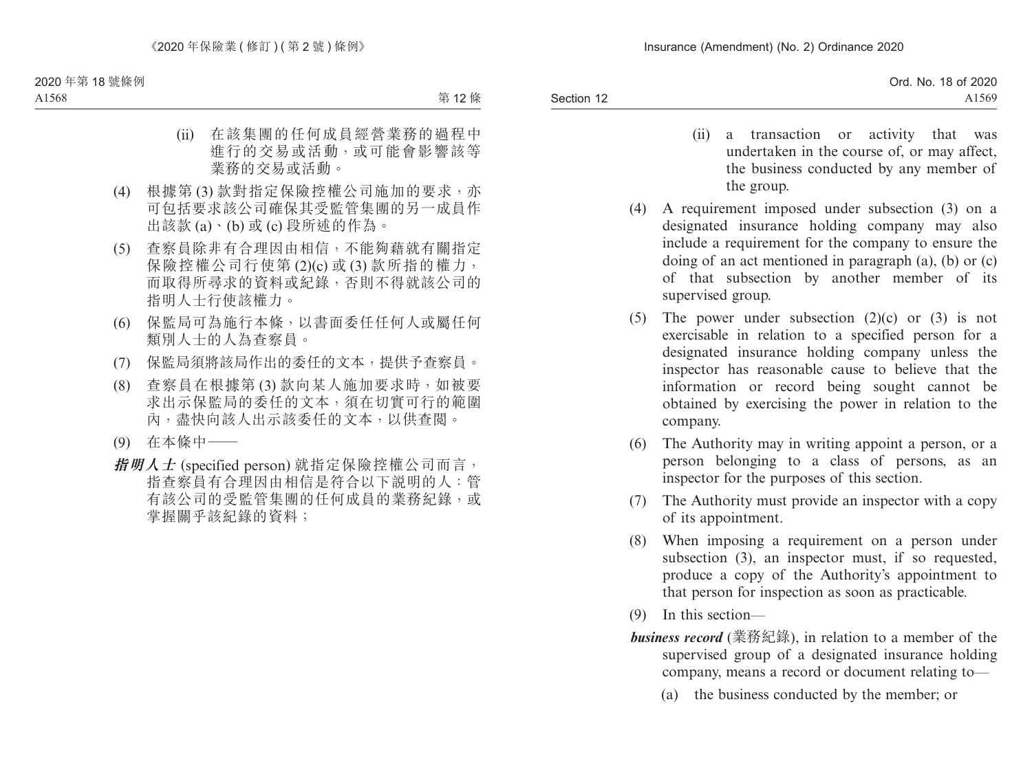- (ii) a transaction or activity that was undertaken in the course of, or may affect, the business conducted by any member of the group.
- (4) A requirement imposed under subsection (3) on a designated insurance holding company may also include a requirement for the company to ensure the doing of an act mentioned in paragraph (a), (b) or (c) of that subsection by another member of its supervised group.
- (5) The power under subsection  $(2)(c)$  or  $(3)$  is not exercisable in relation to a specified person for a designated insurance holding company unless the inspector has reasonable cause to believe that the information or record being sought cannot be obtained by exercising the power in relation to the company.
- (6) The Authority may in writing appoint a person, or a person belonging to a class of persons, as an inspector for the purposes of this section.
- (7) The Authority must provide an inspector with a copy of its appointment.
- (8) When imposing a requirement on a person under subsection (3), an inspector must, if so requested, produce a copy of the Authority's appointment to that person for inspection as soon as practicable.
- (9) In this section—
- *business record* (業務紀錄), in relation to a member of the supervised group of a designated insurance holding company, means a record or document relating to—
	- (a) the business conducted by the member; or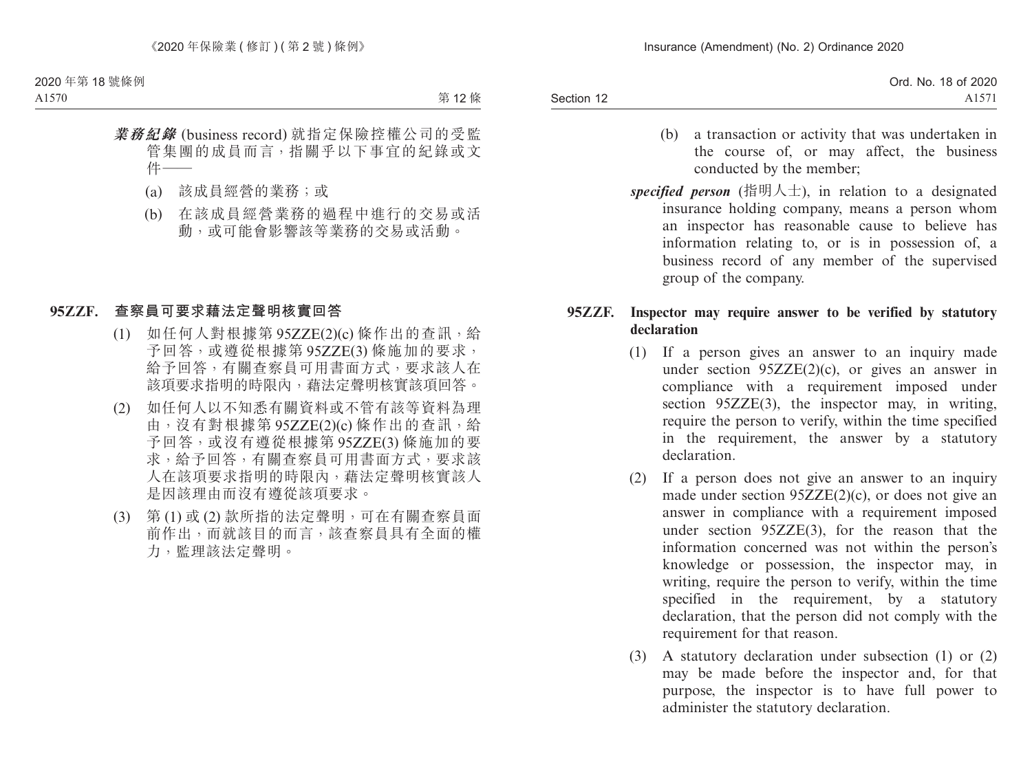|            | Ord. No. 18 of 2020 |
|------------|---------------------|
| Section 12 | A <sub>1571</sub>   |

- (b) a transaction or activity that was undertaken in the course of, or may affect, the business conducted by the member;
- *specified person* (指明人士), in relation to a designated insurance holding company, means a person whom an inspector has reasonable cause to believe has information relating to, or is in possession of, a business record of any member of the supervised group of the company.

#### **95ZZF. Inspector may require answer to be verified by statutory declaration**

- (1) If a person gives an answer to an inquiry made under section  $95ZZE(2)(c)$ , or gives an answer in compliance with a requirement imposed under section 95ZZE(3), the inspector may, in writing, require the person to verify, within the time specified in the requirement, the answer by a statutory declaration.
- (2) If a person does not give an answer to an inquiry made under section 95ZZE(2)(c), or does not give an answer in compliance with a requirement imposed under section 95ZZE(3), for the reason that the information concerned was not within the person's knowledge or possession, the inspector may, in writing, require the person to verify, within the time specified in the requirement, by a statutory declaration, that the person did not comply with the requirement for that reason.
- (3) A statutory declaration under subsection (1) or (2) may be made before the inspector and, for that purpose, the inspector is to have full power to administer the statutory declaration.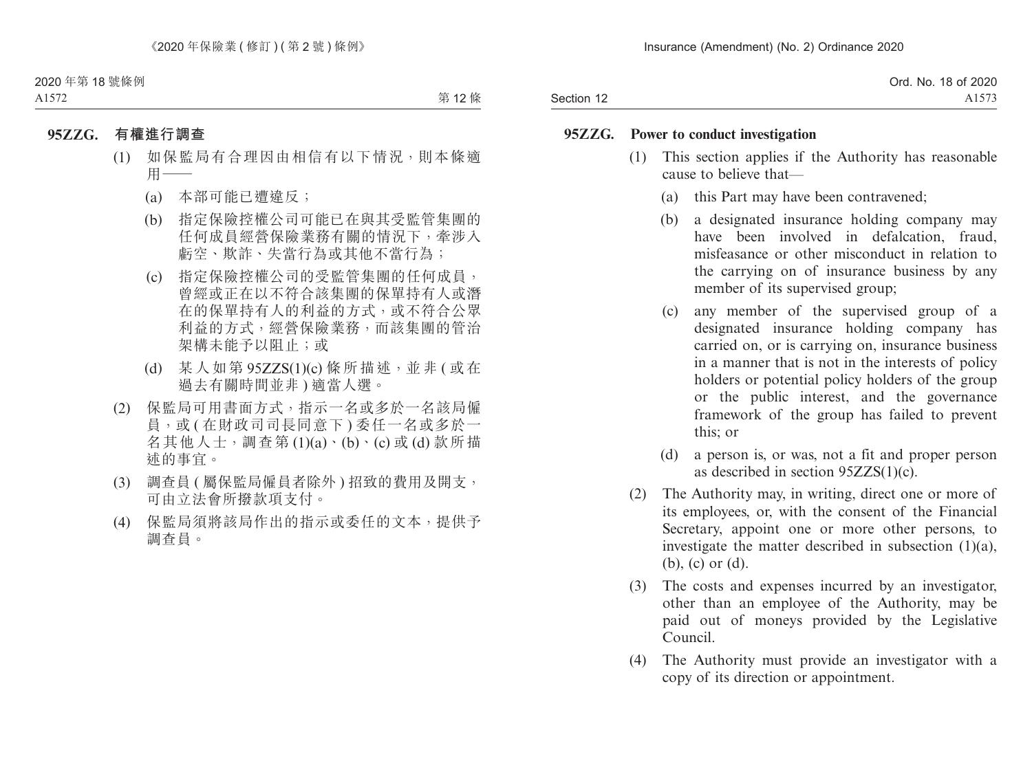|            | Ord. No. 18 of 2020 |
|------------|---------------------|
| Section 12 | A1573               |

#### **95ZZG. Power to conduct investigation**

- (1) This section applies if the Authority has reasonable cause to believe that—
	- (a) this Part may have been contravened;
	- (b) a designated insurance holding company may have been involved in defalcation, fraud, misfeasance or other misconduct in relation to the carrying on of insurance business by any member of its supervised group;
	- (c) any member of the supervised group of a designated insurance holding company has carried on, or is carrying on, insurance business in a manner that is not in the interests of policy holders or potential policy holders of the group or the public interest, and the governance framework of the group has failed to prevent this; or
	- (d) a person is, or was, not a fit and proper person as described in section  $95ZZS(1)(c)$ .
- (2) The Authority may, in writing, direct one or more of its employees, or, with the consent of the Financial Secretary, appoint one or more other persons, to investigate the matter described in subsection (1)(a), (b), (c) or (d).
- (3) The costs and expenses incurred by an investigator, other than an employee of the Authority, may be paid out of moneys provided by the Legislative Council.
- (4) The Authority must provide an investigator with a copy of its direction or appointment.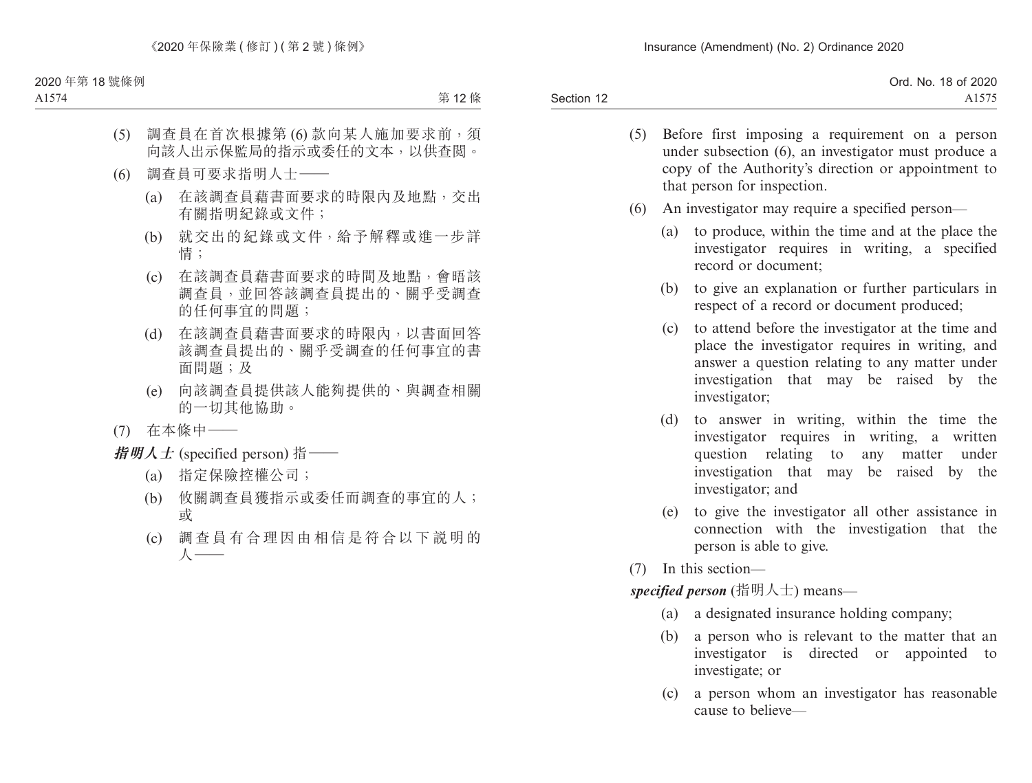| Ord. No. 18 of 2020 |
|---------------------|
|                     |
|                     |

- (5) Before first imposing a requirement on a person under subsection (6), an investigator must produce a copy of the Authority's direction or appointment to that person for inspection.
- (6) An investigator may require a specified person—
	- (a) to produce, within the time and at the place the investigator requires in writing, a specified record or document;
	- (b) to give an explanation or further particulars in respect of a record or document produced;
	- (c) to attend before the investigator at the time and place the investigator requires in writing, and answer a question relating to any matter under investigation that may be raised by the investigator;
	- (d) to answer in writing, within the time the investigator requires in writing, a written question relating to any matter under investigation that may be raised by the investigator; and
	- (e) to give the investigator all other assistance in connection with the investigation that the person is able to give.
- (7) In this section—

*specified person* (指明人士) means—

- (a) a designated insurance holding company;
- (b) a person who is relevant to the matter that an investigator is directed or appointed to investigate; or
- (c) a person whom an investigator has reasonable cause to believe—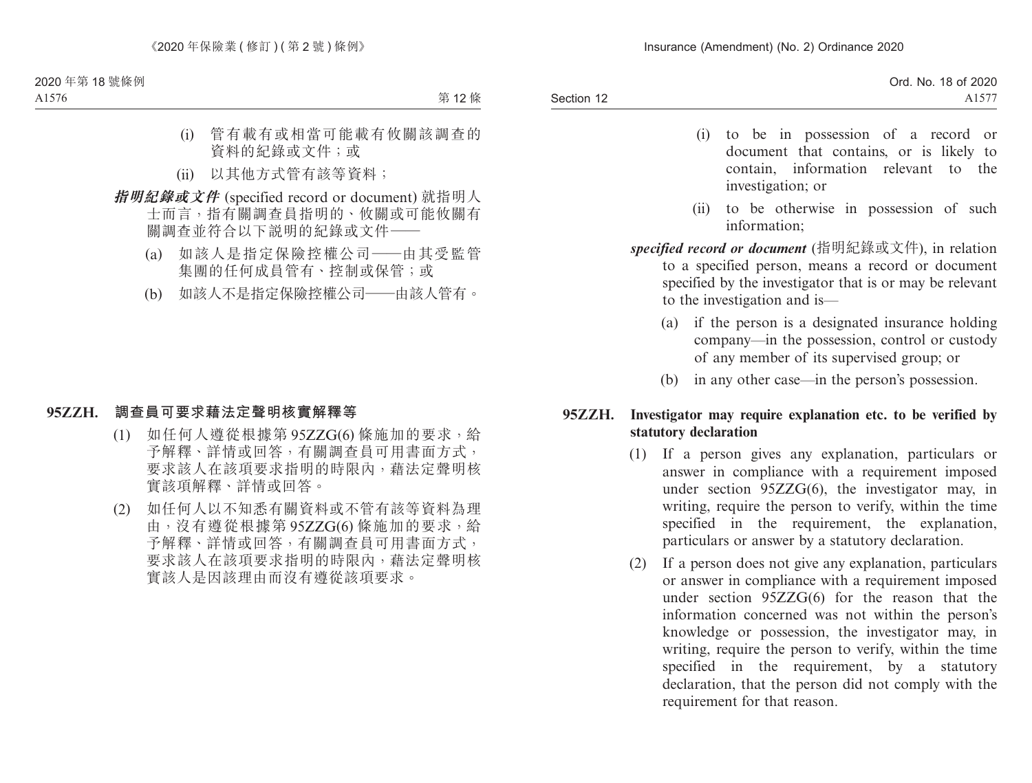- (i) to be in possession of a record or document that contains, or is likely to contain, information relevant to the investigation; or
- (ii) to be otherwise in possession of such information;
- *specified record or document* (指明紀錄或文件), in relation to a specified person, means a record or document specified by the investigator that is or may be relevant to the investigation and is—
	- (a) if the person is a designated insurance holding company—in the possession, control or custody of any member of its supervised group; or
	- (b) in any other case—in the person's possession.

## **95ZZH. Investigator may require explanation etc. to be verified by statutory declaration**

- (1) If a person gives any explanation, particulars or answer in compliance with a requirement imposed under section 95ZZG(6), the investigator may, in writing, require the person to verify, within the time specified in the requirement, the explanation, particulars or answer by a statutory declaration.
- (2) If a person does not give any explanation, particulars or answer in compliance with a requirement imposed under section 95ZZG(6) for the reason that the information concerned was not within the person's knowledge or possession, the investigator may, in writing, require the person to verify, within the time specified in the requirement, by a statutory declaration, that the person did not comply with the requirement for that reason.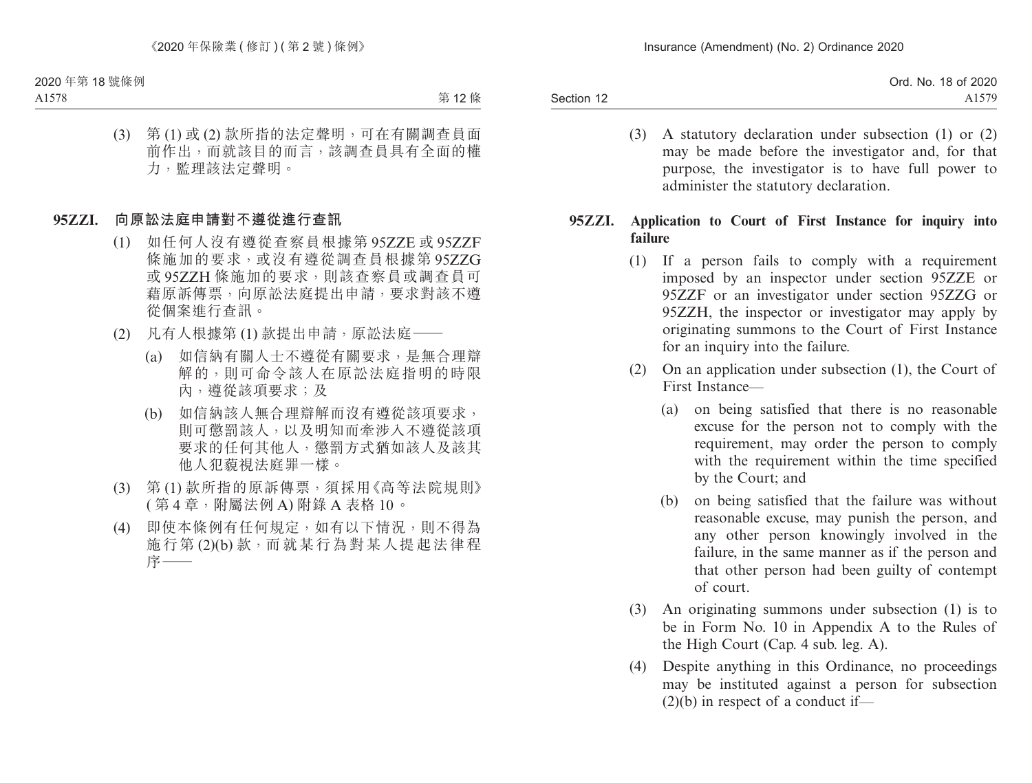| 18 of 2020<br>Ord. No.  |
|-------------------------|
| 570<br>$\Delta$<br>1111 |
|                         |

(3) A statutory declaration under subsection (1) or (2) may be made before the investigator and, for that purpose, the investigator is to have full power to administer the statutory declaration.

### **95ZZI. Application to Court of First Instance for inquiry into failure**

- (1) If a person fails to comply with a requirement imposed by an inspector under section 95ZZE or 95ZZF or an investigator under section 95ZZG or 95ZZH, the inspector or investigator may apply by originating summons to the Court of First Instance for an inquiry into the failure.
- (2) On an application under subsection (1), the Court of First Instance—
	- (a) on being satisfied that there is no reasonable excuse for the person not to comply with the requirement, may order the person to comply with the requirement within the time specified by the Court; and
	- (b) on being satisfied that the failure was without reasonable excuse, may punish the person, and any other person knowingly involved in the failure, in the same manner as if the person and that other person had been guilty of contempt of court.
- (3) An originating summons under subsection (1) is to be in Form No. 10 in Appendix A to the Rules of the High Court (Cap. 4 sub. leg. A).
- (4) Despite anything in this Ordinance, no proceedings may be instituted against a person for subsection  $(2)(b)$  in respect of a conduct if—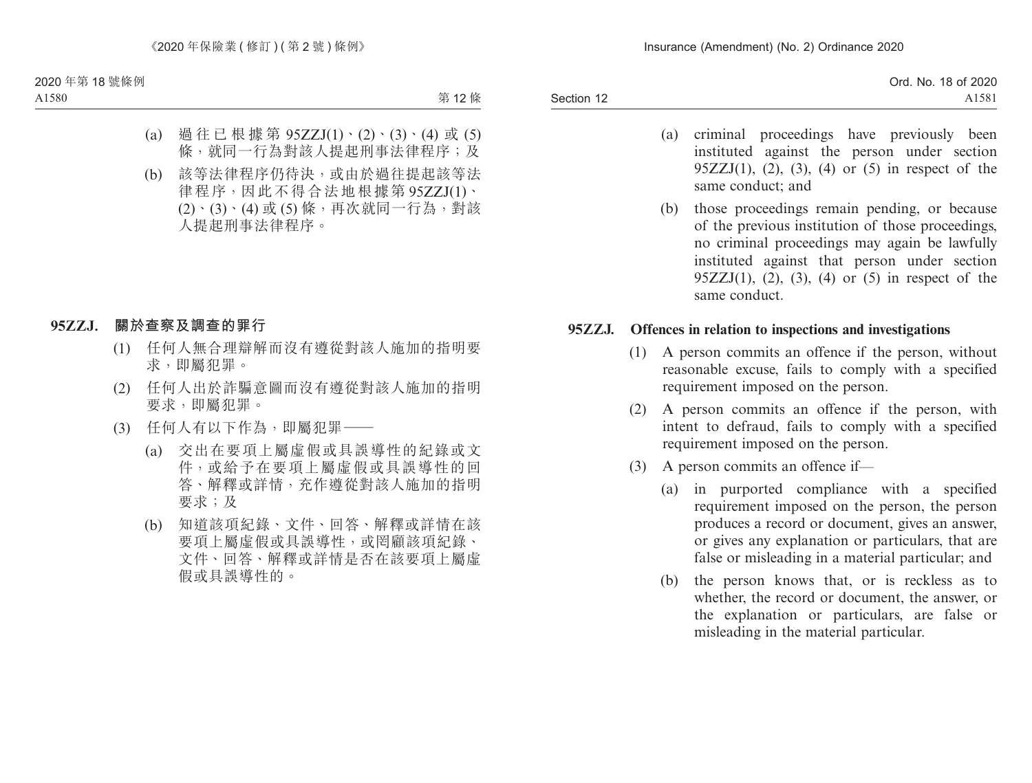| Ord. No. 18 of 2020 |
|---------------------|
| A1581               |
|                     |

- (a) criminal proceedings have previously been instituted against the person under section 95ZZJ(1), (2), (3), (4) or (5) in respect of the same conduct; and
- (b) those proceedings remain pending, or because of the previous institution of those proceedings, no criminal proceedings may again be lawfully instituted against that person under section  $95ZZJ(1)$ ,  $(2)$ ,  $(3)$ ,  $(4)$  or  $(5)$  in respect of the same conduct.

#### **95ZZJ. Offences in relation to inspections and investigations**

- (1) A person commits an offence if the person, without reasonable excuse, fails to comply with a specified requirement imposed on the person.
- (2) A person commits an offence if the person, with intent to defraud, fails to comply with a specified requirement imposed on the person.
- (3) A person commits an offence if—
	- (a) in purported compliance with a specified requirement imposed on the person, the person produces a record or document, gives an answer, or gives any explanation or particulars, that are false or misleading in a material particular; and
	- (b) the person knows that, or is reckless as to whether, the record or document, the answer, or the explanation or particulars, are false or misleading in the material particular.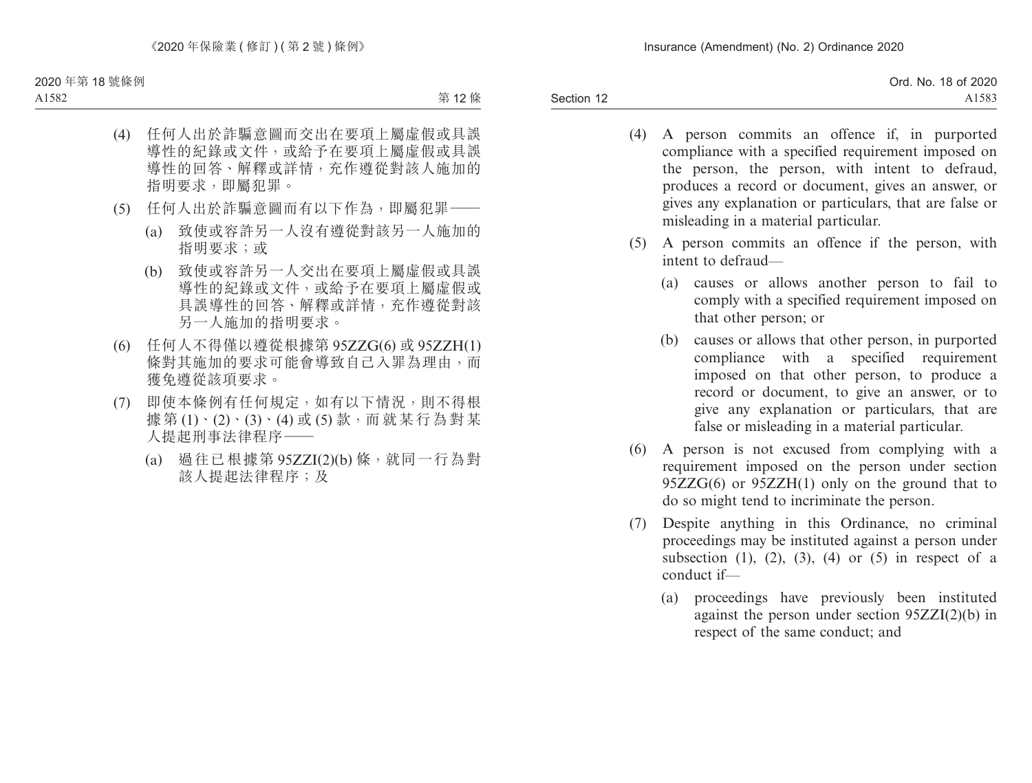Section 12 Ord. No. 18 of 2020 A1583

- (4) A person commits an offence if, in purported compliance with a specified requirement imposed on the person, the person, with intent to defraud, produces a record or document, gives an answer, or gives any explanation or particulars, that are false or misleading in a material particular.
- (5) A person commits an offence if the person, with intent to defraud—
	- (a) causes or allows another person to fail to comply with a specified requirement imposed on that other person; or
	- (b) causes or allows that other person, in purported compliance with a specified requirement imposed on that other person, to produce a record or document, to give an answer, or to give any explanation or particulars, that are false or misleading in a material particular.
- (6) A person is not excused from complying with a requirement imposed on the person under section 95ZZG(6) or 95ZZH(1) only on the ground that to do so might tend to incriminate the person.
- (7) Despite anything in this Ordinance, no criminal proceedings may be instituted against a person under subsection  $(1)$ ,  $(2)$ ,  $(3)$ ,  $(4)$  or  $(5)$  in respect of a conduct if—
	- (a) proceedings have previously been instituted against the person under section 95ZZI(2)(b) in respect of the same conduct; and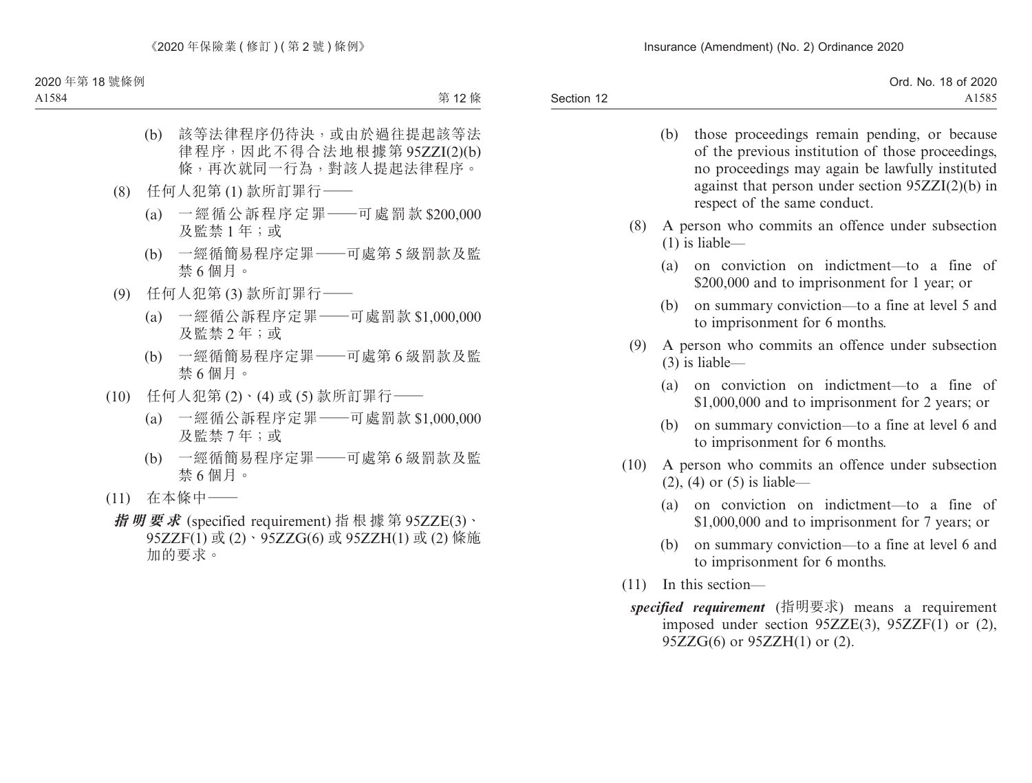|            | Ord. No. 18 of 2020 |
|------------|---------------------|
| Section 12 | A1585               |

- (b) those proceedings remain pending, or because of the previous institution of those proceedings, no proceedings may again be lawfully instituted against that person under section 95ZZI(2)(b) in respect of the same conduct.
- (8) A person who commits an offence under subsection (1) is liable—
	- (a) on conviction on indictment—to a fine of \$200,000 and to imprisonment for 1 year; or
	- (b) on summary conviction—to a fine at level 5 and to imprisonment for 6 months.
- (9) A person who commits an offence under subsection (3) is liable—
	- (a) on conviction on indictment—to a fine of \$1,000,000 and to imprisonment for 2 years; or
	- (b) on summary conviction—to a fine at level 6 and to imprisonment for 6 months.
- (10) A person who commits an offence under subsection (2), (4) or (5) is liable—
	- (a) on conviction on indictment—to a fine of \$1,000,000 and to imprisonment for 7 years; or
	- (b) on summary conviction—to a fine at level 6 and to imprisonment for 6 months.
- (11) In this section
	- *specified requirement* (指明要求) means a requirement imposed under section 95ZZE(3), 95ZZF(1) or (2), 95ZZG(6) or 95ZZH(1) or (2).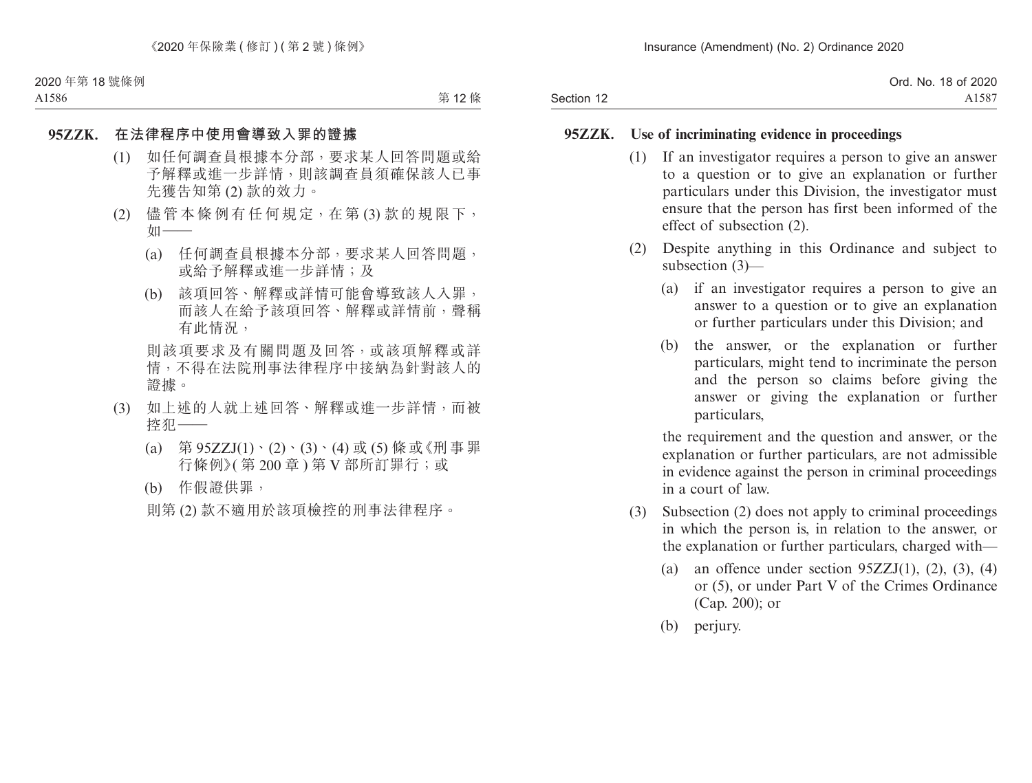|            | Ord. No. 18 of 2020 |
|------------|---------------------|
| Section 12 | A1587               |

#### **95ZZK. Use of incriminating evidence in proceedings**

- (1) If an investigator requires a person to give an answer to a question or to give an explanation or further particulars under this Division, the investigator must ensure that the person has first been informed of the effect of subsection (2).
- (2) Despite anything in this Ordinance and subject to subsection (3)—
	- (a) if an investigator requires a person to give an answer to a question or to give an explanation or further particulars under this Division; and
	- (b) the answer, or the explanation or further particulars, might tend to incriminate the person and the person so claims before giving the answer or giving the explanation or further particulars,

the requirement and the question and answer, or the explanation or further particulars, are not admissible in evidence against the person in criminal proceedings in a court of law.

- (3) Subsection (2) does not apply to criminal proceedings in which the person is, in relation to the answer, or the explanation or further particulars, charged with—
	- (a) an offence under section  $95ZZJ(1)$ , (2), (3), (4) or (5), or under Part V of the Crimes Ordinance (Cap. 200); or
	- (b) perjury.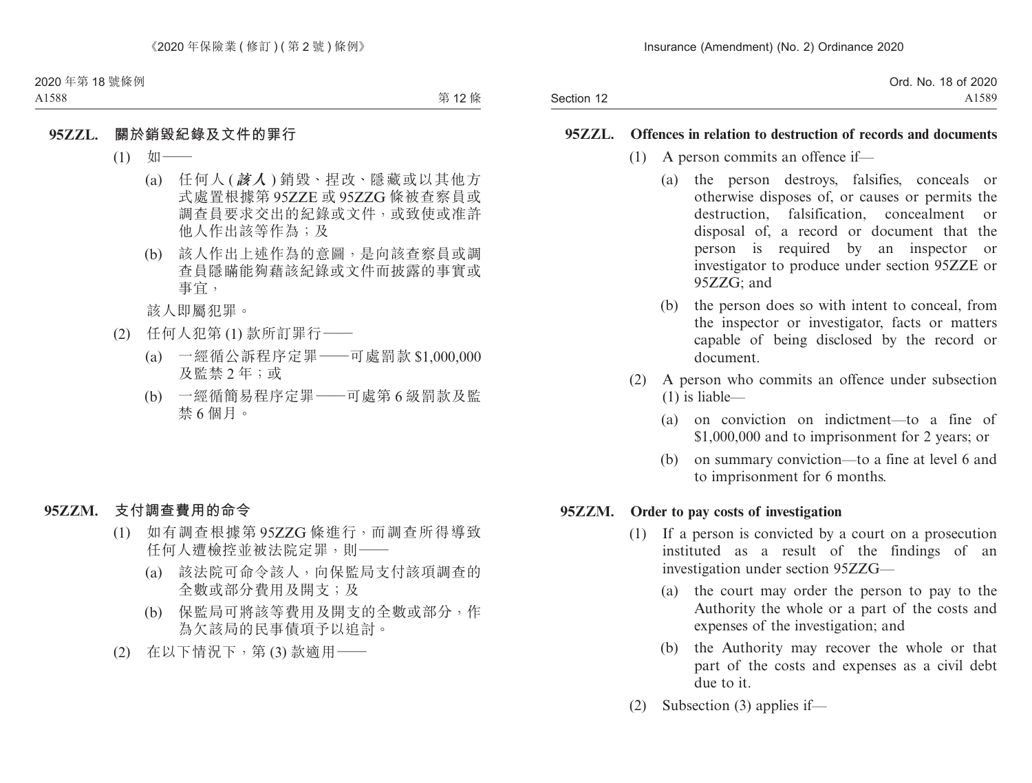|            | Ord. No. 18 of 2020 |
|------------|---------------------|
| Section 12 | A1589               |

#### **95ZZL. Offences in relation to destruction of records and documents**

- (1) A person commits an offence if—
	- (a) the person destroys, falsifies, conceals or otherwise disposes of, or causes or permits the destruction, falsification, concealment or disposal of, a record or document that the person is required by an inspector or investigator to produce under section 95ZZE or 95ZZG; and
	- (b) the person does so with intent to conceal, from the inspector or investigator, facts or matters capable of being disclosed by the record or document.
- (2) A person who commits an offence under subsection (1) is liable—
	- (a) on conviction on indictment—to a fine of \$1,000,000 and to imprisonment for 2 years; or
	- (b) on summary conviction—to a fine at level 6 and to imprisonment for 6 months.

#### **95ZZM. Order to pay costs of investigation**

- (1) If a person is convicted by a court on a prosecution instituted as a result of the findings of an investigation under section 95ZZG—
	- (a) the court may order the person to pay to the Authority the whole or a part of the costs and expenses of the investigation; and
	- (b) the Authority may recover the whole or that part of the costs and expenses as a civil debt due to it.
- (2) Subsection (3) applies if—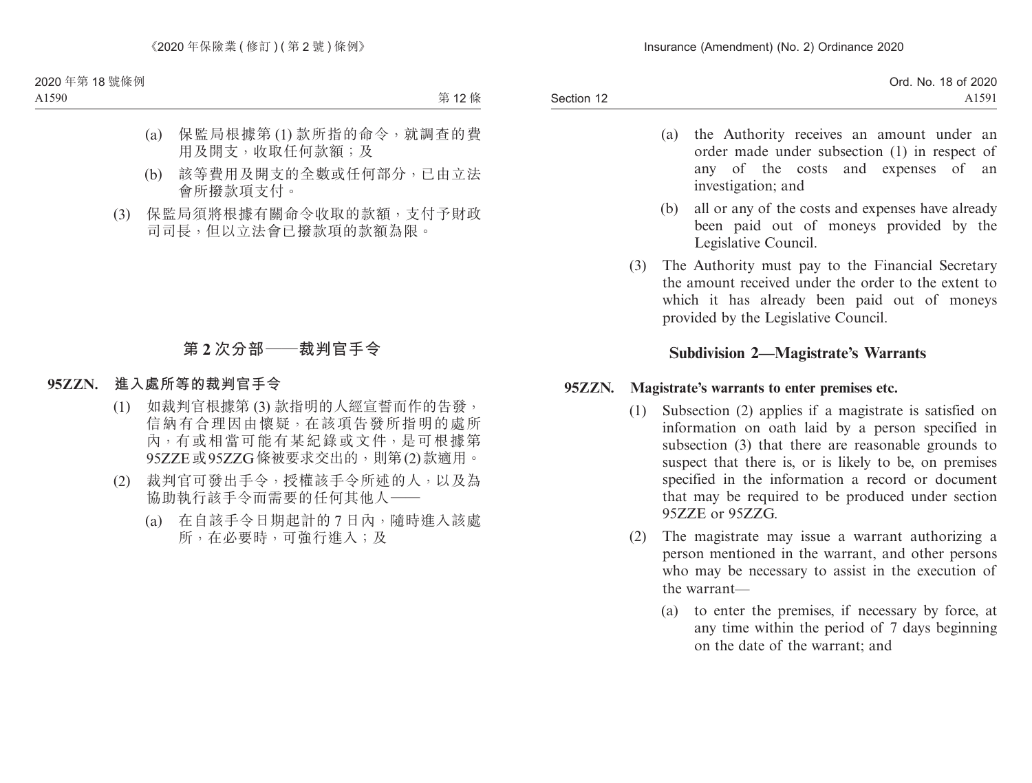| Ord. No. 18 of 2020 |
|---------------------|
| A1591               |
|                     |

- (a) the Authority receives an amount under an order made under subsection (1) in respect of any of the costs and expenses of an investigation; and
- (b) all or any of the costs and expenses have already been paid out of moneys provided by the Legislative Council.
- (3) The Authority must pay to the Financial Secretary the amount received under the order to the extent to which it has already been paid out of moneys provided by the Legislative Council.

## **Subdivision 2—Magistrate's Warrants**

#### **95ZZN. Magistrate's warrants to enter premises etc.**

- (1) Subsection (2) applies if a magistrate is satisfied on information on oath laid by a person specified in subsection (3) that there are reasonable grounds to suspect that there is, or is likely to be, on premises specified in the information a record or document that may be required to be produced under section 95ZZE or 95ZZG.
- (2) The magistrate may issue a warrant authorizing a person mentioned in the warrant, and other persons who may be necessary to assist in the execution of the warrant—
	- (a) to enter the premises, if necessary by force, at any time within the period of 7 days beginning on the date of the warrant; and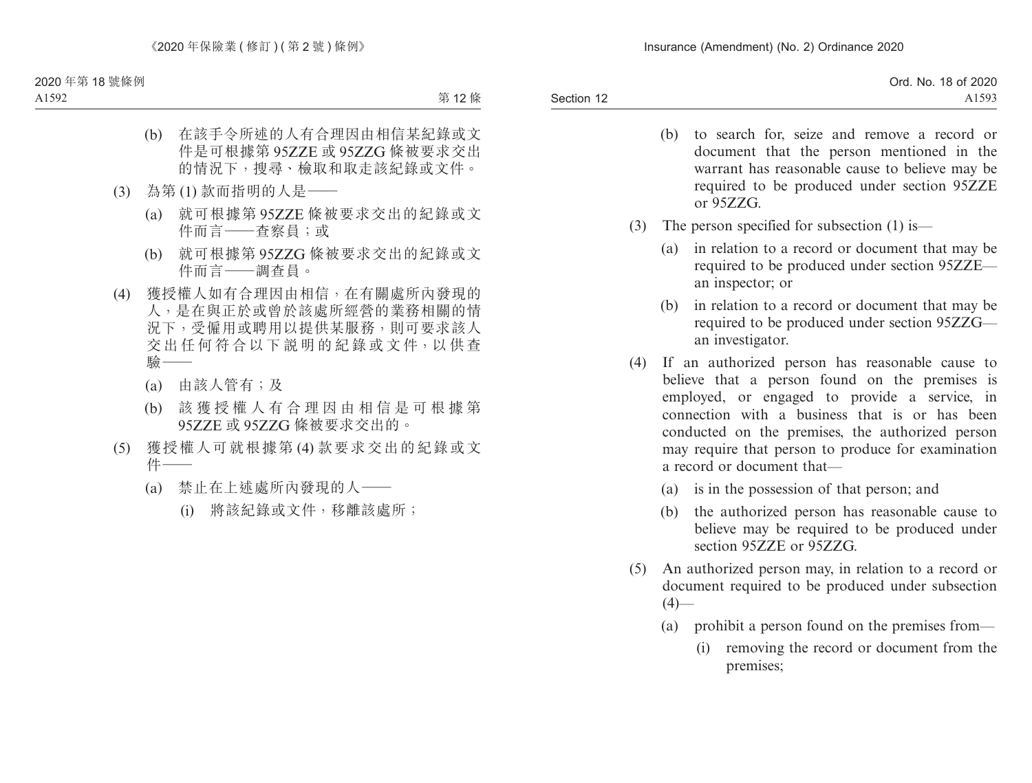Section 12 Ord. No. 18 of 2020 A1593

- (b) to search for, seize and remove a record or document that the person mentioned in the warrant has reasonable cause to believe may be required to be produced under section 95ZZE or 95ZZG.
- (3) The person specified for subsection (1) is—
	- (a) in relation to a record or document that may be required to be produced under section 95ZZE an inspector; or
	- (b) in relation to a record or document that may be required to be produced under section 95ZZG an investigator.
- (4) If an authorized person has reasonable cause to believe that a person found on the premises is employed, or engaged to provide a service, in connection with a business that is or has been conducted on the premises, the authorized person may require that person to produce for examination a record or document that—
	- (a) is in the possession of that person; and
	- (b) the authorized person has reasonable cause to believe may be required to be produced under section 95ZZE or 95ZZG.
- (5) An authorized person may, in relation to a record or document required to be produced under subsection  $(4)$ —
	- (a) prohibit a person found on the premises from—
		- (i) removing the record or document from the premises;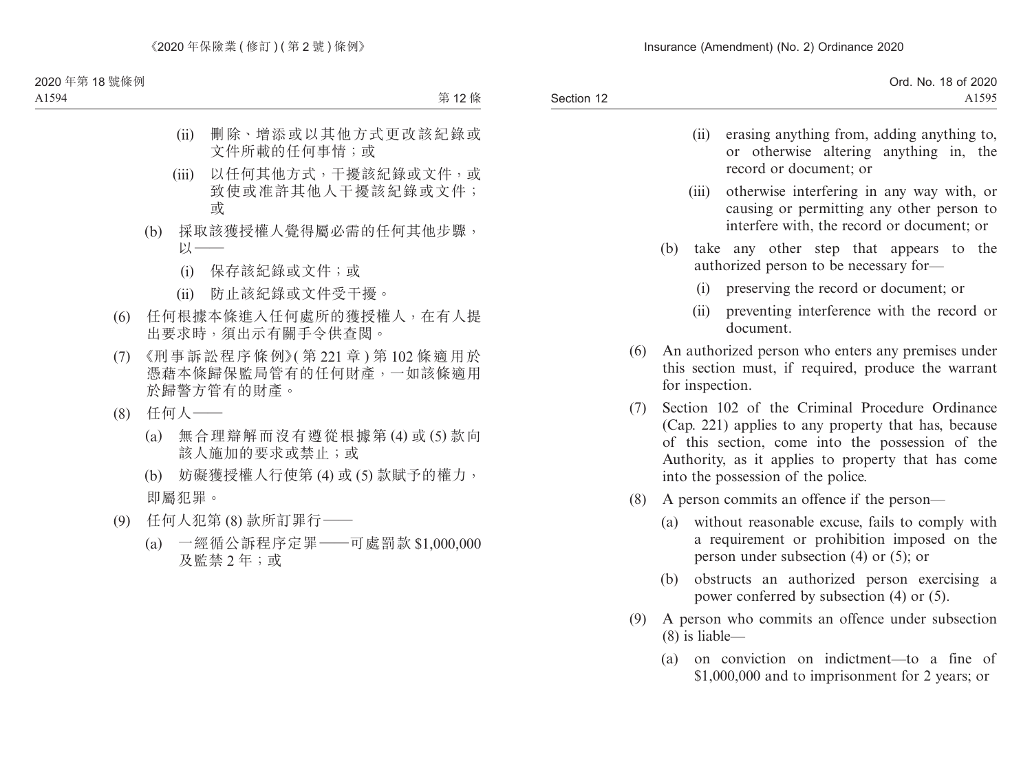- (ii) erasing anything from, adding anything to, or otherwise altering anything in, the record or document; or
- (iii) otherwise interfering in any way with, or causing or permitting any other person to interfere with, the record or document; or
- (b) take any other step that appears to the authorized person to be necessary for—
	- (i) preserving the record or document; or
	- (ii) preventing interference with the record or document.
- (6) An authorized person who enters any premises under this section must, if required, produce the warrant for inspection.
- (7) Section 102 of the Criminal Procedure Ordinance (Cap. 221) applies to any property that has, because of this section, come into the possession of the Authority, as it applies to property that has come into the possession of the police.
- (8) A person commits an offence if the person—
	- (a) without reasonable excuse, fails to comply with a requirement or prohibition imposed on the person under subsection (4) or (5); or
	- (b) obstructs an authorized person exercising a power conferred by subsection (4) or (5).
- (9) A person who commits an offence under subsection (8) is liable—
	- (a) on conviction on indictment—to a fine of \$1,000,000 and to imprisonment for 2 years; or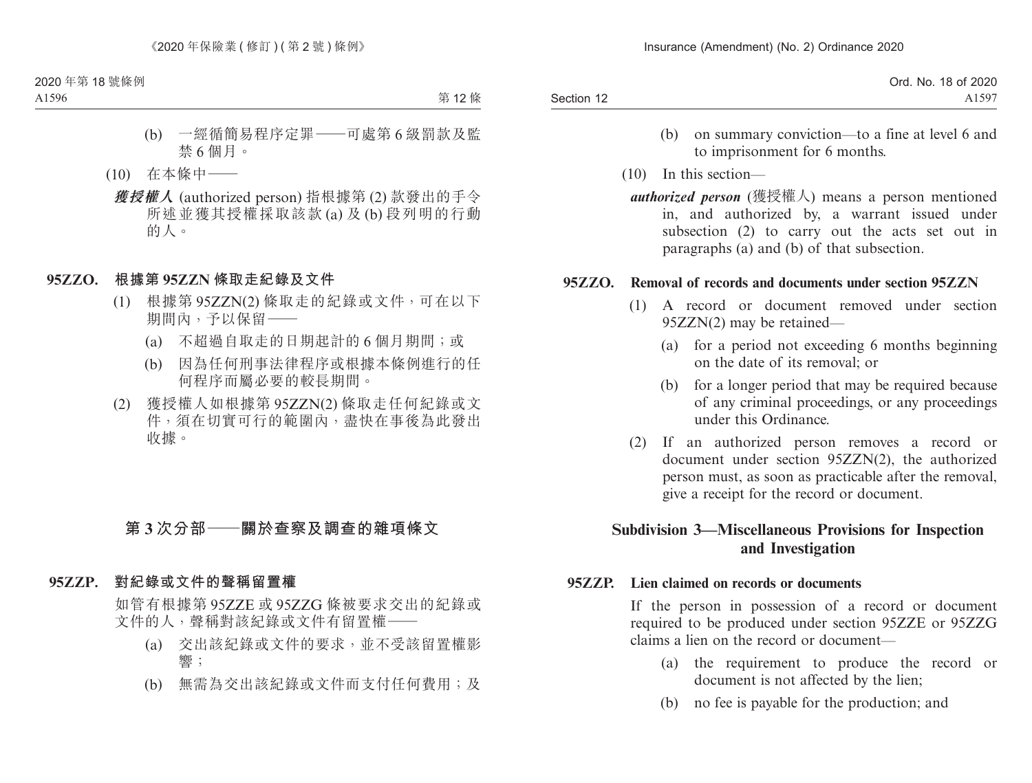| Ord. No. 18 of 2020 |
|---------------------|
| A <sub>1597</sub>   |
|                     |

- (b) on summary conviction—to a fine at level 6 and to imprisonment for 6 months.
- (10) In this section
	- *authorized person* (獲授權人) means a person mentioned in, and authorized by, a warrant issued under subsection (2) to carry out the acts set out in paragraphs (a) and (b) of that subsection.

#### **95ZZO. Removal of records and documents under section 95ZZN**

- (1) A record or document removed under section 95ZZN(2) may be retained—
	- (a) for a period not exceeding 6 months beginning on the date of its removal; or
	- (b) for a longer period that may be required because of any criminal proceedings, or any proceedings under this Ordinance.
- (2) If an authorized person removes a record or document under section 95ZZN(2), the authorized person must, as soon as practicable after the removal, give a receipt for the record or document.

## **Subdivision 3—Miscellaneous Provisions for Inspection and Investigation**

#### **95ZZP. Lien claimed on records or documents**

If the person in possession of a record or document required to be produced under section 95ZZE or 95ZZG claims a lien on the record or document—

- (a) the requirement to produce the record or document is not affected by the lien;
- (b) no fee is payable for the production; and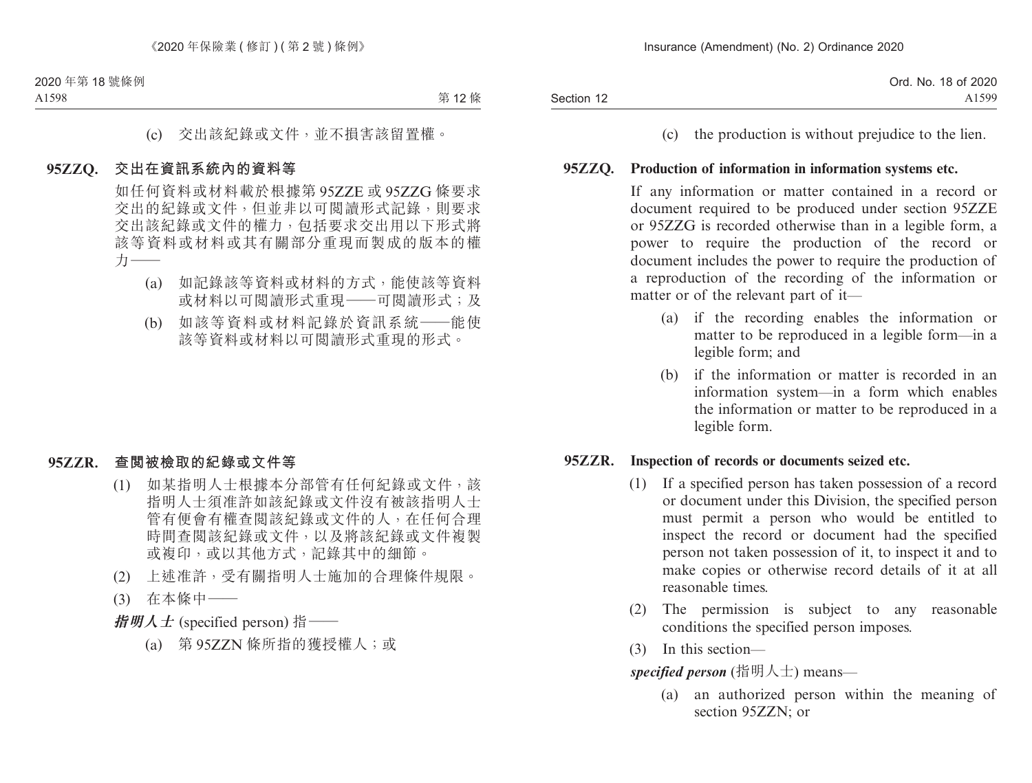|            | Ord. No. 18 of 2020 |
|------------|---------------------|
| Section 12 | A1599               |

(c) the production is without prejudice to the lien.

#### **95ZZQ. Production of information in information systems etc.**

If any information or matter contained in a record or document required to be produced under section 95ZZE or 95ZZG is recorded otherwise than in a legible form, a power to require the production of the record or document includes the power to require the production of a reproduction of the recording of the information or matter or of the relevant part of it—

- (a) if the recording enables the information or matter to be reproduced in a legible form—in a legible form; and
- (b) if the information or matter is recorded in an information system—in a form which enables the information or matter to be reproduced in a legible form.

#### **95ZZR. Inspection of records or documents seized etc.**

- (1) If a specified person has taken possession of a record or document under this Division, the specified person must permit a person who would be entitled to inspect the record or document had the specified person not taken possession of it, to inspect it and to make copies or otherwise record details of it at all reasonable times.
- (2) The permission is subject to any reasonable conditions the specified person imposes.
- (3) In this section—

*specified person* (指明人士) means—

(a) an authorized person within the meaning of section 95ZZN; or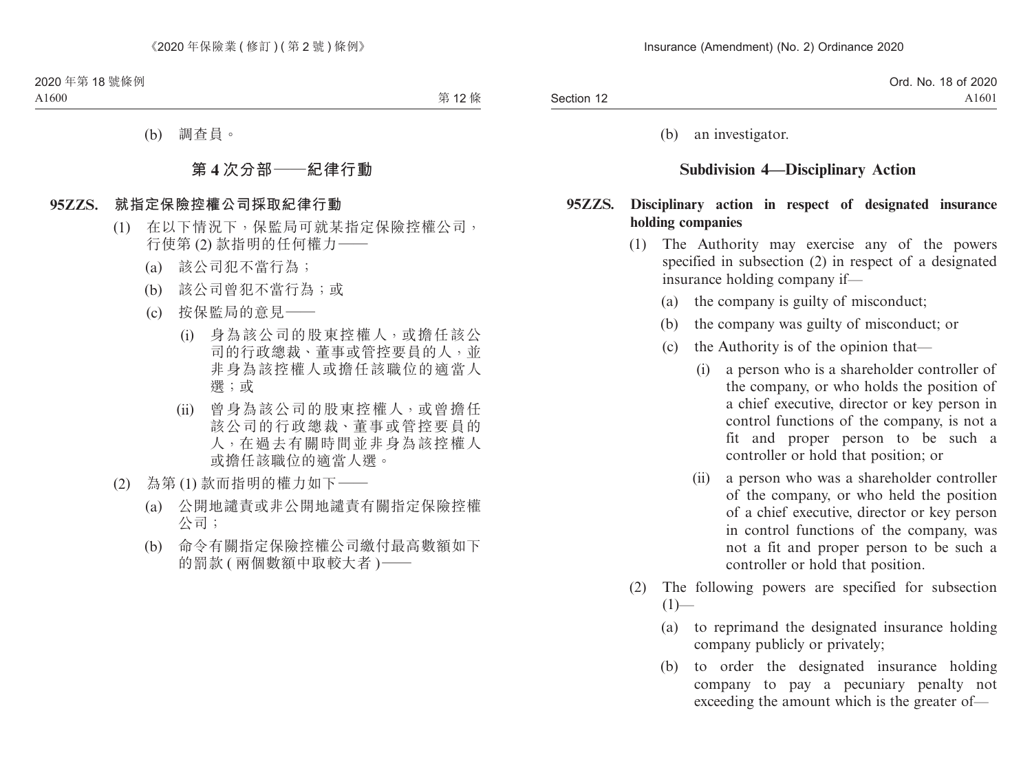|            | Ord. No.<br>18 of 2020 |
|------------|------------------------|
| Section 12 | A <sub>1601</sub>      |

(b) an investigator.

## **Subdivision 4—Disciplinary Action**

#### **95ZZS. Disciplinary action in respect of designated insurance holding companies**

- (1) The Authority may exercise any of the powers specified in subsection (2) in respect of a designated insurance holding company if—
	- (a) the company is guilty of misconduct;
	- (b) the company was guilty of misconduct; or
	- (c) the Authority is of the opinion that—
		- (i) a person who is a shareholder controller of the company, or who holds the position of a chief executive, director or key person in control functions of the company, is not a fit and proper person to be such a controller or hold that position; or
		- (ii) a person who was a shareholder controller of the company, or who held the position of a chief executive, director or key person in control functions of the company, was not a fit and proper person to be such a controller or hold that position.
- (2) The following powers are specified for subsection  $(1)$ —
	- (a) to reprimand the designated insurance holding company publicly or privately;
	- (b) to order the designated insurance holding company to pay a pecuniary penalty not exceeding the amount which is the greater of—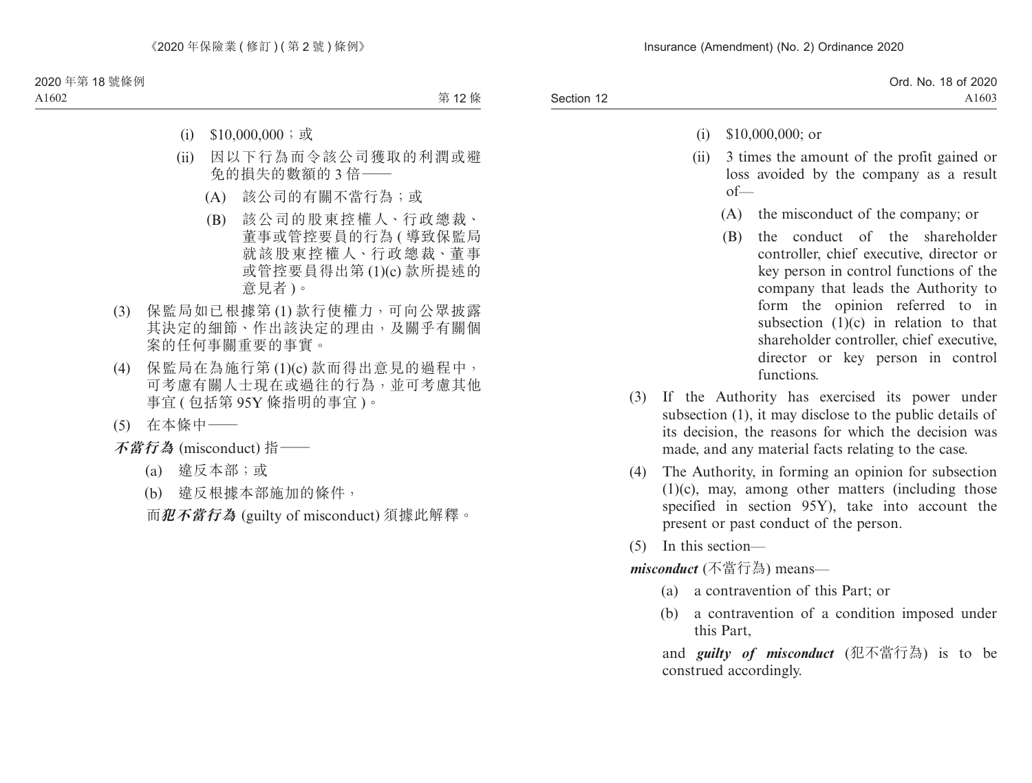|            | Ord. No. 18 of 2020 |
|------------|---------------------|
| Section 12 | A1603               |

- (i) \$10,000,000; or
- (ii) 3 times the amount of the profit gained or loss avoided by the company as a result  $of$ 
	- (A) the misconduct of the company; or
	- (B) the conduct of the shareholder controller, chief executive, director or key person in control functions of the company that leads the Authority to form the opinion referred to in subsection  $(1)(c)$  in relation to that shareholder controller, chief executive, director or key person in control functions.
- (3) If the Authority has exercised its power under subsection (1), it may disclose to the public details of its decision, the reasons for which the decision was made, and any material facts relating to the case.
- (4) The Authority, in forming an opinion for subsection (1)(c), may, among other matters (including those specified in section 95Y), take into account the present or past conduct of the person.
- (5) In this section—

*misconduct* (不當行為) means—

- (a) a contravention of this Part; or
- (b) a contravention of a condition imposed under this Part,

and *guilty of misconduct* (犯不當行為) is to be construed accordingly.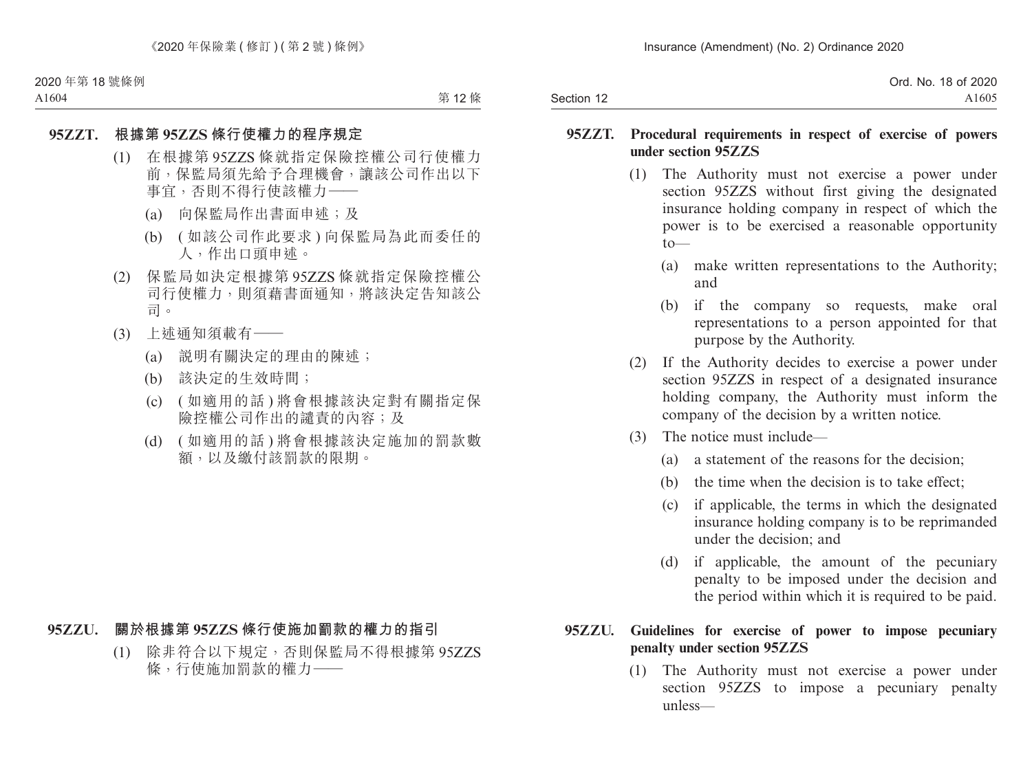|            | Ord. No. 18 of 2020 |
|------------|---------------------|
| Section 12 | A1605               |

#### **95ZZT. Procedural requirements in respect of exercise of powers under section 95ZZS**

- (1) The Authority must not exercise a power under section 95ZZS without first giving the designated insurance holding company in respect of which the power is to be exercised a reasonable opportunity  $t \sim$ 
	- (a) make written representations to the Authority; and
	- (b) if the company so requests, make oral representations to a person appointed for that purpose by the Authority.
- (2) If the Authority decides to exercise a power under section 95ZZS in respect of a designated insurance holding company, the Authority must inform the company of the decision by a written notice.
- (3) The notice must include—
	- (a) a statement of the reasons for the decision;
	- (b) the time when the decision is to take effect;
	- (c) if applicable, the terms in which the designated insurance holding company is to be reprimanded under the decision; and
	- (d) if applicable, the amount of the pecuniary penalty to be imposed under the decision and the period within which it is required to be paid.

## **95ZZU. Guidelines for exercise of power to impose pecuniary penalty under section 95ZZS**

(1) The Authority must not exercise a power under section 95ZZS to impose a pecuniary penalty unless—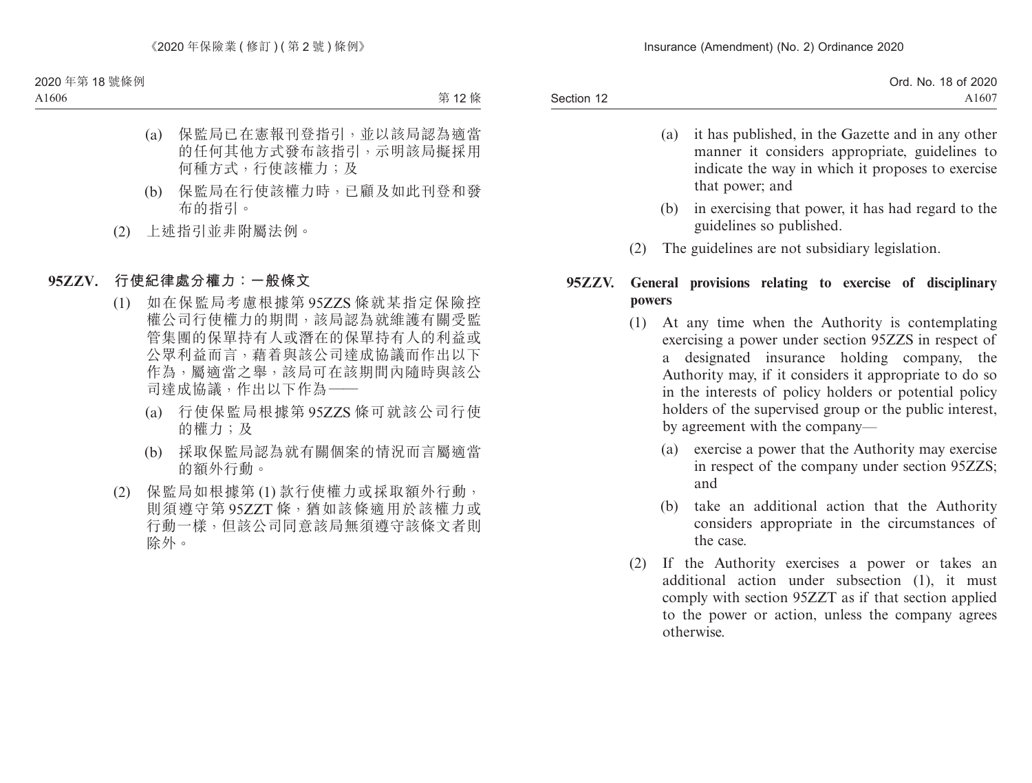|            | Ord. No. 18 of 2020 |
|------------|---------------------|
| Section 12 | A1607               |

- (a) it has published, in the Gazette and in any other manner it considers appropriate, guidelines to indicate the way in which it proposes to exercise that power; and
- (b) in exercising that power, it has had regard to the guidelines so published.
- (2) The guidelines are not subsidiary legislation.

## **95ZZV. General provisions relating to exercise of disciplinary powers**

- (1) At any time when the Authority is contemplating exercising a power under section 95ZZS in respect of a designated insurance holding company, the Authority may, if it considers it appropriate to do so in the interests of policy holders or potential policy holders of the supervised group or the public interest, by agreement with the company—
	- (a) exercise a power that the Authority may exercise in respect of the company under section 95ZZS; and
	- (b) take an additional action that the Authority considers appropriate in the circumstances of the case.
- (2) If the Authority exercises a power or takes an additional action under subsection (1), it must comply with section 95ZZT as if that section applied to the power or action, unless the company agrees otherwise.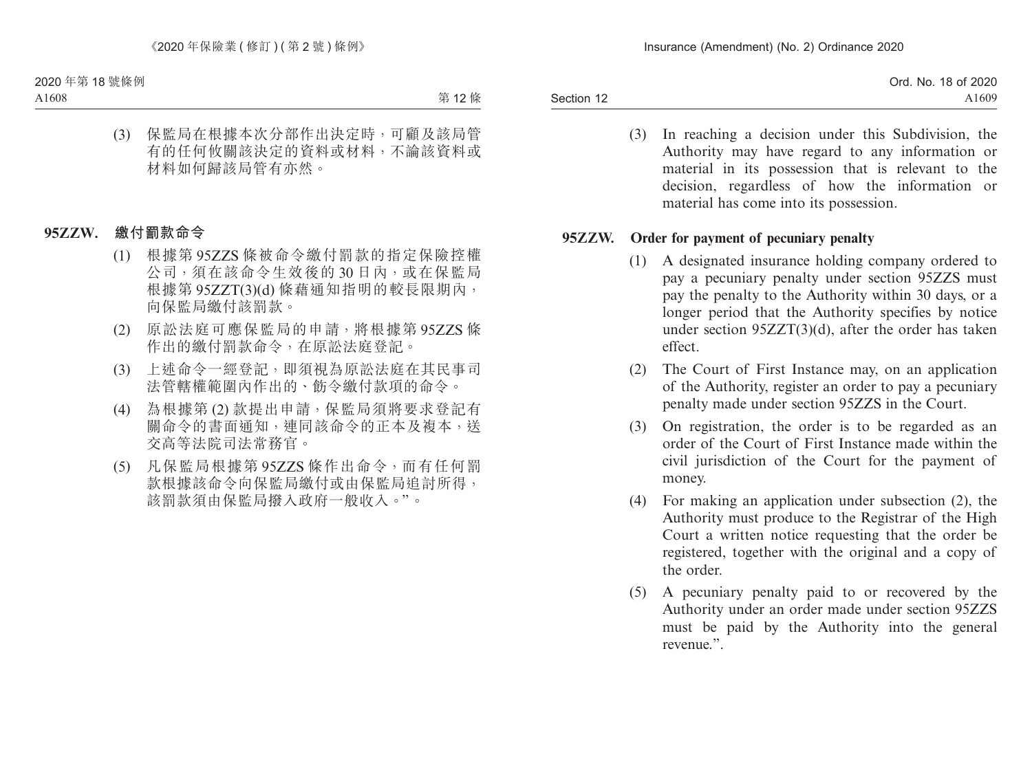Section 12 Ord. No. 18 of 2020 A1609

> (3) In reaching a decision under this Subdivision, the Authority may have regard to any information or material in its possession that is relevant to the decision, regardless of how the information or material has come into its possession.

#### **95ZZW. Order for payment of pecuniary penalty**

- (1) A designated insurance holding company ordered to pay a pecuniary penalty under section 95ZZS must pay the penalty to the Authority within 30 days, or a longer period that the Authority specifies by notice under section 95ZZT(3)(d), after the order has taken effect.
- (2) The Court of First Instance may, on an application of the Authority, register an order to pay a pecuniary penalty made under section 95ZZS in the Court.
- (3) On registration, the order is to be regarded as an order of the Court of First Instance made within the civil jurisdiction of the Court for the payment of money.
- (4) For making an application under subsection (2), the Authority must produce to the Registrar of the High Court a written notice requesting that the order be registered, together with the original and a copy of the order.
- (5) A pecuniary penalty paid to or recovered by the Authority under an order made under section 95ZZS must be paid by the Authority into the general revenue."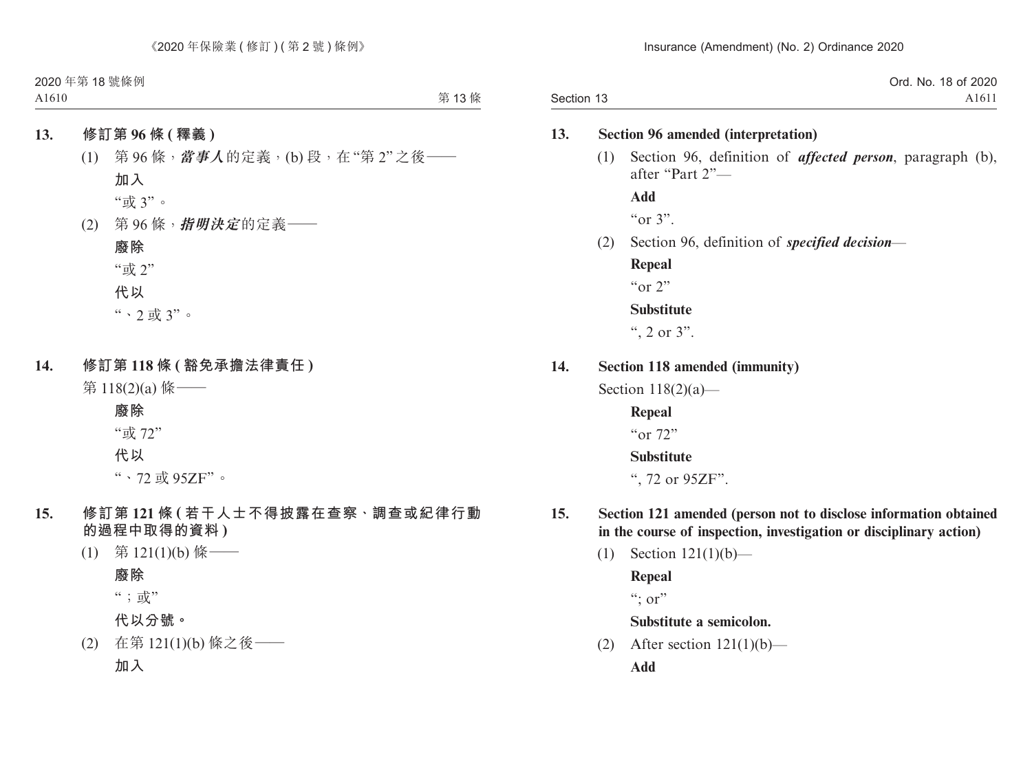|            | Ord. No. 18 of 2020 |
|------------|---------------------|
| Section 13 | A1611               |

#### **13. Section 96 amended (interpretation)**

(1) Section 96, definition of *affected person*, paragraph (b), after "Part 2"—

**Add**  $\alpha$   $\alpha$  3".

(2) Section 96, definition of *specified decision*—

**Repeal** " $\alpha$ " 2" **Substitute**

", 2 or  $3$ ".

**14. Section 118 amended (immunity)**

Section  $118(2)(a)$ —

**Repeal** "or 72"

### **Substitute**

", 72 or 95ZF".

- **15. Section 121 amended (person not to disclose information obtained in the course of inspection, investigation or disciplinary action)**
	- (1) Section 121(1)(b)—

**Repeal**  $\lq\lq$ ; or"

**Substitute a semicolon.**

(2) After section  $121(1)(b)$ —

**Add**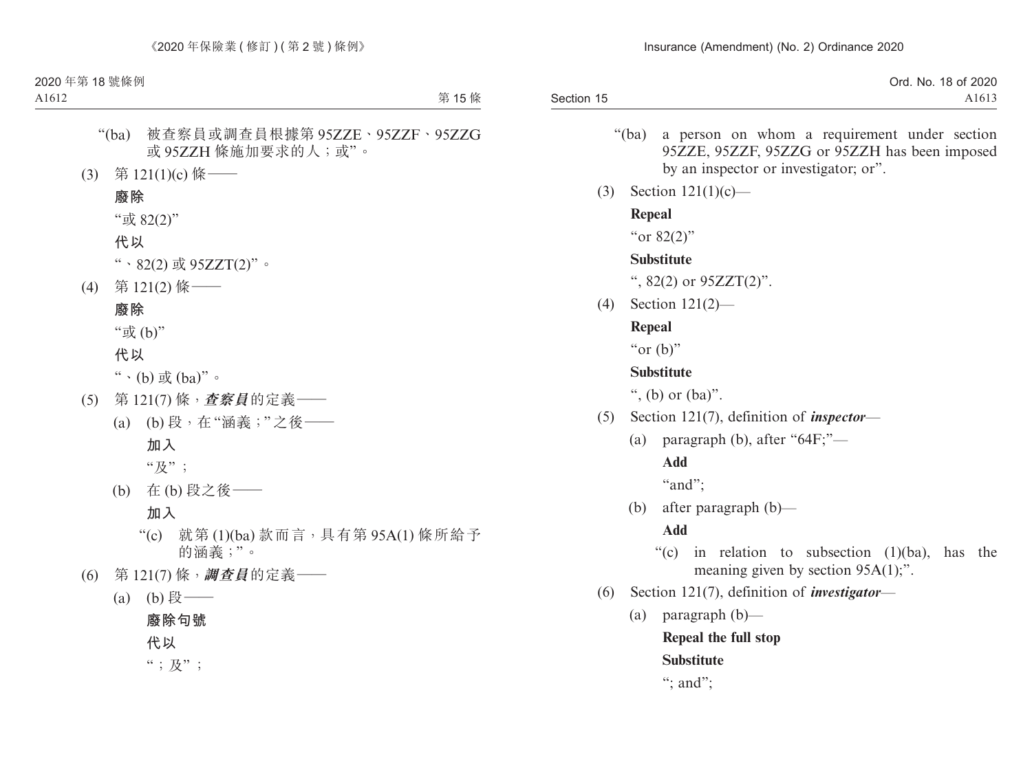|            | Ord. No.<br>18 of 2020 |
|------------|------------------------|
| Section 15 | A1613                  |

- "(ba) a person on whom a requirement under section 95ZZE, 95ZZF, 95ZZG or 95ZZH has been imposed by an inspector or investigator; or".
- (3) Section 121(1)(c)—

## **Repeal**

"or 82(2)"

## **Substitute**

",  $82(2)$  or  $95ZZT(2)$ ".

(4) Section 121(2)—

## **Repeal**

" $or$  (b)"

## **Substitute**

", (b) or  $(ba)$ ".

- (5) Section 121(7), definition of *inspector*
	- (a) paragraph (b), after " $64F$ ;"—

## **Add**

"and":

(b) after paragraph (b)—

## **Add**

- "(c) in relation to subsection  $(1)(ba)$ , has the meaning given by section 95A(1);".
- (6) Section 121(7), definition of *investigator*
	- (a) paragraph (b)—

## **Repeal the full stop**

## **Substitute**

": and":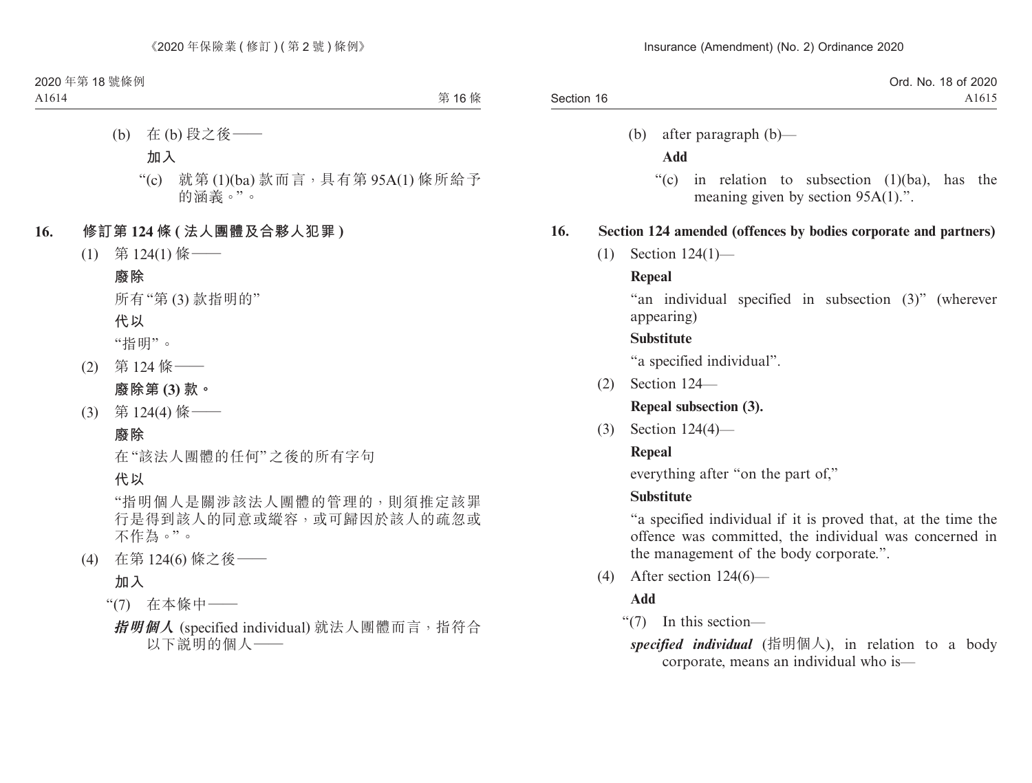|            | Ord. No. 18 of 2020 |
|------------|---------------------|
| Section 16 | A1615               |

(b) after paragraph (b)—

#### **Add**

"(c) in relation to subsection (1)(ba), has the meaning given by section 95A(1).".

#### **16. Section 124 amended (offences by bodies corporate and partners)**

(1) Section 124(1)—

#### **Repeal**

"an individual specified in subsection (3)" (wherever appearing)

#### **Substitute**

"a specified individual".

(2) Section 124—

**Repeal subsection (3).**

(3) Section 124(4)—

### **Repeal**

everything after "on the part of,"

## **Substitute**

"a specified individual if it is proved that, at the time the offence was committed, the individual was concerned in the management of the body corporate.".

(4) After section 124(6)—

## **Add**

"(7) In this section—

*specified individual* (指明個人), in relation to a body corporate, means an individual who is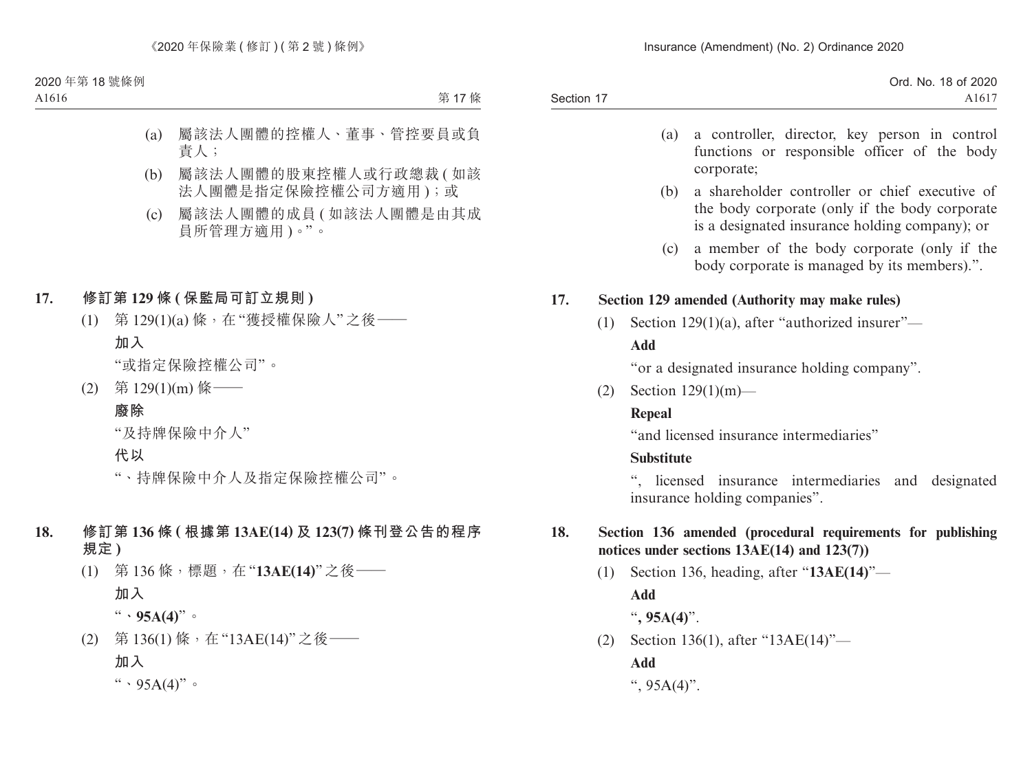Section 17 Ord. No. 18 of 2020 A1617

- (a) a controller, director, key person in control functions or responsible officer of the body corporate;
- (b) a shareholder controller or chief executive of the body corporate (only if the body corporate is a designated insurance holding company); or
- (c) a member of the body corporate (only if the body corporate is managed by its members).".

## **17. Section 129 amended (Authority may make rules)**

(1) Section 129(1)(a), after "authorized insurer"—

## **Add**

"or a designated insurance holding company".

(2) Section 129(1)(m)—

## **Repeal**

"and licensed insurance intermediaries"

## **Substitute**

", licensed insurance intermediaries and designated insurance holding companies".

## **18. Section 136 amended (procedural requirements for publishing notices under sections 13AE(14) and 123(7))**

- (1) Section 136, heading, after "**13AE(14)**"— **Add**
	- "**, 95A(4)**".
- (2) Section 136(1), after "13AE(14)"—

**Add**

",  $95A(4)$ ".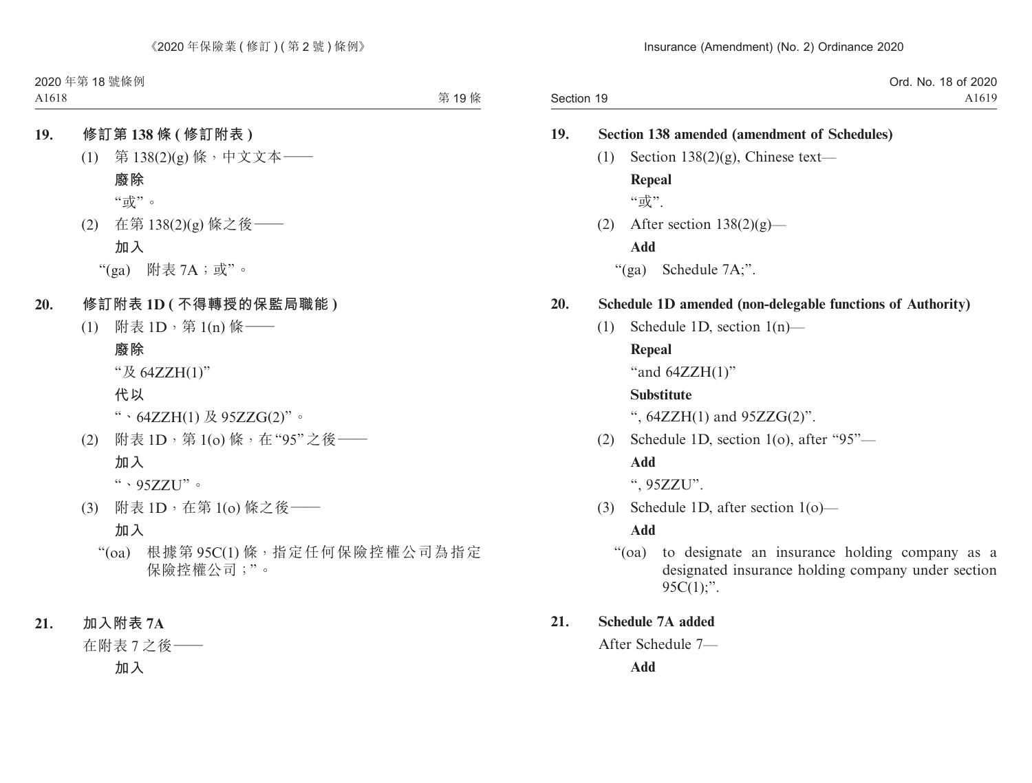|            | Ord. No. 18 of 2020 |
|------------|---------------------|
| Section 19 | A <sub>1619</sub>   |

|     | <b>Section 138 amended (amendment of Schedules)</b>                                                                                        |
|-----|--------------------------------------------------------------------------------------------------------------------------------------------|
| (1) | Section $138(2)(g)$ , Chinese text-                                                                                                        |
|     | Repeal                                                                                                                                     |
|     | "或".                                                                                                                                       |
|     | (2) After section $138(2)(g)$ —                                                                                                            |
|     | <b>Add</b>                                                                                                                                 |
|     | " $(ga)$ Schedule 7A;".                                                                                                                    |
|     | Schedule 1D amended (non-delegable functions of Authority)                                                                                 |
| (1) | Schedule 1D, section $1(n)$ —                                                                                                              |
|     | <b>Repeal</b>                                                                                                                              |
|     | "and $64ZZH(1)$ "                                                                                                                          |
|     | <b>Substitute</b>                                                                                                                          |
|     | ", $64ZZH(1)$ and $95ZZG(2)$ ".                                                                                                            |
| (2) | Schedule 1D, section 1(o), after "95"-                                                                                                     |
|     | Add                                                                                                                                        |
|     | ", 95ZZU".                                                                                                                                 |
| (3) | Schedule 1D, after section $1(o)$ —                                                                                                        |
|     | <b>Add</b>                                                                                                                                 |
|     | to designate an insurance holding company as a<br>$\cdot \cdot$ (oa)<br>designated insurance holding company under section<br>$95C(1)$ ;". |
|     | <b>Schedule 7A added</b>                                                                                                                   |
|     | After Schedule 7-                                                                                                                          |

**Add**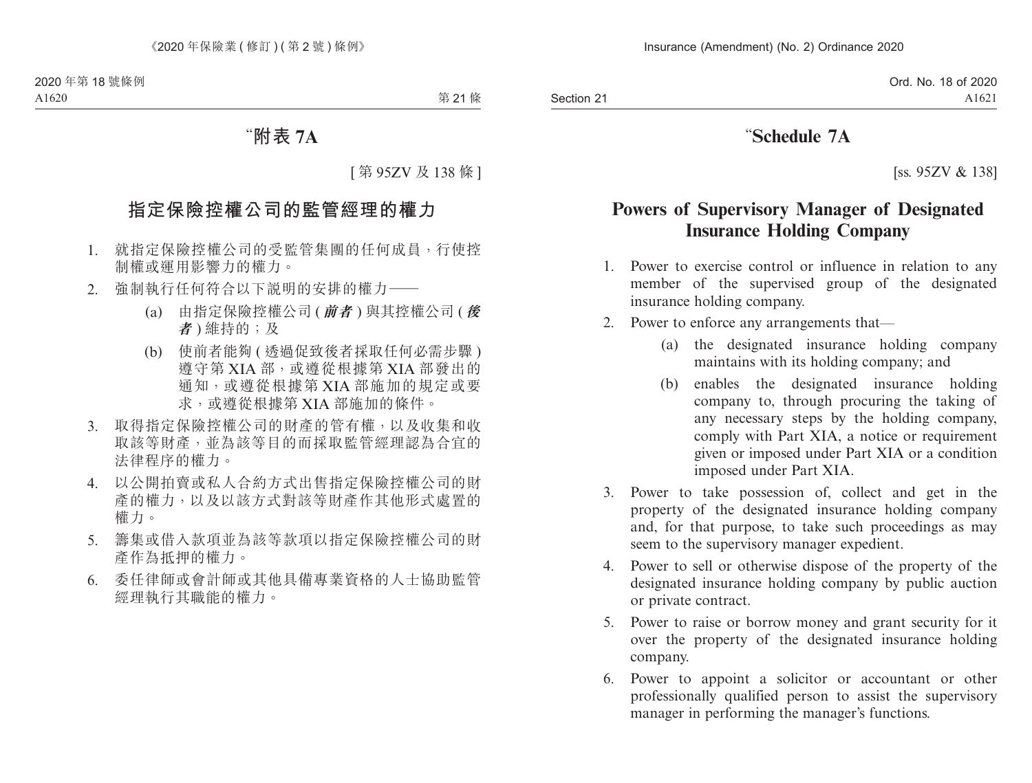## "**Schedule 7A**

[ss. 95ZV & 138]

## **Powers of Supervisory Manager of Designated Insurance Holding Company**

- 1. Power to exercise control or influence in relation to any member of the supervised group of the designated insurance holding company.
- 2. Power to enforce any arrangements that—
	- (a) the designated insurance holding company maintains with its holding company; and
	- (b) enables the designated insurance holding company to, through procuring the taking of any necessary steps by the holding company, comply with Part XIA, a notice or requirement given or imposed under Part XIA or a condition imposed under Part XIA.
- 3. Power to take possession of, collect and get in the property of the designated insurance holding company and, for that purpose, to take such proceedings as may seem to the supervisory manager expedient.
- 4. Power to sell or otherwise dispose of the property of the designated insurance holding company by public auction or private contract.
- 5. Power to raise or borrow money and grant security for it over the property of the designated insurance holding company.
- 6. Power to appoint a solicitor or accountant or other professionally qualified person to assist the supervisory manager in performing the manager's functions.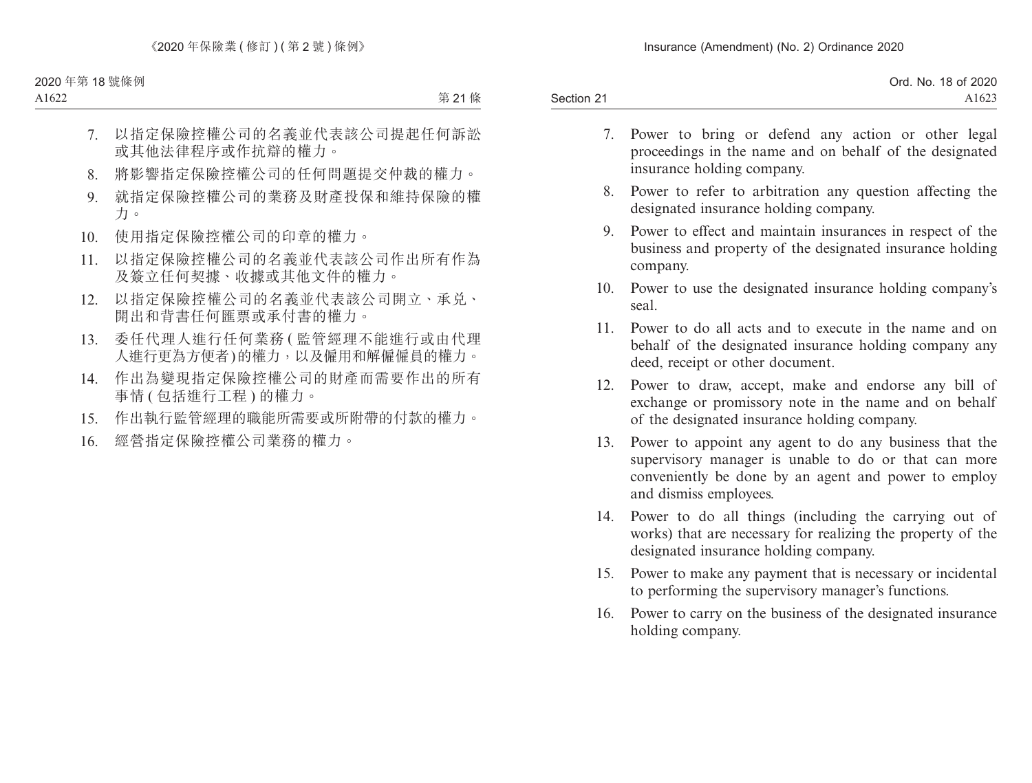|            | Ord. No. 18 of 2020 |
|------------|---------------------|
| Section 21 | A1623               |

- 7. Power to bring or defend any action or other legal proceedings in the name and on behalf of the designated insurance holding company.
- 8. Power to refer to arbitration any question affecting the designated insurance holding company.
- 9. Power to effect and maintain insurances in respect of the business and property of the designated insurance holding company.
- 10. Power to use the designated insurance holding company's seal.
- 11. Power to do all acts and to execute in the name and on behalf of the designated insurance holding company any deed, receipt or other document.
- 12. Power to draw, accept, make and endorse any bill of exchange or promissory note in the name and on behalf of the designated insurance holding company.
- 13. Power to appoint any agent to do any business that the supervisory manager is unable to do or that can more conveniently be done by an agent and power to employ and dismiss employees.
- 14. Power to do all things (including the carrying out of works) that are necessary for realizing the property of the designated insurance holding company.
- 15. Power to make any payment that is necessary or incidental to performing the supervisory manager's functions.
- 16. Power to carry on the business of the designated insurance holding company.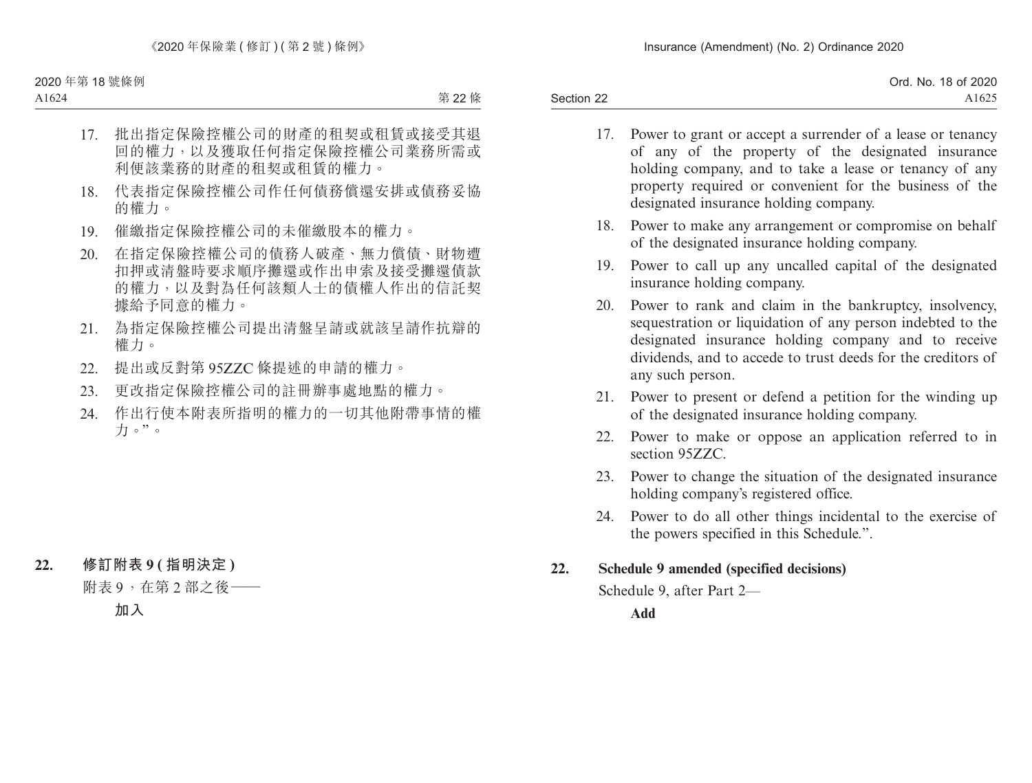|            | Ord. No. 18 of 2020 |
|------------|---------------------|
| Section 22 | A1625               |

- 17. Power to grant or accept a surrender of a lease or tenancy of any of the property of the designated insurance holding company, and to take a lease or tenancy of any property required or convenient for the business of the designated insurance holding company.
- 18. Power to make any arrangement or compromise on behalf of the designated insurance holding company.
- 19. Power to call up any uncalled capital of the designated insurance holding company.
- 20. Power to rank and claim in the bankruptcy, insolvency, sequestration or liquidation of any person indebted to the designated insurance holding company and to receive dividends, and to accede to trust deeds for the creditors of any such person.
- 21. Power to present or defend a petition for the winding up of the designated insurance holding company.
- 22. Power to make or oppose an application referred to in section 95ZZC.
- 23. Power to change the situation of the designated insurance holding company's registered office.
- 24. Power to do all other things incidental to the exercise of the powers specified in this Schedule.".

### **22. Schedule 9 amended (specified decisions)**

Schedule 9, after Part 2—

**Add**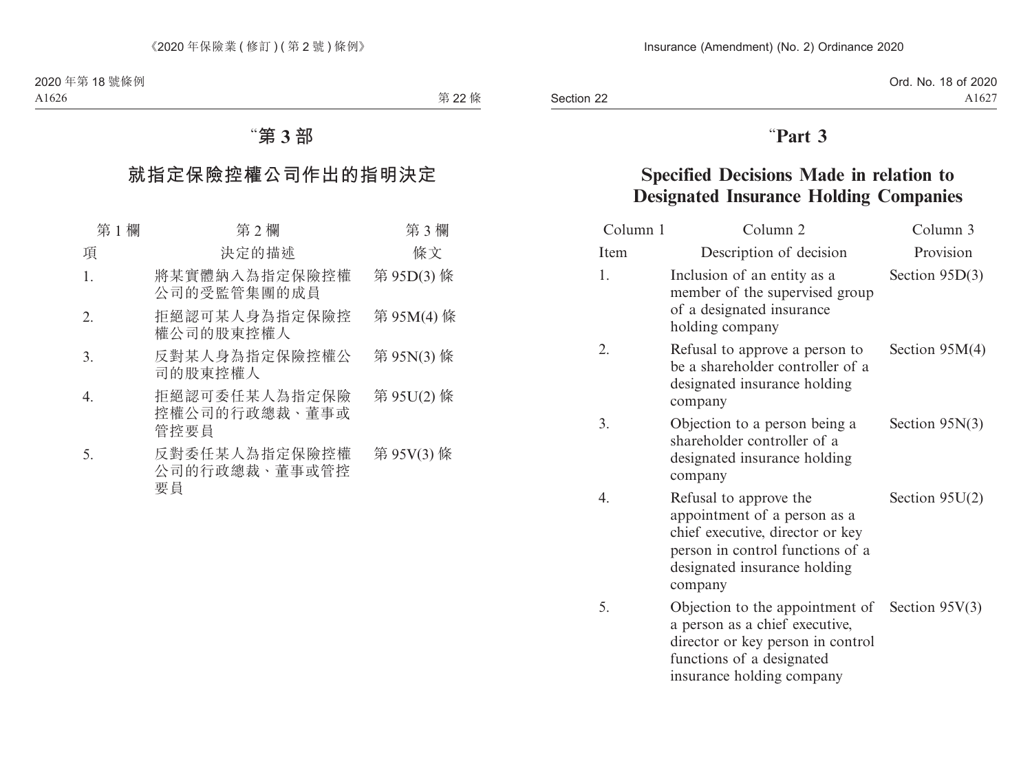Section 22

# "**Part 3**

## **Specified Decisions Made in relation to Designated Insurance Holding Companies**

| Column 1 | Column <sub>2</sub>                                                                                                                                                               | Column 3         |
|----------|-----------------------------------------------------------------------------------------------------------------------------------------------------------------------------------|------------------|
| Item     | Description of decision                                                                                                                                                           | Provision        |
| 1.       | Inclusion of an entity as a<br>member of the supervised group<br>of a designated insurance<br>holding company                                                                     | Section $95D(3)$ |
| 2.       | Refusal to approve a person to<br>be a shareholder controller of a<br>designated insurance holding<br>company                                                                     | Section $95M(4)$ |
| 3.       | Objection to a person being a<br>shareholder controller of a<br>designated insurance holding<br>company                                                                           | Section $95N(3)$ |
| 4.       | Refusal to approve the<br>appointment of a person as a<br>chief executive, director or key<br>person in control functions of a<br>designated insurance holding<br>company         | Section $95U(2)$ |
| 5.       | Objection to the appointment of Section $95V(3)$<br>a person as a chief executive,<br>director or key person in control<br>functions of a designated<br>insurance holding company |                  |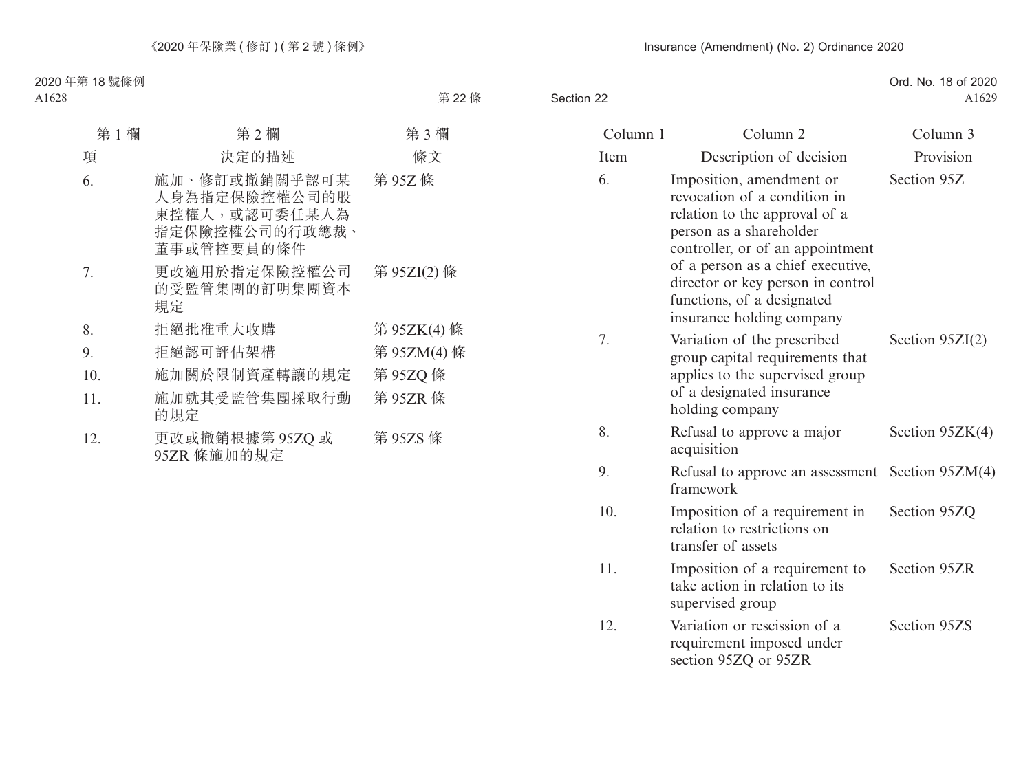#### Insurance (Amendment) (No. 2) Ordinance 2020

Section 22

Ord. No. 18 of 2020 A1629

| Column 1 | Column <sub>2</sub>                                                                                                                                                                                                                                                                           | Column 3          |
|----------|-----------------------------------------------------------------------------------------------------------------------------------------------------------------------------------------------------------------------------------------------------------------------------------------------|-------------------|
| Item     | Description of decision                                                                                                                                                                                                                                                                       | Provision         |
| 6.       | Imposition, amendment or<br>revocation of a condition in<br>relation to the approval of a<br>person as a shareholder<br>controller, or of an appointment<br>of a person as a chief executive,<br>director or key person in control<br>functions, of a designated<br>insurance holding company | Section 95Z       |
| 7.       | Variation of the prescribed<br>group capital requirements that<br>applies to the supervised group<br>of a designated insurance<br>holding company                                                                                                                                             | Section $95ZI(2)$ |
| 8.       | Refusal to approve a major<br>acquisition                                                                                                                                                                                                                                                     | Section $95ZK(4)$ |
| 9.       | Refusal to approve an assessment<br>framework                                                                                                                                                                                                                                                 | Section $95ZM(4)$ |
| 10.      | Imposition of a requirement in<br>relation to restrictions on<br>transfer of assets                                                                                                                                                                                                           | Section 95ZQ      |
| 11.      | Imposition of a requirement to<br>take action in relation to its<br>supervised group                                                                                                                                                                                                          | Section 95ZR      |
| 12.      | Variation or rescission of a<br>requirement imposed under<br>section 95ZQ or 95ZR                                                                                                                                                                                                             | Section 95ZS      |